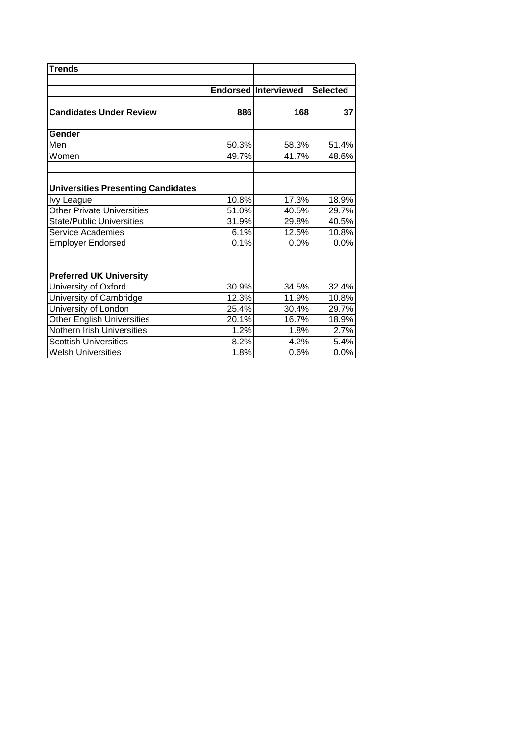| <b>Trends</b>                             |       |                             |                 |
|-------------------------------------------|-------|-----------------------------|-----------------|
|                                           |       | <b>Endorsed Interviewed</b> | <b>Selected</b> |
| <b>Candidates Under Review</b>            | 886   | 168                         | 37              |
| <b>Gender</b>                             |       |                             |                 |
| Men                                       | 50.3% | 58.3%                       | 51.4%           |
| Women                                     | 49.7% | 41.7%                       | 48.6%           |
| <b>Universities Presenting Candidates</b> |       |                             |                 |
| <b>Ivy League</b>                         | 10.8% | 17.3%                       | 18.9%           |
| <b>Other Private Universities</b>         | 51.0% | 40.5%                       | 29.7%           |
| <b>State/Public Universities</b>          | 31.9% | 29.8%                       | 40.5%           |
| <b>Service Academies</b>                  | 6.1%  | 12.5%                       | 10.8%           |
| <b>Employer Endorsed</b>                  | 0.1%  | 0.0%                        | 0.0%            |
| <b>Preferred UK University</b>            |       |                             |                 |
| University of Oxford                      | 30.9% | 34.5%                       | 32.4%           |
| University of Cambridge                   | 12.3% | 11.9%                       | 10.8%           |
| University of London                      | 25.4% | 30.4%                       | 29.7%           |
| <b>Other English Universities</b>         | 20.1% | 16.7%                       | 18.9%           |
| Nothern Irish Universities                | 1.2%  | 1.8%                        | 2.7%            |
| <b>Scottish Universities</b>              | 8.2%  | 4.2%                        | 5.4%            |
| <b>Welsh Universities</b>                 | 1.8%  | 0.6%                        | 0.0%            |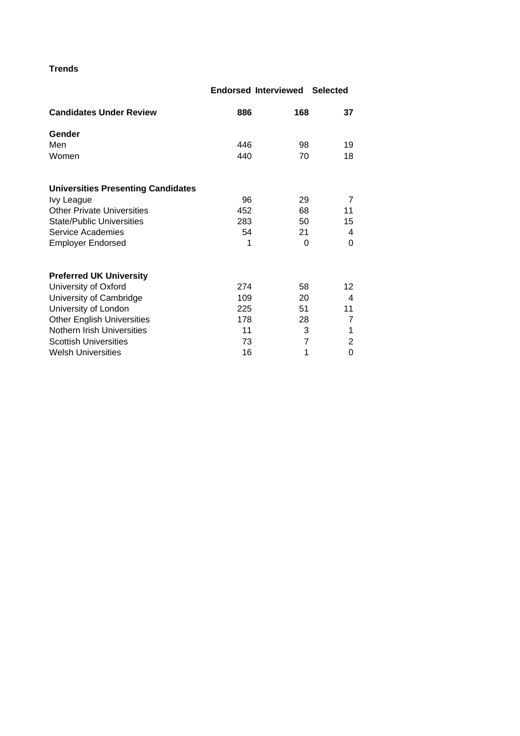## **Trends**

## **Endorsed Interviewed Selected**

| <b>Candidates Under Review</b>            | 886 | 168 | 37 |
|-------------------------------------------|-----|-----|----|
| Gender                                    |     |     |    |
| Men                                       | 446 | 98  | 19 |
| Women                                     | 440 | 70  | 18 |
| <b>Universities Presenting Candidates</b> |     |     |    |
| Ivy League                                | 96  | 29  | 7  |
| <b>Other Private Universities</b>         | 452 | 68  | 11 |
| <b>State/Public Universities</b>          | 283 | 50  | 15 |
| Service Academies                         | 54  | 21  | 4  |
| <b>Employer Endorsed</b>                  | 1   | 0   | 0  |
| <b>Preferred UK University</b>            |     |     |    |
| University of Oxford                      | 274 | 58  | 12 |
| University of Cambridge                   | 109 | 20  | 4  |
| University of London                      | 225 | 51  | 11 |
| <b>Other English Universities</b>         | 178 | 28  | 7  |
| Nothern Irish Universities                | 11  | 3   | 1  |
| <b>Scottish Universities</b>              | 73  | 7   | 2  |
| <b>Welsh Universities</b>                 | 16  | 1   | 0  |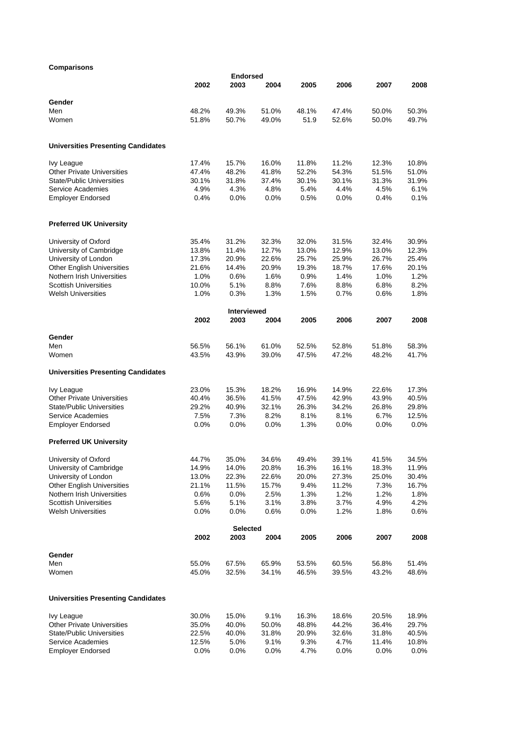## **Comparisons**

| Comparisons                                          |               |                         |         |              |         |         |               |
|------------------------------------------------------|---------------|-------------------------|---------|--------------|---------|---------|---------------|
|                                                      | 2002          | <b>Endorsed</b><br>2003 | 2004    | 2005         | 2006    | 2007    | 2008          |
|                                                      |               |                         |         |              |         |         |               |
| Gender                                               |               |                         |         |              |         |         |               |
| Men                                                  | 48.2%         | 49.3%                   | 51.0%   | 48.1%        | 47.4%   | 50.0%   | 50.3%         |
| Women                                                | 51.8%         | 50.7%                   | 49.0%   | 51.9         | 52.6%   | 50.0%   | 49.7%         |
| <b>Universities Presenting Candidates</b>            |               |                         |         |              |         |         |               |
| Ivy League                                           | 17.4%         | 15.7%                   | 16.0%   | 11.8%        | 11.2%   | 12.3%   | 10.8%         |
| <b>Other Private Universities</b>                    | 47.4%         | 48.2%                   | 41.8%   | 52.2%        | 54.3%   | 51.5%   | 51.0%         |
| <b>State/Public Universities</b>                     | 30.1%         | 31.8%                   | 37.4%   | 30.1%        | 30.1%   | 31.3%   | 31.9%         |
| Service Academies                                    | 4.9%          | 4.3%                    | 4.8%    | 5.4%         | 4.4%    | 4.5%    | 6.1%          |
| <b>Employer Endorsed</b>                             | 0.4%          | 0.0%                    | 0.0%    | 0.5%         | $0.0\%$ | 0.4%    | 0.1%          |
| <b>Preferred UK University</b>                       |               |                         |         |              |         |         |               |
| University of Oxford                                 | 35.4%         | 31.2%                   | 32.3%   | 32.0%        | 31.5%   | 32.4%   | 30.9%         |
| University of Cambridge                              | 13.8%         | 11.4%                   | 12.7%   | 13.0%        | 12.9%   | 13.0%   | 12.3%         |
| University of London                                 | 17.3%         | 20.9%                   | 22.6%   | 25.7%        | 25.9%   | 26.7%   | 25.4%         |
| <b>Other English Universities</b>                    | 21.6%         | 14.4%                   | 20.9%   | 19.3%        | 18.7%   | 17.6%   | 20.1%         |
| Nothern Irish Universities                           | 1.0%          | 0.6%                    | 1.6%    | 0.9%         | 1.4%    | 1.0%    | 1.2%          |
| <b>Scottish Universities</b>                         | 10.0%         | 5.1%                    | 8.8%    | 7.6%         | 8.8%    | 6.8%    | 8.2%          |
| <b>Welsh Universities</b>                            | 1.0%          | 0.3%                    | 1.3%    | 1.5%         | 0.7%    | 0.6%    | 1.8%          |
|                                                      |               | Interviewed             |         |              |         |         |               |
|                                                      | 2002          | 2003                    | 2004    | 2005         | 2006    | 2007    | 2008          |
| Gender                                               |               |                         |         |              |         |         |               |
| Men                                                  | 56.5%         | 56.1%                   | 61.0%   | 52.5%        | 52.8%   | 51.8%   | 58.3%         |
| Women                                                | 43.5%         | 43.9%                   | 39.0%   | 47.5%        | 47.2%   | 48.2%   | 41.7%         |
| <b>Universities Presenting Candidates</b>            |               |                         |         |              |         |         |               |
| Ivy League                                           | 23.0%         | 15.3%                   | 18.2%   | 16.9%        | 14.9%   | 22.6%   | 17.3%         |
| <b>Other Private Universities</b>                    | 40.4%         | 36.5%                   | 41.5%   | 47.5%        | 42.9%   | 43.9%   | 40.5%         |
| <b>State/Public Universities</b>                     | 29.2%         | 40.9%                   | 32.1%   | 26.3%        | 34.2%   | 26.8%   | 29.8%         |
| Service Academies                                    | 7.5%          | 7.3%                    | 8.2%    | 8.1%         | 8.1%    | 6.7%    | 12.5%         |
| <b>Employer Endorsed</b>                             | $0.0\%$       | $0.0\%$                 | $0.0\%$ | 1.3%         | $0.0\%$ | $0.0\%$ | $0.0\%$       |
| <b>Preferred UK University</b>                       |               |                         |         |              |         |         |               |
| University of Oxford                                 | 44.7%         | 35.0%                   | 34.6%   | 49.4%        | 39.1%   | 41.5%   | 34.5%         |
| University of Cambridge                              | 14.9%         | 14.0%                   | 20.8%   | 16.3%        | 16.1%   | 18.3%   | 11.9%         |
| University of London                                 | 13.0%         | 22.3%                   | 22.6%   | 20.0%        | 27.3%   | 25.0%   | 30.4%         |
| <b>Other English Universities</b>                    | 21.1%         | 11.5%                   | 15.7%   | 9.4%         | 11.2%   | 7.3%    | 16.7%         |
| Nothern Irish Universities                           | 0.6%          | 0.0%                    | 2.5%    | 1.3%         | 1.2%    | 1.2%    | 1.8%          |
| <b>Scottish Universities</b>                         | 5.6%          | 5.1%                    | 3.1%    | 3.8%         | 3.7%    | 4.9%    | 4.2%          |
| <b>Welsh Universities</b>                            | $0.0\%$       | $0.0\%$                 | 0.6%    | 0.0%         | 1.2%    | 1.8%    | 0.6%          |
|                                                      | 2002          | <b>Selected</b><br>2003 | 2004    | 2005         | 2006    | 2007    | 2008          |
|                                                      |               |                         |         |              |         |         |               |
| Gender<br>Men                                        | 55.0%         | 67.5%                   | 65.9%   | 53.5%        | 60.5%   | 56.8%   | 51.4%         |
| Women                                                | 45.0%         | 32.5%                   | 34.1%   | 46.5%        | 39.5%   | 43.2%   | 48.6%         |
| <b>Universities Presenting Candidates</b>            |               |                         |         |              |         |         |               |
|                                                      |               |                         |         |              |         |         |               |
| <b>Ivy League</b>                                    | 30.0%         | 15.0%                   | 9.1%    | 16.3%        | 18.6%   | 20.5%   | 18.9%         |
| <b>Other Private Universities</b>                    | 35.0%         | 40.0%                   | 50.0%   | 48.8%        | 44.2%   | 36.4%   | 29.7%         |
| <b>State/Public Universities</b>                     | 22.5%         | 40.0%                   | 31.8%   | 20.9%        | 32.6%   | 31.8%   | 40.5%         |
| <b>Service Academies</b><br><b>Employer Endorsed</b> | 12.5%<br>0.0% | 5.0%                    | 9.1%    | 9.3%<br>4.7% | 4.7%    | 11.4%   | 10.8%<br>0.0% |
|                                                      |               | $0.0\%$                 | 0.0%    |              | $0.0\%$ | $0.0\%$ |               |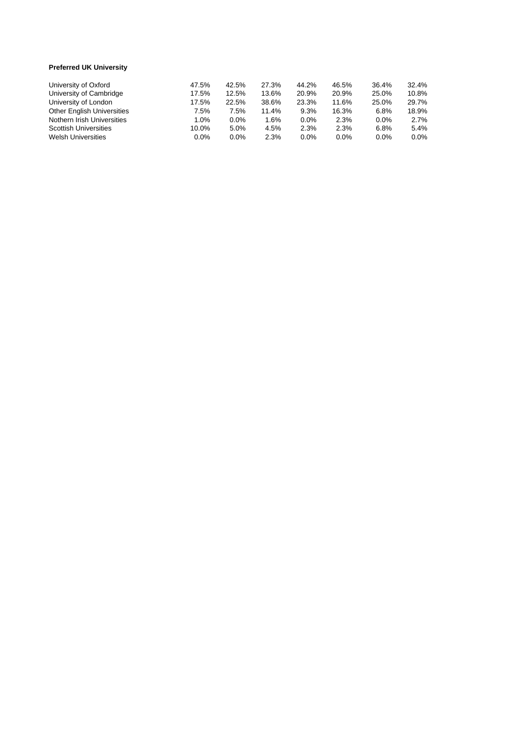## **Preferred UK Universit y**

| University of Oxford              | 47.5%   | 42.5%   | 27.3% | 44.2%   | 46.5%   | 36.4%   | 32.4%   |
|-----------------------------------|---------|---------|-------|---------|---------|---------|---------|
| University of Cambridge           | 17.5%   | 12.5%   | 13.6% | 20.9%   | 20.9%   | 25.0%   | 10.8%   |
| University of London              | 17.5%   | 22.5%   | 38.6% | 23.3%   | 11.6%   | 25.0%   | 29.7%   |
| <b>Other English Universities</b> | 7.5%    | 7.5%    | 11.4% | 9.3%    | 16.3%   | 6.8%    | 18.9%   |
| Nothern Irish Universities        | 1.0%    | $0.0\%$ | 1.6%  | $0.0\%$ | 2.3%    | $0.0\%$ | 2.7%    |
| <b>Scottish Universities</b>      | 10.0%   | 5.0%    | 4.5%  | 2.3%    | 2.3%    | 6.8%    | 5.4%    |
| <b>Welsh Universities</b>         | $0.0\%$ | $0.0\%$ | 2.3%  | $0.0\%$ | $0.0\%$ | $0.0\%$ | $0.0\%$ |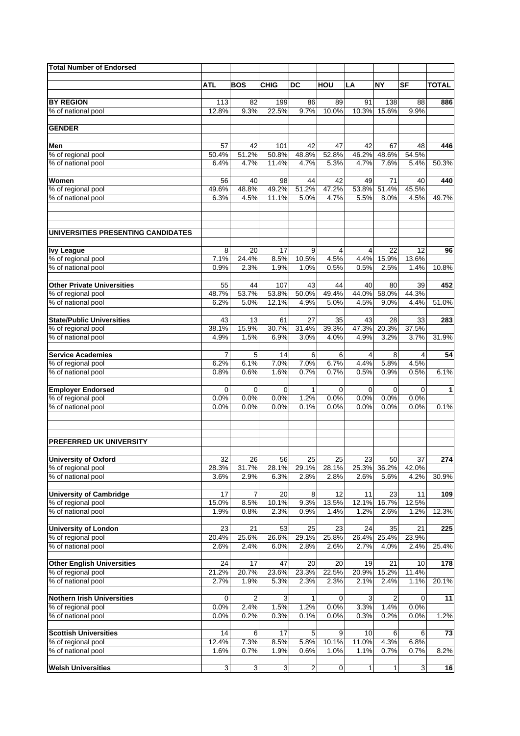| <b>Total Number of Endorsed</b>          |              |              |              |                      |              |              |              |              |              |
|------------------------------------------|--------------|--------------|--------------|----------------------|--------------|--------------|--------------|--------------|--------------|
|                                          |              |              |              |                      |              |              |              |              |              |
|                                          | <b>ATL</b>   | <b>BOS</b>   | <b>CHIG</b>  | DC                   | HOU          | LA           | <b>NY</b>    | <b>SF</b>    | <b>TOTAL</b> |
| <b>BY REGION</b>                         | 113          | 82           | 199          | 86                   | 89           | 91           | 138          | 88           | 886          |
| % of national pool                       | 12.8%        | 9.3%         | 22.5%        | 9.7%                 | 10.0%        | 10.3%        | 15.6%        | 9.9%         |              |
|                                          |              |              |              |                      |              |              |              |              |              |
| <b>GENDER</b>                            |              |              |              |                      |              |              |              |              |              |
|                                          |              |              |              |                      |              |              |              |              |              |
| Men                                      | 57           | 42           | 101          | 42                   | 47           | 42           | 67           | 48           | 446          |
| % of regional pool                       | 50.4%        | 51.2%        | 50.8%        | 48.8%                | 52.8%        | 46.2%        | 48.6%        | 54.5%        |              |
| % of national pool                       | 6.4%         | 4.7%         | 11.4%        | 4.7%                 | 5.3%         | 4.7%         | 7.6%         | 5.4%         | 50.3%        |
| Women                                    |              | 40           | 98           | 44                   | 42           | 49           | 71           | 40           | 440          |
| % of regional pool                       | 56<br>49.6%  | 48.8%        | 49.2%        | 51.2%                | 47.2%        | 53.8%        | 51.4%        | 45.5%        |              |
| % of national pool                       | 6.3%         | 4.5%         | 11.1%        | 5.0%                 | 4.7%         | 5.5%         | 8.0%         | 4.5%         | 49.7%        |
|                                          |              |              |              |                      |              |              |              |              |              |
|                                          |              |              |              |                      |              |              |              |              |              |
| UNIVERSITIES PRESENTING CANDIDATES       |              |              |              |                      |              |              |              |              |              |
| <b>Ivy League</b>                        | 8            | 20           | 17           | 9                    | 4            | 4            | 22           | 12           | 96           |
| % of regional pool                       | 7.1%         | 24.4%        | 8.5%         | 10.5%                | 4.5%         | 4.4%         | 15.9%        | 13.6%        |              |
| % of national pool                       | 0.9%         | 2.3%         | 1.9%         | 1.0%                 | 0.5%         | 0.5%         | 2.5%         | 1.4%         | 10.8%        |
|                                          |              |              |              |                      |              |              |              |              |              |
| <b>Other Private Universities</b>        | 55<br>48.7%  | 44<br>53.7%  | 107<br>53.8% | 43<br>50.0%          | 44<br>49.4%  | 40<br>44.0%  | 80<br>58.0%  | 39<br>44.3%  | 452          |
| % of regional pool<br>% of national pool | 6.2%         | 5.0%         | 12.1%        | 4.9%                 | 5.0%         | 4.5%         | 9.0%         | 4.4%         | 51.0%        |
|                                          |              |              |              |                      |              |              |              |              |              |
| <b>State/Public Universities</b>         | 43           | 13           | 61           | 27                   | 35           | 43           | 28           | 33           | 283          |
| % of regional pool                       | 38.1%        | 15.9%        | 30.7%        | 31.4%                | 39.3%        | 47.3%        | 20.3%        | 37.5%        |              |
| % of national pool                       | 4.9%         | 1.5%         | 6.9%         | 3.0%                 | 4.0%         | 4.9%         | 3.2%         | 3.7%         | 31.9%        |
|                                          |              |              |              |                      |              |              |              |              |              |
| <b>Service Academies</b>                 | 7            | 5            | 14           | 6                    | 6            | 4            | 8            | 4            | 54           |
| % of regional pool                       | 6.2%         | 6.1%         | 7.0%         | 7.0%                 | 6.7%         | 4.4%         | 5.8%         | 4.5%         |              |
| % of national pool                       | 0.8%         | 0.6%         | 1.6%         | 0.7%                 | 0.7%         | 0.5%         | 0.9%         | 0.5%         | 6.1%         |
|                                          |              |              |              |                      |              |              |              |              |              |
| <b>Employer Endorsed</b>                 | 0            | 0            | 0            | $\mathbf{1}$<br>1.2% | 0            | 0            | 0            | $\mathbf 0$  | 1            |
| % of regional pool<br>% of national pool | 0.0%<br>0.0% | 0.0%<br>0.0% | 0.0%<br>0.0% | 0.1%                 | 0.0%<br>0.0% | 0.0%<br>0.0% | 0.0%<br>0.0% | 0.0%<br>0.0% | 0.1%         |
|                                          |              |              |              |                      |              |              |              |              |              |
| <b>PREFERRED UK UNIVERSITY</b>           |              |              |              |                      |              |              |              |              |              |
| <b>University of Oxford</b>              | 32           | 26           | 56           | 25                   | 25           | 23           | 50           | 37           | 274          |
| % of regional pool                       | 28.3%        | 31.7%        | 28.1%        | 29.1%                | 28.1%        | 25.3%        | 36.2%        | 42.0%        |              |
| % of national pool                       | 3.6%         | 2.9%         | 6.3%         | 2.8%                 | 2.8%         | 2.6%         | 5.6%         | 4.2%         | 30.9%        |
|                                          |              |              |              |                      |              |              |              |              |              |
| <b>University of Cambridge</b>           | 17           | 7            | 20           | 8                    | 12           | 11           | 23           | 11           | 109          |
| % of regional pool                       | 15.0%        | 8.5%         | 10.1%        | 9.3%                 | 13.5%        | 12.1%        | 16.7%        | 12.5%        |              |
| % of national pool                       | 1.9%         | 0.8%         | 2.3%         | 0.9%                 | 1.4%         | 1.2%         | 2.6%         | 1.2%         | 12.3%        |
| <b>University of London</b>              | 23           | 21           | 53           | 25                   | 23           | 24           | 35           | 21           | 225          |
| % of regional pool                       | 20.4%        | 25.6%        | 26.6%        | 29.1%                | 25.8%        | 26.4%        | 25.4%        | 23.9%        |              |
| % of national pool                       | 2.6%         | 2.4%         | 6.0%         | 2.8%                 | 2.6%         | 2.7%         | 4.0%         | 2.4%         | 25.4%        |
|                                          |              |              |              |                      |              |              |              |              |              |
| <b>Other English Universities</b>        | 24           | 17           | 47           | 20                   | 20           | 19           | 21           | 10           | 178          |
| % of regional pool                       | 21.2%        | 20.7%        | 23.6%        | 23.3%                | 22.5%        | 20.9%        | 15.2%        | 11.4%        |              |
| % of national pool                       | 2.7%         | 1.9%         | 5.3%         | 2.3%                 | 2.3%         | 2.1%         | 2.4%         | 1.1%         | 20.1%        |
| <b>Nothern Irish Universities</b>        | 0            | 2            | 3            | 1                    | 0            | 3            | 2            | $\mathbf 0$  | 11           |
| % of regional pool                       | 0.0%         | 2.4%         | 1.5%         | 1.2%                 | 0.0%         | 3.3%         | 1.4%         | 0.0%         |              |
| % of national pool                       | 0.0%         | 0.2%         | 0.3%         | 0.1%                 | 0.0%         | 0.3%         | 0.2%         | 0.0%         | 1.2%         |
|                                          |              |              |              |                      |              |              |              |              |              |
| <b>Scottish Universities</b>             | 14           | 6            | 17           | 5                    | 9            | 10           | 6            | 6            | 73           |
| % of regional pool                       | 12.4%        | 7.3%         | 8.5%         | 5.8%                 | 10.1%        | 11.0%        | 4.3%         | 6.8%         |              |
| % of national pool                       | 1.6%         | 0.7%         | 1.9%         | 0.6%                 | 1.0%         | 1.1%         | 0.7%         | 0.7%         | 8.2%         |
|                                          |              |              |              |                      |              |              |              |              |              |
| <b>Welsh Universities</b>                | 3            | ω            | 3            | $\overline{c}$       | 0            | $\mathbf{1}$ | 1            | 3            | 16           |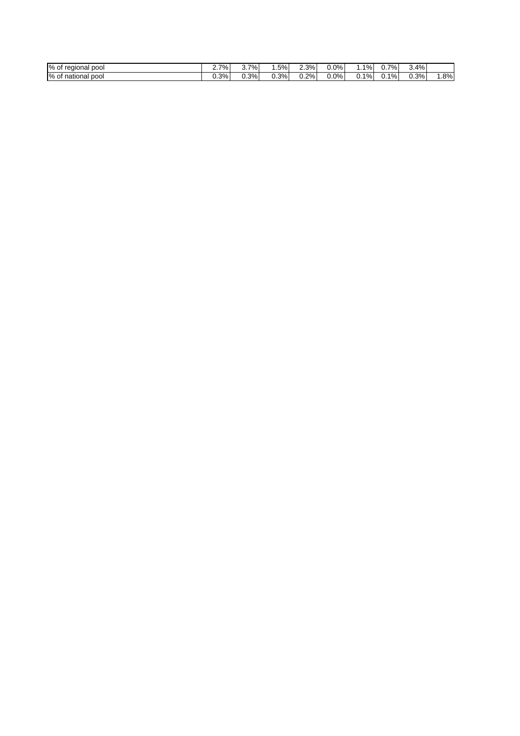| % of<br>pool<br>regional | 7%   | י ∣%<br>ິ. | .5%     | $\angle 3\%$ | 0.0% | 1%<br>. | 7%<br>ັບ. . | 4%<br>ູ |        |
|--------------------------|------|------------|---------|--------------|------|---------|-------------|---------|--------|
| % of<br>pool<br>national | 0.3% | $0.3\%$    | $0.3\%$ | $0.2\%$      | 0.0% | ີ 1%⊧   | 1%<br>υ.    | 0.3%    | $.8\%$ |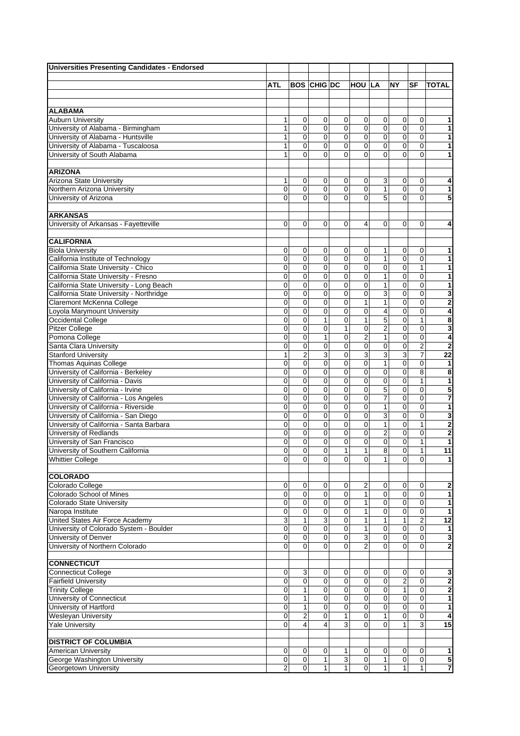| <b>Universities Presenting Candidates - Endorsed</b>                      |             |                |                    |                            |                         |                         |                |                             |                              |
|---------------------------------------------------------------------------|-------------|----------------|--------------------|----------------------------|-------------------------|-------------------------|----------------|-----------------------------|------------------------------|
|                                                                           |             |                |                    |                            |                         |                         |                |                             |                              |
|                                                                           | ATL         |                | <b>BOS CHIG DC</b> |                            | <b>HOU LA</b>           |                         | NΥ             | SF                          | <b>TOTAL</b>                 |
|                                                                           |             |                |                    |                            |                         |                         |                |                             |                              |
| <b>ALABAMA</b>                                                            |             |                |                    |                            |                         |                         |                |                             |                              |
| <b>Auburn University</b>                                                  | 1           | 0              | 0                  | 0                          | $\mathbf 0$             | $\mathbf 0$             | 0              | 0                           | 1                            |
| University of Alabama - Birmingham                                        | 1           | 0              | 0                  | $\mathbf 0$                | 0                       | $\mathbf 0$             | 0              | $\mathbf 0$                 | 1                            |
| University of Alabama - Huntsville                                        | 1           | $\mathbf 0$    | 0                  | $\mathbf 0$                | 0                       | $\mathbf 0$             | $\pmb{0}$      | $\mathbf 0$                 | 1                            |
| University of Alabama - Tuscaloosa                                        | 1           | 0              | 0                  | $\overline{0}$             | 0                       | $\overline{0}$          | 0              | $\mathbf 0$                 | 1                            |
| University of South Alabama                                               | 1           | $\Omega$       | $\Omega$           | 0                          | $\Omega$                | $\Omega$                | 0              | $\Omega$                    | 1                            |
|                                                                           |             |                |                    |                            |                         |                         |                |                             |                              |
| <b>ARIZONA</b>                                                            |             |                |                    |                            |                         |                         |                |                             |                              |
| Arizona State University                                                  | 1           | 0              | 0                  | 0                          | 0                       | 3                       | 0              | 0                           | 4                            |
| Northern Arizona University                                               | 0           | $\mathbf 0$    | 0                  | $\mathbf 0$                | 0                       | $\mathbf{1}$            | $\mathbf 0$    | 0                           | 1                            |
| University of Arizona                                                     | $\Omega$    | $\Omega$       | $\Omega$           | $\Omega$                   | $\overline{0}$          | 5                       | $\overline{0}$ | $\overline{0}$              | 5                            |
| <b>ARKANSAS</b>                                                           |             |                |                    |                            |                         |                         |                |                             |                              |
| University of Arkansas - Fayetteville                                     | $\Omega$    | $\Omega$       | $\Omega$           | $\Omega$                   | 4                       | 0                       | $\Omega$       | 0                           | 4                            |
|                                                                           |             |                |                    |                            |                         |                         |                |                             |                              |
| <b>CALIFORNIA</b>                                                         |             |                |                    |                            |                         |                         |                |                             |                              |
| <b>Biola University</b>                                                   | 0           | 0              | 0                  | 0                          | 0                       | 1                       | 0              | 0                           | 1                            |
| California Institute of Technology                                        | 0           | 0              | 0                  | 0                          | 0                       | 1                       | $\mathbf 0$    | $\mathbf 0$                 | 1                            |
| California State University - Chico                                       | 0           | 0              | 0                  | 0                          | $\mathbf 0$             | 0                       | $\mathbf 0$    | 1                           | 1                            |
| California State University - Fresno                                      | 0           | 0              | 0                  | $\mathbf 0$                | 0                       | $\mathbf{1}$            | 0              | $\mathbf 0$                 | 1                            |
| California State University - Long Beach                                  | 0           | 0              | 0                  | 0                          | 0                       | 1                       | $\mathbf 0$    | $\mathbf 0$                 | 1                            |
| California State University - Northridge                                  | 0           | 0              | 0                  | $\mathbf 0$                | 0                       | 3                       | $\pmb{0}$      | $\mathbf 0$                 | 3                            |
| Claremont McKenna College                                                 | 0           | 0              | 0                  | $\mathbf 0$                | $\mathbf{1}$            | $\mathbf{1}$            | 0              | $\mathbf 0$                 | 2                            |
| Loyola Marymount University                                               | 0           | 0              | 0                  | 0                          | 0                       | $\overline{\mathbf{4}}$ | 0              | $\mathbf 0$                 | $\overline{\mathbf{4}}$      |
| Occidental College                                                        | 0           | $\mathbf 0$    | $\mathbf{1}$       | 0                          | $\mathbf{1}$            | 5                       | 0              | $\mathbf{1}$                | $\overline{\mathbf{8}}$      |
| Pitzer College                                                            | 0           | 0              | 0                  | 1                          | 0                       | $\overline{c}$          | 0              | $\mathbf 0$                 | 3                            |
| Pomona College                                                            | 0           | 0              | $\mathbf{1}$       | 0                          | $\overline{2}$          | $\mathbf{1}$            | 0              | $\mathbf 0$                 | $\overline{\mathbf{4}}$      |
| Santa Clara University                                                    | 0           | $\mathbf 0$    | 0                  | 0                          | 0                       | $\mathbf 0$             | 0              | $\overline{2}$              | $\overline{\mathbf{c}}$      |
| <b>Stanford University</b>                                                | 1           | $\overline{2}$ | 3                  | 0                          | 3                       | 3                       | 3              | $\overline{7}$              | 22                           |
| Thomas Aquinas College                                                    | 0           | 0              | 0                  | $\mathbf 0$                | 0                       | $\mathbf{1}$            | $\mathbf 0$    | $\mathbf 0$                 | 1                            |
| University of California - Berkeley                                       | 0           | 0              | 0                  | $\mathbf 0$                | 0                       | $\mathbf 0$             | 0              | 8                           | 8                            |
| University of California - Davis                                          | 0           | $\mathbf 0$    | 0                  | $\mathbf 0$                | 0                       | $\mathbf 0$             | 0              | 1                           | 1                            |
| University of California - Irvine                                         | 0           | $\mathbf 0$    | 0                  | $\mathbf 0$                | 0                       | $\overline{5}$          | $\mathbf 0$    | $\mathbf 0$                 | 5                            |
| University of California - Los Angeles                                    | 0           | $\mathbf 0$    | 0                  | $\mathbf 0$                | 0                       | $\overline{7}$          | $\mathbf 0$    | $\mathbf 0$                 | $\overline{\mathbf{7}}$      |
| University of California - Riverside                                      | 0           | $\mathbf 0$    | 0                  | $\mathbf 0$                | 0                       | $\mathbf{1}$            | 0              | $\mathbf 0$                 | 1                            |
| University of California - San Diego                                      | 0<br>0      | 0<br>0         | 0<br>0             | $\mathbf 0$<br>$\mathbf 0$ | 0<br>0                  | 3<br>$\mathbf{1}$       | 0<br>0         | $\mathbf 0$<br>$\mathbf{1}$ | 3<br>$\overline{\mathbf{2}}$ |
| University of California - Santa Barbara<br><b>University of Redlands</b> | 0           | 0              | 0                  | 0                          | 0                       | $\overline{2}$          | 0              | $\mathbf 0$                 | 2                            |
| University of San Francisco                                               | 0           | 0              | 0                  | $\mathbf 0$                | 0                       | $\mathbf 0$             | 0              | 1                           | 1                            |
| University of Southern California                                         | 0           | 0              | 0                  | 1                          | $\mathbf{1}$            | 8                       | 0              | 1                           | 11                           |
| <b>Whittier College</b>                                                   | $\mathbf 0$ | $\mathbf 0$    | $\overline{0}$     | $\mathbf 0$                | $\mathbf 0$             | $\mathbf{1}$            | $\mathbf 0$    | $\mathbf 0$                 | 1                            |
|                                                                           |             |                |                    |                            |                         |                         |                |                             |                              |
| <b>COLORADO</b>                                                           |             |                |                    |                            |                         |                         |                |                             |                              |
| Colorado College                                                          | 0           | 0              | 0                  | 0                          | $\overline{\mathbf{c}}$ | 0                       | 0              | 0                           | 2                            |
| Colorado School of Mines                                                  | 0           | 0              | $\mathbf 0$        | $\pmb{0}$                  | $\mathbf{1}$            | 0                       | $\mathbf 0$    | $\mathbf 0$                 | 1                            |
| Colorado State University                                                 | 0           | $\mathbf 0$    | 0                  | $\mathbf 0$                | $\mathbf{1}$            | $\mathbf 0$             | $\pmb{0}$      | $\overline{0}$              | 1                            |
| Naropa Institute                                                          | 0           | $\mathbf 0$    | 0                  | $\overline{0}$             | $\mathbf{1}$            | $\overline{0}$          | $\overline{0}$ | $\overline{0}$              | 1                            |
| United States Air Force Academy                                           | 3           | 1              | 3                  | $\mathbf 0$                | $\mathbf{1}$            | $\mathbf{1}$            | 1              | $\overline{2}$              | $\overline{12}$              |
| University of Colorado System - Boulder                                   | 0           | 0              | 0                  | $\mathbf 0$                | $\mathbf{1}$            | $\mathbf 0$             | $\overline{0}$ | $\mathbf 0$                 | 1                            |
| University of Denver                                                      | 0           | 0              | $\mathbf 0$        | 0                          | 3                       | $\mathbf 0$             | 0              | 0                           | $\mathbf 3$                  |
| University of Northern Colorado                                           | 0           | 0              | 0                  | $\mathbf 0$                | 2                       | $\mathbf 0$             | 0              | $\mathbf 0$                 | 2                            |
|                                                                           |             |                |                    |                            |                         |                         |                |                             |                              |
| <b>CONNECTICUT</b>                                                        |             |                |                    |                            |                         |                         |                |                             |                              |
| <b>Connecticut College</b>                                                | 0           | 3              | 0                  | 0                          | 0                       | 0                       | $\mathbf 0$    | 0                           | 3                            |
| <b>Fairfield University</b>                                               | 0           | $\mathbf 0$    | 0                  | $\overline{0}$             | $\mathbf 0$             | $\pmb{0}$               | $\overline{2}$ | $\mathbf 0$                 | $\overline{\mathbf{2}}$      |
| <b>Trinity College</b>                                                    | 0           | 1              | 0                  | $\overline{0}$             | $\pmb{0}$               | $\pmb{0}$               | $\mathbf{1}$   | $\pmb{0}$                   | 2                            |
| University of Connecticut                                                 | 0           | 1              | $\pmb{0}$          | $\overline{0}$             | $\pmb{0}$               | $\mathbf 0$             | $\overline{0}$ | $\overline{0}$              | 1                            |
| University of Hartford                                                    | 0           | 1              | 0                  | $\pmb{0}$                  | 0                       | $\mathbf 0$             | $\mathbf 0$    | $\overline{0}$              | 1                            |
| Wesleyan University                                                       | 0           | $\overline{2}$ | 0                  | 1                          | 0                       | $\mathbf{1}$            | 0              | 0                           | 4                            |
| <b>Yale University</b>                                                    | 0           | 4              | $\overline{4}$     | 3                          | $\mathbf 0$             | $\mathbf 0$             | $\mathbf{1}$   | 3                           | 15                           |
| <b>DISTRICT OF COLUMBIA</b>                                               |             |                |                    |                            |                         |                         |                |                             |                              |
| <b>American University</b>                                                | 0           | 0              | 0                  | 1                          | 0                       | 0                       | $\pmb{0}$      | 0                           | 1                            |
| George Washington University                                              | $\mathbf 0$ | 0              | $\mathbf{1}$       | $\overline{3}$             | $\mathbf 0$             | $\overline{1}$          | $\overline{0}$ | $\overline{0}$              | 5                            |
| Georgetown University                                                     | 2           | $\pmb{0}$      | $\mathbf{1}$       | $\mathbf{1}$               | $\mathbf{O}$            | $\mathbf{1}$            | 1              | $\mathbf{1}$                | 7                            |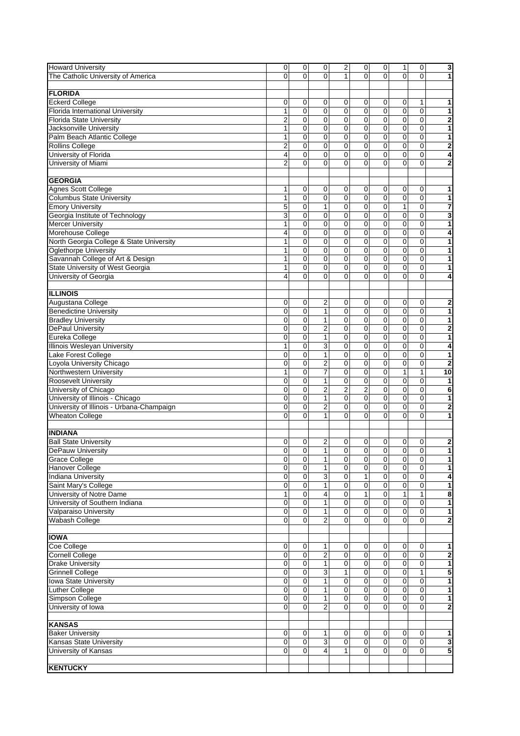| <b>Howard University</b>                  | 0              | 0           | 0              | 2                       | 0              | 0              | 1              | 0              | 3                       |
|-------------------------------------------|----------------|-------------|----------------|-------------------------|----------------|----------------|----------------|----------------|-------------------------|
| The Catholic University of America        | $\Omega$       | 0           | $\Omega$       | 1                       | $\mathbf{0}$   | $\Omega$       | $\Omega$       | $\Omega$       | 1                       |
|                                           |                |             |                |                         |                |                |                |                |                         |
| <b>FLORIDA</b>                            |                |             |                |                         |                |                |                |                |                         |
| <b>Eckerd College</b>                     | 0              | 0           | 0              | 0                       | 0              | 0              | 0              | 1              | 1                       |
| Florida International University          | 1              | 0           | 0              | 0                       | 0              | 0              | 0              | 0              | 1                       |
|                                           |                |             |                |                         |                |                |                |                |                         |
| <b>Florida State University</b>           | $\overline{c}$ | $\mathbf 0$ | 0              | $\mathbf 0$             | $\mathbf 0$    | 0              | $\mathbf 0$    | $\mathbf 0$    | $\overline{\mathbf{c}}$ |
| Jacksonville University                   | 1              | $\mathbf 0$ | 0              | $\mathbf 0$             | 0              | $\mathbf 0$    | $\mathbf 0$    | $\mathbf 0$    | $\overline{\mathbf{1}}$ |
| Palm Beach Atlantic College               | 1              | 0           | 0              | 0                       | 0              | $\mathbf 0$    | $\mathbf 0$    | 0              | 1                       |
| <b>Rollins College</b>                    | $\overline{2}$ | 0           | 0              | $\mathbf 0$             | 0              | $\mathbf 0$    | $\pmb{0}$      | $\mathbf 0$    | $\overline{\mathbf{2}}$ |
| University of Florida                     | 4              | $\mathbf 0$ | 0              | $\overline{0}$          | 0              | $\mathbf 0$    | 0              | $\mathbf 0$    | 4                       |
| University of Miami                       | 2              | 0           | 0              | 0                       | 0              | $\mathbf 0$    | 0              | 0              | 2                       |
|                                           |                |             |                |                         |                |                |                |                |                         |
| <b>GEORGIA</b>                            |                |             |                |                         |                |                |                |                |                         |
|                                           |                |             |                |                         |                |                |                |                |                         |
| Agnes Scott College                       | 1              | 0           | 0              | 0                       | 0              | 0              | 0              | 0              | 1                       |
| <b>Columbus State University</b>          | 1              | 0           | 0              | 0                       | $\mathbf 0$    | 0              | $\mathbf 0$    | 0              | 1                       |
| <b>Emory University</b>                   | 5              | 0           | $\mathbf{1}$   | $\overline{0}$          | 0              | $\mathbf 0$    | $\mathbf{1}$   | $\mathbf 0$    | 7                       |
| Georgia Institute of Technology           | 3              | 0           | 0              | 0                       | 0              | $\mathbf 0$    | $\mathbf 0$    | $\mathbf 0$    | 3                       |
| <b>Mercer University</b>                  | 1              | 0           | 0              | $\mathbf 0$             | $\mathbf 0$    | $\mathbf 0$    | $\pmb{0}$      | $\mathbf 0$    | $\overline{\mathbf{1}}$ |
| Morehouse College                         | 4              | 0           | $\mathbf 0$    | $\mathbf 0$             | 0              | $\mathbf 0$    | 0              | $\mathbf 0$    | 4                       |
| North Georgia College & State University  | 1              | 0           | 0              | 0                       | 0              | $\mathbf 0$    | 0              | $\mathbf 0$    | 1                       |
| <b>Oglethorpe University</b>              | 1              | $\mathbf 0$ | 0              | $\mathbf 0$             | 0              | $\mathbf 0$    | $\overline{0}$ | $\mathbf 0$    | 1                       |
|                                           |                |             |                |                         |                |                |                |                |                         |
| Savannah College of Art & Design          | 1              | 0           | $\mathbf 0$    | $\mathbf 0$             | 0              | $\mathbf 0$    | 0              | $\mathbf 0$    | 1                       |
| State University of West Georgia          | 1              | 0           | 0              | 0                       | 0              | $\mathbf 0$    | 0              | 0              | 1                       |
| University of Georgia                     | 4              | 0           | $\Omega$       | 0                       | $\Omega$       | $\Omega$       | 0              | 0              | 4                       |
|                                           |                |             |                |                         |                |                |                |                |                         |
| <b>ILLINOIS</b>                           |                |             |                |                         |                |                |                |                |                         |
| Augustana College                         | 0              | 0           | 2              | 0                       | 0              | 0              | 0              | 0              | 2                       |
| <b>Benedictine University</b>             | 0              | 0           | $\mathbf{1}$   | 0                       | 0              | $\mathbf 0$    | 0              | $\mathbf 0$    | 1                       |
| <b>Bradley University</b>                 | 0              | 0           | 1              | 0                       | 0              | 0              | $\mathbf 0$    | 0              | 1                       |
| <b>DePaul University</b>                  | $\mathbf 0$    | $\mathbf 0$ | $\overline{c}$ | $\mathbf 0$             | 0              | $\mathbf 0$    | $\mathbf 0$    | $\mathbf 0$    | $\overline{\mathbf{2}}$ |
|                                           |                |             |                |                         |                |                |                |                |                         |
| Eureka College                            | 0              | $\mathbf 0$ | $\mathbf{1}$   | $\mathbf 0$             | 0              | $\mathbf 0$    | 0              | $\mathbf 0$    | 1                       |
| Illinois Wesleyan University              | 1              | 0           | 3              | $\mathbf 0$             | 0              | $\mathbf 0$    | $\mathbf 0$    | $\mathbf 0$    | 4                       |
| Lake Forest College                       | 0              | $\mathbf 0$ | $\mathbf{1}$   | $\mathbf 0$             | 0              | $\mathbf 0$    | $\mathbf 0$    | 0              | 1                       |
| Loyola University Chicago                 | 0              | 0           | $\overline{2}$ | 0                       | 0              | $\mathbf 0$    | 0              | 0              | $\mathbf{2}$            |
| Northwestern University                   | 1              | 0           | $\overline{7}$ | $\mathbf 0$             | 0              | $\mathbf 0$    | $\mathbf{1}$   | 1              | 10                      |
| <b>Roosevelt University</b>               | 0              | 0           | $\mathbf{1}$   | $\mathbf 0$             | 0              | $\mathbf 0$    | 0              | $\mathbf 0$    | 1                       |
| University of Chicago                     | 0              | $\mathbf 0$ | $\overline{2}$ | $\overline{\mathbf{c}}$ | $\overline{2}$ | $\mathbf 0$    | 0              | 0              | 6                       |
| University of Illinois - Chicago          | 0              | $\mathbf 0$ | 1              | $\mathbf 0$             | 0              | $\mathbf 0$    | 0              | $\mathbf 0$    | 1                       |
| University of Illinois - Urbana-Champaign | 0              | 0           | $\overline{2}$ | $\mathbf 0$             | 0              | $\mathbf 0$    | 0              | 0              |                         |
|                                           |                |             |                |                         |                |                |                |                | 2                       |
| <b>Wheaton College</b>                    | 0              | $\mathbf 0$ | $\mathbf{1}$   | $\mathbf 0$             | 0              | $\Omega$       | 0              | $\mathbf 0$    | 1                       |
|                                           |                |             |                |                         |                |                |                |                |                         |
| <b>INDIANA</b>                            |                |             |                |                         |                |                |                |                |                         |
| <b>Ball State University</b>              | 0              | 0           | $\overline{2}$ | 0                       | 0              | 0              | 0              | 0              | 2                       |
| <b>DePauw University</b>                  | 0              | 0           | $\mathbf{1}$   | $\mathbf 0$             | 0              | $\mathbf 0$    | 0              | $\mathbf 0$    | 1                       |
| <b>Grace College</b>                      | 0              | 0           | 1              | 0                       | 0              | 0              | $\pmb{0}$      | 0              | 1                       |
| <b>Hanover College</b>                    | 0              | 0           | $\mathbf{1}$   | $\mathbf 0$             | 0              | $\mathbf 0$    | 0              | $\mathbf 0$    | 1                       |
| <b>Indiana University</b>                 | 0              | 0           | 3              | $\pmb{0}$               | $\mathbf{1}$   | $\mathbf 0$    | $\mathbf 0$    | 0              | 4                       |
| Saint Mary's College                      |                | 0           | $\mathbf{1}$   |                         |                | $\mathbf 0$    |                | $\mathbf 0$    |                         |
|                                           | 0              |             |                | $\pmb{0}$               | 0              |                | $\pmb{0}$      |                | 1                       |
| University of Notre Dame                  | 1              | 0           | 4              | $\pmb{0}$               | $\mathbf{1}$   | $\mathbf 0$    | $\mathbf{1}$   | $\mathbf{1}$   | 8                       |
| University of Southern Indiana            | 0              | $\mathbf 0$ | $\mathbf{1}$   | $\pmb{0}$               | 0              | $\mathbf 0$    | $\mathbf 0$    | $\mathbf 0$    | 1                       |
| Valparaiso University                     | 0              | 0           | $\mathbf{1}$   | $\mathbf 0$             | 0              | $\overline{0}$ | $\overline{0}$ | $\overline{0}$ | $\overline{\mathbf{1}}$ |
| Wabash College                            | 0              | $\mathbf 0$ | $\overline{2}$ | $\Omega$                | $\mathbf 0$    | $\Omega$       | 0              | $\Omega$       | 2                       |
|                                           |                |             |                |                         |                |                |                |                |                         |
| <b>IOWA</b>                               |                |             |                |                         |                |                |                |                |                         |
| Coe College                               | 0              | 0           | 1              | 0                       | 0              | 0              | $\mathbf 0$    | 0              | 1                       |
| <b>Cornell College</b>                    | 0              | $\pmb{0}$   | 2              | $\overline{0}$          | $\mathbf 0$    | 0              | $\mathbf 0$    | 0              |                         |
|                                           |                |             |                |                         |                |                |                |                | 2                       |
| <b>Drake University</b>                   | 0              | 0           | $\mathbf{1}$   | $\pmb{0}$               | 0              | $\mathbf 0$    | $\mathbf 0$    | $\mathbf 0$    | 1                       |
| <b>Grinnell College</b>                   | 0              | 0           | 3              | 1                       | 0              | $\mathbf 0$    | $\mathbf 0$    | 1              | 5                       |
| <b>Iowa State University</b>              | 0              | 0           | $\mathbf{1}$   | $\pmb{0}$               | $\mathbf 0$    | $\pmb{0}$      | $\overline{0}$ | $\mathbf 0$    | 1                       |
| <b>Luther College</b>                     | $\mathbf 0$    | $\mathbf 0$ | $\mathbf{1}$   | $\mathbf 0$             | 0              | $\overline{0}$ | $\pmb{0}$      | $\mathbf 0$    | $\overline{\mathbf{1}}$ |
| Simpson College                           | 0              | 0           | 1              | 0                       | 0              | $\mathbf 0$    | 0              | $\pmb{0}$      | 1                       |
| University of Iowa                        | 0              | 0           | $\overline{2}$ | $\mathbf 0$             | $\Omega$       | $\mathbf 0$    | 0              | $\mathbf 0$    | $\overline{\mathbf{2}}$ |
|                                           |                |             |                |                         |                |                |                |                |                         |
| <b>KANSAS</b>                             |                |             |                |                         |                |                |                |                |                         |
|                                           |                |             |                |                         |                |                |                |                |                         |
| <b>Baker University</b>                   | 0              | 0           | 1              | 0                       | 0              | 0              | 0              | 0              | 1                       |
| Kansas State University                   | 0              | $\mathbf 0$ | 3              | $\mathbf 0$             | 0              | $\mathbf 0$    | $\mathbf 0$    | $\mathbf 0$    | 3                       |
| University of Kansas                      | 0              | 0           | $\overline{4}$ | $\mathbf{1}$            | 0              | $\mathbf 0$    | 0              | $\mathbf 0$    | 5                       |
|                                           |                |             |                |                         |                |                |                |                |                         |
| <b>KENTUCKY</b>                           |                |             |                |                         |                |                |                |                |                         |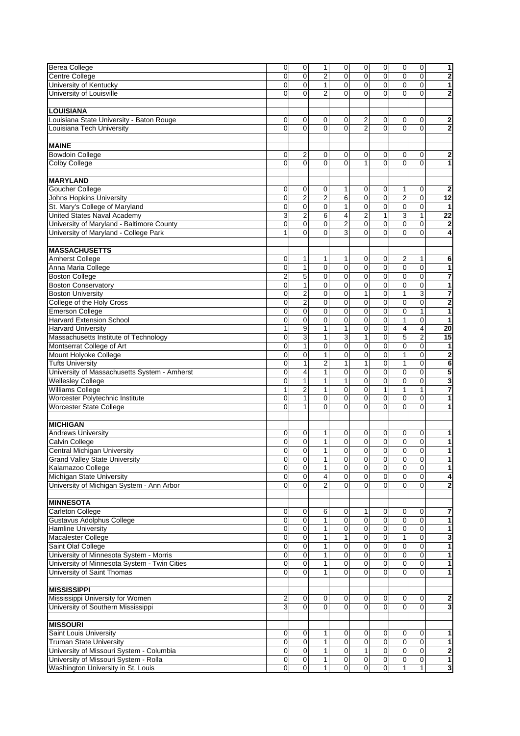| <b>Berea College</b>                         | 0                       | 0              | 1                        | 0                       | 0              | 0              | 0              | 0              | 1                       |
|----------------------------------------------|-------------------------|----------------|--------------------------|-------------------------|----------------|----------------|----------------|----------------|-------------------------|
|                                              |                         |                |                          |                         | 0              |                |                |                |                         |
| Centre College                               | 0                       | 0              | $\overline{2}$           | 0                       |                | 0              | 0              | 0              | $\overline{\mathbf{2}}$ |
| University of Kentucky                       | 0                       | 0              | $\mathbf{1}$             | 0                       | 0              | 0              | $\mathbf 0$    | 0              | 1                       |
| University of Louisville                     | 0                       | 0              | $\overline{2}$           | $\Omega$                | $\Omega$       | $\Omega$       | 0              | 0              | $\bf{2}$                |
|                                              |                         |                |                          |                         |                |                |                |                |                         |
| <b>LOUISIANA</b>                             |                         |                |                          |                         |                |                |                |                |                         |
| ouisiana State University - Baton Rouge      | 0                       | 0              | 0                        | 0                       | 2              | 0              | 0              | 0              | 2                       |
|                                              | $\Omega$                | $\Omega$       | $\Omega$                 | $\overline{0}$          | $\overline{2}$ | $\Omega$       | $\Omega$       | $\overline{0}$ |                         |
| Louisiana Tech University                    |                         |                |                          |                         |                |                |                |                | $\overline{2}$          |
|                                              |                         |                |                          |                         |                |                |                |                |                         |
| <b>MAINE</b>                                 |                         |                |                          |                         |                |                |                |                |                         |
| <b>Bowdoin College</b>                       | 0                       | 2              | 0                        | 0                       | 0              | 0              | 0              | 0              | 2                       |
| Colby College                                | 0                       | $\Omega$       | $\Omega$                 | $\overline{0}$          | 1              | $\overline{0}$ | $\Omega$       | 0              | 1                       |
|                                              |                         |                |                          |                         |                |                |                |                |                         |
|                                              |                         |                |                          |                         |                |                |                |                |                         |
| <b>MARYLAND</b>                              |                         |                |                          |                         |                |                |                |                |                         |
| Goucher College                              | 0                       | 0              | 0                        | 1                       | 0              | 0              | 1              | 0              | $\overline{2}$          |
| <b>Johns Hopkins University</b>              | 0                       | $\overline{2}$ | $\overline{2}$           | 6                       | 0              | 0              | $\overline{c}$ | $\mathbf 0$    | $\overline{12}$         |
| St. Mary's College of Maryland               | 0                       | $\mathbf 0$    | $\overline{0}$           | 1                       | $\overline{0}$ | 0              | $\mathbf 0$    | 0              | 1                       |
| <b>United States Naval Academy</b>           | 3                       | 2              | 6                        | 4                       | 2              | $\mathbf{1}$   | 3              | $\mathbf{1}$   | $\overline{22}$         |
| University of Maryland - Baltimore County    |                         |                |                          |                         |                |                |                |                |                         |
|                                              | 0                       | 0              | 0                        | $\overline{\mathbf{c}}$ | 0              | 0              | 0              | 0              | $\overline{2}$          |
| University of Maryland - College Park        | 1                       | $\Omega$       | $\Omega$                 | 3                       | $\Omega$       | $\Omega$       | $\Omega$       | $\Omega$       | 4                       |
|                                              |                         |                |                          |                         |                |                |                |                |                         |
| <b>MASSACHUSETTS</b>                         |                         |                |                          |                         |                |                |                |                |                         |
| Amherst College                              | 0                       | 1              | 1                        | 1                       | 0              | 0              | 2              | 1              | 6                       |
| Anna Maria College                           | 0                       | 1              | 0                        | $\mathbf 0$             | $\mathbf 0$    | 0              | $\mathbf 0$    | $\mathbf 0$    |                         |
|                                              |                         |                |                          |                         |                |                |                |                | 1                       |
| <b>Boston College</b>                        | $\overline{2}$          | 5              | $\pmb{0}$                | 0                       | 0              | $\mathbf 0$    | $\mathbf 0$    | $\pmb{0}$      | $\overline{7}$          |
| <b>Boston Conservatory</b>                   | 0                       | $\mathbf{1}$   | 0                        | $\mathbf 0$             | $\overline{0}$ | $\overline{0}$ | $\mathbf 0$    | $\mathbf 0$    | $\overline{\mathbf{1}}$ |
| <b>Boston University</b>                     | 0                       | 2              | 0                        | 0                       | 1              | 0              | 1              | 3              | 7                       |
| College of the Holy Cross                    | 0                       | $\overline{2}$ | $\overline{0}$           | 0                       | 0              | 0              | $\mathbf 0$    | 0              | $\overline{\mathbf{2}}$ |
| <b>Emerson College</b>                       | 0                       | 0              | 0                        | 0                       | 0              | $\overline{0}$ | $\mathbf 0$    | $\mathbf{1}$   | 1                       |
| <b>Harvard Extension School</b>              |                         | 0              | 0                        |                         | 0              | $\mathbf 0$    |                |                | 1                       |
|                                              | 0                       |                |                          | 0                       |                |                | $\mathbf{1}$   | 0              |                         |
| <b>Harvard University</b>                    | 1                       | 9              | $\mathbf{1}$             | 1                       | $\mathbf 0$    | 0              | 4              | 4              | 20                      |
| Massachusetts Institute of Technology        | 0                       | 3              | $\mathbf{1}$             | 3                       | $\mathbf{1}$   | $\overline{0}$ | 5              | $\overline{2}$ | 15                      |
| Montserrat College of Art                    | 0                       | 1              | 0                        | 0                       | 0              | $\mathbf 0$    | 0              | 0              | 1                       |
| Mount Holyoke College                        | 0                       | $\mathbf 0$    | $\mathbf{1}$             | $\mathbf 0$             | $\mathbf 0$    | 0              | $\mathbf{1}$   | 0              | $\overline{\mathbf{c}}$ |
| <b>Tufts University</b>                      | 0                       | $\mathbf{1}$   | $\overline{2}$           | 1                       | $\mathbf{1}$   | $\mathbf 0$    | $\mathbf{1}$   | $\mathbf 0$    | 6                       |
|                                              |                         |                |                          |                         |                |                |                |                |                         |
| University of Massachusetts System - Amherst | 0                       | $\overline{4}$ | 1                        | $\mathbf 0$             | 0              | 0              | 0              | 0              | 5                       |
| <b>Wellesley College</b>                     | 0                       | $\mathbf{1}$   | $\mathbf{1}$             | 1                       | $\overline{0}$ | 0              | $\mathbf 0$    | 0              | 3                       |
| <b>Williams College</b>                      | 1                       | $\overline{2}$ | $\mathbf{1}$             | 0                       | 0              | $\mathbf{1}$   | $\mathbf{1}$   | $\mathbf{1}$   | 7                       |
| Worcester Polytechnic Institute              | 0                       | 1              | 0                        | 0                       | 0              | 0              | 0              | 0              | 1                       |
| Worcester State College                      | 0                       | $\mathbf{1}$   | $\overline{0}$           | 0                       | $\overline{0}$ | 0              | 0              | 0              | 1                       |
|                                              |                         |                |                          |                         |                |                |                |                |                         |
|                                              |                         |                |                          |                         |                |                |                |                |                         |
| <b>MICHIGAN</b>                              |                         |                |                          |                         |                |                |                |                |                         |
| <b>Andrews University</b>                    | 0                       | 0              | 1                        | 0                       | 0              | 0              | 0              | 0              | 1                       |
| Calvin College                               | 0                       | 0              | $\mathbf{1}$             | 0                       | 0              | 0              | 0              | 0              | 1                       |
| Central Michigan University                  | 0                       | 0              | $\mathbf{1}$             | 0                       | 0              | 0              | 0              | 0              | $\overline{1}$          |
| <b>Grand Valley State University</b>         | 0                       | $\mathbf 0$    | $\mathbf{1}$             | 0                       | 0              | 0              | $\mathbf 0$    | $\pmb{0}$      | 1                       |
|                                              |                         |                |                          |                         |                |                |                |                |                         |
| Kalamazoo College                            | 0                       | 0              | $\mathbf{1}$             | 0                       | 0              | 0              | 0              | $\pmb{0}$      | 1                       |
| Michigan State University                    | 0                       | 0              | $\overline{\mathbf{4}}$  | 0                       | 0              | 0              | 0              | 0              | 4                       |
| University of Michigan System - Ann Arbor    | 0                       | 0              | $\overline{2}$           | $\mathbf 0$             | $\mathbf 0$    | 0              | 0              | 0              | 2                       |
|                                              |                         |                |                          |                         |                |                |                |                |                         |
| <b>MINNESOTA</b>                             |                         |                |                          |                         |                |                |                |                |                         |
|                                              |                         |                |                          |                         |                |                |                |                |                         |
| <b>Carleton College</b>                      | 0                       | 0              | 6                        | 0                       | 1              | 0              | $\pmb{0}$      | 0              | 7                       |
| <b>Gustavus Adolphus College</b>             | 0                       | $\mathbf 0$    | $\mathbf{1}$             | $\overline{0}$          | 0              | $\overline{0}$ | $\pmb{0}$      | $\overline{0}$ | $\mathbf{1}$            |
| <b>Hamline University</b>                    | 0                       | 0              | $\mathbf{1}$             | 0                       | 0              | $\overline{0}$ | 0              | 0              | 1                       |
| Macalester College                           | 0                       | 0              | $\mathbf{1}$             | $\mathbf{1}$            | 0              | 0              | 1              | 0              | 3                       |
| Saint Olaf College                           | 0                       | $\pmb{0}$      | $\mathbf{1}$             | $\overline{0}$          | 0              | $\pmb{0}$      | $\pmb{0}$      | $\overline{0}$ | $\blacksquare$          |
| University of Minnesota System - Morris      | 0                       | $\mathbf 0$    | 1                        | 0                       | 0              | 0              | $\mathbf 0$    | 0              | 1                       |
| University of Minnesota System - Twin Cities | 0                       | 0              | $\mathbf{1}$             | 0                       | 0              | 0              | 0              | 0              | $\overline{1}$          |
|                                              |                         |                |                          |                         |                |                |                |                |                         |
| University of Saint Thomas                   | $\overline{\mathsf{o}}$ | $\mathbf 0$    | $\mathbf{1}$             | $\overline{0}$          | 0              | $\overline{0}$ | $\Omega$       | $\overline{0}$ | $\mathbf{1}$            |
|                                              |                         |                |                          |                         |                |                |                |                |                         |
| <b>MISSISSIPPI</b>                           |                         |                |                          |                         |                |                |                |                |                         |
| Mississippi University for Women             | 2                       | 0              | $\overline{0}$           | 0                       | 0              | 0              | 0              | 0              | 2                       |
| University of Southern Mississippi           | 3                       | 0              | 0                        | 0                       | 0              | 0              | 0              | 0              | $\mathbf{3}$            |
|                                              |                         |                |                          |                         |                |                |                |                |                         |
|                                              |                         |                |                          |                         |                |                |                |                |                         |
| <b>MISSOURI</b>                              |                         |                |                          |                         |                |                |                |                |                         |
| Saint Louis University                       | 0                       | 0              | $\mathbf{1}$             | 0                       | 0              | 0              | 0              | 0              | 1                       |
| <b>Truman State University</b>               | 0                       | 0              | $\mathbf{1}$             | $\overline{0}$          | $\mathbf 0$    | 0              | $\mathbf 0$    | $\overline{0}$ | $\mathbf{1}$            |
| University of Missouri System - Columbia     | 0                       | $\mathbf 0$    | $\mathbf{1}$             | $\pmb{0}$               | $\mathbf{1}$   | $\mathsf 0$    | $\mathbf 0$    | $\overline{0}$ | $\mathbf{2}$            |
|                                              | $\overline{\mathbf{0}}$ | $\mathsf{o}$   | $\overline{\phantom{a}}$ |                         | $\overline{0}$ | $\overline{0}$ | $\overline{0}$ | $\overline{0}$ | $\blacksquare$          |
| University of Missouri System - Rolla        |                         |                |                          | $\overline{0}$          |                |                |                |                |                         |
| Washington University in St. Louis           | 0                       | $\mathbf 0$    | $\overline{1}$           | $\overline{0}$          | 0              | $\overline{0}$ | $\mathbf{1}$   | $\overline{1}$ | $\overline{\mathbf{3}}$ |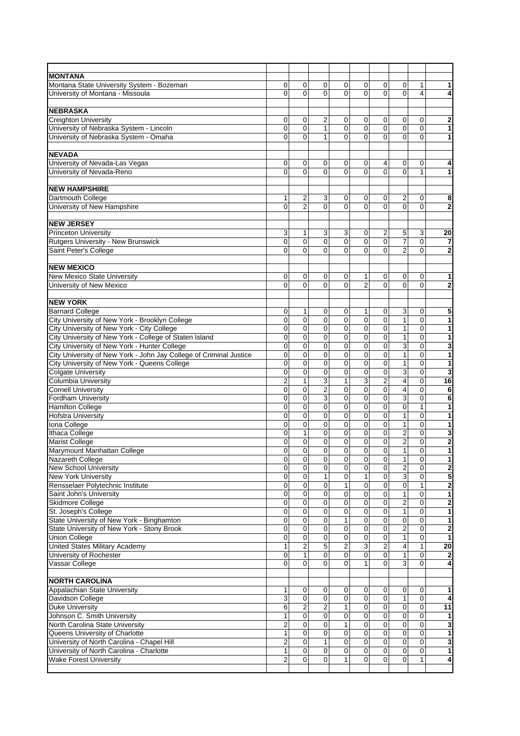| <b>MONTANA</b>                                                            |                     |                  |                             |                |                |                             |                                  |                  |                              |
|---------------------------------------------------------------------------|---------------------|------------------|-----------------------------|----------------|----------------|-----------------------------|----------------------------------|------------------|------------------------------|
| Montana State University System - Bozeman                                 | 0                   | 0                | 0                           | 0              | 0              | 0                           | 0                                | 1                | 1                            |
| University of Montana - Missoula                                          | 0                   | $\Omega$         | $\Omega$                    | 0              | 0              | 0                           | $\Omega$                         | 4                | 4                            |
|                                                                           |                     |                  |                             |                |                |                             |                                  |                  |                              |
| <b>NEBRASKA</b>                                                           |                     |                  |                             |                |                |                             |                                  |                  |                              |
| <b>Creighton University</b>                                               | 0                   | 0                | $\overline{\mathbf{c}}$     | 0              | 0              | 0                           | 0                                | 0                | 2                            |
| University of Nebraska System - Lincoln                                   | 0                   | 0                | $\mathbf{1}$                | 0              | 0              | 0                           | 0                                | 0                | $\overline{1}$               |
| University of Nebraska System - Omaha                                     | 0                   | 0                | 1                           | 0              | 0              | 0                           | $\Omega$                         | 0                | 1                            |
| <b>NEVADA</b>                                                             |                     |                  |                             |                |                |                             |                                  |                  |                              |
| University of Nevada-Las Vegas                                            | 0                   | 0                | 0                           | 0              | 0              | 4                           | 0                                | 0                | 4                            |
| University of Nevada-Reno                                                 | $\overline{0}$      | $\Omega$         | $\overline{0}$              | 0              | $\overline{0}$ | $\overline{0}$              | $\Omega$                         | $\mathbf{1}$     | 1                            |
|                                                                           |                     |                  |                             |                |                |                             |                                  |                  |                              |
| <b>NEW HAMPSHIRE</b>                                                      |                     |                  |                             |                |                |                             |                                  |                  |                              |
| Dartmouth College                                                         | 1                   | 2                | 3                           | 0              | 0              | 0                           | 2                                | 0                | 8                            |
| University of New Hampshire                                               | 0                   | $\overline{2}$   | $\Omega$                    | $\overline{0}$ | $\overline{0}$ | $\overline{0}$              | $\Omega$                         | $\overline{0}$   | $\mathbf 2$                  |
|                                                                           |                     |                  |                             |                |                |                             |                                  |                  |                              |
| <b>NEW JERSEY</b>                                                         |                     |                  |                             |                |                |                             |                                  |                  |                              |
| <b>Princeton University</b>                                               | 3                   | 1                | 3                           | 3              | 0              | $\overline{2}$              | 5                                | 3                | 20                           |
| Rutgers University - New Brunswick                                        | 0                   | 0                | 0                           | 0              | 0              | 0                           | 7                                | 0                | 7                            |
| Saint Peter's College                                                     | 0                   | 0                | $\overline{0}$              | $\overline{0}$ | 0              | 0                           | $\overline{2}$                   | 0                | $\overline{2}$               |
| <b>NEW MEXICO</b>                                                         |                     |                  |                             |                |                |                             |                                  |                  |                              |
| <b>New Mexico State University</b>                                        | 0                   | 0                | $\mathbf 0$                 | 0              | 1              | 0                           | 0                                | 0                | 1                            |
| University of New Mexico                                                  | $\overline{0}$      | $\Omega$         | $\overline{0}$              | $\overline{0}$ | $\overline{2}$ | $\overline{0}$              | $\overline{0}$                   | 0                | $\overline{\mathbf{2}}$      |
|                                                                           |                     |                  |                             |                |                |                             |                                  |                  |                              |
| <b>NEW YORK</b>                                                           |                     |                  |                             |                |                |                             |                                  |                  |                              |
| <b>Barnard College</b>                                                    | 0                   | 1                | 0                           | 0              | 1              | 0                           | 3                                | 0                | 5                            |
| City University of New York - Brooklyn College                            | 0                   | 0                | 0                           | $\mathbf 0$    | 0              | $\overline{0}$              | $\mathbf{1}$                     | 0                | 1                            |
| City University of New York - City College                                | 0                   | 0                | 0                           | 0              | 0              | 0                           | $\mathbf{1}$                     | 0                | 1                            |
| City University of New York - College of Staten Island                    | 0                   | 0                | 0                           | 0              | $\mathbf 0$    | $\mathbf 0$                 | $\mathbf{1}$                     | 0                | 1                            |
| City University of New York - Hunter College                              | 0                   | 0                | 0                           | $\mathbf 0$    | $\overline{0}$ | $\overline{0}$              | 3                                | $\mathbf 0$      | 3                            |
| City University of New York - John Jay College of Criminal Justice        | 0                   | 0                | 0                           | $\mathbf 0$    | 0              | 0                           | $\mathbf{1}$                     | 0                | 1                            |
| City University of New York - Queens College                              | 0                   | $\mathbf 0$      | 0                           | 0              | 0              | 0                           | $\mathbf{1}$                     | 0                | 1                            |
| <b>Colgate University</b>                                                 | 0                   | 0                | 0                           | $\mathbf 0$    | $\mathbf 0$    | $\mathbf 0$                 | 3                                | 0                | 3                            |
| Columbia University                                                       | $\overline{2}$      | $\mathbf{1}$     | 3                           | $\mathbf{1}$   | 3              | $\overline{c}$              | 4                                | 0                | 16                           |
| <b>Cornell University</b><br><b>Fordham University</b>                    | 0<br>0              | 0<br>0           | $\overline{2}$<br>3         | 0<br>0         | 0<br>0         | $\pmb{0}$<br>0              | 4<br>3                           | $\mathbf 0$<br>0 | 6                            |
| <b>Hamilton College</b>                                                   | 0                   | 0                | 0                           | 0              | 0              | 0                           | $\mathbf 0$                      | 1                | 6<br>$\overline{\mathbf{1}}$ |
| <b>Hofstra University</b>                                                 | 0                   | 0                | 0                           | 0              | 0              | 0                           | $\mathbf{1}$                     | 0                | 1                            |
| Iona College                                                              | 0                   | 0                | 0                           | 0              | 0              | 0                           | 1                                | 0                | 1                            |
| Ithaca College                                                            | 0                   | $\mathbf{1}$     | 0                           | 0              | 0              | 0                           | $\overline{2}$                   | 0                | $\overline{\mathbf{3}}$      |
| Marist College                                                            | 0                   | 0                | 0                           | 0              | 0              | 0                           | 2                                | 0                | 2                            |
| Marymount Manhattan College                                               | 0                   | 0                | 0                           | 0              | 0              | 0                           | 1                                | 0                | $\mathbf{1}$                 |
| Nazareth College                                                          | 0                   | 0                | $\overline{0}$              | 0              | 0              | 0                           | $\mathbf{1}$                     | 0                | 1                            |
| <b>New School University</b>                                              | 0                   | 0                | $\mathbf 0$                 | 0              | 0              | 0                           | 2                                | 0                | 2                            |
| <b>New York University</b>                                                | 0                   | $\mathbf 0$      | $\mathbf{1}$                | $\pmb{0}$      | 1              | $\pmb{0}$                   | 3                                | 0                | 5                            |
| Rensselaer Polytechnic Institute                                          | 0                   | 0                | 0                           | $\mathbf{1}$   | $\mathbf 0$    | 0                           | 0                                | $\mathbf{1}$     | $\mathbf 2$                  |
| Saint John's University                                                   | 0                   | 0                | 0                           | 0              | 0              | 0                           | 1                                | 0                | 1                            |
| Skidmore College                                                          | 0<br>0              | $\pmb{0}$<br>0   | $\pmb{0}$<br>0              | 0<br>0         | 0<br>0         | $\pmb{0}$<br>$\overline{0}$ | $\boldsymbol{2}$<br>$\mathbf{1}$ | $\pmb{0}$<br>0   | 2<br>$\overline{\mathbf{1}}$ |
| St. Joseph's College<br>State University of New York - Binghamton         | 0                   | 0                | 0                           | $\mathbf{1}$   | 0              | 0                           | $\mathbf 0$                      | 0                | 1                            |
| State University of New York - Stony Brook                                | 0                   | $\pmb{0}$        | $\pmb{0}$                   | $\overline{0}$ | 0              | $\pmb{0}$                   | $\overline{2}$                   | $\overline{0}$   | $\overline{\mathbf{2}}$      |
| <b>Union College</b>                                                      | 0                   | 0                | 0                           | 0              | 0              | 0                           | $\mathbf{1}$                     | 0                | 1                            |
| <b>United States Military Academy</b>                                     | 1                   | 2                | 5                           | $\overline{2}$ | 3              | $\mathbf 2$                 | 4                                | 1                | 20                           |
| University of Rochester                                                   | 0                   | $\mathbf{1}$     | $\overline{0}$              | $\overline{0}$ | 0              | $\mathbf 0$                 | $\mathbf{1}$                     | $\pmb{0}$        | $\mathbf 2$                  |
| Vassar College                                                            | $\overline{0}$      | 0                | $\Omega$                    | $\overline{0}$ | 1              | $\overline{0}$              | 3                                | $\overline{0}$   | 4                            |
|                                                                           |                     |                  |                             |                |                |                             |                                  |                  |                              |
| <b>NORTH CAROLINA</b>                                                     |                     |                  |                             |                |                |                             |                                  |                  |                              |
| Appalachian State University                                              | 1                   | 0                | 0                           | 0              | 0              | 0                           | 0                                | 0                | 1                            |
| Davidson College                                                          | 3                   | 0                | 0                           | 0              | 0              | 0                           | 1                                | 0                | 4                            |
| <b>Duke University</b>                                                    | 6                   | $\overline{2}$   | $\overline{c}$              | 1              | 0              | $\pmb{0}$                   | $\pmb{0}$                        | $\pmb{0}$        | 11                           |
| Johnson C. Smith University                                               | 1                   | 0                | 0                           | 0              | 0              | 0                           | $\mathbf 0$                      | 0                | 1                            |
| North Carolina State University                                           | 2                   | 0                | 0                           | 1              | 0              | 0                           | $\mathbf 0$                      | 0                | 3                            |
| Queens University of Charlotte                                            | 1                   | $\mathbf 0$      | $\overline{\mathbf{0}}$     | $\overline{0}$ | 0              | $\overline{0}$              | $\pmb{0}$                        | $\overline{0}$   | 1                            |
| University of North Carolina - Chapel Hill                                | $\overline{2}$<br>1 | $\mathbf 0$<br>0 | $\mathbf{1}$<br>$\mathbf 0$ | 0              | 0<br>0         | $\overline{0}$<br>0         | $\mathbf 0$<br>$\mathbf 0$       | 0<br>0           | 3                            |
| University of North Carolina - Charlotte<br><b>Wake Forest University</b> | $\mathbf 2$         | $\mathbf 0$      | $\pmb{0}$                   | 0<br>1         | 0              | $\mathbf 0$                 | $\mathbf 0$                      | $\mathbf{1}$     | 1<br>4                       |
|                                                                           |                     |                  |                             |                |                |                             |                                  |                  |                              |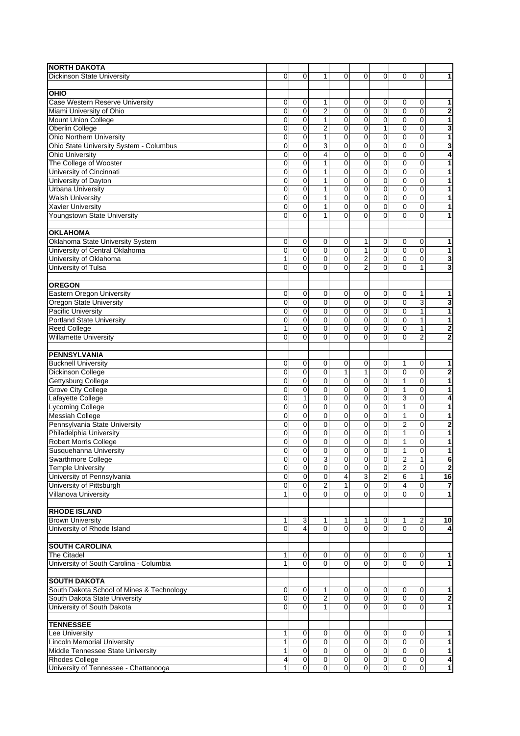| <b>NORTH DAKOTA</b>                       |             |              |                         |                |                |                  |                         |                |                              |
|-------------------------------------------|-------------|--------------|-------------------------|----------------|----------------|------------------|-------------------------|----------------|------------------------------|
| Dickinson State University                | $\Omega$    | 0            | 1                       | $\Omega$       | 0              | 0                | $\Omega$                | 0              | 1                            |
|                                           |             |              |                         |                |                |                  |                         |                |                              |
| <b>OHIO</b>                               |             |              |                         |                |                |                  |                         |                |                              |
| Case Western Reserve University           | 0           | 0            | 1                       | 0              | 0              | 0                | 0                       | 0              | 1                            |
| Miami University of Ohio                  | 0           | 0            | $\overline{\mathbf{c}}$ | 0              | 0              | $\mathbf 0$      | $\mathbf 0$             | $\mathbf 0$    | 2                            |
| <b>Mount Union College</b>                | 0           | $\mathbf 0$  | $\mathbf{1}$            | $\mathbf 0$    | $\mathbf 0$    | 0                | $\mathbf 0$             | $\mathbf 0$    | 1                            |
| Oberlin College                           | 0           | 0            | $\overline{2}$          | $\mathbf 0$    | 0              | $\mathbf{1}$     | 0                       | $\overline{0}$ | $\overline{\mathbf{3}}$      |
| <b>Ohio Northern University</b>           | 0           | 0            | $\mathbf{1}$            | 0              | 0              | $\mathbf 0$      | 0                       | $\mathbf 0$    | 1                            |
| Ohio State University System - Columbus   | 0           | $\mathbf 0$  | 3                       | $\mathbf 0$    | $\mathbf 0$    | $\mathbf 0$      | $\pmb{0}$               | $\mathbf 0$    | 3                            |
| <b>Ohio University</b>                    | 0           | 0            | $\overline{\mathbf{4}}$ | $\overline{0}$ | 0              | $\mathbf 0$      | $\mathbf 0$             | $\mathbf 0$    | 4                            |
| The College of Wooster                    | 0           | 0            | $\mathbf{1}$            | 0              | 0              | $\mathbf 0$      | 0                       | $\mathbf 0$    | 1                            |
| University of Cincinnati                  | 0           | $\mathbf 0$  | $\mathbf{1}$            | 0              | 0              | $\mathbf 0$      | 0                       | 0              | 1                            |
| University of Dayton                      | 0           | $\mathbf 0$  | $\mathbf{1}$            | $\mathbf 0$    | 0              | $\mathbf 0$      | 0                       | $\mathbf 0$    | 1                            |
| <b>Urbana University</b>                  | 0           | 0            | 1                       | 0              | 0              | $\mathbf 0$      | 0                       | $\mathbf 0$    | 1                            |
| <b>Walsh University</b>                   | 0           | 0            | $\mathbf{1}$            | 0              | 0              | $\mathbf 0$      | $\mathbf 0$             | 0              | 1                            |
| <b>Xavier University</b>                  | 0           | 0            | $\mathbf{1}$            | $\overline{0}$ | 0              | $\mathbf{0}$     | 0                       | 0              | 1                            |
| Youngstown State University               | 0           | 0            | 1                       | $\Omega$       | 0              | $\Omega$         | 0                       | $\Omega$       | 1                            |
|                                           |             |              |                         |                |                |                  |                         |                |                              |
| <b>OKLAHOMA</b>                           |             |              |                         |                |                |                  |                         |                |                              |
| Oklahoma State University System          | 0           | 0            | 0                       | 0              | 1              | 0                | 0                       | 0              | 1                            |
| University of Central Oklahoma            | 0           | $\mathbf 0$  | 0                       | $\mathbf 0$    | $\mathbf{1}$   | $\mathbf 0$      | $\overline{0}$          | $\mathbf 0$    | 1                            |
|                                           |             |              |                         |                |                |                  |                         |                |                              |
| University of Oklahoma                    | 1           | 0            | 0                       | $\mathbf 0$    | $\overline{2}$ | $\mathbf 0$      | 0                       | $\mathbf 0$    | 3                            |
| University of Tulsa                       | 0           | $\Omega$     | $\Omega$                | $\Omega$       | $\overline{2}$ | $\Omega$         | $\Omega$                | 1              | 3                            |
|                                           |             |              |                         |                |                |                  |                         |                |                              |
| <b>OREGON</b>                             |             |              |                         |                |                |                  |                         |                |                              |
| Eastern Oregon University                 | 0           | 0            | 0                       | 0              | 0              | 0                | 0                       | 1              | 1                            |
| Oregon State University                   | 0           | 0            | 0                       | $\mathbf 0$    | 0              | $\mathbf 0$      | $\mathbf 0$             | 3              | 3                            |
| <b>Pacific University</b>                 | 0           | $\mathbf 0$  | 0                       | $\mathbf 0$    | 0              | $\mathbf 0$      | 0                       | $\mathbf{1}$   | 1                            |
| <b>Portland State University</b>          | 0           | 0            | 0                       | $\mathbf 0$    | 0              | $\mathbf 0$      | 0                       | 1              | 1                            |
| <b>Reed College</b>                       | 1           | 0            | 0                       | $\mathbf 0$    | 0              | $\mathbf 0$      | 0                       | $\mathbf{1}$   | $\overline{\mathbf{2}}$      |
| <b>Willamette University</b>              | 0           | $\Omega$     | 0                       | $\mathbf 0$    | 0              | $\Omega$         | 0                       | $\overline{2}$ | $\mathbf 2$                  |
|                                           |             |              |                         |                |                |                  |                         |                |                              |
| <b>PENNSYLVANIA</b>                       |             |              |                         |                |                |                  |                         |                |                              |
| <b>Bucknell University</b>                | 0           | 0            | 0                       | 0              | 0              | 0                | 1                       | 0              | 1                            |
| <b>Dickinson College</b>                  | 0           | $\mathbf 0$  | 0                       | 1              | $\mathbf{1}$   | $\mathbf 0$      | $\mathbf 0$             | 0              | 2                            |
| Gettysburg College                        | 0           | $\mathbf 0$  | 0                       | $\mathbf 0$    | $\mathbf 0$    | $\mathbf 0$      | 1                       | $\mathbf 0$    | $\overline{\mathbf{1}}$      |
| <b>Grove City College</b>                 | 0           | 0            | 0                       | 0              | 0              | $\mathbf 0$      | 1                       | 0              | 1                            |
| Lafayette College                         | 0           | $\mathbf{1}$ | 0                       | $\mathbf 0$    | 0              | $\mathbf 0$      | 3                       | $\mathbf 0$    | 4                            |
| <b>Lycoming College</b>                   | 0           | 0            | 0                       | 0              | 0              | $\mathbf 0$      | $\mathbf{1}$            | $\mathbf 0$    | $\overline{\mathbf{1}}$      |
| <b>Messiah College</b>                    | 0           | 0            | 0                       | $\mathbf 0$    | 0              | $\mathbf 0$      | $\mathbf{1}$            | $\mathbf 0$    | 1                            |
| Pennsylvania State University             | 0           | 0            | 0                       | $\mathbf 0$    | $\mathbf 0$    | $\mathbf 0$      | $\overline{2}$          | 0              |                              |
| Philadelphia University                   | 0           | 0            | $\mathbf 0$             | $\mathbf 0$    | 0              | $\mathbf 0$      | 1                       | $\mathbf 0$    | 2<br>$\overline{\mathbf{1}}$ |
|                                           |             |              |                         |                |                |                  |                         |                |                              |
| Robert Morris College                     | 0           | 0            | 0                       | 0              | 0              | $\mathbf 0$      | 1                       | 0              | 1                            |
| Susquehanna University                    | 0           | 0            | 0                       | 0              | 0              | $\mathbf 0$      | 1                       | 0              | 1                            |
| Swarthmore College                        | 0           | 0            | 3                       | 0              | 0              | 0                | $\overline{\mathbf{c}}$ | 1              | 6                            |
| <b>Temple University</b>                  | 0           | $\mathbf 0$  | 0                       | 0              | 0              | $\mathbf 0$      | $\overline{2}$          | 0              | 2                            |
| University of Pennsylvania                | 0           | 0            | $\pmb{0}$               | $\overline{4}$ | 3              | $\boldsymbol{2}$ | 6                       | 1              | 16                           |
| University of Pittsburgh                  | 0           | $\mathbf 0$  | $\overline{c}$          | $\overline{1}$ | $\pmb{0}$      | $\mathbf 0$      | 4                       | $\mathbf 0$    | $\overline{\mathbf{z}}$      |
| Villanova University                      | 1           | 0            | 0                       | $\mathbf 0$    | 0              | $\mathbf 0$      | 0                       | 0              | 1                            |
|                                           |             |              |                         |                |                |                  |                         |                |                              |
| <b>RHODE ISLAND</b>                       |             |              |                         |                |                |                  |                         |                |                              |
| <b>Brown University</b>                   | 1           | 3            | 1                       | 1              | 1              | 0                | 1                       | $\overline{2}$ | 10                           |
| University of Rhode Island                | 0           | 4            | 0                       | $\mathbf 0$    | $\Omega$       | $\mathbf 0$      | $\mathbf 0$             | 0              | 4                            |
|                                           |             |              |                         |                |                |                  |                         |                |                              |
| <b>SOUTH CAROLINA</b>                     |             |              |                         |                |                |                  |                         |                |                              |
| <b>The Citadel</b>                        | 1           | 0            | $\pmb{0}$               | 0              | 0              | 0                | 0                       | 0              | 1                            |
| University of South Carolina - Columbia   | 1           | $\Omega$     | $\overline{0}$          | $\mathbf{0}$   | $\Omega$       | $\Omega$         | $\Omega$                | $\Omega$       | 1                            |
|                                           |             |              |                         |                |                |                  |                         |                |                              |
| <b>SOUTH DAKOTA</b>                       |             |              |                         |                |                |                  |                         |                |                              |
| South Dakota School of Mines & Technology | $\mathbf 0$ | 0            | 1                       | 0              | $\mathbf 0$    | 0                | 0                       | 0              | 1                            |
| South Dakota State University             | 0           | 0            | $\overline{\mathbf{c}}$ | 0              | 0              | 0                | $\pmb{0}$               | 0              | 2                            |
| University of South Dakota                | 0           | $\mathbf 0$  | $\mathbf{1}$            | $\mathbf 0$    | $\mathbf 0$    | $\mathbf 0$      | $\mathbf 0$             | $\mathbf 0$    | 1                            |
|                                           |             |              |                         |                |                |                  |                         |                |                              |
| <b>TENNESSEE</b>                          |             |              |                         |                |                |                  |                         |                |                              |
| Lee University                            | 1           | 0            | $\mathbf 0$             | 0              | 0              | 0                | $\mathbf 0$             | 0              | 1                            |
| <b>Lincoln Memorial University</b>        | 1           | 0            | 0                       | $\overline{0}$ | 0              | $\mathbf 0$      | $\pmb{0}$               | $\mathbf 0$    | 1                            |
| Middle Tennessee State University         | 1           | 0            | 0                       | 0              | $\mathbf 0$    | $\mathbf 0$      | $\mathbf 0$             | $\mathbf 0$    | 1                            |
| Rhodes College                            | 4           | $\pmb{0}$    | $\pmb{0}$               | $\pmb{0}$      | $\pmb{0}$      | $\pmb{0}$        | ${\bf 0}$               | $\pmb{0}$      | 4                            |
| University of Tennessee - Chattanooga     | 1           | $\mathbf 0$  | 0                       | $\overline{0}$ | $\overline{0}$ | $\mathbf 0$      | $\mathbf 0$             | 0              |                              |
|                                           |             |              |                         |                |                |                  |                         |                | $\mathbf{1}$                 |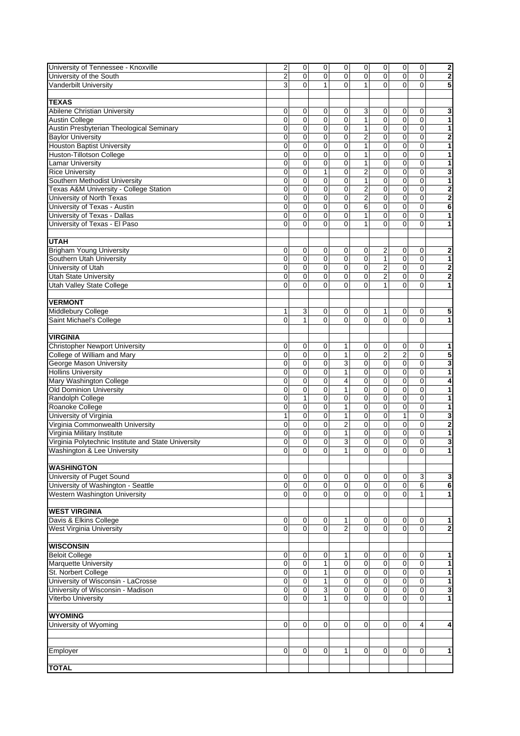| University of Tennessee - Knoxville                 | $\overline{\mathbf{c}}$ | $\mathbf 0$    | $\pmb{0}$      | 0                       | $\mathbf 0$    | $\mathbf 0$    | $\mathbf 0$    | $\pmb{0}$      | $\overline{\mathbf{2}}$ |
|-----------------------------------------------------|-------------------------|----------------|----------------|-------------------------|----------------|----------------|----------------|----------------|-------------------------|
| University of the South                             | $\overline{2}$          | 0              | 0              | $\overline{0}$          | 0              | 0              | $\overline{0}$ | $\overline{0}$ | $\overline{\mathbf{2}}$ |
| Vanderbilt University                               | 3                       | 0              | 1              | 0                       | $\mathbf{1}$   | 0              | 0              | 0              | 5                       |
|                                                     |                         |                |                |                         |                |                |                |                |                         |
|                                                     |                         |                |                |                         |                |                |                |                |                         |
| <b>TEXAS</b>                                        |                         |                |                |                         |                |                |                |                |                         |
| Abilene Christian University                        | 0                       | 0              | 0              | 0                       | 3              | 0              | 0              | 0              | 3                       |
| <b>Austin College</b>                               | $\mathbf 0$             | $\mathbf 0$    | $\mathbf 0$    | 0                       | $\mathbf{1}$   | 0              | $\mathbf 0$    | 0              | 1                       |
| Austin Presbyterian Theological Seminary            | $\mathbf 0$             | 0              | 0              | $\overline{0}$          | 1              | 0              | $\mathbf 0$    | 0              | 1                       |
| <b>Baylor University</b>                            | 0                       | 0              | 0              | 0                       | 2              | 0              | $\mathbf 0$    | 0              | 2                       |
| <b>Houston Baptist University</b>                   | $\mathbf 0$             | 0              | $\mathbf 0$    | 0                       | $\mathbf{1}$   | $\pmb{0}$      | $\mathbf 0$    | 0              | $\overline{\mathbf{1}}$ |
| <b>Huston-Tillotson College</b>                     | 0                       | 0              | 0              | 0                       | 1              | 0              | $\mathbf 0$    | 0              | 1                       |
| <b>Lamar University</b>                             | 0                       | 0              | 0              | 0                       | 1              | 0              | 0              | 0              | 1                       |
| <b>Rice University</b>                              | 0                       | 0              | $\mathbf{1}$   | 0                       | $\overline{2}$ | 0              | 0              | 0              | 3                       |
| Southern Methodist University                       | 0                       | 0              | 0              | $\mathbf 0$             | $\mathbf{1}$   | 0              | 0              | $\overline{0}$ | 1                       |
| <b>Texas A&amp;M University - College Station</b>   | 0                       | 0              | 0              | 0                       | 2              | 0              | 0              | 0              | $\overline{\mathbf{2}}$ |
|                                                     | $\mathbf 0$             | 0              | 0              | $\mathbf 0$             | 2              | 0              | $\mathbf 0$    | $\mathbf 0$    | $\overline{\mathbf{2}}$ |
| University of North Texas                           |                         |                |                |                         |                |                |                |                |                         |
| University of Texas - Austin                        | 0                       | 0              | 0              | 0                       | 6              | 0              | $\mathbf 0$    | $\mathbf 0$    | 6                       |
| University of Texas - Dallas                        | $\mathbf 0$             | 0              | 0              | 0                       | 1              | 0              | $\mathbf 0$    | 0              | 1                       |
| University of Texas - El Paso                       | $\Omega$                | 0              | $\overline{0}$ | 0                       | $\mathbf{1}$   | 0              | $\Omega$       | 0              | 1                       |
|                                                     |                         |                |                |                         |                |                |                |                |                         |
| <b>UTAH</b>                                         |                         |                |                |                         |                |                |                |                |                         |
| <b>Brigham Young University</b>                     | 0                       | 0              | 0              | 0                       | 0              | 2              | 0              | 0              | 2                       |
| Southern Utah University                            | $\mathbf 0$             | $\mathbf 0$    | $\overline{0}$ | $\mathbf 0$             | 0              | $\mathbf{1}$   | $\mathbf 0$    | $\mathbf 0$    | 1                       |
| University of Utah                                  | 0                       | 0              | $\mathbf 0$    | 0                       | 0              | $\mathbf 2$    | 0              | 0              | $\overline{2}$          |
|                                                     | 0                       | 0              | 0              | 0                       | 0              | $\overline{c}$ | 0              | 0              |                         |
| <b>Utah State University</b>                        |                         |                |                |                         |                |                |                |                | $\overline{\mathbf{2}}$ |
| Utah Valley State College                           | $\Omega$                | $\overline{0}$ | $\Omega$       | 0                       | 0              | $\mathbf{1}$   | $\Omega$       | 0              | $\mathbf{1}$            |
|                                                     |                         |                |                |                         |                |                |                |                |                         |
| <b>VERMONT</b>                                      |                         |                |                |                         |                |                |                |                |                         |
| Middlebury College                                  | 1                       | 3              | 0              | 0                       | 0              | 1              | 0              | 0              | 5                       |
| Saint Michael's College                             | $\Omega$                | 1              | $\Omega$       | $\Omega$                | $\Omega$       | $\mathbf{0}$   | $\Omega$       | $\Omega$       | 1                       |
|                                                     |                         |                |                |                         |                |                |                |                |                         |
| <b>VIRGINIA</b>                                     |                         |                |                |                         |                |                |                |                |                         |
| <b>Christopher Newport University</b>               | 0                       | 0              | 0              | 1                       | 0              | 0              | 0              | 0              | 1                       |
| College of William and Mary                         | $\mathbf 0$             | $\mathbf 0$    | $\mathbf 0$    | 1                       | 0              | $\overline{2}$ | $\overline{2}$ | 0              | 5                       |
|                                                     |                         |                | $\mathbf 0$    |                         |                |                |                |                |                         |
| <b>George Mason University</b>                      | 0                       | 0              |                | 3                       | 0              | $\mathbf 0$    | $\mathbf 0$    | 0              | 3                       |
| <b>Hollins University</b>                           | 0                       | 0              | 0              | 1                       | 0              | 0              | $\mathbf 0$    | $\mathbf 0$    | 1                       |
| Mary Washington College                             | 0                       | 0              | $\mathbf 0$    | 4                       | 0              | 0              | $\mathbf 0$    | $\mathbf 0$    | 4                       |
| <b>Old Dominion University</b>                      | 0                       | 0              | $\mathbf 0$    | $\mathbf{1}$            | 0              | 0              | $\mathbf 0$    | $\mathbf 0$    | 1                       |
| Randolph College                                    | 0                       | 1              | 0              | 0                       | 0              | 0              | $\mathbf 0$    | $\mathbf 0$    | 1                       |
| Roanoke College                                     | 0                       | 0              | 0              | 1                       | 0              | 0              | $\pmb{0}$      | 0              | $\overline{\mathbf{1}}$ |
| University of Virginia                              | 1                       | 0              | 0              | $\mathbf{1}$            | 0              | 0              | $\mathbf{1}$   | 0              | 3                       |
| Virginia Commonwealth University                    | 0                       | 0              | 0              | $\overline{\mathbf{c}}$ | 0              | 0              | $\mathbf 0$    | 0              | 2                       |
| Virginia Military Institute                         | 0                       | 0              | 0              | 1                       | 0              | 0              | 0              | 0              | $\overline{\mathbf{1}}$ |
| Virginia Polytechnic Institute and State University | 0                       | 0              | 0              | 3                       | 0              | 0              | 0              | 0              |                         |
| Washington & Lee University                         | 0                       | 0              | 0              | $\mathbf{1}$            | 0              | 0              | 0              | 0              | 3<br>1                  |
|                                                     |                         |                |                |                         |                |                |                |                |                         |
|                                                     |                         |                |                |                         |                |                |                |                |                         |
| <b>WASHINGTON</b>                                   |                         |                |                |                         |                |                |                |                |                         |
| University of Puget Sound                           | 0                       | 0              | 0              | 0                       | 0              | 0              | 0              | 3              | 3                       |
| University of Washington - Seattle                  | $\mathbf 0$             | 0              | $\overline{0}$ | 0                       | 0              | $\mathbf 0$    | $\mathbf 0$    | 6              | 6                       |
| Western Washington University                       | $\Omega$                | 0              | 0              | 0                       | 0              | 0              | $\Omega$       | $\mathbf{1}$   | $\mathbf{1}$            |
|                                                     |                         |                |                |                         |                |                |                |                |                         |
| <b>WEST VIRGINIA</b>                                |                         |                |                |                         |                |                |                |                |                         |
| Davis & Elkins College                              | $\mathbf 0$             | 0              | 0              | 1                       | 0              | 0              | 0              | 0              | 1                       |
|                                                     | $\mathbf 0$             | $\Omega$       | 0              | $\overline{c}$          | $\overline{0}$ | $\pmb{0}$      | $\mathbf 0$    | $\mathbf 0$    | $\overline{\mathbf{2}}$ |
| West Virginia University                            |                         |                |                |                         |                |                |                |                |                         |
|                                                     |                         |                |                |                         |                |                |                |                |                         |
| <b>WISCONSIN</b>                                    |                         |                |                |                         |                |                |                |                |                         |
| <b>Beloit College</b>                               | $\mathbf 0$             | $\mathbf 0$    | 0              | 1                       | 0              | $\pmb{0}$      | $\mathbf 0$    | $\pmb{0}$      | 1                       |
| <b>Marquette University</b>                         | $\mathbf 0$             | $\mathbf 0$    | $\mathbf{1}$   | $\mathbf 0$             | 0              | 0              | $\mathbf 0$    | $\mathbf 0$    | 1                       |
| St. Norbert College                                 | 0                       | 0              | 1              | 0                       | 0              | 0              | $\mathbf 0$    | 0              | 1                       |
| University of Wisconsin - LaCrosse                  | $\mathbf 0$             | $\pmb{0}$      | $\mathbf{1}$   | $\overline{0}$          | 0              | $\pmb{0}$      | $\mathbf 0$    | $\overline{0}$ | 1                       |
| University of Wisconsin - Madison                   | $\pmb{0}$               | 0              | 3              | 0                       | 0              | 0              | $\mathbf 0$    | 0              | 3                       |
| Viterbo University                                  | 0                       | $\mathbf 0$    | 1              | 0                       | 0              | 0              | $\Omega$       | 0              | 1                       |
|                                                     |                         |                |                |                         |                |                |                |                |                         |
| <b>WYOMING</b>                                      |                         |                |                |                         |                |                |                |                |                         |
|                                                     |                         |                |                |                         |                |                |                |                |                         |
| University of Wyoming                               | $\mathbf 0$             | $\mathbf 0$    | 0              | 0                       | 0              | 0              | 0              | 4              | 4                       |
|                                                     |                         |                |                |                         |                |                |                |                |                         |
|                                                     |                         |                |                |                         |                |                |                |                |                         |
| Employer                                            | $\mathbf 0$             | 0              | 0              | 1                       | 0              | 0              | 0              | 0              | $\mathbf{1}$            |
|                                                     |                         |                |                |                         |                |                |                |                |                         |
| <b>TOTAL</b>                                        |                         |                |                |                         |                |                |                |                |                         |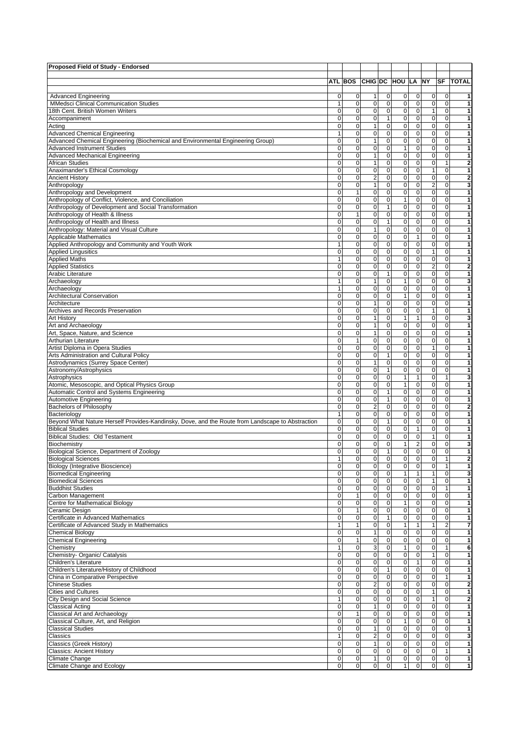| <b>Advanced Engineering</b><br>0<br><b>MMedsci Clinical Communication Studies</b><br>1<br>18th Cent. British Women Writers<br>0<br>$\mathbf 0$<br>Accompaniment<br>0<br>Acting<br><b>Advanced Chemical Engineering</b><br>1<br>Advanced Chemical Engineering (Biochemical and Environmental Engineering Group)<br>$\mathbf 0$<br><b>Advanced Instrument Studies</b><br>0<br>$\mathbf 0$<br><b>Advanced Mechanical Engineering</b><br>$\mathbf 0$<br><b>African Studies</b><br>$\mathbf 0$<br>Anaximander's Ethical Cosmology<br>$\overline{0}$<br><b>Ancient History</b><br>0<br>Anthropology<br>Anthropology and Development<br>0<br>$\mathbf 0$<br>Anthropology of Conflict, Violence, and Conciliation<br>$\mathbf 0$<br>Anthropology of Development and Social Transformation<br>$\mathbf 0$<br>Anthropology of Health & Illness<br>Anthropology of Health and Illness<br>$\mathbf 0$<br>Anthropology: Material and Visual Culture<br>$\mathbf 0$<br>Applicable Mathematics<br>0<br>Applied Anthropology and Community and Youth Work<br>$\mathbf{1}$<br><b>Applied Lingusitics</b><br>0<br><b>Applied Maths</b><br>$\mathbf{1}$<br>$\mathbf 0$<br><b>Applied Statistics</b><br>0<br>Arabic Literature<br>$\mathbf{1}$<br>Archaeology<br>$\mathbf{1}$<br>Archaeology<br>$\mathbf 0$<br><b>Architectural Conservation</b><br>$\overline{0}$<br>Architecture<br>Archives and Records Preservation<br>0<br>$\mathbf 0$<br>Art History<br>$\mathbf 0$<br>Art and Archaeology<br>$\mathbf 0$<br>Art, Space, Nature, and Science<br>Arthurian Literature<br>0<br>0<br>Artist Diploma in Opera Studies<br><b>Arts Administration and Cultural Policy</b><br>0<br>$\mathbf 0$<br>Astrodynamics (Surrey Space Center)<br>$\mathbf 0$<br>Astronomy/Astrophysics<br>0<br>Astrophysics<br>0<br>Atomic, Mesoscopic, and Optical Physics Group<br>0<br>Automatic Control and Systems Engineering<br><b>Automotive Engineering</b><br>0<br>$\overline{0}$<br>Bachelors of Philosophy<br>$\mathbf{1}$<br>Bacteriology<br>$\overline{0}$<br>Beyond What Nature Herself Provides-Kandinsky, Dove, and the Route from Landscape to Abstraction<br>$\mathbf 0$<br><b>Biblical Studies</b><br>0<br><b>Biblical Studies: Old Testament</b><br>$\mathbf 0$<br>Biochemistry<br>$\Omega$<br>Biological Science, Department of Zoology<br><b>Biological Sciences</b><br>1<br>$\mathbf 0$<br>Biology (Integrative Bioscience)<br><b>Biomedical Engineering</b><br>$\mathbf 0$<br><b>Biomedical Sciences</b><br>0<br>$\overline{0}$<br><b>Buddhist Studies</b><br>$\mathbf 0$<br>Carbon Management<br>$\mathbf 0$<br>Centre for Mathematical Biology<br>Ceramic Design<br>$\mathbf 0$<br>Certificate in Advanced Mathematics<br>$\mathbf 0$<br>Certificate of Advanced Study in Mathematics<br>1<br>$\mathbf 0$<br><b>Chemical Biology</b><br><b>Chemical Engineering</b><br>$\mathbf 0$<br>Chemistry<br>$\mathbf{1}$<br>Chemistry- Organic/ Catalysis<br>$\mathbf 0$<br>$\mathbf 0$<br>Children's Literature<br>$\overline{0}$<br>Children's Literature/History of Childhood<br>China in Comparative Perspective<br>$\overline{0}$<br>$\overline{0}$<br><b>Chinese Studies</b><br><b>Cities and Cultures</b><br>0<br>City Design and Social Science<br>1<br><b>Classical Acting</b><br>0<br>$\mathbf 0$<br>Classical Art and Archaeology<br>Classical Culture, Art, and Religion<br>$\mathbf 0$<br>$\overline{\mathbf{0}}$<br><b>Classical Studies</b><br>1<br>Classics |                                  |                               |                                |                                                 |                                |                              |                 |
|--------------------------------------------------------------------------------------------------------------------------------------------------------------------------------------------------------------------------------------------------------------------------------------------------------------------------------------------------------------------------------------------------------------------------------------------------------------------------------------------------------------------------------------------------------------------------------------------------------------------------------------------------------------------------------------------------------------------------------------------------------------------------------------------------------------------------------------------------------------------------------------------------------------------------------------------------------------------------------------------------------------------------------------------------------------------------------------------------------------------------------------------------------------------------------------------------------------------------------------------------------------------------------------------------------------------------------------------------------------------------------------------------------------------------------------------------------------------------------------------------------------------------------------------------------------------------------------------------------------------------------------------------------------------------------------------------------------------------------------------------------------------------------------------------------------------------------------------------------------------------------------------------------------------------------------------------------------------------------------------------------------------------------------------------------------------------------------------------------------------------------------------------------------------------------------------------------------------------------------------------------------------------------------------------------------------------------------------------------------------------------------------------------------------------------------------------------------------------------------------------------------------------------------------------------------------------------------------------------------------------------------------------------------------------------------------------------------------------------------------------------------------------------------------------------------------------------------------------------------------------------------------------------------------------------------------------------------------------------------------------------------------------------------------------------------------------------------------------------------------------------------------------------------------------------------------------------------------------------------------------------------------------------------------------------------------------------------------------------------------------------------------------------------------------------------------------|----------------------------------|-------------------------------|--------------------------------|-------------------------------------------------|--------------------------------|------------------------------|-----------------|
|                                                                                                                                                                                                                                                                                                                                                                                                                                                                                                                                                                                                                                                                                                                                                                                                                                                                                                                                                                                                                                                                                                                                                                                                                                                                                                                                                                                                                                                                                                                                                                                                                                                                                                                                                                                                                                                                                                                                                                                                                                                                                                                                                                                                                                                                                                                                                                                                                                                                                                                                                                                                                                                                                                                                                                                                                                                                                                                                                                                                                                                                                                                                                                                                                                                                                                                                                                                                                                                  | ATL BOS CHIG DC HOU LA NY        |                               |                                |                                                 |                                |                              | <b>SF TOTAL</b> |
|                                                                                                                                                                                                                                                                                                                                                                                                                                                                                                                                                                                                                                                                                                                                                                                                                                                                                                                                                                                                                                                                                                                                                                                                                                                                                                                                                                                                                                                                                                                                                                                                                                                                                                                                                                                                                                                                                                                                                                                                                                                                                                                                                                                                                                                                                                                                                                                                                                                                                                                                                                                                                                                                                                                                                                                                                                                                                                                                                                                                                                                                                                                                                                                                                                                                                                                                                                                                                                                  |                                  |                               |                                |                                                 |                                |                              |                 |
|                                                                                                                                                                                                                                                                                                                                                                                                                                                                                                                                                                                                                                                                                                                                                                                                                                                                                                                                                                                                                                                                                                                                                                                                                                                                                                                                                                                                                                                                                                                                                                                                                                                                                                                                                                                                                                                                                                                                                                                                                                                                                                                                                                                                                                                                                                                                                                                                                                                                                                                                                                                                                                                                                                                                                                                                                                                                                                                                                                                                                                                                                                                                                                                                                                                                                                                                                                                                                                                  | $\mathbf 0$<br>$\mathbf 0$       | 1 <sup>1</sup><br>$\mathbf 0$ | 0<br>$\pmb{0}$                 | 0<br> 0 <br>$\pmb{0}$<br> 0                     | $\overline{0}$<br>$\mathbf{0}$ | $\mathbf 0$<br>$\mathbf{O}$  | 1<br>1          |
|                                                                                                                                                                                                                                                                                                                                                                                                                                                                                                                                                                                                                                                                                                                                                                                                                                                                                                                                                                                                                                                                                                                                                                                                                                                                                                                                                                                                                                                                                                                                                                                                                                                                                                                                                                                                                                                                                                                                                                                                                                                                                                                                                                                                                                                                                                                                                                                                                                                                                                                                                                                                                                                                                                                                                                                                                                                                                                                                                                                                                                                                                                                                                                                                                                                                                                                                                                                                                                                  | $\overline{0}$                   | 0                             | $\pmb{0}$                      | $\pmb{0}$<br> 0                                 | $\mathbf{1}$                   | $\mathbf{0}$                 | 1               |
|                                                                                                                                                                                                                                                                                                                                                                                                                                                                                                                                                                                                                                                                                                                                                                                                                                                                                                                                                                                                                                                                                                                                                                                                                                                                                                                                                                                                                                                                                                                                                                                                                                                                                                                                                                                                                                                                                                                                                                                                                                                                                                                                                                                                                                                                                                                                                                                                                                                                                                                                                                                                                                                                                                                                                                                                                                                                                                                                                                                                                                                                                                                                                                                                                                                                                                                                                                                                                                                  | $\mathbf 0$                      | $\mathbf 0$                   | $\mathbf{1}$                   | $\pmb{0}$<br> 0                                 | $\mathbf 0$                    | $\mathbf{O}$                 | 1               |
|                                                                                                                                                                                                                                                                                                                                                                                                                                                                                                                                                                                                                                                                                                                                                                                                                                                                                                                                                                                                                                                                                                                                                                                                                                                                                                                                                                                                                                                                                                                                                                                                                                                                                                                                                                                                                                                                                                                                                                                                                                                                                                                                                                                                                                                                                                                                                                                                                                                                                                                                                                                                                                                                                                                                                                                                                                                                                                                                                                                                                                                                                                                                                                                                                                                                                                                                                                                                                                                  | $\mathbf 0$                      | $\mathbf{1}$                  | $\pmb{0}$                      | $\pmb{0}$<br> 0                                 | $\mathbf{0}$                   | $\mathbf{0}$                 | 1               |
|                                                                                                                                                                                                                                                                                                                                                                                                                                                                                                                                                                                                                                                                                                                                                                                                                                                                                                                                                                                                                                                                                                                                                                                                                                                                                                                                                                                                                                                                                                                                                                                                                                                                                                                                                                                                                                                                                                                                                                                                                                                                                                                                                                                                                                                                                                                                                                                                                                                                                                                                                                                                                                                                                                                                                                                                                                                                                                                                                                                                                                                                                                                                                                                                                                                                                                                                                                                                                                                  | $\overline{0}$                   | 0                             | $\overline{0}$                 | 0<br>$\overline{0}$                             | $\mathbf 0$                    | $\mathbf{0}$                 | 1               |
|                                                                                                                                                                                                                                                                                                                                                                                                                                                                                                                                                                                                                                                                                                                                                                                                                                                                                                                                                                                                                                                                                                                                                                                                                                                                                                                                                                                                                                                                                                                                                                                                                                                                                                                                                                                                                                                                                                                                                                                                                                                                                                                                                                                                                                                                                                                                                                                                                                                                                                                                                                                                                                                                                                                                                                                                                                                                                                                                                                                                                                                                                                                                                                                                                                                                                                                                                                                                                                                  | $\mathbf 0$                      | $\mathbf{1}$                  | $\pmb{0}$                      | $\mathbf 0$<br>$\pmb{0}$                        | $\mathbf 0$                    | $\mathbf{O}$                 | 1               |
|                                                                                                                                                                                                                                                                                                                                                                                                                                                                                                                                                                                                                                                                                                                                                                                                                                                                                                                                                                                                                                                                                                                                                                                                                                                                                                                                                                                                                                                                                                                                                                                                                                                                                                                                                                                                                                                                                                                                                                                                                                                                                                                                                                                                                                                                                                                                                                                                                                                                                                                                                                                                                                                                                                                                                                                                                                                                                                                                                                                                                                                                                                                                                                                                                                                                                                                                                                                                                                                  | $\mathbf 0$                      | $\overline{0}$                | $\mathbf 0$                    | $\mathbf{1}$<br>$\overline{0}$                  | $\mathbf{0}$                   | $\mathbf{O}$                 | 1               |
|                                                                                                                                                                                                                                                                                                                                                                                                                                                                                                                                                                                                                                                                                                                                                                                                                                                                                                                                                                                                                                                                                                                                                                                                                                                                                                                                                                                                                                                                                                                                                                                                                                                                                                                                                                                                                                                                                                                                                                                                                                                                                                                                                                                                                                                                                                                                                                                                                                                                                                                                                                                                                                                                                                                                                                                                                                                                                                                                                                                                                                                                                                                                                                                                                                                                                                                                                                                                                                                  | $\mathbf 0$                      | $\mathbf{1}$                  | $\pmb{0}$                      | $\pmb{0}$<br>$\mathbf 0$                        | $\mathbf{0}$                   | $\mathbf{0}$                 | 1               |
|                                                                                                                                                                                                                                                                                                                                                                                                                                                                                                                                                                                                                                                                                                                                                                                                                                                                                                                                                                                                                                                                                                                                                                                                                                                                                                                                                                                                                                                                                                                                                                                                                                                                                                                                                                                                                                                                                                                                                                                                                                                                                                                                                                                                                                                                                                                                                                                                                                                                                                                                                                                                                                                                                                                                                                                                                                                                                                                                                                                                                                                                                                                                                                                                                                                                                                                                                                                                                                                  | $\overline{0}$                   | $\mathbf{1}$                  | $\pmb{0}$                      | $\mathbf 0$<br> 0                               | $\mathbf 0$                    | $\mathbf{1}$                 | 2               |
|                                                                                                                                                                                                                                                                                                                                                                                                                                                                                                                                                                                                                                                                                                                                                                                                                                                                                                                                                                                                                                                                                                                                                                                                                                                                                                                                                                                                                                                                                                                                                                                                                                                                                                                                                                                                                                                                                                                                                                                                                                                                                                                                                                                                                                                                                                                                                                                                                                                                                                                                                                                                                                                                                                                                                                                                                                                                                                                                                                                                                                                                                                                                                                                                                                                                                                                                                                                                                                                  | $\overline{0}$                   | 0                             | $\overline{0}$                 | $\pmb{0}$<br>$\overline{0}$                     | $\mathbf{1}$                   | $\mathbf{0}$                 | 1               |
|                                                                                                                                                                                                                                                                                                                                                                                                                                                                                                                                                                                                                                                                                                                                                                                                                                                                                                                                                                                                                                                                                                                                                                                                                                                                                                                                                                                                                                                                                                                                                                                                                                                                                                                                                                                                                                                                                                                                                                                                                                                                                                                                                                                                                                                                                                                                                                                                                                                                                                                                                                                                                                                                                                                                                                                                                                                                                                                                                                                                                                                                                                                                                                                                                                                                                                                                                                                                                                                  | $\mathbf 0$                      | $\overline{2}$                | $\pmb{0}$                      | 0 <br>$\pmb{0}$                                 | $\mathbf 0$                    | $\mathbf{0}$                 | $\overline{2}$  |
|                                                                                                                                                                                                                                                                                                                                                                                                                                                                                                                                                                                                                                                                                                                                                                                                                                                                                                                                                                                                                                                                                                                                                                                                                                                                                                                                                                                                                                                                                                                                                                                                                                                                                                                                                                                                                                                                                                                                                                                                                                                                                                                                                                                                                                                                                                                                                                                                                                                                                                                                                                                                                                                                                                                                                                                                                                                                                                                                                                                                                                                                                                                                                                                                                                                                                                                                                                                                                                                  | $\overline{\mathbf{0}}$          | $\mathbf{1}$                  | $\mathsf 0$                    | $\mathbf 0$<br>$\overline{0}$                   | $\overline{2}$                 | $\mathbf{0}$                 | 3               |
|                                                                                                                                                                                                                                                                                                                                                                                                                                                                                                                                                                                                                                                                                                                                                                                                                                                                                                                                                                                                                                                                                                                                                                                                                                                                                                                                                                                                                                                                                                                                                                                                                                                                                                                                                                                                                                                                                                                                                                                                                                                                                                                                                                                                                                                                                                                                                                                                                                                                                                                                                                                                                                                                                                                                                                                                                                                                                                                                                                                                                                                                                                                                                                                                                                                                                                                                                                                                                                                  | $\mathbf{1}$                     | $\mathbf 0$                   | $\overline{0}$                 | $\mathbf 0$<br> 0                               | $\mathbf 0$                    | $\mathbf 0$                  | 1               |
|                                                                                                                                                                                                                                                                                                                                                                                                                                                                                                                                                                                                                                                                                                                                                                                                                                                                                                                                                                                                                                                                                                                                                                                                                                                                                                                                                                                                                                                                                                                                                                                                                                                                                                                                                                                                                                                                                                                                                                                                                                                                                                                                                                                                                                                                                                                                                                                                                                                                                                                                                                                                                                                                                                                                                                                                                                                                                                                                                                                                                                                                                                                                                                                                                                                                                                                                                                                                                                                  | $\mathbf 0$                      | 0                             | $\pmb{0}$                      | 0 <br>$\mathbf{1}$                              | $\mathbf 0$                    | $\mathbf{0}$                 | 1               |
|                                                                                                                                                                                                                                                                                                                                                                                                                                                                                                                                                                                                                                                                                                                                                                                                                                                                                                                                                                                                                                                                                                                                                                                                                                                                                                                                                                                                                                                                                                                                                                                                                                                                                                                                                                                                                                                                                                                                                                                                                                                                                                                                                                                                                                                                                                                                                                                                                                                                                                                                                                                                                                                                                                                                                                                                                                                                                                                                                                                                                                                                                                                                                                                                                                                                                                                                                                                                                                                  | $\mathbf 0$                      | $\mathbf 0$                   | $\mathbf{1}$                   | $\pmb{0}$<br>$\overline{0}$                     | $\overline{0}$                 | $\mathbf{O}$                 | 1               |
|                                                                                                                                                                                                                                                                                                                                                                                                                                                                                                                                                                                                                                                                                                                                                                                                                                                                                                                                                                                                                                                                                                                                                                                                                                                                                                                                                                                                                                                                                                                                                                                                                                                                                                                                                                                                                                                                                                                                                                                                                                                                                                                                                                                                                                                                                                                                                                                                                                                                                                                                                                                                                                                                                                                                                                                                                                                                                                                                                                                                                                                                                                                                                                                                                                                                                                                                                                                                                                                  | 1                                | 0                             | $\pmb{0}$                      | $\pmb{0}$<br> 0                                 | $\mathbf 0$                    | $\mathbf 0$                  | 1               |
|                                                                                                                                                                                                                                                                                                                                                                                                                                                                                                                                                                                                                                                                                                                                                                                                                                                                                                                                                                                                                                                                                                                                                                                                                                                                                                                                                                                                                                                                                                                                                                                                                                                                                                                                                                                                                                                                                                                                                                                                                                                                                                                                                                                                                                                                                                                                                                                                                                                                                                                                                                                                                                                                                                                                                                                                                                                                                                                                                                                                                                                                                                                                                                                                                                                                                                                                                                                                                                                  | $\mathbf 0$                      | $\mathbf 0$                   | $\mathbf{1}$                   | $\overline{0}$<br>$\mathbf 0$                   | $\mathbf 0$                    | $\mathbf{O}$                 | 1               |
|                                                                                                                                                                                                                                                                                                                                                                                                                                                                                                                                                                                                                                                                                                                                                                                                                                                                                                                                                                                                                                                                                                                                                                                                                                                                                                                                                                                                                                                                                                                                                                                                                                                                                                                                                                                                                                                                                                                                                                                                                                                                                                                                                                                                                                                                                                                                                                                                                                                                                                                                                                                                                                                                                                                                                                                                                                                                                                                                                                                                                                                                                                                                                                                                                                                                                                                                                                                                                                                  | $\mathbf 0$                      | $\mathbf{1}$                  | $\pmb{0}$                      | $\pmb{0}$<br> 0                                 | $\mathbf 0$                    | $\mathbf{O}$                 | 1               |
|                                                                                                                                                                                                                                                                                                                                                                                                                                                                                                                                                                                                                                                                                                                                                                                                                                                                                                                                                                                                                                                                                                                                                                                                                                                                                                                                                                                                                                                                                                                                                                                                                                                                                                                                                                                                                                                                                                                                                                                                                                                                                                                                                                                                                                                                                                                                                                                                                                                                                                                                                                                                                                                                                                                                                                                                                                                                                                                                                                                                                                                                                                                                                                                                                                                                                                                                                                                                                                                  | $\mathbf 0$<br>$\overline{0}$    | 0 <br>$\Omega$                | $\pmb{0}$<br>$\overline{0}$    | $\mathbf 0$<br>$\mathbf{1}$                     | $\mathbf 0$<br>$\mathbf 0$     | $\mathbf{0}$                 | 1               |
|                                                                                                                                                                                                                                                                                                                                                                                                                                                                                                                                                                                                                                                                                                                                                                                                                                                                                                                                                                                                                                                                                                                                                                                                                                                                                                                                                                                                                                                                                                                                                                                                                                                                                                                                                                                                                                                                                                                                                                                                                                                                                                                                                                                                                                                                                                                                                                                                                                                                                                                                                                                                                                                                                                                                                                                                                                                                                                                                                                                                                                                                                                                                                                                                                                                                                                                                                                                                                                                  |                                  |                               |                                | $\pmb{0}$<br> 0                                 |                                | $\mathbf{0}$                 | 1               |
|                                                                                                                                                                                                                                                                                                                                                                                                                                                                                                                                                                                                                                                                                                                                                                                                                                                                                                                                                                                                                                                                                                                                                                                                                                                                                                                                                                                                                                                                                                                                                                                                                                                                                                                                                                                                                                                                                                                                                                                                                                                                                                                                                                                                                                                                                                                                                                                                                                                                                                                                                                                                                                                                                                                                                                                                                                                                                                                                                                                                                                                                                                                                                                                                                                                                                                                                                                                                                                                  | $\mathbf 0$<br>$\mathbf 0$       | 0 <br> 0                      | $\pmb{0}$<br>$\pmb{0}$         | $\pmb{0}$<br> 0 <br>$\pmb{0}$<br>$\overline{0}$ | $\mathbf{1}$<br>$\mathbf 0$    | $\mathbf{0}$<br>$\mathbf{0}$ | 1<br>1          |
|                                                                                                                                                                                                                                                                                                                                                                                                                                                                                                                                                                                                                                                                                                                                                                                                                                                                                                                                                                                                                                                                                                                                                                                                                                                                                                                                                                                                                                                                                                                                                                                                                                                                                                                                                                                                                                                                                                                                                                                                                                                                                                                                                                                                                                                                                                                                                                                                                                                                                                                                                                                                                                                                                                                                                                                                                                                                                                                                                                                                                                                                                                                                                                                                                                                                                                                                                                                                                                                  | $\mathbf 0$                      | 0                             | $\pmb{0}$                      | 0                                               |                                | $\mathbf{O}$                 |                 |
|                                                                                                                                                                                                                                                                                                                                                                                                                                                                                                                                                                                                                                                                                                                                                                                                                                                                                                                                                                                                                                                                                                                                                                                                                                                                                                                                                                                                                                                                                                                                                                                                                                                                                                                                                                                                                                                                                                                                                                                                                                                                                                                                                                                                                                                                                                                                                                                                                                                                                                                                                                                                                                                                                                                                                                                                                                                                                                                                                                                                                                                                                                                                                                                                                                                                                                                                                                                                                                                  |                                  | $\mathbf 0$                   |                                | $\pmb{0}$<br> 0                                 | $\overline{2}$<br>$\mathbf{0}$ |                              | 2<br>1          |
|                                                                                                                                                                                                                                                                                                                                                                                                                                                                                                                                                                                                                                                                                                                                                                                                                                                                                                                                                                                                                                                                                                                                                                                                                                                                                                                                                                                                                                                                                                                                                                                                                                                                                                                                                                                                                                                                                                                                                                                                                                                                                                                                                                                                                                                                                                                                                                                                                                                                                                                                                                                                                                                                                                                                                                                                                                                                                                                                                                                                                                                                                                                                                                                                                                                                                                                                                                                                                                                  | $\overline{0}$<br>$\overline{0}$ | 1                             | $\mathbf{1}$<br>$\overline{0}$ | $\pmb{0}$<br> 0                                 | $\mathbf 0$                    | $\mathbf{0}$                 | 3               |
|                                                                                                                                                                                                                                                                                                                                                                                                                                                                                                                                                                                                                                                                                                                                                                                                                                                                                                                                                                                                                                                                                                                                                                                                                                                                                                                                                                                                                                                                                                                                                                                                                                                                                                                                                                                                                                                                                                                                                                                                                                                                                                                                                                                                                                                                                                                                                                                                                                                                                                                                                                                                                                                                                                                                                                                                                                                                                                                                                                                                                                                                                                                                                                                                                                                                                                                                                                                                                                                  | $\mathbf 0$                      | 0                             | $\pmb{0}$                      | $\mathbf{1}$<br>$\pmb{0}$<br> 0                 | $\mathbf{0}$                   | $\mathbf{0}$<br>$\mathbf{0}$ | 1               |
|                                                                                                                                                                                                                                                                                                                                                                                                                                                                                                                                                                                                                                                                                                                                                                                                                                                                                                                                                                                                                                                                                                                                                                                                                                                                                                                                                                                                                                                                                                                                                                                                                                                                                                                                                                                                                                                                                                                                                                                                                                                                                                                                                                                                                                                                                                                                                                                                                                                                                                                                                                                                                                                                                                                                                                                                                                                                                                                                                                                                                                                                                                                                                                                                                                                                                                                                                                                                                                                  | $\mathbf 0$                      | 0                             | $\overline{0}$                 | $\overline{0}$                                  | $\mathbf 0$                    | $\mathbf{O}$                 | 1               |
|                                                                                                                                                                                                                                                                                                                                                                                                                                                                                                                                                                                                                                                                                                                                                                                                                                                                                                                                                                                                                                                                                                                                                                                                                                                                                                                                                                                                                                                                                                                                                                                                                                                                                                                                                                                                                                                                                                                                                                                                                                                                                                                                                                                                                                                                                                                                                                                                                                                                                                                                                                                                                                                                                                                                                                                                                                                                                                                                                                                                                                                                                                                                                                                                                                                                                                                                                                                                                                                  | $\overline{0}$                   | 1                             | $\overline{0}$                 | $\mathbf{1}$<br>ō<br>$\pmb{0}$                  | $\mathbf 0$                    | $\mathbf 0$                  | 1               |
|                                                                                                                                                                                                                                                                                                                                                                                                                                                                                                                                                                                                                                                                                                                                                                                                                                                                                                                                                                                                                                                                                                                                                                                                                                                                                                                                                                                                                                                                                                                                                                                                                                                                                                                                                                                                                                                                                                                                                                                                                                                                                                                                                                                                                                                                                                                                                                                                                                                                                                                                                                                                                                                                                                                                                                                                                                                                                                                                                                                                                                                                                                                                                                                                                                                                                                                                                                                                                                                  | $\overline{0}$                   | $\overline{0}$                | $\mathbf 0$                    | $\mathbf 0$<br>$\overline{0}$                   | $\mathbf{1}$                   | $\mathbf{O}$                 | 1               |
|                                                                                                                                                                                                                                                                                                                                                                                                                                                                                                                                                                                                                                                                                                                                                                                                                                                                                                                                                                                                                                                                                                                                                                                                                                                                                                                                                                                                                                                                                                                                                                                                                                                                                                                                                                                                                                                                                                                                                                                                                                                                                                                                                                                                                                                                                                                                                                                                                                                                                                                                                                                                                                                                                                                                                                                                                                                                                                                                                                                                                                                                                                                                                                                                                                                                                                                                                                                                                                                  | $\mathbf 0$                      | $\mathbf{1}$                  | $\pmb{0}$                      | $\mathbf{1}$<br>$\vert$                         | $\mathbf 0$                    | $\mathbf 0$                  |                 |
|                                                                                                                                                                                                                                                                                                                                                                                                                                                                                                                                                                                                                                                                                                                                                                                                                                                                                                                                                                                                                                                                                                                                                                                                                                                                                                                                                                                                                                                                                                                                                                                                                                                                                                                                                                                                                                                                                                                                                                                                                                                                                                                                                                                                                                                                                                                                                                                                                                                                                                                                                                                                                                                                                                                                                                                                                                                                                                                                                                                                                                                                                                                                                                                                                                                                                                                                                                                                                                                  | $\mathsf{O}\xspace$              | $\mathbf{1}$                  | $\pmb{0}$                      | $\pmb{0}$<br> 0                                 | $\mathbf 0$                    | $\mathbf{0}$                 | 3<br>1          |
|                                                                                                                                                                                                                                                                                                                                                                                                                                                                                                                                                                                                                                                                                                                                                                                                                                                                                                                                                                                                                                                                                                                                                                                                                                                                                                                                                                                                                                                                                                                                                                                                                                                                                                                                                                                                                                                                                                                                                                                                                                                                                                                                                                                                                                                                                                                                                                                                                                                                                                                                                                                                                                                                                                                                                                                                                                                                                                                                                                                                                                                                                                                                                                                                                                                                                                                                                                                                                                                  | $\mathbf 0$                      | $\vert$                       | $\pmb{0}$                      | $\pmb{0}$<br> 0                                 | $\mathbf{0}$                   | $\mathbf{0}$                 | 1               |
|                                                                                                                                                                                                                                                                                                                                                                                                                                                                                                                                                                                                                                                                                                                                                                                                                                                                                                                                                                                                                                                                                                                                                                                                                                                                                                                                                                                                                                                                                                                                                                                                                                                                                                                                                                                                                                                                                                                                                                                                                                                                                                                                                                                                                                                                                                                                                                                                                                                                                                                                                                                                                                                                                                                                                                                                                                                                                                                                                                                                                                                                                                                                                                                                                                                                                                                                                                                                                                                  | 1                                | 0                             | $\pmb{0}$                      | 0 <br>0                                         | $\mathbf 0$                    | $\mathbf 0$                  | 1               |
|                                                                                                                                                                                                                                                                                                                                                                                                                                                                                                                                                                                                                                                                                                                                                                                                                                                                                                                                                                                                                                                                                                                                                                                                                                                                                                                                                                                                                                                                                                                                                                                                                                                                                                                                                                                                                                                                                                                                                                                                                                                                                                                                                                                                                                                                                                                                                                                                                                                                                                                                                                                                                                                                                                                                                                                                                                                                                                                                                                                                                                                                                                                                                                                                                                                                                                                                                                                                                                                  | $\mathbf 0$                      | $\overline{0}$                | $\pmb{0}$                      | $\overline{0}$<br>$\mathbf 0$                   | $\mathbf{1}$                   | $\mathbf{O}$                 | 1               |
|                                                                                                                                                                                                                                                                                                                                                                                                                                                                                                                                                                                                                                                                                                                                                                                                                                                                                                                                                                                                                                                                                                                                                                                                                                                                                                                                                                                                                                                                                                                                                                                                                                                                                                                                                                                                                                                                                                                                                                                                                                                                                                                                                                                                                                                                                                                                                                                                                                                                                                                                                                                                                                                                                                                                                                                                                                                                                                                                                                                                                                                                                                                                                                                                                                                                                                                                                                                                                                                  | ō                                | $\mathbf 0$                   | $\mathbf{1}$                   | $\mathbf 0$<br>$\mathbf{O}$                     | $\overline{0}$                 | $\mathbf{0}$                 | 1               |
|                                                                                                                                                                                                                                                                                                                                                                                                                                                                                                                                                                                                                                                                                                                                                                                                                                                                                                                                                                                                                                                                                                                                                                                                                                                                                                                                                                                                                                                                                                                                                                                                                                                                                                                                                                                                                                                                                                                                                                                                                                                                                                                                                                                                                                                                                                                                                                                                                                                                                                                                                                                                                                                                                                                                                                                                                                                                                                                                                                                                                                                                                                                                                                                                                                                                                                                                                                                                                                                  | $\mathsf{O}\xspace$              | $\mathbf{1}$                  | $\pmb{0}$                      | 0 <br>$\mathbf 0$                               | $\mathbf 0$                    | $\mathbf{0}$                 | 1               |
|                                                                                                                                                                                                                                                                                                                                                                                                                                                                                                                                                                                                                                                                                                                                                                                                                                                                                                                                                                                                                                                                                                                                                                                                                                                                                                                                                                                                                                                                                                                                                                                                                                                                                                                                                                                                                                                                                                                                                                                                                                                                                                                                                                                                                                                                                                                                                                                                                                                                                                                                                                                                                                                                                                                                                                                                                                                                                                                                                                                                                                                                                                                                                                                                                                                                                                                                                                                                                                                  | $\overline{0}$                   | $\mathbf 0$                   | $\mathbf{1}$                   | $\pmb{0}$<br> 0                                 | $\mathbf 0$                    | $\mathbf{O}$                 | 1               |
|                                                                                                                                                                                                                                                                                                                                                                                                                                                                                                                                                                                                                                                                                                                                                                                                                                                                                                                                                                                                                                                                                                                                                                                                                                                                                                                                                                                                                                                                                                                                                                                                                                                                                                                                                                                                                                                                                                                                                                                                                                                                                                                                                                                                                                                                                                                                                                                                                                                                                                                                                                                                                                                                                                                                                                                                                                                                                                                                                                                                                                                                                                                                                                                                                                                                                                                                                                                                                                                  | $\mathbf 0$                      | 0                             | $\pmb{0}$                      | $\mathbf{1}$<br>$\vert$                         | $\mathbf 0$                    | 1                            | 3               |
|                                                                                                                                                                                                                                                                                                                                                                                                                                                                                                                                                                                                                                                                                                                                                                                                                                                                                                                                                                                                                                                                                                                                                                                                                                                                                                                                                                                                                                                                                                                                                                                                                                                                                                                                                                                                                                                                                                                                                                                                                                                                                                                                                                                                                                                                                                                                                                                                                                                                                                                                                                                                                                                                                                                                                                                                                                                                                                                                                                                                                                                                                                                                                                                                                                                                                                                                                                                                                                                  | $\overline{0}$                   | 0                             | $\pmb{0}$                      | $\overline{0}$<br>$\mathbf{1}$                  | $\mathbf{O}$                   | $\mathbf 0$                  | 1               |
|                                                                                                                                                                                                                                                                                                                                                                                                                                                                                                                                                                                                                                                                                                                                                                                                                                                                                                                                                                                                                                                                                                                                                                                                                                                                                                                                                                                                                                                                                                                                                                                                                                                                                                                                                                                                                                                                                                                                                                                                                                                                                                                                                                                                                                                                                                                                                                                                                                                                                                                                                                                                                                                                                                                                                                                                                                                                                                                                                                                                                                                                                                                                                                                                                                                                                                                                                                                                                                                  | $\mathbf 0$                      | $\mathbf 0$                   | $\mathbf{1}$                   | $\pmb{0}$<br> 0                                 | $\mathbf 0$                    | $\mathbf{O}$                 | 1               |
|                                                                                                                                                                                                                                                                                                                                                                                                                                                                                                                                                                                                                                                                                                                                                                                                                                                                                                                                                                                                                                                                                                                                                                                                                                                                                                                                                                                                                                                                                                                                                                                                                                                                                                                                                                                                                                                                                                                                                                                                                                                                                                                                                                                                                                                                                                                                                                                                                                                                                                                                                                                                                                                                                                                                                                                                                                                                                                                                                                                                                                                                                                                                                                                                                                                                                                                                                                                                                                                  | $\mathbf 0$                      | $\mathbf 0$                   | $\mathbf{1}$                   | $\pmb{0}$<br> 0                                 | $\mathbf 0$                    | $\mathbf{0}$                 | 1               |
|                                                                                                                                                                                                                                                                                                                                                                                                                                                                                                                                                                                                                                                                                                                                                                                                                                                                                                                                                                                                                                                                                                                                                                                                                                                                                                                                                                                                                                                                                                                                                                                                                                                                                                                                                                                                                                                                                                                                                                                                                                                                                                                                                                                                                                                                                                                                                                                                                                                                                                                                                                                                                                                                                                                                                                                                                                                                                                                                                                                                                                                                                                                                                                                                                                                                                                                                                                                                                                                  | $\overline{\mathbf{0}}$          | $\overline{2}$                | $\overline{0}$                 | $\overline{0}$<br>$\mathbf 0$                   | $\mathbf{0}$                   | $\mathbf{0}$                 | 2               |
|                                                                                                                                                                                                                                                                                                                                                                                                                                                                                                                                                                                                                                                                                                                                                                                                                                                                                                                                                                                                                                                                                                                                                                                                                                                                                                                                                                                                                                                                                                                                                                                                                                                                                                                                                                                                                                                                                                                                                                                                                                                                                                                                                                                                                                                                                                                                                                                                                                                                                                                                                                                                                                                                                                                                                                                                                                                                                                                                                                                                                                                                                                                                                                                                                                                                                                                                                                                                                                                  | $\mathbf 0$                      | $\overline{0}$                | $\pmb{0}$                      | $\pmb{0}$<br> 0                                 | $\mathbf{0}$                   | $\mathbf{0}$                 | 1               |
|                                                                                                                                                                                                                                                                                                                                                                                                                                                                                                                                                                                                                                                                                                                                                                                                                                                                                                                                                                                                                                                                                                                                                                                                                                                                                                                                                                                                                                                                                                                                                                                                                                                                                                                                                                                                                                                                                                                                                                                                                                                                                                                                                                                                                                                                                                                                                                                                                                                                                                                                                                                                                                                                                                                                                                                                                                                                                                                                                                                                                                                                                                                                                                                                                                                                                                                                                                                                                                                  | $\overline{0}$                   | $\overline{0}$                | $\mathbf{1}$                   | $\pmb{0}$<br> 0                                 | $\mathbf{0}$                   | $\mathbf{0}$                 | 1               |
|                                                                                                                                                                                                                                                                                                                                                                                                                                                                                                                                                                                                                                                                                                                                                                                                                                                                                                                                                                                                                                                                                                                                                                                                                                                                                                                                                                                                                                                                                                                                                                                                                                                                                                                                                                                                                                                                                                                                                                                                                                                                                                                                                                                                                                                                                                                                                                                                                                                                                                                                                                                                                                                                                                                                                                                                                                                                                                                                                                                                                                                                                                                                                                                                                                                                                                                                                                                                                                                  | $\mathbf 0$                      | 0                             | $\pmb{0}$                      | $\mathbf{1}$<br>$\pmb{0}$                       | $\mathbf{0}$                   | $\mathbf{0}$                 | 1               |
|                                                                                                                                                                                                                                                                                                                                                                                                                                                                                                                                                                                                                                                                                                                                                                                                                                                                                                                                                                                                                                                                                                                                                                                                                                                                                                                                                                                                                                                                                                                                                                                                                                                                                                                                                                                                                                                                                                                                                                                                                                                                                                                                                                                                                                                                                                                                                                                                                                                                                                                                                                                                                                                                                                                                                                                                                                                                                                                                                                                                                                                                                                                                                                                                                                                                                                                                                                                                                                                  | $\overline{0}$                   | $\overline{0}$                | $\pmb{0}$                      | $\mathbf 0$<br> 0                               | $\mathbf{1}$                   | $\mathbf{O}$                 | 1               |
|                                                                                                                                                                                                                                                                                                                                                                                                                                                                                                                                                                                                                                                                                                                                                                                                                                                                                                                                                                                                                                                                                                                                                                                                                                                                                                                                                                                                                                                                                                                                                                                                                                                                                                                                                                                                                                                                                                                                                                                                                                                                                                                                                                                                                                                                                                                                                                                                                                                                                                                                                                                                                                                                                                                                                                                                                                                                                                                                                                                                                                                                                                                                                                                                                                                                                                                                                                                                                                                  | $\mathbf 0$                      | 0                             | $\pmb{0}$                      | $\overline{2}$<br>$\mathbf{1}$                  | $\mathbf 0$                    | $\mathbf{0}$                 | 3               |
|                                                                                                                                                                                                                                                                                                                                                                                                                                                                                                                                                                                                                                                                                                                                                                                                                                                                                                                                                                                                                                                                                                                                                                                                                                                                                                                                                                                                                                                                                                                                                                                                                                                                                                                                                                                                                                                                                                                                                                                                                                                                                                                                                                                                                                                                                                                                                                                                                                                                                                                                                                                                                                                                                                                                                                                                                                                                                                                                                                                                                                                                                                                                                                                                                                                                                                                                                                                                                                                  | $\overline{0}$                   | $\Omega$                      | $\mathbf{1}$                   | $\mathbf 0$<br>$\Omega$                         | $\overline{0}$                 | $\mathbf{0}$                 | 1               |
|                                                                                                                                                                                                                                                                                                                                                                                                                                                                                                                                                                                                                                                                                                                                                                                                                                                                                                                                                                                                                                                                                                                                                                                                                                                                                                                                                                                                                                                                                                                                                                                                                                                                                                                                                                                                                                                                                                                                                                                                                                                                                                                                                                                                                                                                                                                                                                                                                                                                                                                                                                                                                                                                                                                                                                                                                                                                                                                                                                                                                                                                                                                                                                                                                                                                                                                                                                                                                                                  | $\mathbf 0$                      | $\overline{0}$                | 0                              | $\overline{0}$<br> 0                            | 0                              | 1                            | 2               |
|                                                                                                                                                                                                                                                                                                                                                                                                                                                                                                                                                                                                                                                                                                                                                                                                                                                                                                                                                                                                                                                                                                                                                                                                                                                                                                                                                                                                                                                                                                                                                                                                                                                                                                                                                                                                                                                                                                                                                                                                                                                                                                                                                                                                                                                                                                                                                                                                                                                                                                                                                                                                                                                                                                                                                                                                                                                                                                                                                                                                                                                                                                                                                                                                                                                                                                                                                                                                                                                  | $\mathbf 0$                      | 0                             | $\pmb{0}$                      | $\overline{0}$<br>$\pmb{0}$                     | $\overline{0}$                 | $\mathbf{1}$                 | $\overline{1}$  |
|                                                                                                                                                                                                                                                                                                                                                                                                                                                                                                                                                                                                                                                                                                                                                                                                                                                                                                                                                                                                                                                                                                                                                                                                                                                                                                                                                                                                                                                                                                                                                                                                                                                                                                                                                                                                                                                                                                                                                                                                                                                                                                                                                                                                                                                                                                                                                                                                                                                                                                                                                                                                                                                                                                                                                                                                                                                                                                                                                                                                                                                                                                                                                                                                                                                                                                                                                                                                                                                  | $\mathbf 0$                      | $\overline{0}$                | $\pmb{0}$                      | $\mathbf{1}$<br>$\mathbf{1}$                    | $\mathbf{1}$                   | $\mathbf{0}$                 | 3               |
|                                                                                                                                                                                                                                                                                                                                                                                                                                                                                                                                                                                                                                                                                                                                                                                                                                                                                                                                                                                                                                                                                                                                                                                                                                                                                                                                                                                                                                                                                                                                                                                                                                                                                                                                                                                                                                                                                                                                                                                                                                                                                                                                                                                                                                                                                                                                                                                                                                                                                                                                                                                                                                                                                                                                                                                                                                                                                                                                                                                                                                                                                                                                                                                                                                                                                                                                                                                                                                                  | $\overline{0}$                   | 0                             | $\overline{0}$                 | $\pmb{0}$<br> 0                                 | 1                              | $\mathbf{0}$                 | 1               |
|                                                                                                                                                                                                                                                                                                                                                                                                                                                                                                                                                                                                                                                                                                                                                                                                                                                                                                                                                                                                                                                                                                                                                                                                                                                                                                                                                                                                                                                                                                                                                                                                                                                                                                                                                                                                                                                                                                                                                                                                                                                                                                                                                                                                                                                                                                                                                                                                                                                                                                                                                                                                                                                                                                                                                                                                                                                                                                                                                                                                                                                                                                                                                                                                                                                                                                                                                                                                                                                  | $\mathbf 0$                      | 0                             | $\pmb{0}$                      | $\pmb{0}$<br> 0                                 | $\mathbf 0$                    | $\mathbf{1}$                 | 1               |
|                                                                                                                                                                                                                                                                                                                                                                                                                                                                                                                                                                                                                                                                                                                                                                                                                                                                                                                                                                                                                                                                                                                                                                                                                                                                                                                                                                                                                                                                                                                                                                                                                                                                                                                                                                                                                                                                                                                                                                                                                                                                                                                                                                                                                                                                                                                                                                                                                                                                                                                                                                                                                                                                                                                                                                                                                                                                                                                                                                                                                                                                                                                                                                                                                                                                                                                                                                                                                                                  | 1                                | 0                             | $\pmb{0}$                      | $\pmb{0}$<br>$\overline{0}$                     | $\mathbf{0}$                   | $\mathbf{0}$                 | 1               |
|                                                                                                                                                                                                                                                                                                                                                                                                                                                                                                                                                                                                                                                                                                                                                                                                                                                                                                                                                                                                                                                                                                                                                                                                                                                                                                                                                                                                                                                                                                                                                                                                                                                                                                                                                                                                                                                                                                                                                                                                                                                                                                                                                                                                                                                                                                                                                                                                                                                                                                                                                                                                                                                                                                                                                                                                                                                                                                                                                                                                                                                                                                                                                                                                                                                                                                                                                                                                                                                  | $\mathbf 0$                      | 0                             | $\pmb{0}$                      | 0 <br>1                                         | $\mathbf 0$                    | $\mathbf 0$                  | 1               |
|                                                                                                                                                                                                                                                                                                                                                                                                                                                                                                                                                                                                                                                                                                                                                                                                                                                                                                                                                                                                                                                                                                                                                                                                                                                                                                                                                                                                                                                                                                                                                                                                                                                                                                                                                                                                                                                                                                                                                                                                                                                                                                                                                                                                                                                                                                                                                                                                                                                                                                                                                                                                                                                                                                                                                                                                                                                                                                                                                                                                                                                                                                                                                                                                                                                                                                                                                                                                                                                  | $\mathbf{1}$                     | $\mathbf 0$                   | $\mathbf 0$                    | $\pmb{0}$<br>$\overline{0}$                     | $\mathbf{0}$                   | $\mathbf{O}$                 | 1               |
|                                                                                                                                                                                                                                                                                                                                                                                                                                                                                                                                                                                                                                                                                                                                                                                                                                                                                                                                                                                                                                                                                                                                                                                                                                                                                                                                                                                                                                                                                                                                                                                                                                                                                                                                                                                                                                                                                                                                                                                                                                                                                                                                                                                                                                                                                                                                                                                                                                                                                                                                                                                                                                                                                                                                                                                                                                                                                                                                                                                                                                                                                                                                                                                                                                                                                                                                                                                                                                                  | $\mathbf 0$                      | $\mathbf 0$                   | $\mathbf{1}$                   | $\pmb{0}$<br> 0                                 | $\mathbf 0$                    | $\mathbf{0}$                 | 1               |
|                                                                                                                                                                                                                                                                                                                                                                                                                                                                                                                                                                                                                                                                                                                                                                                                                                                                                                                                                                                                                                                                                                                                                                                                                                                                                                                                                                                                                                                                                                                                                                                                                                                                                                                                                                                                                                                                                                                                                                                                                                                                                                                                                                                                                                                                                                                                                                                                                                                                                                                                                                                                                                                                                                                                                                                                                                                                                                                                                                                                                                                                                                                                                                                                                                                                                                                                                                                                                                                  | 1                                | 0                             | $\overline{0}$                 | $\vert$<br>$\mathbf{1}$                         | $\mathbf{1}$                   | $\overline{2}$               | 7               |
|                                                                                                                                                                                                                                                                                                                                                                                                                                                                                                                                                                                                                                                                                                                                                                                                                                                                                                                                                                                                                                                                                                                                                                                                                                                                                                                                                                                                                                                                                                                                                                                                                                                                                                                                                                                                                                                                                                                                                                                                                                                                                                                                                                                                                                                                                                                                                                                                                                                                                                                                                                                                                                                                                                                                                                                                                                                                                                                                                                                                                                                                                                                                                                                                                                                                                                                                                                                                                                                  | $\overline{0}$                   | 1                             | $\overline{0}$                 | $\pmb{0}$<br> 0                                 | $\mathbf 0$                    | $\mathbf{0}$                 | 1               |
|                                                                                                                                                                                                                                                                                                                                                                                                                                                                                                                                                                                                                                                                                                                                                                                                                                                                                                                                                                                                                                                                                                                                                                                                                                                                                                                                                                                                                                                                                                                                                                                                                                                                                                                                                                                                                                                                                                                                                                                                                                                                                                                                                                                                                                                                                                                                                                                                                                                                                                                                                                                                                                                                                                                                                                                                                                                                                                                                                                                                                                                                                                                                                                                                                                                                                                                                                                                                                                                  | 1                                | 0                             | $\pmb{0}$                      | $\pmb{0}$<br> 0                                 | $\mathbf 0$                    | $\mathbf{0}$                 | 1               |
|                                                                                                                                                                                                                                                                                                                                                                                                                                                                                                                                                                                                                                                                                                                                                                                                                                                                                                                                                                                                                                                                                                                                                                                                                                                                                                                                                                                                                                                                                                                                                                                                                                                                                                                                                                                                                                                                                                                                                                                                                                                                                                                                                                                                                                                                                                                                                                                                                                                                                                                                                                                                                                                                                                                                                                                                                                                                                                                                                                                                                                                                                                                                                                                                                                                                                                                                                                                                                                                  | $\mathbf 0$                      | 3 <sup>1</sup>                | $\pmb{0}$                      | $\overline{0}$<br>$\mathbf{1}$                  | $\mathbf 0$                    | 1                            | 6               |
|                                                                                                                                                                                                                                                                                                                                                                                                                                                                                                                                                                                                                                                                                                                                                                                                                                                                                                                                                                                                                                                                                                                                                                                                                                                                                                                                                                                                                                                                                                                                                                                                                                                                                                                                                                                                                                                                                                                                                                                                                                                                                                                                                                                                                                                                                                                                                                                                                                                                                                                                                                                                                                                                                                                                                                                                                                                                                                                                                                                                                                                                                                                                                                                                                                                                                                                                                                                                                                                  | $\mathbf 0$                      | $\overline{0}$                | $\pmb{0}$                      | $\pmb{0}$<br> 0                                 | $\mathbf{1}$                   | $\mathbf{0}$                 | 1               |
|                                                                                                                                                                                                                                                                                                                                                                                                                                                                                                                                                                                                                                                                                                                                                                                                                                                                                                                                                                                                                                                                                                                                                                                                                                                                                                                                                                                                                                                                                                                                                                                                                                                                                                                                                                                                                                                                                                                                                                                                                                                                                                                                                                                                                                                                                                                                                                                                                                                                                                                                                                                                                                                                                                                                                                                                                                                                                                                                                                                                                                                                                                                                                                                                                                                                                                                                                                                                                                                  | $\mathbf 0$                      | 0                             | $\overline{0}$                 | $\pmb{0}$<br>1                                  | $\overline{0}$                 | $\mathbf 0$                  | 1               |
|                                                                                                                                                                                                                                                                                                                                                                                                                                                                                                                                                                                                                                                                                                                                                                                                                                                                                                                                                                                                                                                                                                                                                                                                                                                                                                                                                                                                                                                                                                                                                                                                                                                                                                                                                                                                                                                                                                                                                                                                                                                                                                                                                                                                                                                                                                                                                                                                                                                                                                                                                                                                                                                                                                                                                                                                                                                                                                                                                                                                                                                                                                                                                                                                                                                                                                                                                                                                                                                  | $\overline{0}$                   | 0                             | $\mathbf{1}$                   | $\pmb{0}$<br> 0                                 | $\mathbf 0$                    | $\mathbf 0$                  | 1               |
|                                                                                                                                                                                                                                                                                                                                                                                                                                                                                                                                                                                                                                                                                                                                                                                                                                                                                                                                                                                                                                                                                                                                                                                                                                                                                                                                                                                                                                                                                                                                                                                                                                                                                                                                                                                                                                                                                                                                                                                                                                                                                                                                                                                                                                                                                                                                                                                                                                                                                                                                                                                                                                                                                                                                                                                                                                                                                                                                                                                                                                                                                                                                                                                                                                                                                                                                                                                                                                                  | $\boldsymbol{0}$                 | 0                             | $\overline{0}$                 | $\pmb{0}$<br> 0                                 | $\overline{0}$                 | $\mathbf{1}$                 | 1               |
|                                                                                                                                                                                                                                                                                                                                                                                                                                                                                                                                                                                                                                                                                                                                                                                                                                                                                                                                                                                                                                                                                                                                                                                                                                                                                                                                                                                                                                                                                                                                                                                                                                                                                                                                                                                                                                                                                                                                                                                                                                                                                                                                                                                                                                                                                                                                                                                                                                                                                                                                                                                                                                                                                                                                                                                                                                                                                                                                                                                                                                                                                                                                                                                                                                                                                                                                                                                                                                                  | $\overline{0}$                   | $\overline{c}$                | $\overline{0}$                 | $\pmb{0}$<br> 0                                 | $\overline{0}$                 | $\mathbf 0$                  | 2               |
|                                                                                                                                                                                                                                                                                                                                                                                                                                                                                                                                                                                                                                                                                                                                                                                                                                                                                                                                                                                                                                                                                                                                                                                                                                                                                                                                                                                                                                                                                                                                                                                                                                                                                                                                                                                                                                                                                                                                                                                                                                                                                                                                                                                                                                                                                                                                                                                                                                                                                                                                                                                                                                                                                                                                                                                                                                                                                                                                                                                                                                                                                                                                                                                                                                                                                                                                                                                                                                                  | $\mathbf 0$                      | $\mathbf 0$                   | $\pmb{0}$                      | 0 <br>$\pmb{0}$                                 | $\mathbf{1}$                   | $\mathbf 0$                  | $\overline{1}$  |
|                                                                                                                                                                                                                                                                                                                                                                                                                                                                                                                                                                                                                                                                                                                                                                                                                                                                                                                                                                                                                                                                                                                                                                                                                                                                                                                                                                                                                                                                                                                                                                                                                                                                                                                                                                                                                                                                                                                                                                                                                                                                                                                                                                                                                                                                                                                                                                                                                                                                                                                                                                                                                                                                                                                                                                                                                                                                                                                                                                                                                                                                                                                                                                                                                                                                                                                                                                                                                                                  | $\overline{0}$                   | $\overline{0}$                | 0                              | $\pmb{0}$<br>$\overline{0}$                     | $\mathbf{1}$                   | $\mathbf{O}$                 | 2               |
|                                                                                                                                                                                                                                                                                                                                                                                                                                                                                                                                                                                                                                                                                                                                                                                                                                                                                                                                                                                                                                                                                                                                                                                                                                                                                                                                                                                                                                                                                                                                                                                                                                                                                                                                                                                                                                                                                                                                                                                                                                                                                                                                                                                                                                                                                                                                                                                                                                                                                                                                                                                                                                                                                                                                                                                                                                                                                                                                                                                                                                                                                                                                                                                                                                                                                                                                                                                                                                                  | $\mathbf 0$                      | $\mathbf{1}$                  | $\pmb{0}$                      | $\pmb{0}$<br> 0                                 | $\mathbf{0}$                   | $\mathbf{0}$                 | 1               |
|                                                                                                                                                                                                                                                                                                                                                                                                                                                                                                                                                                                                                                                                                                                                                                                                                                                                                                                                                                                                                                                                                                                                                                                                                                                                                                                                                                                                                                                                                                                                                                                                                                                                                                                                                                                                                                                                                                                                                                                                                                                                                                                                                                                                                                                                                                                                                                                                                                                                                                                                                                                                                                                                                                                                                                                                                                                                                                                                                                                                                                                                                                                                                                                                                                                                                                                                                                                                                                                  | 1                                | 0                             | $\pmb{0}$                      | $\pmb{0}$<br> 0                                 | $\overline{0}$                 | $\mathbf 0$                  | 1               |
|                                                                                                                                                                                                                                                                                                                                                                                                                                                                                                                                                                                                                                                                                                                                                                                                                                                                                                                                                                                                                                                                                                                                                                                                                                                                                                                                                                                                                                                                                                                                                                                                                                                                                                                                                                                                                                                                                                                                                                                                                                                                                                                                                                                                                                                                                                                                                                                                                                                                                                                                                                                                                                                                                                                                                                                                                                                                                                                                                                                                                                                                                                                                                                                                                                                                                                                                                                                                                                                  | $\mathbf 0$                      | 0                             | $\overline{0}$                 | $\mathbf{1}$<br>$\overline{0}$                  | $\mathbf{0}$                   | $\mathbf{0}$                 | 1               |
|                                                                                                                                                                                                                                                                                                                                                                                                                                                                                                                                                                                                                                                                                                                                                                                                                                                                                                                                                                                                                                                                                                                                                                                                                                                                                                                                                                                                                                                                                                                                                                                                                                                                                                                                                                                                                                                                                                                                                                                                                                                                                                                                                                                                                                                                                                                                                                                                                                                                                                                                                                                                                                                                                                                                                                                                                                                                                                                                                                                                                                                                                                                                                                                                                                                                                                                                                                                                                                                  | $\overline{0}$                   | $\mathbf{1}$                  | $\overline{0}$                 | 0 <br>0                                         | $\overline{0}$                 | $\mathbf 0$                  | 1               |
|                                                                                                                                                                                                                                                                                                                                                                                                                                                                                                                                                                                                                                                                                                                                                                                                                                                                                                                                                                                                                                                                                                                                                                                                                                                                                                                                                                                                                                                                                                                                                                                                                                                                                                                                                                                                                                                                                                                                                                                                                                                                                                                                                                                                                                                                                                                                                                                                                                                                                                                                                                                                                                                                                                                                                                                                                                                                                                                                                                                                                                                                                                                                                                                                                                                                                                                                                                                                                                                  | $\overline{0}$                   | $\overline{2}$                | 0                              | $\pmb{0}$<br>$\Omega$                           | $\mathbf{O}$                   | $\mathbf{O}$                 | 3               |
| $\mathbf 0$<br>Classics (Greek History)                                                                                                                                                                                                                                                                                                                                                                                                                                                                                                                                                                                                                                                                                                                                                                                                                                                                                                                                                                                                                                                                                                                                                                                                                                                                                                                                                                                                                                                                                                                                                                                                                                                                                                                                                                                                                                                                                                                                                                                                                                                                                                                                                                                                                                                                                                                                                                                                                                                                                                                                                                                                                                                                                                                                                                                                                                                                                                                                                                                                                                                                                                                                                                                                                                                                                                                                                                                                          | $\mathbf 0$                      | $\mathbf{1}$                  | $\pmb{0}$                      | $\pmb{0}$<br> 0                                 | $\mathbf{0}$                   | $\mathbf{O}$                 | 1               |
| $\mathbf 0$<br><b>Classics: Ancient History</b>                                                                                                                                                                                                                                                                                                                                                                                                                                                                                                                                                                                                                                                                                                                                                                                                                                                                                                                                                                                                                                                                                                                                                                                                                                                                                                                                                                                                                                                                                                                                                                                                                                                                                                                                                                                                                                                                                                                                                                                                                                                                                                                                                                                                                                                                                                                                                                                                                                                                                                                                                                                                                                                                                                                                                                                                                                                                                                                                                                                                                                                                                                                                                                                                                                                                                                                                                                                                  | $\mathsf{O}\xspace$              | 0                             | $\pmb{0}$                      | $\pmb{0}$<br> 0                                 | $\overline{0}$                 | $\mathbf{1}$                 | 1               |
| $\mathbf 0$<br>Climate Change                                                                                                                                                                                                                                                                                                                                                                                                                                                                                                                                                                                                                                                                                                                                                                                                                                                                                                                                                                                                                                                                                                                                                                                                                                                                                                                                                                                                                                                                                                                                                                                                                                                                                                                                                                                                                                                                                                                                                                                                                                                                                                                                                                                                                                                                                                                                                                                                                                                                                                                                                                                                                                                                                                                                                                                                                                                                                                                                                                                                                                                                                                                                                                                                                                                                                                                                                                                                                    | $\overline{0}$                   | $\mathbf{1}$                  | $\pmb{0}$                      | $\overline{0}$<br>$\pmb{0}$                     | $\mathbf 0$                    | $\mathbf{0}$                 | 1               |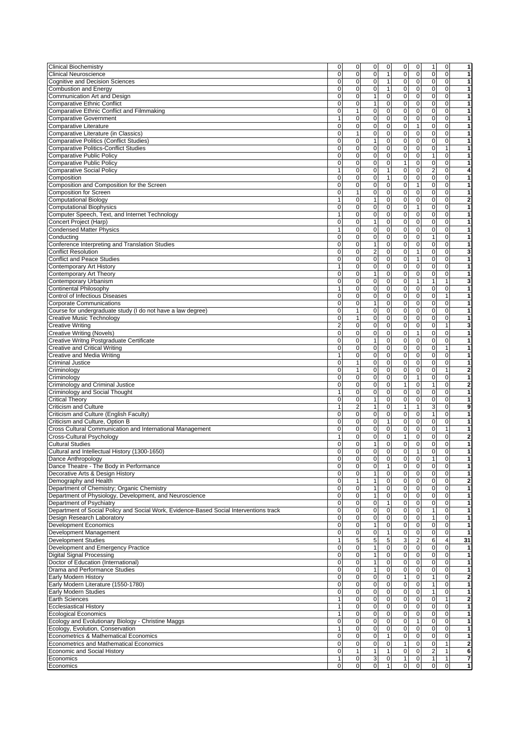| <b>Clinical Biochemistry</b>                                                                                                                                                                                                                                                                                                                                                                                                                                                                                                                                                                                                                                                                                                                                                                                                        | 0              | 0                      | 0              | 0                           | 0                                       | 0                             | 1                         | 0                           | 1                                                                                                                                                                                                                                                                                                                                         |
|-------------------------------------------------------------------------------------------------------------------------------------------------------------------------------------------------------------------------------------------------------------------------------------------------------------------------------------------------------------------------------------------------------------------------------------------------------------------------------------------------------------------------------------------------------------------------------------------------------------------------------------------------------------------------------------------------------------------------------------------------------------------------------------------------------------------------------------|----------------|------------------------|----------------|-----------------------------|-----------------------------------------|-------------------------------|---------------------------|-----------------------------|-------------------------------------------------------------------------------------------------------------------------------------------------------------------------------------------------------------------------------------------------------------------------------------------------------------------------------------------|
| <b>Clinical Neuroscience</b>                                                                                                                                                                                                                                                                                                                                                                                                                                                                                                                                                                                                                                                                                                                                                                                                        | $\mathbf 0$    | $\mathbf 0$            | $\mathbf 0$    | $\mathbf{1}$                | 0                                       | $\mathbf 0$                   | 0                         | $\mathbf 0$                 | 1                                                                                                                                                                                                                                                                                                                                         |
| <b>Cognitive and Decision Sciences</b>                                                                                                                                                                                                                                                                                                                                                                                                                                                                                                                                                                                                                                                                                                                                                                                              | 0              | 0                      | 0              | 1                           | 0                                       | $\mathbf 0$                   | 0                         | 0                           | 1                                                                                                                                                                                                                                                                                                                                         |
|                                                                                                                                                                                                                                                                                                                                                                                                                                                                                                                                                                                                                                                                                                                                                                                                                                     |                |                        |                |                             |                                         |                               |                           |                             |                                                                                                                                                                                                                                                                                                                                           |
| <b>Combustion and Energy</b>                                                                                                                                                                                                                                                                                                                                                                                                                                                                                                                                                                                                                                                                                                                                                                                                        | 0              | $\mathbf 0$            | $\mathbf 0$    | 1                           | 0                                       | $\mathbf 0$                   | $\mathbf 0$               | $\mathbf 0$                 | 1                                                                                                                                                                                                                                                                                                                                         |
| Communication Art and Design                                                                                                                                                                                                                                                                                                                                                                                                                                                                                                                                                                                                                                                                                                                                                                                                        | $\Omega$       | $\mathbf 0$            | $\mathbf{1}$   | $\mathbf 0$                 | $\mathbf 0$                             | $\mathbf 0$                   | $\mathbf 0$               | $\mathbf 0$                 | 1                                                                                                                                                                                                                                                                                                                                         |
| <b>Comparative Ethnic Conflict</b>                                                                                                                                                                                                                                                                                                                                                                                                                                                                                                                                                                                                                                                                                                                                                                                                  | 0              | $\mathbf 0$            | $\mathbf{1}$   | $\mathbf 0$                 | 0                                       | $\pmb{0}$                     | $\mathbf 0$               | $\mathbf 0$                 | 1                                                                                                                                                                                                                                                                                                                                         |
|                                                                                                                                                                                                                                                                                                                                                                                                                                                                                                                                                                                                                                                                                                                                                                                                                                     |                |                        |                |                             |                                         |                               |                           |                             |                                                                                                                                                                                                                                                                                                                                           |
| <b>Comparative Ethnic Conflict and Filmmaking</b>                                                                                                                                                                                                                                                                                                                                                                                                                                                                                                                                                                                                                                                                                                                                                                                   | $\mathbf 0$    | 1                      | $\pmb{0}$      | $\pmb{0}$                   | $\pmb{0}$                               | $\pmb{0}$                     | $\mathbf 0$               | $\mathbf 0$                 | 1                                                                                                                                                                                                                                                                                                                                         |
| <b>Comparative Government</b>                                                                                                                                                                                                                                                                                                                                                                                                                                                                                                                                                                                                                                                                                                                                                                                                       | 1              | $\mathbf 0$            | $\pmb{0}$      | $\mathsf 0$                 | 0                                       | $\mathbf 0$                   | $\mathbf 0$               | $\mathbf 0$                 | 1                                                                                                                                                                                                                                                                                                                                         |
| <b>Comparative Literature</b>                                                                                                                                                                                                                                                                                                                                                                                                                                                                                                                                                                                                                                                                                                                                                                                                       | 0              | $\mathbf 0$            | 0              | $\mathbf 0$                 | 0                                       | $\mathbf{1}$                  | 0                         | $\mathbf 0$                 | 1                                                                                                                                                                                                                                                                                                                                         |
|                                                                                                                                                                                                                                                                                                                                                                                                                                                                                                                                                                                                                                                                                                                                                                                                                                     |                |                        |                |                             |                                         |                               |                           |                             |                                                                                                                                                                                                                                                                                                                                           |
| Comparative Literature (in Classics)                                                                                                                                                                                                                                                                                                                                                                                                                                                                                                                                                                                                                                                                                                                                                                                                | 0              | $\mathbf{1}$           | $\mathbf 0$    | 0                           | 0                                       | $\mathbf 0$                   | $\mathbf 0$               | $\Omega$                    | $\mathbf{1}$                                                                                                                                                                                                                                                                                                                              |
| <b>Comparative Politics (Conflict Studies)</b>                                                                                                                                                                                                                                                                                                                                                                                                                                                                                                                                                                                                                                                                                                                                                                                      | 0              | 0                      | $\mathbf{1}$   | 0                           | 0                                       | $\mathbf{O}$                  | $\mathbf 0$               | $\mathbf 0$                 | 1                                                                                                                                                                                                                                                                                                                                         |
|                                                                                                                                                                                                                                                                                                                                                                                                                                                                                                                                                                                                                                                                                                                                                                                                                                     | 0              | $\mathbf 0$            | $\mathbf 0$    | 0                           | $\overline{0}$                          | $\pmb{0}$                     | $\mathbf 0$               | $\mathbf{1}$                | 1                                                                                                                                                                                                                                                                                                                                         |
| <b>Comparative Politics-Conflict Studies</b>                                                                                                                                                                                                                                                                                                                                                                                                                                                                                                                                                                                                                                                                                                                                                                                        |                |                        |                |                             |                                         |                               |                           |                             |                                                                                                                                                                                                                                                                                                                                           |
| <b>Comparative Public Policy</b>                                                                                                                                                                                                                                                                                                                                                                                                                                                                                                                                                                                                                                                                                                                                                                                                    | 0              | 0                      | $\pmb{0}$      | $\mathsf 0$                 | 0                                       | $\mathbf{O}$                  | 1                         | $\mathbf 0$                 | 1                                                                                                                                                                                                                                                                                                                                         |
| <b>Comparative Public Policy</b>                                                                                                                                                                                                                                                                                                                                                                                                                                                                                                                                                                                                                                                                                                                                                                                                    | 0              | $\mathbf 0$            | $\mathbf 0$    | 0                           | 1                                       | $\pmb{0}$                     | $\mathbf 0$               | $\mathbf 0$                 | 1                                                                                                                                                                                                                                                                                                                                         |
|                                                                                                                                                                                                                                                                                                                                                                                                                                                                                                                                                                                                                                                                                                                                                                                                                                     | 1              | 0                      | $\mathbf 0$    | $\mathbf{1}$                | 0                                       | $\mathbf 0$                   | $\overline{\mathbf{c}}$   | $\mathbf 0$                 | 4                                                                                                                                                                                                                                                                                                                                         |
| <b>Comparative Social Policy</b>                                                                                                                                                                                                                                                                                                                                                                                                                                                                                                                                                                                                                                                                                                                                                                                                    |                |                        |                |                             |                                         |                               |                           |                             |                                                                                                                                                                                                                                                                                                                                           |
| Composition                                                                                                                                                                                                                                                                                                                                                                                                                                                                                                                                                                                                                                                                                                                                                                                                                         | 0              | $\mathbf 0$            | $\mathbf 0$    | $\mathbf{1}$                | 0                                       | $\mathbf 0$                   | 0                         | $\mathbf 0$                 | 1                                                                                                                                                                                                                                                                                                                                         |
| Composition and Composition for the Screen                                                                                                                                                                                                                                                                                                                                                                                                                                                                                                                                                                                                                                                                                                                                                                                          | $\Omega$       | 0                      | $\mathbf 0$    | $\overline{0}$              | 0                                       | $\mathbf{1}$                  | 0                         | $\mathbf 0$                 | 1                                                                                                                                                                                                                                                                                                                                         |
|                                                                                                                                                                                                                                                                                                                                                                                                                                                                                                                                                                                                                                                                                                                                                                                                                                     |                |                        |                |                             |                                         |                               |                           |                             |                                                                                                                                                                                                                                                                                                                                           |
| <b>Composition for Screen</b>                                                                                                                                                                                                                                                                                                                                                                                                                                                                                                                                                                                                                                                                                                                                                                                                       | 0              | $\mathbf{1}$           | $\mathbf 0$    | $\pmb{0}$                   | $\pmb{0}$                               | $\mathbf 0$                   | $\bf 0$                   | $\mathbf 0$                 | 1                                                                                                                                                                                                                                                                                                                                         |
| <b>Computational Biology</b>                                                                                                                                                                                                                                                                                                                                                                                                                                                                                                                                                                                                                                                                                                                                                                                                        | 1              | 0                      | $\mathbf{1}$   | 0                           | 0                                       | $\mathbf{O}$                  | $\mathbf 0$               | $\mathbf 0$                 | $\overline{\mathbf{2}}$                                                                                                                                                                                                                                                                                                                   |
| <b>Computational Biophysics</b>                                                                                                                                                                                                                                                                                                                                                                                                                                                                                                                                                                                                                                                                                                                                                                                                     | 0              | 0                      | 0              | $\pmb{0}$                   | 0                                       | $\mathbf{1}$                  | $\mathbf 0$               | $\mathbf 0$                 | 1                                                                                                                                                                                                                                                                                                                                         |
|                                                                                                                                                                                                                                                                                                                                                                                                                                                                                                                                                                                                                                                                                                                                                                                                                                     |                |                        |                |                             |                                         |                               |                           |                             |                                                                                                                                                                                                                                                                                                                                           |
| Computer Speech, Text, and Internet Technology                                                                                                                                                                                                                                                                                                                                                                                                                                                                                                                                                                                                                                                                                                                                                                                      | 1              | $\mathbf 0$            | $\mathbf 0$    | 0                           | 0                                       | 0                             | 0                         | $\mathbf 0$                 | 1                                                                                                                                                                                                                                                                                                                                         |
| Concert Project (Harp)                                                                                                                                                                                                                                                                                                                                                                                                                                                                                                                                                                                                                                                                                                                                                                                                              | 0              | $\mathbf 0$            | $\mathbf{1}$   | $\pmb{0}$                   | 0                                       | $\mathbf 0$                   | $\mathbf 0$               | $\mathbf 0$                 | 1                                                                                                                                                                                                                                                                                                                                         |
|                                                                                                                                                                                                                                                                                                                                                                                                                                                                                                                                                                                                                                                                                                                                                                                                                                     |                |                        |                | $\pmb{0}$                   | 0                                       |                               |                           |                             |                                                                                                                                                                                                                                                                                                                                           |
| <b>Condensed Matter Physics</b>                                                                                                                                                                                                                                                                                                                                                                                                                                                                                                                                                                                                                                                                                                                                                                                                     | 1              | $\mathbf 0$            | $\mathbf 0$    |                             |                                         | $\mathbf 0$                   | 0                         | $\mathbf 0$                 | 1                                                                                                                                                                                                                                                                                                                                         |
| Conducting                                                                                                                                                                                                                                                                                                                                                                                                                                                                                                                                                                                                                                                                                                                                                                                                                          | 0              | 0                      | $\mathbf 0$    | 0                           | 0                                       | $\mathbf 0$                   | 1                         | $\mathbf 0$                 | 1                                                                                                                                                                                                                                                                                                                                         |
| Conference Interpreting and Translation Studies                                                                                                                                                                                                                                                                                                                                                                                                                                                                                                                                                                                                                                                                                                                                                                                     | 0              | 0                      | 1              | 0                           | 0                                       | $\mathbf 0$                   | $\mathbf 0$               | 0                           | 1                                                                                                                                                                                                                                                                                                                                         |
|                                                                                                                                                                                                                                                                                                                                                                                                                                                                                                                                                                                                                                                                                                                                                                                                                                     |                |                        |                |                             |                                         |                               |                           |                             |                                                                                                                                                                                                                                                                                                                                           |
| <b>Conflict Resolution</b>                                                                                                                                                                                                                                                                                                                                                                                                                                                                                                                                                                                                                                                                                                                                                                                                          | 0              | $\mathbf 0$            | $\overline{2}$ | 0                           | 0                                       | $\mathbf{1}$                  | 0                         | $\mathbf 0$                 | 3                                                                                                                                                                                                                                                                                                                                         |
| <b>Conflict and Peace Studies</b>                                                                                                                                                                                                                                                                                                                                                                                                                                                                                                                                                                                                                                                                                                                                                                                                   | 0              | $\mathbf 0$            | $\mathbf 0$    | 0                           | 0                                       | $\mathbf{1}$                  | 0                         | $\mathbf 0$                 | 1                                                                                                                                                                                                                                                                                                                                         |
| Contemporary Art History                                                                                                                                                                                                                                                                                                                                                                                                                                                                                                                                                                                                                                                                                                                                                                                                            | 1              | $\mathbf 0$            | $\mathbf 0$    | 0                           | 0                                       | $\mathbf 0$                   | 0                         | $\mathbf 0$                 | 1                                                                                                                                                                                                                                                                                                                                         |
|                                                                                                                                                                                                                                                                                                                                                                                                                                                                                                                                                                                                                                                                                                                                                                                                                                     |                |                        |                |                             |                                         |                               |                           |                             |                                                                                                                                                                                                                                                                                                                                           |
| Contemporary Art Theory                                                                                                                                                                                                                                                                                                                                                                                                                                                                                                                                                                                                                                                                                                                                                                                                             | $\mathbf 0$    | $\mathbf 0$            | $\mathbf{1}$   | 0                           | $\pmb{0}$                               | $\mathbf 0$                   | $\mathbf 0$               | $\mathbf 0$                 | 1                                                                                                                                                                                                                                                                                                                                         |
| Contemporary Urbanism                                                                                                                                                                                                                                                                                                                                                                                                                                                                                                                                                                                                                                                                                                                                                                                                               | 0              | 0                      | $\pmb{0}$      | $\pmb{0}$                   | 0                                       | $\mathbf{1}$                  | 1                         | $\mathbf{1}$                | 3                                                                                                                                                                                                                                                                                                                                         |
| Continental Philosophy                                                                                                                                                                                                                                                                                                                                                                                                                                                                                                                                                                                                                                                                                                                                                                                                              | 1              | 0                      | 0              | 0                           | 0                                       | $\mathbf 0$                   | $\mathbf 0$               | 0                           | 1                                                                                                                                                                                                                                                                                                                                         |
|                                                                                                                                                                                                                                                                                                                                                                                                                                                                                                                                                                                                                                                                                                                                                                                                                                     |                |                        |                |                             |                                         |                               |                           |                             |                                                                                                                                                                                                                                                                                                                                           |
| Control of Infectious Diseases                                                                                                                                                                                                                                                                                                                                                                                                                                                                                                                                                                                                                                                                                                                                                                                                      | 0              | $\mathbf 0$            | $\mathbf 0$    | $\mathbf 0$                 | 0                                       | $\mathbf 0$                   | $\mathbf 0$               | 1                           | 1                                                                                                                                                                                                                                                                                                                                         |
| <b>Corporate Communications</b>                                                                                                                                                                                                                                                                                                                                                                                                                                                                                                                                                                                                                                                                                                                                                                                                     | 0              | 0                      | $\mathbf{1}$   | 0                           | 0                                       | 0                             | 0                         | 0                           | 1                                                                                                                                                                                                                                                                                                                                         |
|                                                                                                                                                                                                                                                                                                                                                                                                                                                                                                                                                                                                                                                                                                                                                                                                                                     |                |                        |                |                             |                                         |                               |                           |                             |                                                                                                                                                                                                                                                                                                                                           |
| Course for undergraduate study (I do not have a law degree)                                                                                                                                                                                                                                                                                                                                                                                                                                                                                                                                                                                                                                                                                                                                                                         | 0              | $\mathbf{1}$           | $\mathbf 0$    | $\pmb{0}$                   | 0                                       | $\pmb{0}$                     | $\mathbf 0$               | $\mathbf 0$                 | 1                                                                                                                                                                                                                                                                                                                                         |
| <b>Creative Music Technology</b>                                                                                                                                                                                                                                                                                                                                                                                                                                                                                                                                                                                                                                                                                                                                                                                                    | 0              | $\mathbf{1}$           | $\pmb{0}$      | 0                           | 0                                       | $\mathbf 0$                   | $\pmb{0}$                 | $\mathbf 0$                 | 1                                                                                                                                                                                                                                                                                                                                         |
| <b>Creative Writing</b>                                                                                                                                                                                                                                                                                                                                                                                                                                                                                                                                                                                                                                                                                                                                                                                                             | $\overline{c}$ | $\mathbf 0$            | $\pmb{0}$      | 0                           | 0                                       | 0                             | 0                         | 1                           | 3                                                                                                                                                                                                                                                                                                                                         |
|                                                                                                                                                                                                                                                                                                                                                                                                                                                                                                                                                                                                                                                                                                                                                                                                                                     |                |                        |                |                             |                                         |                               |                           |                             |                                                                                                                                                                                                                                                                                                                                           |
| <b>Creative Writing (Novels)</b>                                                                                                                                                                                                                                                                                                                                                                                                                                                                                                                                                                                                                                                                                                                                                                                                    | 0              | $\mathbf 0$            | 0              | $\mathbf 0$                 | 0                                       | $\mathbf{1}$                  | $\mathbf 0$               | 0                           | 1                                                                                                                                                                                                                                                                                                                                         |
| Creative Writng Postgraduate Certificate                                                                                                                                                                                                                                                                                                                                                                                                                                                                                                                                                                                                                                                                                                                                                                                            | 0              | $\mathbf 0$            | $\mathbf{1}$   | 0                           | 0                                       | 0                             | 0                         | $\mathbf 0$                 | 1                                                                                                                                                                                                                                                                                                                                         |
|                                                                                                                                                                                                                                                                                                                                                                                                                                                                                                                                                                                                                                                                                                                                                                                                                                     |                | $\mathbf 0$            | $\mathbf 0$    | $\mathbf 0$                 | 0                                       | $\mathbf 0$                   | $\mathbf 0$               |                             |                                                                                                                                                                                                                                                                                                                                           |
| <b>Creative and Critical Writing</b>                                                                                                                                                                                                                                                                                                                                                                                                                                                                                                                                                                                                                                                                                                                                                                                                | 0              |                        |                |                             |                                         |                               |                           | $\mathbf{1}$                | 1                                                                                                                                                                                                                                                                                                                                         |
| Creative and Media Writing                                                                                                                                                                                                                                                                                                                                                                                                                                                                                                                                                                                                                                                                                                                                                                                                          | 1              | $\mathbf 0$            | $\pmb{0}$      | $\overline{0}$              | $\overline{0}$                          | $\pmb{0}$                     | $\pmb{0}$                 | $\pmb{0}$                   | 1                                                                                                                                                                                                                                                                                                                                         |
| <b>Criminal Justice</b>                                                                                                                                                                                                                                                                                                                                                                                                                                                                                                                                                                                                                                                                                                                                                                                                             | $\mathbf 0$    |                        |                | $\mathbf 0$                 | 0                                       | $\mathbf 0$                   | $\mathbf 0$               | $\mathbf 0$                 | 1                                                                                                                                                                                                                                                                                                                                         |
|                                                                                                                                                                                                                                                                                                                                                                                                                                                                                                                                                                                                                                                                                                                                                                                                                                     |                |                        |                |                             |                                         |                               |                           |                             |                                                                                                                                                                                                                                                                                                                                           |
|                                                                                                                                                                                                                                                                                                                                                                                                                                                                                                                                                                                                                                                                                                                                                                                                                                     |                | 1                      | $\mathbf 0$    |                             |                                         |                               |                           |                             |                                                                                                                                                                                                                                                                                                                                           |
|                                                                                                                                                                                                                                                                                                                                                                                                                                                                                                                                                                                                                                                                                                                                                                                                                                     | 0              | $\mathbf{1}$           | $\pmb{0}$      | 0                           | 0                                       | $\mathbf 0$                   | $\mathbf 0$               | $\mathbf{1}$                |                                                                                                                                                                                                                                                                                                                                           |
|                                                                                                                                                                                                                                                                                                                                                                                                                                                                                                                                                                                                                                                                                                                                                                                                                                     | 0              | $\mathbf 0$            | $\mathbf 0$    | 0                           | 0                                       | $\mathbf{1}$                  | 0                         | $\mathbf 0$                 |                                                                                                                                                                                                                                                                                                                                           |
|                                                                                                                                                                                                                                                                                                                                                                                                                                                                                                                                                                                                                                                                                                                                                                                                                                     |                |                        |                |                             |                                         |                               |                           |                             |                                                                                                                                                                                                                                                                                                                                           |
|                                                                                                                                                                                                                                                                                                                                                                                                                                                                                                                                                                                                                                                                                                                                                                                                                                     | 0              | $\mathbf 0$            | $\mathbf 0$    | 0                           | $\mathbf{1}$                            | $\mathbf 0$                   | 1                         | $\mathbf 0$                 | $\overline{2}$                                                                                                                                                                                                                                                                                                                            |
|                                                                                                                                                                                                                                                                                                                                                                                                                                                                                                                                                                                                                                                                                                                                                                                                                                     | 1              | $\mathbf 0$            | 0              | 0                           | 0                                       | $\mathbf 0$                   | $\mathbf 0$               | $\mathbf 0$                 |                                                                                                                                                                                                                                                                                                                                           |
|                                                                                                                                                                                                                                                                                                                                                                                                                                                                                                                                                                                                                                                                                                                                                                                                                                     | $\mathbf 0$    | $\mathbf 0$            | $\mathbf{1}$   | 0                           | $\pmb{0}$                               | $\mathbf 0$                   | $\mathbf 0$               | $\mathbf 0$                 |                                                                                                                                                                                                                                                                                                                                           |
|                                                                                                                                                                                                                                                                                                                                                                                                                                                                                                                                                                                                                                                                                                                                                                                                                                     |                |                        |                |                             |                                         |                               |                           |                             |                                                                                                                                                                                                                                                                                                                                           |
|                                                                                                                                                                                                                                                                                                                                                                                                                                                                                                                                                                                                                                                                                                                                                                                                                                     | 1              | $\overline{2}$         | $\mathbf{1}$   | 0                           | 1                                       | 1                             | $\overline{3}$            | $\mathbf 0$                 |                                                                                                                                                                                                                                                                                                                                           |
|                                                                                                                                                                                                                                                                                                                                                                                                                                                                                                                                                                                                                                                                                                                                                                                                                                     | 0              | 0                      | 0              | 0                           | 0                                       | 0                             | $\mathbf{1}$              | $\mathbf 0$                 |                                                                                                                                                                                                                                                                                                                                           |
|                                                                                                                                                                                                                                                                                                                                                                                                                                                                                                                                                                                                                                                                                                                                                                                                                                     |                |                        |                |                             |                                         |                               |                           |                             |                                                                                                                                                                                                                                                                                                                                           |
| Criticism and Culture, Option B                                                                                                                                                                                                                                                                                                                                                                                                                                                                                                                                                                                                                                                                                                                                                                                                     | 0              | $\mathbf 0$            | $\mathbf 0$    | $\mathbf{1}$                | 0                                       | $\mathbf 0$                   | $\mathbf 0$               | $\mathbf 0$                 |                                                                                                                                                                                                                                                                                                                                           |
|                                                                                                                                                                                                                                                                                                                                                                                                                                                                                                                                                                                                                                                                                                                                                                                                                                     | 0              | $\mathbf 0$            | $\mathbf 0$    | 0                           | 0                                       | $\mathbf{0}$                  | 0                         | $\mathbf{1}$                |                                                                                                                                                                                                                                                                                                                                           |
| Criminology<br>Criminology<br>Criminology and Criminal Justice<br>Criminology and Social Thought<br><b>Critical Theory</b><br>Criticism and Culture<br>Criticism and Culture (English Faculty)<br>Cross Cultural Communication and International Management<br>Cross-Cultural Psychology                                                                                                                                                                                                                                                                                                                                                                                                                                                                                                                                            | 1              | $\mathbf 0$            | $\pmb{0}$      | $\pmb{0}$                   | $\overline{1}$                          | $\pmb{0}$                     | $\mathbf 0$               | $\mathbf 0$                 |                                                                                                                                                                                                                                                                                                                                           |
|                                                                                                                                                                                                                                                                                                                                                                                                                                                                                                                                                                                                                                                                                                                                                                                                                                     | 0              | 0                      | $\mathbf{1}$   |                             |                                         | $\mathbf 0$                   |                           | $\mathbf 0$                 |                                                                                                                                                                                                                                                                                                                                           |
|                                                                                                                                                                                                                                                                                                                                                                                                                                                                                                                                                                                                                                                                                                                                                                                                                                     |                |                        |                | 0                           | 0                                       |                               | 0                         |                             |                                                                                                                                                                                                                                                                                                                                           |
|                                                                                                                                                                                                                                                                                                                                                                                                                                                                                                                                                                                                                                                                                                                                                                                                                                     | $\Omega$       | 0                      | $\mathbf 0$    | 0                           | $\overline{0}$                          | $\mathbf{1}$                  | $\overline{0}$            | $\Omega$                    |                                                                                                                                                                                                                                                                                                                                           |
| Dance Anthropology                                                                                                                                                                                                                                                                                                                                                                                                                                                                                                                                                                                                                                                                                                                                                                                                                  | 0              | $\mathbf 0$            | $\pmb{0}$      | $\bf 0$                     | 0                                       | $\mathbf 0$                   | 1                         | $\pmb{0}$                   |                                                                                                                                                                                                                                                                                                                                           |
|                                                                                                                                                                                                                                                                                                                                                                                                                                                                                                                                                                                                                                                                                                                                                                                                                                     | 0              |                        | $\mathbf 0$    |                             |                                         |                               |                           |                             |                                                                                                                                                                                                                                                                                                                                           |
| Dance Theatre - The Body in Performance                                                                                                                                                                                                                                                                                                                                                                                                                                                                                                                                                                                                                                                                                                                                                                                             |                | 0                      |                | 1                           | 0                                       | 0                             | 0                         | 0                           |                                                                                                                                                                                                                                                                                                                                           |
|                                                                                                                                                                                                                                                                                                                                                                                                                                                                                                                                                                                                                                                                                                                                                                                                                                     | 0              | 0                      | $\mathbf{1}$   | $\overline{0}$              | 0                                       | $\mathbf 0$                   | $\overline{\mathbf{0}}$   | $\mathbf 0$                 |                                                                                                                                                                                                                                                                                                                                           |
|                                                                                                                                                                                                                                                                                                                                                                                                                                                                                                                                                                                                                                                                                                                                                                                                                                     | 0              | $\mathbf{1}$           | $\mathbf{1}$   | 0                           | $\pmb{0}$                               | $\mathbf 0$                   | $\bf 0$                   | $\pmb{0}$                   |                                                                                                                                                                                                                                                                                                                                           |
|                                                                                                                                                                                                                                                                                                                                                                                                                                                                                                                                                                                                                                                                                                                                                                                                                                     | 0              | $\pmb{0}$              | $\mathbf{1}$   | 0                           | 0                                       | $\pmb{0}$                     | 0                         | 0                           |                                                                                                                                                                                                                                                                                                                                           |
|                                                                                                                                                                                                                                                                                                                                                                                                                                                                                                                                                                                                                                                                                                                                                                                                                                     |                |                        |                |                             |                                         |                               |                           |                             |                                                                                                                                                                                                                                                                                                                                           |
| Department of Physiology, Development, and Neuroscience                                                                                                                                                                                                                                                                                                                                                                                                                                                                                                                                                                                                                                                                                                                                                                             | 0              | 0                      | 1              | $\pmb{0}$                   | 0                                       | $\overline{0}$                | $\pmb{0}$                 | $\mathbf 0$                 |                                                                                                                                                                                                                                                                                                                                           |
| Department of Psychiatry                                                                                                                                                                                                                                                                                                                                                                                                                                                                                                                                                                                                                                                                                                                                                                                                            | 0              | $\mathbf 0$            | $\mathbf 0$    | $\mathbf{1}$                | 0                                       | $\mathbf 0$                   | $\mathbf 0$               | $\mathbf 0$                 |                                                                                                                                                                                                                                                                                                                                           |
|                                                                                                                                                                                                                                                                                                                                                                                                                                                                                                                                                                                                                                                                                                                                                                                                                                     | 0              | 0                      | 0              | 0                           | 0                                       | $\mathbf 0$                   | $\mathbf{1}$              | $\mathbf 0$                 |                                                                                                                                                                                                                                                                                                                                           |
|                                                                                                                                                                                                                                                                                                                                                                                                                                                                                                                                                                                                                                                                                                                                                                                                                                     |                |                        |                |                             |                                         |                               |                           |                             |                                                                                                                                                                                                                                                                                                                                           |
|                                                                                                                                                                                                                                                                                                                                                                                                                                                                                                                                                                                                                                                                                                                                                                                                                                     | 0              | $\mathbf 0$            | 0              | 0                           | 0                                       | $\mathbf 0$                   | $\mathbf{1}$              | $\mathbf 0$                 |                                                                                                                                                                                                                                                                                                                                           |
|                                                                                                                                                                                                                                                                                                                                                                                                                                                                                                                                                                                                                                                                                                                                                                                                                                     | $\mathbf 0$    | $\mathbf 0$            | $\mathbf{1}$   | $\overline{0}$              | $\overline{0}$                          | $\mathbf 0$                   | $\overline{0}$            | $\mathbf 0$                 |                                                                                                                                                                                                                                                                                                                                           |
|                                                                                                                                                                                                                                                                                                                                                                                                                                                                                                                                                                                                                                                                                                                                                                                                                                     |                |                        |                |                             |                                         |                               |                           |                             |                                                                                                                                                                                                                                                                                                                                           |
|                                                                                                                                                                                                                                                                                                                                                                                                                                                                                                                                                                                                                                                                                                                                                                                                                                     | 0              | $\pmb{0}$              | 0              | $\mathbf{1}$                | 0                                       | $\pmb{0}$                     | $\mathbf 0$               | $\pmb{0}$                   |                                                                                                                                                                                                                                                                                                                                           |
| <b>Development Studies</b>                                                                                                                                                                                                                                                                                                                                                                                                                                                                                                                                                                                                                                                                                                                                                                                                          | 1              | 5                      | 5              | 5                           | 3                                       | $\overline{\mathbf{c}}$       | 6                         | $\overline{\mathbf{4}}$     |                                                                                                                                                                                                                                                                                                                                           |
|                                                                                                                                                                                                                                                                                                                                                                                                                                                                                                                                                                                                                                                                                                                                                                                                                                     | 0              | 0                      | $\mathbf{1}$   | 0                           | 0                                       | $\pmb{0}$                     | $\pmb{0}$                 | $\mathbf 0$                 |                                                                                                                                                                                                                                                                                                                                           |
|                                                                                                                                                                                                                                                                                                                                                                                                                                                                                                                                                                                                                                                                                                                                                                                                                                     |                |                        |                |                             |                                         |                               |                           |                             |                                                                                                                                                                                                                                                                                                                                           |
|                                                                                                                                                                                                                                                                                                                                                                                                                                                                                                                                                                                                                                                                                                                                                                                                                                     | 0              | 0                      | $\mathbf{1}$   | 0                           | 0                                       | $\mathbf 0$                   | 0                         | 0                           |                                                                                                                                                                                                                                                                                                                                           |
|                                                                                                                                                                                                                                                                                                                                                                                                                                                                                                                                                                                                                                                                                                                                                                                                                                     | $\mathbf 0$    | 0                      | $\mathbf{1}$   | 0                           | 0                                       | $\mathbf 0$                   | $\bf 0$                   | $\mathbf 0$                 |                                                                                                                                                                                                                                                                                                                                           |
|                                                                                                                                                                                                                                                                                                                                                                                                                                                                                                                                                                                                                                                                                                                                                                                                                                     | 0              | 0                      | $\mathbf{1}$   | 0                           | 0                                       | $\mathbf 0$                   | $\pmb{0}$                 | $\mathbf 0$                 |                                                                                                                                                                                                                                                                                                                                           |
|                                                                                                                                                                                                                                                                                                                                                                                                                                                                                                                                                                                                                                                                                                                                                                                                                                     |                |                        |                |                             |                                         |                               |                           |                             |                                                                                                                                                                                                                                                                                                                                           |
|                                                                                                                                                                                                                                                                                                                                                                                                                                                                                                                                                                                                                                                                                                                                                                                                                                     | 0              | 0                      | 0              | $\overline{0}$              | 1                                       | $\mathbf 0$                   | $\mathbf{1}$              | 0                           |                                                                                                                                                                                                                                                                                                                                           |
|                                                                                                                                                                                                                                                                                                                                                                                                                                                                                                                                                                                                                                                                                                                                                                                                                                     | 0              | $\mathbf 0$            | $\mathbf 0$    | $\mathbf 0$                 | 0                                       | $\pmb{0}$                     | $\mathbf{1}$              | $\mathbf 0$                 |                                                                                                                                                                                                                                                                                                                                           |
|                                                                                                                                                                                                                                                                                                                                                                                                                                                                                                                                                                                                                                                                                                                                                                                                                                     | $\mathbf 0$    | $\mathbf 0$            | $\mathbf 0$    |                             |                                         | $\mathbf{O}$                  |                           | $\mathbf 0$                 |                                                                                                                                                                                                                                                                                                                                           |
|                                                                                                                                                                                                                                                                                                                                                                                                                                                                                                                                                                                                                                                                                                                                                                                                                                     |                |                        |                | 0                           | 0                                       |                               | 1                         |                             |                                                                                                                                                                                                                                                                                                                                           |
|                                                                                                                                                                                                                                                                                                                                                                                                                                                                                                                                                                                                                                                                                                                                                                                                                                     | 1              | $\mathbf 0$            | $\pmb{0}$      | 0                           | 0                                       | $\mathbf 0$                   | $\mathbf 0$               | $\mathbf{1}$                |                                                                                                                                                                                                                                                                                                                                           |
|                                                                                                                                                                                                                                                                                                                                                                                                                                                                                                                                                                                                                                                                                                                                                                                                                                     | 1              | $\mathbf 0$            | $\pmb{0}$      | 0                           | 0                                       | $\pmb{0}$                     | $\mathbf 0$               | $\pmb{0}$                   |                                                                                                                                                                                                                                                                                                                                           |
|                                                                                                                                                                                                                                                                                                                                                                                                                                                                                                                                                                                                                                                                                                                                                                                                                                     |                |                        |                |                             |                                         |                               |                           |                             |                                                                                                                                                                                                                                                                                                                                           |
|                                                                                                                                                                                                                                                                                                                                                                                                                                                                                                                                                                                                                                                                                                                                                                                                                                     | 1              | $\mathbf 0$            | $\pmb{0}$      | 0                           | 0                                       | $\mathbf 0$                   | 0                         | $\pmb{0}$                   |                                                                                                                                                                                                                                                                                                                                           |
|                                                                                                                                                                                                                                                                                                                                                                                                                                                                                                                                                                                                                                                                                                                                                                                                                                     | 0              | 0                      | 0              | $\pmb{0}$                   | 0                                       | $\mathbf{1}$                  | $\bf 0$                   | $\mathbf 0$                 |                                                                                                                                                                                                                                                                                                                                           |
|                                                                                                                                                                                                                                                                                                                                                                                                                                                                                                                                                                                                                                                                                                                                                                                                                                     | 1              | $\mathbf 0$            | $\mathbf 0$    | 0                           | 0                                       | $\pmb{0}$                     | $\mathbf 0$               | $\mathbf 0$                 |                                                                                                                                                                                                                                                                                                                                           |
|                                                                                                                                                                                                                                                                                                                                                                                                                                                                                                                                                                                                                                                                                                                                                                                                                                     |                |                        |                |                             |                                         |                               |                           |                             |                                                                                                                                                                                                                                                                                                                                           |
| <b>Cultural Studies</b><br>Cultural and Intellectual History (1300-1650)<br>Decorative Arts & Design History<br>Demography and Health<br>Department of Chemistry; Organic Chemistry<br>Department of Social Policy and Social Work, Evidence-Based Social Interventions track<br>Design Research Laboratory<br><b>Development Economics</b><br>Development Management<br>Development and Emergency Practice<br><b>Digital Signal Processing</b><br>Doctor of Education (International)<br>Drama and Performance Studies<br>Early Modern History<br>Early Modern Literature (1550-1780)<br>Early Modern Studies<br>Earth Sciences<br><b>Ecclesiastical History</b><br><b>Ecological Economics</b><br>Ecology and Evolutionary Biology - Christine Maggs<br>Ecology, Evolution, Conservation<br>Econometrics & Mathematical Economics | 0              | $\mathbf 0$            | $\mathbf 0$    | $\mathbf{1}$                | $\pmb{0}$                               | $\mathbf 0$                   | $\mathbf 0$               | $\mathbf 0$                 |                                                                                                                                                                                                                                                                                                                                           |
| Econometrics and Mathematical Economics                                                                                                                                                                                                                                                                                                                                                                                                                                                                                                                                                                                                                                                                                                                                                                                             | 0              | $\mathbf 0$            | $\mathbf 0$    | 0                           | $\mathbf{1}$                            | $\mathbf 0$                   | 0                         | $\mathbf{1}$                |                                                                                                                                                                                                                                                                                                                                           |
|                                                                                                                                                                                                                                                                                                                                                                                                                                                                                                                                                                                                                                                                                                                                                                                                                                     | $\mathbf 0$    | 1                      | $\mathbf{1}$   | 1                           | $\mathbf 0$                             | $\mathbf{O}$                  |                           | $\mathbf{1}$                |                                                                                                                                                                                                                                                                                                                                           |
| Economic and Social History                                                                                                                                                                                                                                                                                                                                                                                                                                                                                                                                                                                                                                                                                                                                                                                                         |                |                        |                |                             |                                         |                               | $\mathbf 2$               |                             |                                                                                                                                                                                                                                                                                                                                           |
| Economics<br>Economics                                                                                                                                                                                                                                                                                                                                                                                                                                                                                                                                                                                                                                                                                                                                                                                                              | 1<br>0         | $\pmb{0}$<br>$\pmb{0}$ | 3<br>0         | $\pmb{0}$<br>$\overline{1}$ | $\mathbf{1}$<br>$\overline{\mathbf{0}}$ | $\overline{0}$<br>$\mathbf 0$ | $\mathbf{1}$<br>$\pmb{0}$ | $\mathbf{1}$<br>$\mathbf 0$ | $\overline{\mathbf{2}}$<br>1<br>1<br>1<br>9<br>1<br>1<br>1<br>$\overline{\mathbf{2}}$<br>1<br>1<br>1<br>1<br>1<br>$\overline{\mathbf{2}}$<br>1<br>1<br>1<br>1<br>1<br>1<br>$\mathbf{1}$<br>31<br>1<br>1<br>1<br>$\mathbf{1}$<br>2<br>1<br>1<br>$\overline{\mathbf{2}}$<br>1<br>1<br>1<br>1<br>1<br>$\overline{\mathbf{2}}$<br>6<br>7<br>1 |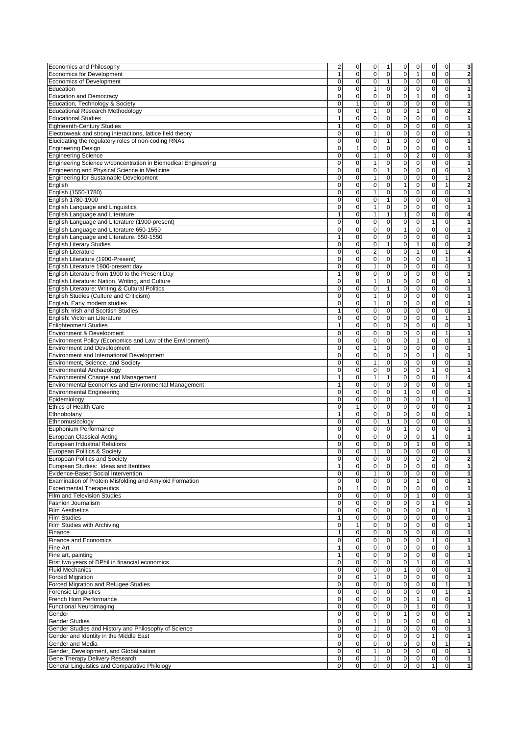| Economics and Philosophy                                                         | $\overline{\mathbf{c}}$ | 0              | $\mathbf 0$             | $\mathbf{1}$ |                         | 0              | $\mathbf 0$                 | $\mathsf 0$<br>$\overline{0}$        | $\overline{\mathbf{3}}$                             |
|----------------------------------------------------------------------------------|-------------------------|----------------|-------------------------|--------------|-------------------------|----------------|-----------------------------|--------------------------------------|-----------------------------------------------------|
|                                                                                  |                         |                |                         |              |                         |                |                             |                                      |                                                     |
| Economics for Development                                                        | $\mathbf{1}$            | $\mathbf 0$    | $\mathbf{O}$            |              | $\pmb{0}$               | $\mathbf 0$    | $\mathbf{1}$                | $\mathbf 0$<br>$\mathbf 0$           | $\overline{\mathbf{2}}$                             |
| <b>Economics of Development</b>                                                  | 0                       | 0              | $\mathbf 0$             |              | $\mathbf{1}$            | $\mathbf 0$    | $\mathbf 0$                 | $\mathbf 0$<br>0                     | 1                                                   |
| Education                                                                        | 0                       | $\pmb{0}$      | $\mathbf{1}$            |              | $\pmb{0}$               | $\pmb{0}$      | $\overline{0}$              | $\pmb{0}$<br>$\mathsf 0$             | 1                                                   |
| <b>Education and Democracy</b>                                                   | $\mathbf 0$             | $\pmb{0}$      | $\mathbf 0$             |              | $\pmb{0}$               | $\pmb{0}$      | $\mathbf{1}$                | $\pmb{0}$<br>$\mathbf 0$             | 1                                                   |
| Education, Technology & Society                                                  | 0                       | $\mathbf{1}$   | $\mathbf 0$             |              | $\mathsf 0$             | $\mathbf 0$    | $\pmb{0}$                   | $\mathsf 0$<br>$\pmb{0}$             | 1                                                   |
|                                                                                  |                         |                |                         |              |                         |                |                             |                                      |                                                     |
| <b>Educational Research Methodology</b>                                          | $\overline{0}$          | $\mathbf 0$    | $\mathbf{1}$            |              | $\mathsf 0$             | $\pmb{0}$      | $\mathbf{1}$                | $\pmb{0}$<br>$\pmb{0}$               | $\overline{\mathbf{2}}$                             |
| <b>Educational Studies</b>                                                       | $\mathbf{1}$            | $\mathbf 0$    | $\mathbf 0$             |              | $\mathsf 0$             | $\mathbf 0$    | $\mathbf 0$                 | $\mathbf 0$<br>$\mathbf 0$           | 1                                                   |
| <b>Eighteenth-Century Studies</b>                                                | $\mathbf{1}$            | $\mathbf 0$    | $\mathbf 0$             |              | $\mathsf 0$             | $\mathbf 0$    | $\pmb{0}$                   | $\pmb{0}$<br>$\mathbf 0$             | 1                                                   |
| Electroweak and strong interactions, lattice field theory                        | $\overline{0}$          | $\overline{0}$ | $\overline{1}$          |              | $\overline{\mathbf{0}}$ | $\overline{0}$ | $\overline{0}$              | $\overline{\mathbf{0}}$<br>$\pmb{0}$ | 1                                                   |
|                                                                                  | 0                       | 0              | $\mathbf 0$             |              | $\mathbf{1}$            | $\mathbf 0$    | $\mathbf 0$                 | $\mathbf 0$<br>$\mathbf 0$           | $\mathbf{1}$                                        |
| Elucidating the regulatory roles of non-coding RNAs                              |                         |                |                         |              |                         |                |                             |                                      |                                                     |
| <b>Engineering Design</b>                                                        | 0                       | $\mathbf{1}$   | $\pmb{0}$               |              | $\mathbf 0$             | $\mathbf 0$    | $\pmb{0}$                   | $\mathbf 0$<br>$\mathbf 0$           | 1                                                   |
| <b>Engineering Science</b>                                                       | $\mathbf 0$             | $\mathbf 0$    | $\mathbf{1}$            |              | $\pmb{0}$               | $\mathbf 0$    | $\overline{c}$              | $\mathbf 0$<br>$\mathbf 0$           | 3                                                   |
| Engineering Science w/concentration in Biomedical Engineering                    | 0                       | $\mathbf 0$    | $\mathbf{1}$            |              | $\pmb{0}$               | $\mathbf 0$    | $\mathbf 0$                 | $\mathbf 0$<br>$\mathbf 0$           | 1                                                   |
| Engineering and Physical Science in Medicine                                     | $\pmb{0}$               | $\mathbf 0$    | $\mathbf 0$             | $\mathbf{1}$ |                         | $\mathbf 0$    | $\mathbf 0$                 | $\mathbf 0$<br>0                     | 1                                                   |
|                                                                                  |                         |                |                         |              |                         |                |                             |                                      |                                                     |
| <b>Engineering for Sustainable Development</b>                                   | 0                       | $\mathbf 0$    | $\mathbf{1}$            |              | $\mathbf 0$             | $\pmb{0}$      | $\mathbf 0$                 | $\pmb{0}$<br>$\mathbf{1}$            | $\overline{2}$                                      |
| English                                                                          | 0                       | 0              | $\mathbf 0$             |              | $\mathbf 0$             | 1              | 0                           | $\mathbf 0$<br>1                     | 2                                                   |
| English (1550-1780)                                                              | $\pmb{0}$               | 0              | $\mathbf{1}$            |              | $\mathbf 0$             | $\mathbf 0$    | $\pmb{0}$                   | $\mathbf 0$<br>$\pmb{0}$             | 1                                                   |
| English 1780-1900                                                                | 0                       | $\mathbf 0$    | $\mathbf 0$             |              | $\mathbf{1}$            | $\mathbf 0$    | $\mathbf 0$                 | $\mathbf 0$<br>$\mathbf 0$           | 1                                                   |
|                                                                                  |                         |                |                         |              |                         |                |                             |                                      |                                                     |
| English Language and Linguistics                                                 | $\pmb{0}$               | $\mathbf 0$    | 1                       |              | $\mathsf 0$             | $\mathbf 0$    | $\pmb{0}$                   | $\mathsf 0$<br>$\mathbf 0$           | 1                                                   |
| English Language and Literature                                                  | $\overline{1}$          | $\pmb{0}$      | $\mathbf{1}$            | $\mathbf{1}$ |                         | $\mathbf{1}$   | $\pmb{0}$                   | $\mathbf 0$<br>$\pmb{0}$             | 4                                                   |
| English Language and Literature (1900-present)                                   | $\mathbf 0$             | 0              | $\mathbf 0$             |              | $\pmb{0}$               | $\mathbf 0$    | $\pmb{0}$<br>$\mathbf{1}$   | $\mathbf 0$                          | 1                                                   |
|                                                                                  |                         |                |                         |              |                         |                |                             |                                      |                                                     |
| English Language and Literature 650-1550                                         | $\mathbf 0$             | 0              | $\pmb{0}$               |              | $\mathbf 0$             | $\mathbf{1}$   | $\pmb{0}$                   | $\pmb{0}$<br>$\pmb{0}$               | 1                                                   |
| English Language and Literature, 650-1550                                        | $\mathbf{1}$            | $\mathbf 0$    | $\pmb{0}$               |              | $\pmb{0}$               | $\mathbf 0$    | $\mathbf 0$                 | $\mathbf 0$<br>$\mathbf 0$           | 1                                                   |
| <b>English Literary Studies</b>                                                  | $\mathbf 0$             | $\mathbf 0$    | $\mathbf 0$             |              | $\mathbf{1}$            | $\mathbf 0$    | $\mathbf{1}$                | $\mathbf 0$<br>$\mathbf 0$           | $\overline{2}$                                      |
| <b>English Literature</b>                                                        | 0                       | $\pmb{0}$      | $\mathbf{p}$            |              | $\pmb{0}$               | $\pmb{0}$      | $\mathbf{1}$                | $\pmb{0}$<br>$\mathbf{1}$            | 4                                                   |
|                                                                                  |                         |                |                         |              |                         |                |                             |                                      |                                                     |
| English Literature (1900-Present)                                                | $\pmb{0}$               | $\pmb{0}$      | $\mathbf 0$             |              | $\mathbf 0$             | $\mathbf 0$    | $\pmb{0}$                   | $\pmb{0}$<br>$\mathbf{1}$            | $\mathbf{1}$                                        |
| English Literature 1900-present day                                              | 0                       | 0              | $\mathbf{1}$            |              | $\mathbf 0$             | $\mathbf 0$    | $\mathbf 0$                 | $\mathbf 0$<br>$\mathbf 0$           | 1                                                   |
| English Literature from 1900 to the Present Day                                  | $\mathbf{1}$            | $\mathbf 0$    | $\mathbf 0$             |              | 0                       | $\mathbf 0$    | $\pmb{0}$                   | $\mathbf 0$<br>$\mathbf 0$           | 1                                                   |
| English Literature: Nation, Writing, and Culture                                 | $\mathbf 0$             | 0              | $\mathbf{1}$            |              | $\pmb{0}$               | $\mathbf 0$    | $\pmb{0}$                   | $\pmb{0}$<br>$\mathbf 0$             | 1                                                   |
|                                                                                  |                         |                |                         |              |                         |                |                             |                                      |                                                     |
| English Literature: Writing & Cultural Politics                                  | 0                       | 0              | $\mathbf 0$             | $\mathbf{1}$ |                         | $\mathbf 0$    | $\pmb{0}$                   | $\mathsf 0$<br>$\mathbf 0$           | 1                                                   |
| English Studies (Culture and Criticism)                                          | 0                       | $\mathbf 0$    | $\overline{1}$          |              | $\mathbf 0$             | $\mathbf 0$    | $\pmb{0}$                   | $\overline{0}$<br>$\mathbf 0$        | 1                                                   |
| English, Early modern studies                                                    | $\overline{0}$          | $\overline{0}$ | $\mathbf{1}$            |              | ō                       | $\mathbf 0$    | $\overline{0}$              | $\mathbf 0$<br>$\mathbf 0$           | 1                                                   |
|                                                                                  |                         |                |                         |              |                         |                |                             |                                      |                                                     |
| English: Irish and Scottish Studies                                              | $\mathbf{1}$            | 0              | $\mathbf 0$             |              | $\mathbf 0$             | $\mathbf 0$    | $\pmb{0}$                   | $\mathbf 0$<br>$\pmb{0}$             | 1                                                   |
| English: Victorian Literature                                                    | $\mathbf 0$             | 0              | $\pmb{0}$               |              | $\mathbf 0$             | $\pmb{0}$      | $\pmb{0}$                   | $\pmb{0}$<br>$\mathbf{1}$            | 1                                                   |
| <b>Enlightenment Studies</b>                                                     | $\mathbf{1}$            | $\mathbf 0$    | $\mathbf 0$             |              | $\overline{0}$          | $\mathbf 0$    | 0                           | $\mathbf 0$<br>$\mathbf 0$           | 1                                                   |
|                                                                                  |                         |                |                         |              |                         |                |                             |                                      |                                                     |
| Environment & Development                                                        | $\overline{0}$          | $\pmb{0}$      | $\overline{0}$          |              | $\pmb{0}$               | $\mathbf 0$    | $\pmb{0}$                   | $\pmb{0}$<br>$\mathbf{1}$            | 1                                                   |
| Environment Policy (Economics and Law of the Environment)                        | 0                       | $\pmb{0}$      | $\pmb{0}$               |              | $\mathbf 0$             | $\pmb{0}$      | $\mathbf{1}$                | $\mathbf 0$<br>$\pmb{0}$             | $\mathbf{1}$                                        |
| <b>Environment and Development</b>                                               | 0                       | 0              | $\mathbf{1}$            |              | $\mathbf 0$             | $\mathbf 0$    | 0                           | $\mathbf 0$<br>$\mathbf 0$           | $\mathbf{1}$                                        |
| <b>Environment and International Development</b>                                 | $\overline{\mathbf{0}}$ | 0              | $\pmb{0}$               |              | $\mathbf 0$             | $\pmb{0}$      | $\mathbf 0$<br>$\mathbf{1}$ | $\pmb{0}$                            | 1                                                   |
|                                                                                  |                         |                |                         |              |                         |                |                             |                                      |                                                     |
| Environment, Science, and Society                                                | $\mathbf 0$             | $\mathbf 0$    | $\mathbf{1}$            |              | $\pmb{0}$               | $\mathbf 0$    | $\mathbf 0$                 | $\pmb{0}$<br>$\mathbf 0$             | 1                                                   |
| Environmental Archaeology                                                        | 0                       | $\mathbf 0$    | $\mathbf 0$             |              | $\pmb{0}$               | $\mathbf 0$    | $\mathbf 0$                 | $\mathbf{1}$<br>$\mathbf 0$          | 1                                                   |
| Environmental Change and Management                                              | $\mathbf{1}$            | $\mathbf 0$    | $\mathbf{1}$            | $\mathbf{1}$ |                         | $\pmb{0}$      | $\pmb{0}$                   | $\mathbf 0$<br>$\mathbf{1}$          | 4                                                   |
|                                                                                  | $\mathbf{1}$            | 0              | $\mathbf 0$             | $\pmb{0}$    |                         | $\pmb{0}$      |                             | $\pmb{0}$                            |                                                     |
| Environmental Economics and Environmental Management                             |                         |                |                         |              |                         |                | $\pmb{0}$                   | $\pmb{0}$                            | 1                                                   |
| <b>Environmental Engineering</b>                                                 | $\pmb{0}$               | 0              | $\overline{0}$          |              | $\mathbf 0$             | $\mathbf{1}$   | $\pmb{0}$                   | $\mathbf 0$<br>$\pmb{0}$             | 1                                                   |
| Epidemiology                                                                     | 0                       | $\mathbf 0$    | $\mathbf 0$             |              | $\mathbf 0$             | $\pmb{0}$      | $\pmb{0}$                   | $\mathbf{1}$<br>$\mathbf 0$          | 1                                                   |
| <b>Ethics of Health Care</b>                                                     | $\overline{0}$          | $\mathbf{1}$   | $\overline{\mathbf{0}}$ |              | $\mathbf 0$             | $\mathbf 0$    | $\overline{0}$              | $\overline{0}$<br>$\mathbf 0$        | 1                                                   |
| Ethnobotany                                                                      | $\mathbf{1}$            | $\pmb{0}$      | $\mathbf 0$             |              | $\mathbf 0$             | $\mathbf 0$    | $\mathbf 0$                 | $\pmb{0}$<br>$\mathsf 0$             | 1                                                   |
|                                                                                  |                         |                |                         |              |                         |                |                             |                                      |                                                     |
| Ethnomusicology                                                                  | 0                       | $\mathbf 0$    | $\mathbf 0$             |              | $\mathbf{1}$            | $\mathbf 0$    | $\pmb{0}$                   | $\mathbf{O}$<br>$\mathsf 0$          | $\mathbf{1}$                                        |
| Euphonium Performance                                                            | 0                       | 0              | $\overline{0}$          |              | $\overline{0}$          | $\mathbf{1}$   | $\mathbf 0$                 | $\mathbf 0$<br>$\mathbf 0$           | 1                                                   |
| <b>European Classical Acting</b>                                                 | $\overline{\mathbf{0}}$ | $\pmb{0}$      | $\mathbf 0$             |              | $\overline{0}$          | $\pmb{0}$      | $\pmb{0}$<br>$\mathbf{1}$   | $\mathsf 0$                          | 1                                                   |
|                                                                                  | $\mathbf 0$             | $\pmb{0}$      | $\mathbf 0$             |              | $\mathbf 0$             | $\mathbf 0$    | $\mathbf{1}$                | $\mathbf{O}$<br>$\mathsf 0$          | 1                                                   |
| <b>European Industrial Relations</b>                                             |                         |                |                         |              |                         |                |                             |                                      |                                                     |
| European Politics & Society                                                      | 0                       | $\mathbf 0$    | 1                       |              | $\mathbf{O}$            | $\Omega$       | $\mathbf 0$                 | $\mathbf{O}$<br>$\Omega$             | 1                                                   |
| <b>European Politics and Society</b>                                             | 0                       | 0              | $\mathbf 0$             |              | 0                       | 0              | 0                           | $\overline{a}$<br>0                  | $\overline{\mathbf{2}}$                             |
| European Studies: Ideas and Itentities                                           | $\mathbf{1}$            | 0              | $\mathbf 0$             |              | $\pmb{0}$               | 0              | $\pmb{0}$                   | $\mathbf 0$<br>$\pmb{0}$             | 1                                                   |
| Evidence-Based Social Intervention                                               | 0                       |                |                         |              |                         |                |                             |                                      |                                                     |
|                                                                                  |                         | 0              | $\mathbf{1}$            |              | $\mathbf 0$             | 0              | 0                           | $\overline{0}$<br>0                  | 1                                                   |
| Examination of Protein Misfolding and Amyloid Formation                          | 0                       | 0              | $\pmb{0}$               |              | 0                       | 0              | $\mathbf{1}$                | $\mathbf 0$<br>$\pmb{0}$             | 1                                                   |
| <b>Experimental Therapeutics</b>                                                 | $\mathbf 0$             | 1              | $\mathbf 0$             |              | $\pmb{0}$               | $\mathbf 0$    | $\mathbf 0$                 | $\pmb{0}$<br>$\pmb{0}$               | 1                                                   |
| <b>FIIm and Television Studies</b>                                               | $\pmb{0}$               | 0              | $\mathbf 0$             |              | $\pmb{0}$               | $\mathbf 0$    | $\mathbf{1}$                | $\mathbf 0$<br>0                     | 1                                                   |
|                                                                                  | 0                       |                |                         |              |                         |                |                             |                                      |                                                     |
| Fashion Journalism                                                               |                         | $\mathbf 0$    | $\mathbf 0$             |              | $\mathsf 0$             | $\pmb{0}$      | $\pmb{0}$                   | $\mathbf{1}$<br>$\pmb{0}$            | 1                                                   |
| <b>Film Aesthetics</b>                                                           | 0                       | 0              | $\mathbf 0$             |              | $\mathbf 0$             | $\mathbf 0$    | 0                           | $\mathbf 0$<br>$\mathbf{1}$          | 1                                                   |
| <b>Film Studies</b>                                                              | $\mathbf{1}$            | 0              | $\pmb{0}$               |              | $\mathbf 0$             | $\mathbf 0$    | $\pmb{0}$                   | $\mathbf 0$<br>$\pmb{0}$             | 1                                                   |
| Film Studies with Archiving                                                      | 0                       | 1              | $\pmb{0}$               |              | $\pmb{0}$               | $\mathbf 0$    | 0                           | $\mathbf 0$<br>0                     | 1                                                   |
|                                                                                  | $\mathbf{1}$            | $\mathbf 0$    |                         |              |                         | 0              |                             | $\mathbf 0$                          |                                                     |
| Finance                                                                          |                         |                | $\mathbf 0$             |              | $\mathsf 0$             |                | 0                           | $\mathsf 0$                          | 1                                                   |
| <b>Finance and Economics</b>                                                     | 0                       | 0              | $\mathbf 0$             |              | $\mathsf 0$             | $\pmb{0}$      | $\mathbf{1}$<br>$\pmb{0}$   | $\pmb{0}$                            | 1                                                   |
| Fine Art                                                                         | $\mathbf{1}$            | $\pmb{0}$      | $\pmb{0}$               |              | $\mathbf 0$             | $\mathbf 0$    | $\pmb{0}$                   | $\mathbf 0$<br>$\pmb{0}$             | 1                                                   |
| Fine art, painting                                                               | 1                       | 0              | $\pmb{0}$               |              | $\mathbf 0$             | $\mathbf 0$    | $\pmb{0}$                   | $\mathbf 0$<br>$\pmb{0}$             | $\mathbf{1}$                                        |
|                                                                                  |                         |                |                         |              |                         |                |                             |                                      |                                                     |
| First two years of DPhil in financial economics                                  | 0                       | 0              | $\mathbf 0$             |              | 0                       | $\pmb{0}$      | 1                           | $\mathbf 0$<br>0                     | 1                                                   |
| <b>Fluid Mechanics</b>                                                           |                         | $\pmb{0}$      | $\pmb{0}$               |              | $\pmb{0}$               | $\mathbf{1}$   | $\pmb{0}$                   | $\pmb{0}$<br>$\pmb{0}$               | 1                                                   |
|                                                                                  | $\mathbf 0$             |                |                         |              | $\pmb{0}$               | $\pmb{0}$      | 0                           | $\mathbf 0$<br>0                     | 1                                                   |
|                                                                                  |                         | 0              | $\mathbf{1}$            |              |                         |                |                             |                                      |                                                     |
| <b>Forced Migration</b>                                                          | 0                       |                |                         |              |                         |                |                             |                                      |                                                     |
| Forced Migration and Refugee Studies                                             | 0                       | 0              | $\pmb{0}$               | 0            |                         | $\mathbf 0$    | $\mathbf 0$<br>$\mathsf 0$  | $\mathbf{1}$                         |                                                     |
|                                                                                  | 0                       | $\pmb{0}$      | $\pmb{0}$               |              | $\mathbf 0$             | 0              | $\pmb{0}$                   | $\mathbf 0$<br>$\mathbf{1}$          |                                                     |
|                                                                                  | 0                       | 0              | $\pmb{0}$               |              | $\pmb{0}$               | $\pmb{0}$      | 1                           | $\mathbf 0$<br>$\pmb{0}$             |                                                     |
| <b>Forensic Linguistics</b><br>French Horn Performance                           |                         |                |                         |              |                         |                |                             |                                      |                                                     |
| <b>Functional Neuroimaging</b>                                                   | 0                       | 0              | $\pmb{0}$               |              | 0                       | 0              | 1                           | 0<br>0                               |                                                     |
|                                                                                  | 0                       | $\mathbf 0$    | $\mathbf 0$             |              | $\mathsf 0$             | $\mathbf{1}$   | 0                           | $\mathbf 0$<br>$\mathbf 0$           |                                                     |
|                                                                                  | $\overline{0}$          | 0              | $\mathbf{1}$            |              | $\mathsf 0$             | $\mathbf 0$    | $\pmb{0}$                   | $\pmb{0}$<br>$\mathbf 0$             |                                                     |
|                                                                                  |                         |                |                         |              |                         | $\mathbf 0$    |                             |                                      |                                                     |
| Gender<br>Gender Studies<br>Gender Studies and History and Philosophy of Science | $\overline{\mathbf{0}}$ | 0              | $\mathbf{1}$            |              | $\mathbf 0$             |                | $\pmb{0}$                   | $\overline{0}$<br>$\pmb{0}$          |                                                     |
| Gender and Identity in the Middle East                                           | 0                       | 0              | $\mathbf 0$             |              | $\mathbf 0$             | $\mathbf 0$    | 0                           | $\mathbf{1}$<br>$\pmb{0}$            |                                                     |
| Gender and Media                                                                 | $\mathbf 0$             | 0              | $\mathbf 0$             |              | $\mathbf 0$             | $\mathbf 0$    | $\mathbf 0$                 | $\mathbf 0$<br>$\mathbf{1}$          |                                                     |
| Gender, Development, and Globalisation                                           | 0                       | 0              | $\mathbf{1}$            |              | 0                       | $\mathbf 0$    | 0                           | $\mathbf 0$<br>$\pmb{0}$             |                                                     |
|                                                                                  |                         |                |                         |              |                         |                |                             |                                      | 1<br>1<br>1<br>1<br>1<br>1<br>1<br>1<br>1<br>1<br>1 |
| Gene Therapy Delivery Research                                                   | 0                       | 0              | $\mathbf{1}$            |              | $\pmb{0}$               | $\mathbf 0$    | $\mathbf 0$                 | $\mathbf 0$<br>$\pmb{0}$             | 1                                                   |
| General Linguistics and Comparative Philology                                    | $\mathbf 0$             | $\mathbf 0$    | $\mathbf 0$             |              | 0                       | $\mathbf 0$    | $\mathbf 0$                 | 1<br>$\mathbf 0$                     |                                                     |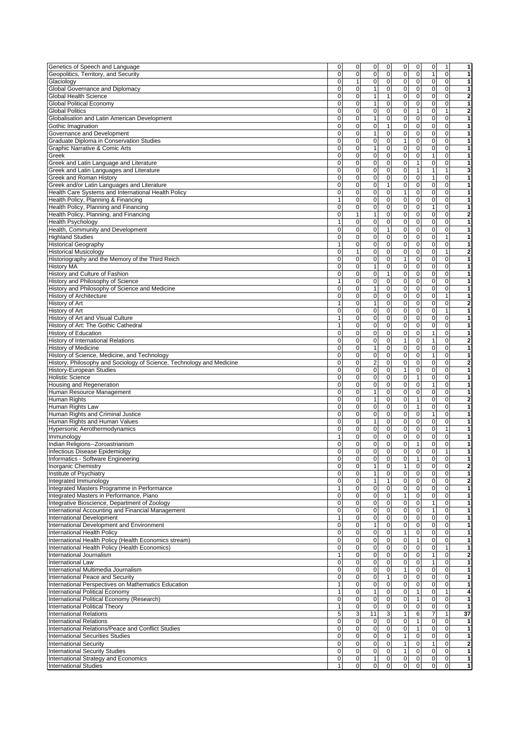| Genetics of Speech and Language                                                                                                                                                                                                                                                                                                                                                                                                                                                                                           | 0                 | 0              | 0                           | 0                        | 0                        | $\mathbf 0$                | 0                           | $\mathbf{1}$           | 1                            |
|---------------------------------------------------------------------------------------------------------------------------------------------------------------------------------------------------------------------------------------------------------------------------------------------------------------------------------------------------------------------------------------------------------------------------------------------------------------------------------------------------------------------------|-------------------|----------------|-----------------------------|--------------------------|--------------------------|----------------------------|-----------------------------|------------------------|------------------------------|
| Geopolitics, Territory, and Security                                                                                                                                                                                                                                                                                                                                                                                                                                                                                      | 0                 | $\mathbf 0$    | $\pmb{0}$                   | 0                        | 0                        | $\mathbf 0$                | 1                           | 0                      | 1                            |
|                                                                                                                                                                                                                                                                                                                                                                                                                                                                                                                           |                   |                |                             | 0                        | 0                        | $\mathbf 0$                | $\mathbf 0$                 |                        |                              |
| Glaciology                                                                                                                                                                                                                                                                                                                                                                                                                                                                                                                | 0                 | 1              | 0                           |                          |                          |                            |                             | 0                      | 1                            |
| Global Governance and Diplomacy                                                                                                                                                                                                                                                                                                                                                                                                                                                                                           | 0                 | $\mathbf 0$    | $\mathbf{1}$                | 0                        | 0                        | $\mathbf 0$                | 0                           | $\mathbf 0$            | 1                            |
| <b>Global Health Science</b>                                                                                                                                                                                                                                                                                                                                                                                                                                                                                              | 0                 | 0              | $\mathbf{1}$                | 1                        | 0                        | $\pmb{0}$                  | $\mathbf 0$                 | $\mathbf 0$            | $\overline{\mathbf{2}}$      |
| <b>Global Political Economy</b>                                                                                                                                                                                                                                                                                                                                                                                                                                                                                           | 0                 | $\mathbf 0$    | $\mathbf{1}$                | 0                        | $\pmb{0}$                | $\mathbf 0$                | $\pmb{0}$                   | $\pmb{0}$              | 1                            |
|                                                                                                                                                                                                                                                                                                                                                                                                                                                                                                                           |                   |                |                             |                          |                          |                            |                             |                        |                              |
| <b>Global Politics</b>                                                                                                                                                                                                                                                                                                                                                                                                                                                                                                    | 0                 | $\mathbf 0$    | $\mathbf 0$                 | 0                        | 0                        | $\mathbf{1}$               | $\mathbf 0$                 | $\mathbf{1}$           | $\overline{\mathbf{2}}$      |
| Globalisation and Latin American Development                                                                                                                                                                                                                                                                                                                                                                                                                                                                              | 0                 | 0              | $\mathbf{1}$                | 0                        | 0                        | $\pmb{0}$                  | $\mathbf 0$                 | 0                      | $\mathbf{1}$                 |
| Gothic Imagination                                                                                                                                                                                                                                                                                                                                                                                                                                                                                                        | 0                 | $\overline{0}$ | $\mathbf 0$                 | 1                        | 0                        | 0                          | 0                           | $\mathbf 0$            | 1                            |
|                                                                                                                                                                                                                                                                                                                                                                                                                                                                                                                           |                   |                |                             |                          |                          |                            |                             |                        |                              |
| Governance and Development                                                                                                                                                                                                                                                                                                                                                                                                                                                                                                | 0                 | 0              | $\mathbf{1}$                | 0                        | 0                        | $\mathbf 0$                | $\mathbf 0$                 | $\mathbf 0$            | 1                            |
| Graduate Diploma in Conservation Studies                                                                                                                                                                                                                                                                                                                                                                                                                                                                                  | 0                 | 0              | $\mathbf 0$                 | $\overline{0}$           | $\mathbf{1}$             | $\pmb{0}$                  | $\mathbf 0$                 | $\mathbf 0$            | 1                            |
| Graphic Narrative & Comic Arts                                                                                                                                                                                                                                                                                                                                                                                                                                                                                            | 0                 | 0              | $\mathbf{1}$                | $\mathbf 0$              | $\pmb{0}$                | $\mathbf 0$                | $\mathbf 0$                 | $\mathbf 0$            | 1                            |
|                                                                                                                                                                                                                                                                                                                                                                                                                                                                                                                           |                   |                |                             |                          |                          |                            |                             |                        |                              |
| Greek                                                                                                                                                                                                                                                                                                                                                                                                                                                                                                                     | 0                 | $\mathbf 0$    | $\pmb{0}$                   | $\mathsf 0$              | 0                        | $\mathbf 0$                | 1                           | 0                      | 1                            |
| Greek and Latin Language and Literature                                                                                                                                                                                                                                                                                                                                                                                                                                                                                   | 0                 | 0              | 0                           | 0                        | 0                        | $\mathbf{1}$               | 0                           | 0                      | 1                            |
| Greek and Latin Languages and Literature                                                                                                                                                                                                                                                                                                                                                                                                                                                                                  | 0                 | $\mathbf 0$    | $\mathbf 0$                 | 0                        | 0                        | $\mathbf{1}$               | 1                           |                        | 3                            |
|                                                                                                                                                                                                                                                                                                                                                                                                                                                                                                                           |                   |                |                             |                          |                          |                            |                             |                        |                              |
| Greek and Roman History                                                                                                                                                                                                                                                                                                                                                                                                                                                                                                   | 0                 | $\mathbf 0$    | $\mathbf 0$                 | $\mathbf 0$              | 0                        | $\mathbf 0$                | 1                           | $\mathbf 0$            | 1                            |
| Greek and/or Latin Languages and Literature                                                                                                                                                                                                                                                                                                                                                                                                                                                                               | 0                 | 0              | 0                           | $\overline{1}$           | $\overline{0}$           | $\pmb{0}$                  | $\overline{0}$              | $\mathbf 0$            | 1                            |
| Health Care Systems and International Health Policy                                                                                                                                                                                                                                                                                                                                                                                                                                                                       | 0                 | 0              | 0                           | $\pmb{0}$                | 1                        | $\pmb{0}$                  | 0                           | $\mathbf 0$            | 1                            |
|                                                                                                                                                                                                                                                                                                                                                                                                                                                                                                                           |                   |                |                             | 0                        |                          |                            |                             |                        |                              |
| Health Policy, Planning & Financing                                                                                                                                                                                                                                                                                                                                                                                                                                                                                       | 1                 | $\mathbf 0$    | $\pmb{0}$                   |                          | 0                        | $\mathbf 0$                | 0                           | $\mathbf 0$            | 1                            |
| Health Policy, Planning and Financing                                                                                                                                                                                                                                                                                                                                                                                                                                                                                     | 0                 | 0              | $\mathbf 0$                 | $\pmb{0}$                | 0                        | $\mathbf 0$                | 1                           | $\mathbf 0$            | 1                            |
| Health Policy, Planning, and Financing                                                                                                                                                                                                                                                                                                                                                                                                                                                                                    | 0                 | $\mathbf{1}$   | $\mathbf{1}$                | 0                        | 0                        | 0                          | 0                           | $\mathbf 0$            | $\mathbf 2$                  |
|                                                                                                                                                                                                                                                                                                                                                                                                                                                                                                                           | 1                 | $\mathbf 0$    | 0                           | $\mathbf 0$              | $\pmb{0}$                | 0                          | $\mathbf 0$                 | 0                      | 1                            |
| Health Psychology                                                                                                                                                                                                                                                                                                                                                                                                                                                                                                         |                   |                |                             |                          |                          |                            |                             |                        |                              |
| Health, Community and Development                                                                                                                                                                                                                                                                                                                                                                                                                                                                                         | 0                 | $\pmb{0}$      | $\pmb{0}$                   | $\mathbf{1}$             | 0                        | $\mathbf 0$                | $\pmb{0}$                   | $\mathsf 0$            | 1                            |
| <b>Highland Studies</b>                                                                                                                                                                                                                                                                                                                                                                                                                                                                                                   | 0                 | $\mathbf 0$    | 0                           | $\mathbf 0$              | 0                        | 0                          | 0                           | 1                      | 1                            |
| <b>Historical Geography</b>                                                                                                                                                                                                                                                                                                                                                                                                                                                                                               | 1                 | 0              | 0                           | $\mathbf 0$              | 0                        | $\pmb{0}$                  | $\mathbf 0$                 | 0                      | 1                            |
|                                                                                                                                                                                                                                                                                                                                                                                                                                                                                                                           |                   |                |                             |                          |                          |                            |                             |                        |                              |
| <b>Historical Musicology</b>                                                                                                                                                                                                                                                                                                                                                                                                                                                                                              | 0                 | 1              | $\mathbf 0$                 | $\mathbf 0$              | 0                        | 0                          | $\mathbf 0$                 | $\mathbf{1}$           | $\mathbf 2$                  |
| Historiography and the Memory of the Third Reich                                                                                                                                                                                                                                                                                                                                                                                                                                                                          | 0                 | 0              | $\mathbf 0$                 | $\pmb{0}$                | $\mathbf{1}$             | 0                          | $\mathbf 0$                 | $\mathbf 0$            | 1                            |
| <b>History MA</b>                                                                                                                                                                                                                                                                                                                                                                                                                                                                                                         | 0                 | $\mathbf 0$    | $\mathbf{1}$                | 0                        | 0                        | $\pmb{0}$                  | 0                           | 0                      | 1                            |
|                                                                                                                                                                                                                                                                                                                                                                                                                                                                                                                           |                   |                |                             |                          |                          |                            |                             |                        |                              |
| History and Culture of Fashion                                                                                                                                                                                                                                                                                                                                                                                                                                                                                            | 0                 | $\mathbf 0$    | $\mathbf 0$                 | $\mathbf{1}$             | 0                        | $\mathbf 0$                | $\mathbf 0$                 | $\mathbf 0$            | 1                            |
| History and Philosophy of Science                                                                                                                                                                                                                                                                                                                                                                                                                                                                                         | 1                 | $\mathbf 0$    | $\pmb{0}$                   | $\mathbf 0$              | 0                        | $\mathbf 0$                | $\mathbf 0$                 | 0                      | 1                            |
| History and Philosophy of Science and Medicine                                                                                                                                                                                                                                                                                                                                                                                                                                                                            | 0                 | $\mathbf 0$    | 1                           | 0                        | 0                        | $\mathbf 0$                | $\mathbf 0$                 | $\mathbf 0$            | 1                            |
|                                                                                                                                                                                                                                                                                                                                                                                                                                                                                                                           |                   |                |                             |                          |                          |                            |                             |                        |                              |
| <b>History of Architecture</b>                                                                                                                                                                                                                                                                                                                                                                                                                                                                                            | 0                 | $\mathbf 0$    | $\mathbf 0$                 | $\mathbf 0$              | 0                        | $\mathbf 0$                | $\mathbf 0$                 |                        | $\mathbf{1}$                 |
| History of Art                                                                                                                                                                                                                                                                                                                                                                                                                                                                                                            | 1                 | 0              | $\overline{1}$              | 0                        | 0                        | $\mathbf 0$                | 0                           | 0                      | $\mathbf{2}$                 |
| History of Art                                                                                                                                                                                                                                                                                                                                                                                                                                                                                                            | $\mathbf 0$       | $\mathbf 0$    | $\pmb{0}$                   | $\pmb{0}$                | $\pmb{0}$                | $\pmb{0}$                  | $\mathbf 0$                 | $\mathbf{1}$           | 1                            |
|                                                                                                                                                                                                                                                                                                                                                                                                                                                                                                                           |                   |                |                             | $\pmb{0}$                |                          |                            |                             | $\mathbf 0$            |                              |
| History of Art and Visual Culture                                                                                                                                                                                                                                                                                                                                                                                                                                                                                         | 1                 | $\mathbf 0$    | $\pmb{0}$                   |                          | 0                        | $\mathbf 0$                | $\mathbf 0$                 |                        | $\mathbf{1}$                 |
| History of Art: The Gothic Cathedral                                                                                                                                                                                                                                                                                                                                                                                                                                                                                      | 1                 | $\mathbf 0$    | 0                           | $\mathbf 0$              | 0                        | 0                          | 0                           | $\mathbf 0$            | 1                            |
| History of Education                                                                                                                                                                                                                                                                                                                                                                                                                                                                                                      | 0                 | $\mathbf 0$    | $\mathbf 0$                 | $\mathbf 0$              | 0                        | $\mathbf 0$                | 1                           | $\mathbf 0$            | 1                            |
|                                                                                                                                                                                                                                                                                                                                                                                                                                                                                                                           | 0                 | $\mathbf 0$    | $\mathbf 0$                 | 0                        | 1                        | $\mathbf 0$                | 1                           | $\mathbf 0$            | $\overline{\mathbf{2}}$      |
| History of International Relations                                                                                                                                                                                                                                                                                                                                                                                                                                                                                        |                   |                |                             |                          |                          |                            |                             |                        |                              |
| <b>History of Medicine</b>                                                                                                                                                                                                                                                                                                                                                                                                                                                                                                | 0                 | $\mathbf 0$    | $\overline{1}$              | $\mathbf 0$              | $\overline{0}$           | $\pmb{0}$                  | $\mathbf 0$                 | $\mathbf 0$            | $\mathbf{1}$                 |
| History of Science, Medicine, and Technology                                                                                                                                                                                                                                                                                                                                                                                                                                                                              | 0                 | $\mathbf 0$    | 0                           | 0                        | 0                        | $\mathbf 0$                | $\mathbf{1}$                | $\mathbf 0$            | 1                            |
| History, Philosophy and Sociology of Science, Technology and Medicine                                                                                                                                                                                                                                                                                                                                                                                                                                                     | 0                 | 0              | $\overline{2}$              | 0                        | 0                        | 0                          | $\mathbf 0$                 | $\mathbf 0$            | $\overline{\mathbf{2}}$      |
|                                                                                                                                                                                                                                                                                                                                                                                                                                                                                                                           |                   |                |                             |                          |                          |                            |                             |                        |                              |
| History-European Studies                                                                                                                                                                                                                                                                                                                                                                                                                                                                                                  | 0                 | $\mathbf 0$    | 0                           | 0                        | $\mathbf{1}$             | 0                          | $\mathbf 0$                 | 0                      | 1                            |
| <b>Holistic Science</b>                                                                                                                                                                                                                                                                                                                                                                                                                                                                                                   | 0                 | $\mathbf 0$    | $\mathbf 0$                 | 0                        | 0                        | $\mathbf{1}$               | 0                           | $\mathbf 0$            | 1                            |
| Housing and Regeneration                                                                                                                                                                                                                                                                                                                                                                                                                                                                                                  | 0                 | $\mathbf 0$    | $\mathbf 0$                 | $\mathbf 0$              | 0                        | $\mathbf 0$                | 1                           | $\mathbf 0$            | 1                            |
|                                                                                                                                                                                                                                                                                                                                                                                                                                                                                                                           |                   |                |                             |                          |                          |                            |                             |                        |                              |
| Human Resource Management                                                                                                                                                                                                                                                                                                                                                                                                                                                                                                 | 0                 | $\mathbf 0$    | $\mathbf{1}$                | 0                        | $\pmb{0}$                | $\mathbf 0$                | $\pmb{0}$                   | $\mathbf 0$            | 1                            |
| Human Rights                                                                                                                                                                                                                                                                                                                                                                                                                                                                                                              | 0                 | $\mathbf 0$    | $\overline{1}$              | 0                        | 0                        | $\mathbf{1}$               | 0                           | $\mathbf 0$            | $\overline{\mathbf{2}}$      |
| Human Rights Law                                                                                                                                                                                                                                                                                                                                                                                                                                                                                                          | 0                 | 0              | 0                           | $\mathsf 0$              | 0                        | 1                          | $\mathbf 0$                 | 0                      | 1                            |
|                                                                                                                                                                                                                                                                                                                                                                                                                                                                                                                           | 0                 | $\overline{0}$ | $\mathbf 0$                 | $\mathbf 0$              | 0                        | $\mathbf 0$                | 1                           | $\mathbf 0$            | 1                            |
| Human Rights and Criminal Justice                                                                                                                                                                                                                                                                                                                                                                                                                                                                                         |                   |                |                             |                          |                          |                            |                             |                        |                              |
| Human Rights and Human Values                                                                                                                                                                                                                                                                                                                                                                                                                                                                                             | 0                 | 0              | $\mathbf{1}$                | 0                        | 0                        | $\mathbf 0$                | $\mathbf 0$                 | $\mathbf 0$            | 1                            |
| Hypersonic Aerothermodynamics                                                                                                                                                                                                                                                                                                                                                                                                                                                                                             | 0                 | 0              | 0                           | $\mathsf 0$              | 0                        | $\mathbf 0$                | $\mathbf 0$                 | $\mathbf{1}$           | 1                            |
| Immunology                                                                                                                                                                                                                                                                                                                                                                                                                                                                                                                | 1                 | $\mathbf 0$    | $\pmb{0}$                   | $\mathbf 0$              | 0                        | $\pmb{0}$                  | $\pmb{0}$                   | $\mathbf 0$            | 1                            |
|                                                                                                                                                                                                                                                                                                                                                                                                                                                                                                                           |                   |                |                             |                          |                          |                            |                             |                        |                              |
| Indian Religions--Zoroastrianism                                                                                                                                                                                                                                                                                                                                                                                                                                                                                          | 0                 | $\mathbf 0$    | $\pmb{0}$                   | $\mathsf 0$              | 0                        | $\mathbf{1}$               | $\mathbf 0$                 | 0                      | 1                            |
| Infectious Disease Epidemiolgy                                                                                                                                                                                                                                                                                                                                                                                                                                                                                            | $\Omega$          | 0              | $\pmb{0}$                   | 0                        | $\overline{\mathbf{0}}$  | $\mathbf 0$                | 0                           |                        | 1                            |
| Informatics - Software Engineering                                                                                                                                                                                                                                                                                                                                                                                                                                                                                        | 0                 | $\mathbf 0$    | $\pmb{0}$                   | 0                        | 0                        | $\mathbf{1}$               | $\pmb{0}$                   | $\mathbf 0$            | 1                            |
| <b>Inorganic Chemistry</b>                                                                                                                                                                                                                                                                                                                                                                                                                                                                                                |                   | $\mathbf 0$    | $\mathbf{1}$                |                          |                          |                            | $\mathbf 0$                 |                        | $\overline{\mathbf{2}}$      |
|                                                                                                                                                                                                                                                                                                                                                                                                                                                                                                                           | 0                 |                |                             | 0                        | $\mathbf{1}$             | $\mathbf 0$                |                             | $\mathbf 0$            |                              |
| Institute of Psychiatry                                                                                                                                                                                                                                                                                                                                                                                                                                                                                                   | 0                 | 0              | $\mathbf{1}$                | $\overline{0}$           | $\overline{0}$           | $\mathbf 0$                | $\overline{0}$              | $\pmb{0}$              | 1                            |
| Integrated Immunology                                                                                                                                                                                                                                                                                                                                                                                                                                                                                                     | 0                 | $\pmb{0}$      | $\mathbf{1}$                | $\mathbf{1}$             | $\pmb{0}$                | $\pmb{0}$                  | $\pmb{0}$                   | $\pmb{0}$              | $\overline{\mathbf{2}}$      |
| Integrated Masters Programme in Performance                                                                                                                                                                                                                                                                                                                                                                                                                                                                               | 1                 | 0              | $\pmb{0}$                   | $\pmb{0}$                | 0                        | $\pmb{0}$                  | 0                           | 0                      | 1                            |
|                                                                                                                                                                                                                                                                                                                                                                                                                                                                                                                           |                   |                |                             |                          |                          |                            |                             |                        |                              |
| Integrated Masters in Performance, Piano                                                                                                                                                                                                                                                                                                                                                                                                                                                                                  | 0                 | 0              | $\pmb{0}$                   | $\pmb{0}$                | $\mathbf{1}$             | $\mathbf 0$                | $\mathbf 0$                 | $\pmb{0}$              | $\mathbf{1}$                 |
| Integrative Bioscience, Department of Zoology                                                                                                                                                                                                                                                                                                                                                                                                                                                                             | $\mathbf 0$       | $\mathbf 0$    | $\mathbf 0$                 | 0                        | 0                        | $\mathbf 0$                | 1                           | $\mathbf 0$            | 1                            |
|                                                                                                                                                                                                                                                                                                                                                                                                                                                                                                                           |                   |                | $\mathbf 0$                 | 0                        | $\overline{0}$           | $\pmb{0}$                  | $\mathbf{1}$                | $\mathbf 0$            | 1                            |
|                                                                                                                                                                                                                                                                                                                                                                                                                                                                                                                           |                   |                |                             |                          | $\pmb{0}$                | $\pmb{0}$                  | $\bf 0$                     | $\pmb{0}$              | $\mathbf{1}$                 |
|                                                                                                                                                                                                                                                                                                                                                                                                                                                                                                                           | 0                 | 0              |                             |                          |                          |                            |                             |                        |                              |
|                                                                                                                                                                                                                                                                                                                                                                                                                                                                                                                           | 1                 | $\pmb{0}$      | $\pmb{0}$                   | $\pmb{0}$                | 0                        | $\pmb{0}$                  | 0                           | 0                      | 1                            |
|                                                                                                                                                                                                                                                                                                                                                                                                                                                                                                                           | 0                 | 0              | 1                           | 0                        |                          |                            |                             |                        | 1                            |
|                                                                                                                                                                                                                                                                                                                                                                                                                                                                                                                           | 0                 |                |                             |                          |                          |                            |                             | $\pmb{0}$              |                              |
|                                                                                                                                                                                                                                                                                                                                                                                                                                                                                                                           |                   | $\pmb{0}$      | 0                           | 0                        | $\mathbf{1}$             | $\pmb{0}$                  | $\bf 0$                     |                        |                              |
| International Accounting and Financial Management<br>International Development<br>International Development and Environment<br>International Health Policy<br>International Health Policy (Health Economics stream)                                                                                                                                                                                                                                                                                                       | 0                 | $\mathbf 0$    | $\mathbf 0$                 | 0                        | 0                        | $\mathbf{1}$               | $\mathbf 0$                 | $\mathbf 0$            | 1                            |
|                                                                                                                                                                                                                                                                                                                                                                                                                                                                                                                           | 0                 | 0              | 0                           | $\pmb{0}$                | $\pmb{0}$                | $\mathbf 0$                | $\pmb{0}$                   | $\mathbf{1}$           | 1                            |
|                                                                                                                                                                                                                                                                                                                                                                                                                                                                                                                           | 1                 | $\mathbf 0$    | $\pmb{0}$                   | $\overline{0}$           | $\overline{0}$           | $\pmb{0}$                  | $\mathbf{1}$                | $\pmb{0}$              | $\overline{\mathbf{2}}$      |
|                                                                                                                                                                                                                                                                                                                                                                                                                                                                                                                           |                   |                |                             |                          |                          |                            |                             |                        |                              |
|                                                                                                                                                                                                                                                                                                                                                                                                                                                                                                                           | $\mathbf 0$       | 0              | $\pmb{0}$                   | 0                        | 0                        | $\mathbf 0$                | $\mathbf{1}$                | $\pmb{0}$              | 1                            |
|                                                                                                                                                                                                                                                                                                                                                                                                                                                                                                                           | 0                 | 0              | $\pmb{0}$                   | $\pmb{0}$                | $\mathbf{1}$             | $\mathbf 0$                | $\bf 0$                     | $\mathbf 0$            | 1                            |
|                                                                                                                                                                                                                                                                                                                                                                                                                                                                                                                           | 0                 | $\mathbf 0$    | $\pmb{0}$                   | $\overline{1}$           | $\overline{0}$           | 0                          | $\overline{0}$              | $\pmb{0}$              | 1                            |
|                                                                                                                                                                                                                                                                                                                                                                                                                                                                                                                           | 1                 |                |                             |                          |                          |                            |                             | $\mathbf 0$            | $\mathbf{1}$                 |
|                                                                                                                                                                                                                                                                                                                                                                                                                                                                                                                           |                   | 0              | $\mathbf 0$                 | 0                        | 0                        | $\pmb{0}$                  | $\mathbf 0$                 |                        |                              |
|                                                                                                                                                                                                                                                                                                                                                                                                                                                                                                                           | 1                 | $\mathbf 0$    | $\mathbf{1}$                | 0                        | 0                        | $\mathbf{1}$               | $\mathbf 0$                 | 1                      | 4                            |
|                                                                                                                                                                                                                                                                                                                                                                                                                                                                                                                           | 0                 | $\mathbf 0$    | $\mathbf 0$                 | $\overline{0}$           | $\overline{0}$           | 1                          | $\bf 0$                     | $\pmb{0}$              | 1                            |
|                                                                                                                                                                                                                                                                                                                                                                                                                                                                                                                           | 1                 |                | $\mathbf 0$                 |                          |                          |                            |                             | $\pmb{0}$              | $\mathbf{1}$                 |
|                                                                                                                                                                                                                                                                                                                                                                                                                                                                                                                           |                   | $\pmb{0}$      |                             | 0                        | 0                        | $\pmb{0}$                  | $\pmb{0}$                   |                        |                              |
|                                                                                                                                                                                                                                                                                                                                                                                                                                                                                                                           | 5                 | 3              | 11                          | 3                        | $\mathbf{1}$             | 6                          | $\overline{7}$              | $\mathbf{1}$           | 37                           |
|                                                                                                                                                                                                                                                                                                                                                                                                                                                                                                                           | 0                 | $\mathbf 0$    | $\mathbf 0$                 | $\pmb{0}$                | 0                        | $\mathbf{1}$               | $\mathbf 0$                 | $\pmb{0}$              | 1                            |
|                                                                                                                                                                                                                                                                                                                                                                                                                                                                                                                           | 0                 | 0              | $\mathsf 0$                 | $\overline{0}$           | 0                        | $\mathbf{1}$               | 0                           | 0                      | 1                            |
|                                                                                                                                                                                                                                                                                                                                                                                                                                                                                                                           |                   |                |                             |                          |                          |                            |                             |                        |                              |
| International Health Policy (Health Economics)<br>International Journalism<br>International Law<br>International Multimedia Journalism<br>International Peace and Security<br>International Perspectives on Mathematics Education<br>International Political Economy<br>International Political Economy (Research)<br>International Political Theory<br><b>International Relations</b><br><b>International Relations</b><br>International Relations/Peace and Conflict Studies<br><b>International Securities Studies</b> | 0                 | $\mathbf 0$    | 0                           | $\overline{0}$           | $\overline{1}$           | $\mathbf 0$                | $\overline{0}$              | $\mathbf 0$            | 1                            |
| <b>International Security</b>                                                                                                                                                                                                                                                                                                                                                                                                                                                                                             | 0                 | $\mathbf 0$    | $\pmb{0}$                   | $\pmb{0}$                | $\mathbf{1}$             | $\pmb{0}$                  | $\mathbf{1}$                | $\mathbf 0$            |                              |
| <b>International Security Studies</b>                                                                                                                                                                                                                                                                                                                                                                                                                                                                                     | 0                 | 0              | $\mathbf 0$                 | $\pmb{0}$                | $\mathbf{1}$             | $\overline{0}$             | $\mathbf 0$                 | $\mathbf 0$            |                              |
|                                                                                                                                                                                                                                                                                                                                                                                                                                                                                                                           |                   |                |                             |                          |                          |                            |                             |                        | $\overline{\mathbf{2}}$<br>1 |
| International Strategy and Economics<br><b>International Studies</b>                                                                                                                                                                                                                                                                                                                                                                                                                                                      | 0<br>$\mathbf{1}$ | $\pmb{0}$<br>0 | $\mathbf{1}$<br>$\mathbf 0$ | $\pmb{0}$<br>$\mathbf 0$ | $\pmb{0}$<br>$\mathbf 0$ | $\mathbf 0$<br>$\mathbf 0$ | $\pmb{0}$<br>$\overline{0}$ | $\pmb{0}$<br>$\pmb{0}$ | 1<br>1                       |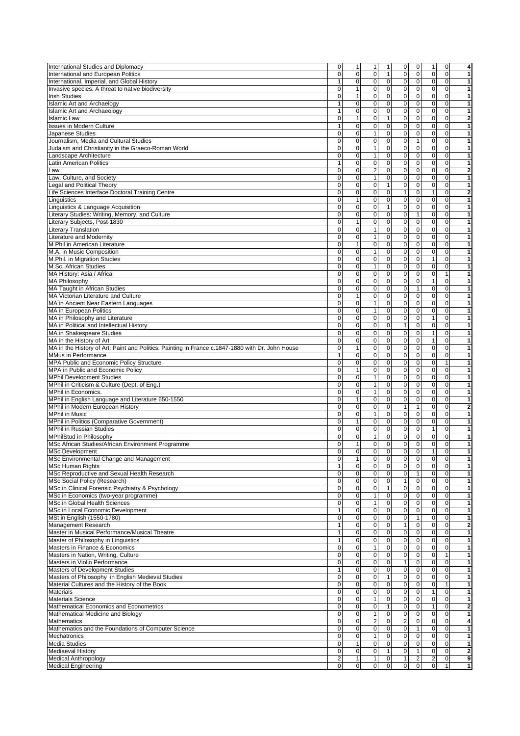| International Studies and Diplomacy<br>International and European Politics<br>International, Imperial, and Global History                                                                                                                                                                                                                                                                                                                                                                                                                                                                                                                                                                                                                                                                                                                                                                                                                                                                                                                  |                         |                     |                                  |              |                                  |              |                |
|--------------------------------------------------------------------------------------------------------------------------------------------------------------------------------------------------------------------------------------------------------------------------------------------------------------------------------------------------------------------------------------------------------------------------------------------------------------------------------------------------------------------------------------------------------------------------------------------------------------------------------------------------------------------------------------------------------------------------------------------------------------------------------------------------------------------------------------------------------------------------------------------------------------------------------------------------------------------------------------------------------------------------------------------|-------------------------|---------------------|----------------------------------|--------------|----------------------------------|--------------|----------------|
|                                                                                                                                                                                                                                                                                                                                                                                                                                                                                                                                                                                                                                                                                                                                                                                                                                                                                                                                                                                                                                            | 0                       | $\mathbf{1}$        | 1<br>1                           | 0            | $\mathbf 0$<br>1                 | $\mathbf 0$  | 4              |
|                                                                                                                                                                                                                                                                                                                                                                                                                                                                                                                                                                                                                                                                                                                                                                                                                                                                                                                                                                                                                                            | $\mathbf 0$             | $\mathbf{O}$        | 0 <br>$\mathbf{1}$               | $\mathbf 0$  | $\overline{0}$<br>$\overline{0}$ | $\mathbf{0}$ | 1              |
|                                                                                                                                                                                                                                                                                                                                                                                                                                                                                                                                                                                                                                                                                                                                                                                                                                                                                                                                                                                                                                            |                         |                     |                                  |              |                                  |              |                |
|                                                                                                                                                                                                                                                                                                                                                                                                                                                                                                                                                                                                                                                                                                                                                                                                                                                                                                                                                                                                                                            | 1                       | $\overline{0}$      | $\overline{0}$<br> 0             | 0            | 0 <br>$\overline{0}$             | $\mathbf 0$  | 1              |
| Invasive species: A threat to native biodiversity                                                                                                                                                                                                                                                                                                                                                                                                                                                                                                                                                                                                                                                                                                                                                                                                                                                                                                                                                                                          | $\mathbf 0$             | $\mathbf{1}$        | $\Omega$<br>$\pmb{0}$            | $\pmb{0}$    | $\mathbf 0$<br>$\mathbf 0$       | $\mathbf{O}$ | 1              |
|                                                                                                                                                                                                                                                                                                                                                                                                                                                                                                                                                                                                                                                                                                                                                                                                                                                                                                                                                                                                                                            |                         |                     |                                  |              |                                  |              |                |
| <b>Irish Studies</b>                                                                                                                                                                                                                                                                                                                                                                                                                                                                                                                                                                                                                                                                                                                                                                                                                                                                                                                                                                                                                       | $\mathbf 0$             | 1                   | $\Omega$<br>$\pmb{0}$            | $\pmb{0}$    | 0 <br>$\mathbf{0}$               | $\mathbf{O}$ | 1              |
| <b>Islamic Art and Archaelogy</b>                                                                                                                                                                                                                                                                                                                                                                                                                                                                                                                                                                                                                                                                                                                                                                                                                                                                                                                                                                                                          | $\mathbf{1}$            | $\mathbf 0$         | $\pmb{0}$<br> 0                  | $\pmb{0}$    | 0 <br>$\mathbf 0$                | $\mathbf{0}$ | 1              |
| <b>Islamic Art and Archaeology</b>                                                                                                                                                                                                                                                                                                                                                                                                                                                                                                                                                                                                                                                                                                                                                                                                                                                                                                                                                                                                         | $\mathbf{1}$            | $\overline{0}$      | $\overline{0}$<br>$\Omega$       | $\pmb{0}$    | 0 <br>$\mathbf 0$                | $\mathbf{0}$ | 1              |
|                                                                                                                                                                                                                                                                                                                                                                                                                                                                                                                                                                                                                                                                                                                                                                                                                                                                                                                                                                                                                                            |                         |                     |                                  |              |                                  |              |                |
| <b>Islamic Law</b>                                                                                                                                                                                                                                                                                                                                                                                                                                                                                                                                                                                                                                                                                                                                                                                                                                                                                                                                                                                                                         | 0                       | 1                   | 0 <br>$\mathbf{1}$               | $\pmb{0}$    | 0 <br>$\overline{0}$             | $\mathbf 0$  | 2              |
| <b>Issues in Modern Culture</b>                                                                                                                                                                                                                                                                                                                                                                                                                                                                                                                                                                                                                                                                                                                                                                                                                                                                                                                                                                                                            | $\mathbf{1}$            | $\overline{0}$      | $\overline{0}$<br>$\Omega$       | $\pmb{0}$    | $\overline{0}$<br>$\mathbf{0}$   | $\mathbf{0}$ | 1              |
| Japanese Studies                                                                                                                                                                                                                                                                                                                                                                                                                                                                                                                                                                                                                                                                                                                                                                                                                                                                                                                                                                                                                           | 0                       | $\overline{0}$      | $\overline{0}$<br>1              | $\pmb{0}$    | 0 <br>$\mathbf 0$                | $\mathbf{0}$ | 1              |
|                                                                                                                                                                                                                                                                                                                                                                                                                                                                                                                                                                                                                                                                                                                                                                                                                                                                                                                                                                                                                                            |                         |                     |                                  |              |                                  |              |                |
| Journalism, Media and Cultural Studies                                                                                                                                                                                                                                                                                                                                                                                                                                                                                                                                                                                                                                                                                                                                                                                                                                                                                                                                                                                                     | 0                       | $\overline{0}$      | $\pmb{0}$<br>$\mathbf 0$         | $\mathbf 0$  | $\vert$<br>$\mathbf 0$           | $\mathbf{0}$ | 1              |
| Judaism and Christianity in the Graeco-Roman World                                                                                                                                                                                                                                                                                                                                                                                                                                                                                                                                                                                                                                                                                                                                                                                                                                                                                                                                                                                         | $\mathbf 0$             | $\overline{0}$      | $\overline{0}$<br>$\mathbf{1}$   | $\pmb{0}$    | 0 <br>$\mathbf 0$                | $\mathbf{0}$ | 1              |
|                                                                                                                                                                                                                                                                                                                                                                                                                                                                                                                                                                                                                                                                                                                                                                                                                                                                                                                                                                                                                                            |                         |                     |                                  |              |                                  |              |                |
| Landscape Architecture                                                                                                                                                                                                                                                                                                                                                                                                                                                                                                                                                                                                                                                                                                                                                                                                                                                                                                                                                                                                                     | 0                       | $\mathbf 0$         | $\pmb{0}$<br>$\vert$             | $\pmb{0}$    | 0 <br>$\mathbf{0}$               | $\mathbf{0}$ | 1              |
| Latin American Politics                                                                                                                                                                                                                                                                                                                                                                                                                                                                                                                                                                                                                                                                                                                                                                                                                                                                                                                                                                                                                    | $\mathbf{1}$            | $\overline{0}$      | $\overline{0}$<br> 0             | $\pmb{0}$    | 0 <br>$\mathbf 0$                | $\mathbf{0}$ | 1              |
| _aw                                                                                                                                                                                                                                                                                                                                                                                                                                                                                                                                                                                                                                                                                                                                                                                                                                                                                                                                                                                                                                        | $\mathbf 0$             | $\mathbf 0$         | $\overline{2}$<br>$\pmb{0}$      | $\pmb{0}$    | 0 <br>$\mathbf{0}$               | $\mathbf{0}$ | 2              |
|                                                                                                                                                                                                                                                                                                                                                                                                                                                                                                                                                                                                                                                                                                                                                                                                                                                                                                                                                                                                                                            |                         |                     |                                  |              |                                  |              |                |
| Law, Culture, and Society                                                                                                                                                                                                                                                                                                                                                                                                                                                                                                                                                                                                                                                                                                                                                                                                                                                                                                                                                                                                                  | 0                       | $\mathbf 0$         | $\pmb{0}$<br>$\mathbf{1}$        | $\mathbf 0$  | $\overline{0}$<br>$\mathbf{0}$   | $\Omega$     | 1              |
| Legal and Political Theory                                                                                                                                                                                                                                                                                                                                                                                                                                                                                                                                                                                                                                                                                                                                                                                                                                                                                                                                                                                                                 | $\overline{0}$          | $\overline{0}$      | $\mathbf 0$<br>$\mathbf{1}$      | $\pmb{0}$    | 0 <br>$\mathbf 0$                | $\mathbf{0}$ | 1              |
|                                                                                                                                                                                                                                                                                                                                                                                                                                                                                                                                                                                                                                                                                                                                                                                                                                                                                                                                                                                                                                            |                         | $\overline{0}$      | 0                                |              | 0                                | $\mathbf{0}$ |                |
| Life Sciences Interface Doctoral Training Centre                                                                                                                                                                                                                                                                                                                                                                                                                                                                                                                                                                                                                                                                                                                                                                                                                                                                                                                                                                                           | $\mathbf 0$             |                     | $\pmb{0}$                        | $\mathbf{1}$ | $\mathbf{1}$                     |              | 2              |
| Linguistics                                                                                                                                                                                                                                                                                                                                                                                                                                                                                                                                                                                                                                                                                                                                                                                                                                                                                                                                                                                                                                | $\mathbf 0$             | $\mathbf{1}$        | $\overline{0}$<br> 0             | $\pmb{0}$    | 0 <br>$\mathbf{0}$               | $\mathbf{0}$ | 1              |
| Linguistics & Language Acquisition                                                                                                                                                                                                                                                                                                                                                                                                                                                                                                                                                                                                                                                                                                                                                                                                                                                                                                                                                                                                         | $\mathbf 0$             | $\mathbf 0$         | 0 <br>$\mathbf{1}$               | 0            | 0 <br>$\overline{0}$             | $\mathbf 0$  | 1              |
|                                                                                                                                                                                                                                                                                                                                                                                                                                                                                                                                                                                                                                                                                                                                                                                                                                                                                                                                                                                                                                            |                         |                     |                                  |              |                                  |              |                |
| Literary Studies: Writing, Memory, and Culture                                                                                                                                                                                                                                                                                                                                                                                                                                                                                                                                                                                                                                                                                                                                                                                                                                                                                                                                                                                             | 0                       | $\overline{0}$      | $\Omega$<br>$\pmb{0}$            | $\pmb{0}$    | $\mathbf{1}$<br>$\mathbf{0}$     | $\mathbf{0}$ | 1              |
| Literary Subjects, Post-1830                                                                                                                                                                                                                                                                                                                                                                                                                                                                                                                                                                                                                                                                                                                                                                                                                                                                                                                                                                                                               | 0                       | 1                   | $\overline{0}$<br> 0             | $\pmb{0}$    | 0 <br>$\mathbf{0}$               | $\mathbf{0}$ | 1              |
|                                                                                                                                                                                                                                                                                                                                                                                                                                                                                                                                                                                                                                                                                                                                                                                                                                                                                                                                                                                                                                            |                         |                     | $\overline{0}$<br>$\vert$ 1      |              |                                  |              |                |
| Literary Translation                                                                                                                                                                                                                                                                                                                                                                                                                                                                                                                                                                                                                                                                                                                                                                                                                                                                                                                                                                                                                       | $\mathbf 0$             | $\overline{0}$      |                                  | $\pmb{0}$    | 0 <br>$\mathbf 0$                | $\mathbf{0}$ | 1              |
| <b>Literature and Modernity</b>                                                                                                                                                                                                                                                                                                                                                                                                                                                                                                                                                                                                                                                                                                                                                                                                                                                                                                                                                                                                            | $\mathbf 0$             | $\overline{0}$      | $\pmb{0}$<br>$\vert$             | $\pmb{0}$    | 0 <br>$\mathbf{0}$               | $\mathbf{0}$ | 1              |
| M Phil in American Literature                                                                                                                                                                                                                                                                                                                                                                                                                                                                                                                                                                                                                                                                                                                                                                                                                                                                                                                                                                                                              | $\mathbf 0$             | 1                   | $\overline{0}$<br> 0             | $\pmb{0}$    | 0 <br>$\mathbf 0$                | $\mathbf 0$  | 1              |
|                                                                                                                                                                                                                                                                                                                                                                                                                                                                                                                                                                                                                                                                                                                                                                                                                                                                                                                                                                                                                                            |                         |                     |                                  |              |                                  |              |                |
| M.A. in Music Composition                                                                                                                                                                                                                                                                                                                                                                                                                                                                                                                                                                                                                                                                                                                                                                                                                                                                                                                                                                                                                  | 0                       | $\overline{0}$      | $\overline{0}$<br>$\vert$ 1      | $\pmb{0}$    | $\overline{0}$<br>$\mathbf 0$    | $\mathbf{0}$ | 1              |
| M.Phil. in Migration Studies                                                                                                                                                                                                                                                                                                                                                                                                                                                                                                                                                                                                                                                                                                                                                                                                                                                                                                                                                                                                               | 0                       | $\mathbf 0$         | $\pmb{0}$<br>$\mathbf 0$         | $\pmb{0}$    | 0 <br>$\mathbf{1}$               | $\mathbf{0}$ | 1              |
|                                                                                                                                                                                                                                                                                                                                                                                                                                                                                                                                                                                                                                                                                                                                                                                                                                                                                                                                                                                                                                            |                         | $\overline{0}$      | $\overline{0}$<br>1              |              |                                  |              | 1              |
| M.Sc. African Studies                                                                                                                                                                                                                                                                                                                                                                                                                                                                                                                                                                                                                                                                                                                                                                                                                                                                                                                                                                                                                      | 0                       |                     |                                  | $\pmb{0}$    | 0 <br>$\mathbf 0$                | $\mathbf 0$  |                |
| MA History: Asia / Africa                                                                                                                                                                                                                                                                                                                                                                                                                                                                                                                                                                                                                                                                                                                                                                                                                                                                                                                                                                                                                  | $\mathbf 0$             | $\overline{0}$      | $\overline{0}$<br>$\overline{0}$ | $\pmb{0}$    | 0 <br>$\mathbf 0$                | $\mathbf{1}$ | 1              |
| <b>MA Philosophy</b>                                                                                                                                                                                                                                                                                                                                                                                                                                                                                                                                                                                                                                                                                                                                                                                                                                                                                                                                                                                                                       | 0                       | $\mathbf 0$         | $\pmb{0}$<br> 0                  | $\pmb{0}$    | 0 <br>$\mathbf{1}$               | $\mathbf{0}$ | 1              |
|                                                                                                                                                                                                                                                                                                                                                                                                                                                                                                                                                                                                                                                                                                                                                                                                                                                                                                                                                                                                                                            |                         |                     |                                  |              |                                  |              |                |
| <b>MA Taught in African Studies</b>                                                                                                                                                                                                                                                                                                                                                                                                                                                                                                                                                                                                                                                                                                                                                                                                                                                                                                                                                                                                        | $\mathbf 0$             | $\mathbf 0$         | $\pmb{0}$<br>$\overline{0}$      | 0            | $\mathbf{1}$<br>$\overline{0}$   | $\mathbf 0$  | 1              |
| MA Victorian Literature and Culture                                                                                                                                                                                                                                                                                                                                                                                                                                                                                                                                                                                                                                                                                                                                                                                                                                                                                                                                                                                                        | $\mathbf 0$             | $\mathbf{1}$        | 0 <br>$\pmb{0}$                  | $\pmb{0}$    | 0 <br>$\mathbf 0$                | $\mathbf{0}$ | 1              |
| MA in Ancient Near Eastern Languages                                                                                                                                                                                                                                                                                                                                                                                                                                                                                                                                                                                                                                                                                                                                                                                                                                                                                                                                                                                                       | $\overline{0}$          | ō                   | $\overline{0}$<br>$\mathbf{1}$   | $\pmb{0}$    | 0 <br>$\overline{0}$             | $\mathbf{0}$ | 1              |
|                                                                                                                                                                                                                                                                                                                                                                                                                                                                                                                                                                                                                                                                                                                                                                                                                                                                                                                                                                                                                                            |                         |                     |                                  |              |                                  |              |                |
| MA in European Politics                                                                                                                                                                                                                                                                                                                                                                                                                                                                                                                                                                                                                                                                                                                                                                                                                                                                                                                                                                                                                    | $\mathbf 0$             | $\overline{0}$      | $\overline{0}$<br>1              | $\mathbf 0$  | $\mathbf 0$<br>$\mathbf 0$       | $\mathbf{0}$ | 1              |
| MA in Philosophy and Literature                                                                                                                                                                                                                                                                                                                                                                                                                                                                                                                                                                                                                                                                                                                                                                                                                                                                                                                                                                                                            | $\mathbf 0$             | $\overline{0}$      | 0 <br>$\pmb{0}$                  | $\pmb{0}$    | 0 <br>$\mathbf{1}$               | $\mathbf{0}$ | 1              |
| MA in Political and Intellectual History                                                                                                                                                                                                                                                                                                                                                                                                                                                                                                                                                                                                                                                                                                                                                                                                                                                                                                                                                                                                   | $\mathbf 0$             | $\overline{0}$      | $\overline{0}$<br> 0             | 1            | $\overline{0}$<br>$\overline{0}$ | $\mathbf{0}$ | 1              |
|                                                                                                                                                                                                                                                                                                                                                                                                                                                                                                                                                                                                                                                                                                                                                                                                                                                                                                                                                                                                                                            |                         |                     |                                  |              |                                  |              |                |
| MA in Shakespeare Studies                                                                                                                                                                                                                                                                                                                                                                                                                                                                                                                                                                                                                                                                                                                                                                                                                                                                                                                                                                                                                  | $\mathbf 0$             | $\mathbf 0$         | $\overline{0}$<br> 0             | $\pmb{0}$    | 0 <br>$\mathbf{1}$               | $\mathbf 0$  | 1              |
| MA in the History of Art                                                                                                                                                                                                                                                                                                                                                                                                                                                                                                                                                                                                                                                                                                                                                                                                                                                                                                                                                                                                                   | 0                       | $\overline{0}$      | $\pmb{0}$<br> 0                  | $\mathbf 0$  | 0 <br>$\mathbf{1}$               | $\mathbf{0}$ | 1              |
|                                                                                                                                                                                                                                                                                                                                                                                                                                                                                                                                                                                                                                                                                                                                                                                                                                                                                                                                                                                                                                            |                         |                     | $\overline{0}$                   |              |                                  |              |                |
| MA in the History of Art: Paint and Politics: Painting in France c.1847-1880 with Dr. John House                                                                                                                                                                                                                                                                                                                                                                                                                                                                                                                                                                                                                                                                                                                                                                                                                                                                                                                                           | $\mathbf 0$             | $\mathbf{1}$        | $\mathbf 0$                      | $\pmb{0}$    | 0 <br>$\mathbf{0}$               | $\mathbf{0}$ | 1              |
| MMus in Performance                                                                                                                                                                                                                                                                                                                                                                                                                                                                                                                                                                                                                                                                                                                                                                                                                                                                                                                                                                                                                        | $\mathbf{1}$            | $\boldsymbol{0}$    | $\overline{0}$<br> 0             | $\pmb{0}$    | $\overline{0}$<br>$\overline{0}$ | $\mathbf{0}$ | 1              |
| MPA Public and Economic Policy Structure                                                                                                                                                                                                                                                                                                                                                                                                                                                                                                                                                                                                                                                                                                                                                                                                                                                                                                                                                                                                   | $\mathbf 0$             | $\overline{0}$      | $\pmb{0}$<br>$\overline{0}$      | $\pmb{0}$    | $\overline{0}$<br>$\mathbf{0}$   | $\mathbf{1}$ | 1              |
|                                                                                                                                                                                                                                                                                                                                                                                                                                                                                                                                                                                                                                                                                                                                                                                                                                                                                                                                                                                                                                            |                         |                     |                                  |              |                                  |              |                |
| MPA in Public and Economic Policy                                                                                                                                                                                                                                                                                                                                                                                                                                                                                                                                                                                                                                                                                                                                                                                                                                                                                                                                                                                                          | $\mathbf 0$             | $\mathbf{1}$        | $\pmb{0}$<br> 0                  | $\pmb{0}$    | 0 <br>$\mathbf 0$                | $\mathbf 0$  | 1              |
| <b>MPhil Development Studies</b>                                                                                                                                                                                                                                                                                                                                                                                                                                                                                                                                                                                                                                                                                                                                                                                                                                                                                                                                                                                                           | $\mathbf 0$             | $\mathbf 0$         | 0<br>$\mathbf{1}$                | $\pmb{0}$    | $\Omega$<br>$\mathbf 0$          | $\mathbf{O}$ | 1              |
| MPhil in Criticism & Culture (Dept. of Eng.)                                                                                                                                                                                                                                                                                                                                                                                                                                                                                                                                                                                                                                                                                                                                                                                                                                                                                                                                                                                               | $\mathbf 0$             | $\mathbf 0$         | $\pmb{0}$<br>$\mathbf{1}$        | $\pmb{0}$    | 0 <br>$\mathbf{0}$               | $\mathbf{O}$ | 1              |
|                                                                                                                                                                                                                                                                                                                                                                                                                                                                                                                                                                                                                                                                                                                                                                                                                                                                                                                                                                                                                                            |                         |                     |                                  |              |                                  |              |                |
| MPhil in Economics.                                                                                                                                                                                                                                                                                                                                                                                                                                                                                                                                                                                                                                                                                                                                                                                                                                                                                                                                                                                                                        | $\mathbf 0$             | $\mathsf{O}\xspace$ | $\vert$ 1<br>$\pmb{0}$           | $\pmb{0}$    | 0 <br>$\mathbf 0$                | $\mathbf{0}$ | 1              |
| MPhil in English Language and Literature 650-1550                                                                                                                                                                                                                                                                                                                                                                                                                                                                                                                                                                                                                                                                                                                                                                                                                                                                                                                                                                                          | $\mathbf 0$             | $\mathbf{1}$        | $\overline{0}$<br> 0             | $\pmb{0}$    | 0 <br>$\mathbf 0$                | $\mathbf{0}$ | 1              |
| MPhil in Modern European History                                                                                                                                                                                                                                                                                                                                                                                                                                                                                                                                                                                                                                                                                                                                                                                                                                                                                                                                                                                                           | $\mathbf 0$             | $\overline{0}$      | 0 <br>$\mathsf 0$                | $\mathbf{1}$ | $\mathbf{1}$<br>$\overline{0}$   | $\mathbf 0$  |                |
|                                                                                                                                                                                                                                                                                                                                                                                                                                                                                                                                                                                                                                                                                                                                                                                                                                                                                                                                                                                                                                            |                         |                     |                                  |              |                                  |              | 2              |
| <b>MPhil in Music</b>                                                                                                                                                                                                                                                                                                                                                                                                                                                                                                                                                                                                                                                                                                                                                                                                                                                                                                                                                                                                                      | $\mathbf 0$             | $\overline{0}$      | $\overline{0}$<br>1              | $\pmb{0}$    | 0 <br>$\mathbf 0$                | $\mathbf{0}$ | 1              |
| MPhil in Politics (Comparative Government)                                                                                                                                                                                                                                                                                                                                                                                                                                                                                                                                                                                                                                                                                                                                                                                                                                                                                                                                                                                                 | $\mathbf 0$             | $\mathbf{1}$        | 0 <br>$\pmb{0}$                  | $\pmb{0}$    | 0 <br>$\mathbf 0$                | $\mathbf{0}$ | 1              |
| <b>MPhil in Russian Studies</b>                                                                                                                                                                                                                                                                                                                                                                                                                                                                                                                                                                                                                                                                                                                                                                                                                                                                                                                                                                                                            | 0                       | $\mathbf 0$         | $\overline{0}$<br> 0             | $\pmb{0}$    | 0 <br>$\mathbf{1}$               | $\mathbf{0}$ |                |
|                                                                                                                                                                                                                                                                                                                                                                                                                                                                                                                                                                                                                                                                                                                                                                                                                                                                                                                                                                                                                                            |                         |                     |                                  |              |                                  |              | 1              |
| MPhilStud in Philosophy                                                                                                                                                                                                                                                                                                                                                                                                                                                                                                                                                                                                                                                                                                                                                                                                                                                                                                                                                                                                                    | $\mathbf 0$             | $\overline{0}$      | $\overline{0}$<br>1              | $\pmb{0}$    | 0 <br>$\mathbf 0$                | $\mathbf 0$  | 1              |
| MSc African Studies/African Environment Programme                                                                                                                                                                                                                                                                                                                                                                                                                                                                                                                                                                                                                                                                                                                                                                                                                                                                                                                                                                                          | $\mathbf 0$             | $\mathbf{1}$        | $\pmb{0}$<br> 0                  | 0            | 0 <br>$\overline{0}$             | $\mathbf{0}$ | 1              |
|                                                                                                                                                                                                                                                                                                                                                                                                                                                                                                                                                                                                                                                                                                                                                                                                                                                                                                                                                                                                                                            | $\overline{0}$          | $\overline{0}$      | $\overline{0}$<br>$\overline{0}$ | $\mathbf 0$  | $\overline{0}$                   | $\Omega$     | 1              |
| <b>MSc Development</b>                                                                                                                                                                                                                                                                                                                                                                                                                                                                                                                                                                                                                                                                                                                                                                                                                                                                                                                                                                                                                     |                         |                     |                                  |              | 1 <sup>1</sup>                   |              |                |
|                                                                                                                                                                                                                                                                                                                                                                                                                                                                                                                                                                                                                                                                                                                                                                                                                                                                                                                                                                                                                                            | $\mathbf 0$             | $\mathbf{1}$        | $\mathbf 0$<br>$\pmb{0}$         | $\pmb{0}$    | 0 <br>$\mathbf 0$                | $\mathbf 0$  | 1              |
|                                                                                                                                                                                                                                                                                                                                                                                                                                                                                                                                                                                                                                                                                                                                                                                                                                                                                                                                                                                                                                            |                         |                     |                                  |              | $\overline{0}$<br>$\overline{0}$ |              |                |
|                                                                                                                                                                                                                                                                                                                                                                                                                                                                                                                                                                                                                                                                                                                                                                                                                                                                                                                                                                                                                                            |                         |                     |                                  |              |                                  |              |                |
|                                                                                                                                                                                                                                                                                                                                                                                                                                                                                                                                                                                                                                                                                                                                                                                                                                                                                                                                                                                                                                            | $\mathbf{1}$            | $\overline{0}$      | $\pmb{0}$<br>$\overline{0}$      | $\mathbf 0$  |                                  | $\mathbf{0}$ | 1              |
|                                                                                                                                                                                                                                                                                                                                                                                                                                                                                                                                                                                                                                                                                                                                                                                                                                                                                                                                                                                                                                            | $\overline{0}$          | $\overline{0}$      | $\overline{0}$<br>$\mathbf 0$    | $\pmb{0}$    | $\overline{0}$<br>$\vert$        | $\mathbf 0$  | 1              |
|                                                                                                                                                                                                                                                                                                                                                                                                                                                                                                                                                                                                                                                                                                                                                                                                                                                                                                                                                                                                                                            | $\pmb{0}$               | $\overline{0}$      | 0 <br>$\pmb{0}$                  | $\mathbf{1}$ | 0 <br>$\mathbf 0$                | $\mathbf 0$  | 1              |
|                                                                                                                                                                                                                                                                                                                                                                                                                                                                                                                                                                                                                                                                                                                                                                                                                                                                                                                                                                                                                                            |                         |                     |                                  |              |                                  |              |                |
|                                                                                                                                                                                                                                                                                                                                                                                                                                                                                                                                                                                                                                                                                                                                                                                                                                                                                                                                                                                                                                            | $\mathbf 0$             | $\mathbf 0$         | 0 <br>$\mathbf{1}$               | $\pmb{0}$    | 0 <br>$\overline{0}$             | $\mathbf{0}$ | 1              |
|                                                                                                                                                                                                                                                                                                                                                                                                                                                                                                                                                                                                                                                                                                                                                                                                                                                                                                                                                                                                                                            | $\mathbf 0$             | $\mathsf{O}\xspace$ | $\mathbf 0$<br>$\mathbf{1}$      | $\pmb{0}$    | 0 <br>$\overline{0}$             | $\mathbf 0$  | 1              |
|                                                                                                                                                                                                                                                                                                                                                                                                                                                                                                                                                                                                                                                                                                                                                                                                                                                                                                                                                                                                                                            | 0                       |                     | $\mathbf{1}$                     | $\pmb{0}$    | $\overline{0}$<br>$\mathbf 0$    | $\mathbf{0}$ | 1              |
|                                                                                                                                                                                                                                                                                                                                                                                                                                                                                                                                                                                                                                                                                                                                                                                                                                                                                                                                                                                                                                            |                         | $\overline{0}$      | 0                                |              |                                  |              |                |
|                                                                                                                                                                                                                                                                                                                                                                                                                                                                                                                                                                                                                                                                                                                                                                                                                                                                                                                                                                                                                                            | $\mathbf{1}$            | $\mathbf 0$         | $\overline{0}$<br>$\mathbf 0$    | $\pmb{0}$    | $\overline{0}$<br>$\mathbf{0}$   | $\mathbf{0}$ | 1              |
|                                                                                                                                                                                                                                                                                                                                                                                                                                                                                                                                                                                                                                                                                                                                                                                                                                                                                                                                                                                                                                            | $\mathbf 0$             | $\mathsf{O}\xspace$ | $\overline{0}$<br> 0             | $\mathbf 0$  | $\mathbf{1}$<br>$\mathbf 0$      | $\mathbf 0$  | 1              |
|                                                                                                                                                                                                                                                                                                                                                                                                                                                                                                                                                                                                                                                                                                                                                                                                                                                                                                                                                                                                                                            | $\mathbf{1}$            | $\overline{0}$      | $\overline{0}$<br> 0             | $\mathbf{1}$ | $\overline{0}$<br>$\mathbf 0$    | $\mathbf{0}$ |                |
|                                                                                                                                                                                                                                                                                                                                                                                                                                                                                                                                                                                                                                                                                                                                                                                                                                                                                                                                                                                                                                            |                         |                     |                                  |              |                                  |              | 2              |
|                                                                                                                                                                                                                                                                                                                                                                                                                                                                                                                                                                                                                                                                                                                                                                                                                                                                                                                                                                                                                                            | $\mathbf{1}$            | $\mathsf{O}\xspace$ | $\overline{0}$<br> 0             | $\pmb{0}$    | 0 <br>$\overline{0}$             | $\mathbf 0$  | 1              |
|                                                                                                                                                                                                                                                                                                                                                                                                                                                                                                                                                                                                                                                                                                                                                                                                                                                                                                                                                                                                                                            | $\mathbf{1}$            | $\mathbf 0$         | $\overline{0}$<br> 0             | $\pmb{0}$    | $\overline{0}$<br>$\overline{0}$ | $\mathbf{0}$ | 1              |
|                                                                                                                                                                                                                                                                                                                                                                                                                                                                                                                                                                                                                                                                                                                                                                                                                                                                                                                                                                                                                                            | 0                       | $\mathsf{O}\xspace$ | $\mathbf 0$<br>1                 | $\pmb{0}$    | $\overline{0}$<br>$\overline{0}$ | $\mathbf{O}$ | 1              |
|                                                                                                                                                                                                                                                                                                                                                                                                                                                                                                                                                                                                                                                                                                                                                                                                                                                                                                                                                                                                                                            |                         |                     |                                  |              |                                  |              |                |
|                                                                                                                                                                                                                                                                                                                                                                                                                                                                                                                                                                                                                                                                                                                                                                                                                                                                                                                                                                                                                                            | $\mathbf 0$             | $\overline{0}$      | $\overline{0}$<br> 0             | $\pmb{0}$    | $\mathbf 0$<br> 0                | $\mathbf{1}$ | 1              |
|                                                                                                                                                                                                                                                                                                                                                                                                                                                                                                                                                                                                                                                                                                                                                                                                                                                                                                                                                                                                                                            | $\pmb{0}$               | $\overline{0}$      | $\overline{0}$<br>$\Omega$       | $\mathbf{1}$ | $\overline{0}$<br>$\mathbf 0$    | $\mathbf{0}$ | 1              |
|                                                                                                                                                                                                                                                                                                                                                                                                                                                                                                                                                                                                                                                                                                                                                                                                                                                                                                                                                                                                                                            | $\mathbf{1}$            |                     | 0                                |              | 0 <br>$\overline{0}$             | $\mathbf{0}$ | 1              |
|                                                                                                                                                                                                                                                                                                                                                                                                                                                                                                                                                                                                                                                                                                                                                                                                                                                                                                                                                                                                                                            |                         | $\mathsf{O}\xspace$ | $\pmb{0}$                        | $\pmb{0}$    |                                  |              |                |
|                                                                                                                                                                                                                                                                                                                                                                                                                                                                                                                                                                                                                                                                                                                                                                                                                                                                                                                                                                                                                                            | $\overline{\mathbf{0}}$ | $\overline{0}$      | 0 <br>$\mathbf{1}$               | $\pmb{0}$    | $\overline{0}$<br>$\overline{0}$ | $\mathbf 0$  | 1              |
|                                                                                                                                                                                                                                                                                                                                                                                                                                                                                                                                                                                                                                                                                                                                                                                                                                                                                                                                                                                                                                            | $\mathbf 0$             | $\overline{0}$      | 0 <br>$\mathbf 0$                | $\mathbf 0$  | 0 <br>$\mathbf 0$                | $\mathbf{1}$ | 1              |
|                                                                                                                                                                                                                                                                                                                                                                                                                                                                                                                                                                                                                                                                                                                                                                                                                                                                                                                                                                                                                                            |                         |                     |                                  |              |                                  |              |                |
|                                                                                                                                                                                                                                                                                                                                                                                                                                                                                                                                                                                                                                                                                                                                                                                                                                                                                                                                                                                                                                            | 0                       | $\mathsf{O}\xspace$ | $\Omega$<br>$\mathbf 0$          | $\mathbf 0$  | 0 <br>$\mathbf{1}$               | $\mathbf{O}$ | 1              |
|                                                                                                                                                                                                                                                                                                                                                                                                                                                                                                                                                                                                                                                                                                                                                                                                                                                                                                                                                                                                                                            | $\mathbf 0$             | $\overline{0}$      | $\overline{0}$<br>1              | $\pmb{0}$    | 0 <br>$\mathbf 0$                | $\mathbf{0}$ | 1              |
|                                                                                                                                                                                                                                                                                                                                                                                                                                                                                                                                                                                                                                                                                                                                                                                                                                                                                                                                                                                                                                            |                         |                     |                                  |              | $\mathbf{1}$                     | $\mathbf 0$  |                |
|                                                                                                                                                                                                                                                                                                                                                                                                                                                                                                                                                                                                                                                                                                                                                                                                                                                                                                                                                                                                                                            | $\mathbf 0$             | $\overline{0}$      | 0 <br>$\mathbf{1}$               | $\mathbf 0$  | 0                                |              | 2              |
|                                                                                                                                                                                                                                                                                                                                                                                                                                                                                                                                                                                                                                                                                                                                                                                                                                                                                                                                                                                                                                            | $\overline{0}$          | $\overline{0}$      | $\overline{0}$<br>1              | $\pmb{0}$    | $\overline{0}$<br>$\mathbf 0$    | $\mathbf 0$  | 1              |
|                                                                                                                                                                                                                                                                                                                                                                                                                                                                                                                                                                                                                                                                                                                                                                                                                                                                                                                                                                                                                                            | $\overline{\mathbf{0}}$ | $\mathsf{O}\xspace$ | $\overline{2}$<br>$\pmb{0}$      | $\mathbf 2$  | $\overline{0}$<br>$\mathbf 0$    | $\mathbf 0$  | 4              |
|                                                                                                                                                                                                                                                                                                                                                                                                                                                                                                                                                                                                                                                                                                                                                                                                                                                                                                                                                                                                                                            |                         |                     |                                  |              |                                  |              |                |
|                                                                                                                                                                                                                                                                                                                                                                                                                                                                                                                                                                                                                                                                                                                                                                                                                                                                                                                                                                                                                                            | $\overline{0}$          | $\boldsymbol{0}$    | $\overline{0}$<br>$\overline{0}$ | $\pmb{0}$    | 1<br>$\overline{0}$              | $\mathbf{0}$ | $\overline{1}$ |
|                                                                                                                                                                                                                                                                                                                                                                                                                                                                                                                                                                                                                                                                                                                                                                                                                                                                                                                                                                                                                                            | $\mathbf 0$             | $\overline{0}$      | $\overline{0}$<br>$\mathbf{1}$   | $\pmb{0}$    | 0 <br>$\mathbf 0$                | $\mathbf{0}$ | 1              |
|                                                                                                                                                                                                                                                                                                                                                                                                                                                                                                                                                                                                                                                                                                                                                                                                                                                                                                                                                                                                                                            | $\mathbf 0$             | $\mathbf{1}$        | $\pmb{0}$<br> 0                  | $\pmb{0}$    | 0 <br>$\mathbf 0$                | $\mathbf{0}$ | 1              |
|                                                                                                                                                                                                                                                                                                                                                                                                                                                                                                                                                                                                                                                                                                                                                                                                                                                                                                                                                                                                                                            |                         |                     |                                  |              |                                  |              |                |
|                                                                                                                                                                                                                                                                                                                                                                                                                                                                                                                                                                                                                                                                                                                                                                                                                                                                                                                                                                                                                                            | $\pmb{0}$               | $\mathbf 0$         | 0 <br>$\mathbf{1}$               | $\pmb{0}$    | $\mathbf{1}$<br>$\mathbf{0}$     | $\mathbf 0$  | 2<br>9         |
| MSc Environmental Change and Management<br><b>MSc Human Rights</b><br>MSc Reproductive and Sexual Health Research<br><b>MSc Social Policy (Research)</b><br>MSc in Clinical Forensic Psychiatry & Psychology<br>MSc in Economics (two-year programme)<br>MSc in Global Health Sciences<br>MSc in Local Economic Development<br>MSt in English (1550-1780)<br>Management Research<br>Master in Musical Performance/Musical Theatre<br>Master of Philosophy in Linguistics<br>Masters in Finance & Economics<br>Masters in Nation, Writing, Culture<br>Masters in Violin Performance<br>Masters of Development Studies<br>Masters of Philosophy in English Medieval Studies<br>Material Cultures and the History of the Book<br><b>Materials</b><br><b>Materials Science</b><br>Mathematical Economics and Econometrics<br>Mathematical Medicine and Biology<br><b>Mathematics</b><br>Mathematics and the Foundations of Computer Science<br>Mechatronics<br><b>Media Studies</b><br><b>Mediaeval History</b><br><b>Medical Anthropology</b> | $\overline{2}$          | 1                   | $\pmb{0}$<br>1 <sup>1</sup>      | 1            | $\overline{2}$<br>$2 \vert$      | $\mathbf 0$  |                |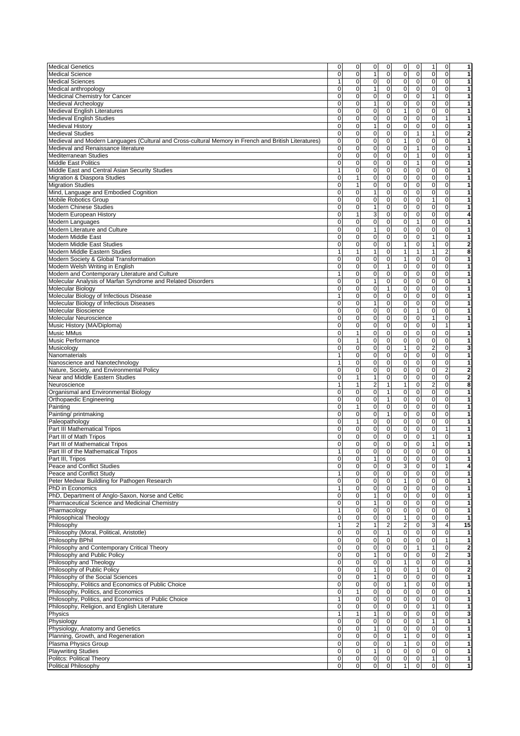| <b>Medical Genetics</b><br><b>Medical Science</b>                                                                                                                                                                                                     | 0            | $\mathbf 0$                | $\mathbf 0$<br>0            |                                           | $\mathbf 0$<br>$\overline{0}$ | 1                       | $\mathbf{0}$               | 1              |  |
|-------------------------------------------------------------------------------------------------------------------------------------------------------------------------------------------------------------------------------------------------------|--------------|----------------------------|-----------------------------|-------------------------------------------|-------------------------------|-------------------------|----------------------------|----------------|--|
|                                                                                                                                                                                                                                                       | $\mathbf 0$  | $\mathbf 0$                | $\mathbf{1}$                | $\mathbf 0$<br>$\mathbf 0$                | $\mathbf 0$                   | 0                       | $\overline{0}$             |                |  |
| <b>Medical Sciences</b>                                                                                                                                                                                                                               | 1            | $\overline{0}$             | $\mathbf{0}$                | $\mathbf{0}$<br>0                         | $\mathbf{0}$                  | $\overline{0}$          | $\overline{0}$             | 1              |  |
| Medical anthropology                                                                                                                                                                                                                                  | $\mathbf 0$  | $\mathbf 0$                | $\mathbf{1}$                | $\mathbf 0$<br>$\mathbf 0$                | $\mathbf 0$                   | $\pmb{0}$               | $\mathbf 0$                | 1              |  |
| Medicinal Chemistry for Cancer                                                                                                                                                                                                                        | $\mathbf 0$  | $\mathbf 0$                | $\mathbf 0$                 | 0<br>$\mathbf 0$                          | $\mathbf{O}$                  | $\mathbf{1}$            | $\mathbf 0$                | 1              |  |
| <b>Medieval Archeology</b>                                                                                                                                                                                                                            | $\mathsf 0$  | $\mathbf 0$                | $\mathbf{1}$                | $\mathbf 0$<br>$\mathbf 0$                | $\mathbf 0$                   | $\pmb{0}$               | $\mathbf 0$                | 1              |  |
| <b>Medieval English Literatures</b>                                                                                                                                                                                                                   | $\Omega$     | $\mathbf 0$                | $\Omega$                    | 0                                         | $\mathbf{1}$<br>$\mathbf 0$   | $\mathbf 0$             | $\overline{0}$             | 1              |  |
|                                                                                                                                                                                                                                                       |              |                            |                             |                                           |                               |                         |                            |                |  |
| <b>Medieval English Studies</b>                                                                                                                                                                                                                       | $\mathbf 0$  | $\mathbf 0$                | $\mathbf 0$                 | 0<br>$\mathbf 0$                          | $\mathbf{O}$                  | $\mathbf 0$             | 1                          | 1              |  |
| <b>Medieval History</b>                                                                                                                                                                                                                               | $\mathbf 0$  | $\mathbf 0$                | $\mathbf{1}$                | 0<br>$\mathbf 0$                          | $\mathbf 0$                   | $\mathbf 0$             | $\mathbf 0$                | 1              |  |
| <b>Medieval Studies</b>                                                                                                                                                                                                                               | $\mathbf 0$  | $\mathbf 0$                | $\mathbf 0$<br>$\mathbf 0$  | $\mathbf{0}$                              | $\mathbf{1}$                  | $\mathbf{1}$            | $\mathbf{O}$               | $\overline{2}$ |  |
| Medieval and Modern Languages (Cultural and Cross-cultural Memory in French and British Literatures)                                                                                                                                                  | $\mathsf 0$  | $\mathbf 0$                | $\mathbf 0$<br>$\mathbf 0$  | $\mathbf{1}$                              | $\mathbf 0$                   | $\mathbf 0$             | $\mathbf 0$                | 1              |  |
| Medieval and Renaissance literature                                                                                                                                                                                                                   | $\mathbf 0$  | $\mathbf 0$                | 0                           | 0<br>$\mathbf 0$                          | $\mathbf{1}$                  | $\mathbf 0$             | $\mathbf 0$                | 1              |  |
| Mediterranean Studies                                                                                                                                                                                                                                 | $\mathbf 0$  | $\mathbf 0$                | 0                           | 0<br>$\mathbf 0$                          | $\mathbf{1}$                  | $\mathbf 0$             | $\overline{0}$             | 1              |  |
| Middle East Politics                                                                                                                                                                                                                                  | $\mathbf 0$  | $\mathbf 0$                | $\mathbf 0$                 | 0<br>$\mathbf 0$                          | 1                             | $\mathbf 0$             | $\overline{0}$             | 1              |  |
| Middle East and Central Asian Security Studies                                                                                                                                                                                                        | $\mathbf{1}$ | $\mathbf 0$                | $\mathbf 0$                 | $\pmb{0}$<br>$\mathbf 0$                  | $\mathbf 0$                   | $\mathbf 0$             | $\mathbf 0$                | 1              |  |
| Migration & Diaspora Studies                                                                                                                                                                                                                          | $\mathbf 0$  | $\mathbf{1}$               | $\mathbf 0$                 | $\mathbf 0$<br>$\mathbf 0$                | $\mathbf{O}$                  | $\mathbf 0$             | $\overline{0}$             | 1              |  |
| <b>Migration Studies</b>                                                                                                                                                                                                                              | $\mathbf 0$  | $\mathbf{1}$               | $\mathbf 0$                 | 0<br>$\overline{0}$                       | $\mathbf 0$                   | $\overline{\mathbf{0}}$ | $\mathbf 0$                | 1              |  |
| Mind, Language and Embodied Cognition                                                                                                                                                                                                                 | $\mathbf 0$  | $\mathbf 0$                | $\mathbf 0$<br>$\mathbf{1}$ | $\Omega$                                  | $\mathbf 0$                   | $\mathbf 0$             | $\overline{0}$             | 1              |  |
| <b>Mobile Robotics Group</b>                                                                                                                                                                                                                          | $\Omega$     | $\mathbf 0$                | 0                           | 0<br>$\mathbf 0$                          | $\mathbf 0$                   | $\mathbf{1}$            | $\overline{0}$             |                |  |
|                                                                                                                                                                                                                                                       | $\mathbf 0$  | $\mathbf 0$                | $\mathbf{1}$                | 0<br>$\mathbf 0$                          | $\mathbf{0}$                  | $\mathbf 0$             | $\overline{0}$             | 1              |  |
| <b>Modern Chinese Studies</b>                                                                                                                                                                                                                         |              |                            |                             |                                           |                               |                         |                            |                |  |
| Modern European History                                                                                                                                                                                                                               | $\mathbf 0$  | $\mathbf{1}$               | 3                           | $\mathbf 0$<br>$\mathbf 0$                | $\mathbf 0$                   | $\mathbf 0$             | $\mathbf 0$                | 4              |  |
| Modern Languages                                                                                                                                                                                                                                      | $\mathbf 0$  | $\mathsf 0$                | $\mathbf 0$                 | 0<br>$\mathbf 0$                          | 1                             | $\mathbf 0$             | $\mathbf 0$                | 1              |  |
| Modern Literature and Culture                                                                                                                                                                                                                         | $\mathsf 0$  | $\pmb{0}$                  | $\mathbf{1}$                | $\mathbf 0$<br>$\mathbf 0$                | $\mathbf 0$                   | $\pmb{0}$               | $\mathbf 0$                | 1              |  |
| Modern Middle East                                                                                                                                                                                                                                    | $\mathbf 0$  | $\mathbf 0$                | 0                           | $\mathbf 0$<br>$\mathbf 0$                | $\mathbf 0$                   | $\mathbf{1}$            | $\overline{0}$             | 1              |  |
| Modern Middle East Studies                                                                                                                                                                                                                            | $\mathbf 0$  | $\mathbf 0$                | $\mathbf 0$<br>$\mathbf 0$  | $\mathbf{1}$                              | $\mathbf{O}$                  | $\mathbf{1}$            | $\mathbf 0$                | 2              |  |
| Modern Middle Eastern Studies                                                                                                                                                                                                                         | 1            | $\mathbf{1}$               | $\mathbf{1}$                | 0<br>$\mathbf{1}$                         | $\mathbf{1}$                  | $\mathbf{1}$            | $\overline{2}$             | 8              |  |
| Modern Society & Global Transformation                                                                                                                                                                                                                | $\mathbf 0$  | $\mathbf 0$                | $\mathbf 0$                 | $\mathbf 0$<br>$\mathbf{1}$               | $\mathbf{O}$                  | $\mathbf 0$             | $\overline{0}$             | 1              |  |
| Modern Welsh Writing in English                                                                                                                                                                                                                       | $\mathbf 0$  | $\pmb{0}$                  | $\mathbf 0$<br>$\mathbf{1}$ | $\mathbf 0$                               | $\mathbf 0$                   | $\mathbf 0$             | $\mathbf 0$                | 1              |  |
| Modern and Contemporary Literature and Culture                                                                                                                                                                                                        | 1            | $\mathbf 0$                | 0                           | 0<br>$\mathbf 0$                          | $\mathbf 0$                   | $\mathbf 0$             | $\mathbf 0$                |                |  |
|                                                                                                                                                                                                                                                       |              |                            | $\mathbf{1}$                |                                           |                               |                         |                            | 1              |  |
| Molecular Analysis of Marfan Syndrome and Related Disorders                                                                                                                                                                                           | $\mathbf 0$  | $\mathbf 0$                |                             | $\mathbf 0$<br>$\mathbf 0$                | $\mathbf 0$                   | $\mathbf 0$             | $\overline{0}$             |                |  |
| <b>Molecular Biology</b>                                                                                                                                                                                                                              | $\mathbf 0$  | $\mathsf 0$                | $\mathbf 0$<br>$\mathbf{1}$ | $\mathbf 0$                               | $\mathbf 0$                   | $\mathbf 0$             | $\mathbf 0$                | 1              |  |
| Molecular Biology of Infectious Disease                                                                                                                                                                                                               | $\mathbf{1}$ | $\mathbf 0$                | $\mathbf 0$                 | $\pmb{0}$<br>$\mathbf 0$                  | $\mathbf{O}$                  | $\mathbf 0$             | $\mathbf 0$                | 1              |  |
| Molecular Biology of Infectious Diseases                                                                                                                                                                                                              | $\mathbf 0$  | $\pmb{0}$                  | 1                           | $\mathbf 0$<br>0                          | $\mathbf 0$                   | $\mathbf 0$             | $\mathbf 0$                | 1              |  |
| Molecular Bioscience                                                                                                                                                                                                                                  | $\mathbf 0$  | $\mathbf 0$                | $\mathbf 0$                 | 0<br>$\mathbf 0$                          | $\mathbf{1}$                  | $\mathbf 0$             | $\mathbf 0$                | 1              |  |
| Molecular Neuroscience                                                                                                                                                                                                                                | $\Omega$     | $\mathbf 0$                | $\Omega$                    | $\Omega$<br>$\mathbf 0$                   | $\mathbf{O}$                  | $\mathbf{1}$            | $\mathbf 0$                | 1              |  |
| Music History (MA/Diploma)                                                                                                                                                                                                                            | $\mathbf 0$  | $\mathbf 0$                | $\mathbf 0$                 | $\mathbf 0$<br>$\mathbf{0}$               | $\mathbf{O}$                  | $\mathbf 0$             | 1                          |                |  |
| <b>Music MMus</b>                                                                                                                                                                                                                                     | $\mathbf 0$  | $\mathbf{1}$               | $\mathbf 0$                 | $\mathbf 0$<br>$\mathbf 0$                | $\mathbf{O}$                  | $\mathbf 0$             | $\mathbf 0$                | 1              |  |
| Music Performance                                                                                                                                                                                                                                     | $\mathbf 0$  | $\mathbf{1}$               | $\mathbf 0$                 | $\mathbf 0$<br>$\mathbf{0}$               | $\mathbf{O}$                  | $\mathbf 0$             | $\mathbf 0$                | 1              |  |
|                                                                                                                                                                                                                                                       | $\mathbf 0$  | $\mathbf 0$                | $\mathbf 0$                 | $\mathbf{1}$                              | $\mathbf 0$                   |                         |                            | 3              |  |
| Musicology                                                                                                                                                                                                                                            |              |                            |                             | 0                                         |                               | $\overline{c}$          | $\mathbf 0$                |                |  |
| Nanomaterials                                                                                                                                                                                                                                         | 1            | $\overline{0}$             | $\mathbf 0$                 | $\pmb{0}$<br>$\mathbf 0$                  | $\mathbf 0$                   | $\overline{0}$          | $\overline{0}$             | 1              |  |
| Nanoscience and Nanotechnology                                                                                                                                                                                                                        | 1            | $\mathbf 0$                | $\Omega$                    | $\mathbf 0$<br>$\mathbf 0$                | $\mathbf 0$                   | $\mathbf 0$             | $\overline{0}$             | 1              |  |
| Nature, Society, and Environmental Policy                                                                                                                                                                                                             | $\mathbf 0$  | $\mathbf 0$                | $\mathbf 0$<br>$\mathbf 0$  | $\mathbf 0$                               | $\mathbf{O}$                  | $\mathbf 0$             | $\overline{2}$             | $\overline{2}$ |  |
| Near and Middle Eastern Studies                                                                                                                                                                                                                       | $\mathsf 0$  | $\mathbf{1}$               | $\mathbf{1}$                | $\mathbf 0$<br>$\mathbf 0$                | $\mathbf 0$                   | $\pmb{0}$               | $\mathbf 0$                | $\overline{2}$ |  |
| Neuroscience                                                                                                                                                                                                                                          | $\mathbf{1}$ | $\mathbf{1}$               | $\overline{2}$              | $\mathbf{1}$<br>$\mathbf{1}$              | $\mathbf 0$                   | $\overline{2}$          | $\mathbf 0$                | 8              |  |
| Organismal and Environmental Biology                                                                                                                                                                                                                  | 0            | $\mathbf 0$                | $\mathbf 0$<br>1            | $\mathbf 0$                               | $\mathbf 0$                   | $\pmb{0}$               | $\mathbf 0$                | 1              |  |
| Orthopaedic Engineering                                                                                                                                                                                                                               | $\Omega$     | $\mathbf 0$                | $\Omega$<br>$\mathbf{1}$    | $\Omega$                                  | $\mathbf 0$                   | $\mathbf 0$             | $\mathbf 0$                | 1              |  |
| Painting                                                                                                                                                                                                                                              | $\mathbf 0$  | $\mathbf{1}$               | 0                           | $\mathbf 0$<br>$\mathbf 0$                | $\mathbf 0$                   | $\mathbf 0$             | $\overline{0}$             | 1              |  |
| Painting/ printmaking                                                                                                                                                                                                                                 | $\mathbf 0$  | $\pmb{0}$                  | $\mathbf 0$<br>$\mathbf{1}$ | $\pmb{0}$                                 | $\mathbf 0$                   | $\mathbf 0$             | $\mathbf 0$                | 1              |  |
|                                                                                                                                                                                                                                                       |              |                            |                             |                                           |                               | $\mathbf 0$             | $\mathbf 0$                | 1              |  |
|                                                                                                                                                                                                                                                       |              |                            |                             |                                           |                               |                         |                            | 1              |  |
| Paleopathology                                                                                                                                                                                                                                        | $\mathbf 0$  | $\mathbf{1}$               | $\mathbf 0$                 | $\mathbf 0$<br>$\mathbf 0$                | $\mathbf{O}$                  |                         |                            |                |  |
| Part III Mathematical Tripos                                                                                                                                                                                                                          | $\mathbf 0$  | $\mathsf 0$                | $\mathbf 0$                 | $\pmb{0}$<br>$\mathbf 0$                  | $\mathbf 0$                   | $\mathbf 0$             | 1                          |                |  |
| Part III of Math Tripos                                                                                                                                                                                                                               | 0            | $\mathbf 0$                | 0                           | 0<br>$\mathbf 0$                          | $\mathbf 0$                   | $\mathbf{1}$            | $\mathbf 0$                | 1              |  |
| Part III of Mathematical Tripos                                                                                                                                                                                                                       | 0            | $\mathbf 0$                | $\Omega$                    | 0<br>$\mathbf 0$                          | $\mathbf 0$                   | $\mathbf{1}$            | $\overline{0}$             | 1              |  |
|                                                                                                                                                                                                                                                       | 1            | $\mathbf 0$                | $\Omega$                    | $\mathbf 0$<br>$\Omega$                   | $\Omega$                      | $\mathbf{0}$            | $\overline{0}$             | 1              |  |
|                                                                                                                                                                                                                                                       | 0            | 0                          | $\mathbf{1}$                | 0<br>$\mathbf 0$                          | $\mathbf 0$                   | 0                       | $\overline{0}$             | 1              |  |
| Peace and Conflict Studies                                                                                                                                                                                                                            | $\mathbf 0$  | $\pmb{0}$                  | $\mathbf 0$                 | 3<br>$\mathbf 0$                          | $\mathbf{O}$                  | $\mathbf 0$             | $\mathbf{1}$               | 4              |  |
| Peace and Conflict Study                                                                                                                                                                                                                              | $\mathbf{1}$ | $\mathbf 0$                | $\mathbf 0$                 | $\mathbf 0$<br>0                          | $\mathbf 0$                   | $\overline{\mathbf{0}}$ | $\overline{\mathbf{0}}$    | 1              |  |
| Peter Medwar Buildling for Pathogen Research                                                                                                                                                                                                          | $\mathsf 0$  | $\mathbf 0$                | $\mathbf 0$                 | $\mathbf{1}$<br>$\pmb{0}$                 | $\mathbf 0$                   | $\pmb{0}$               | $\mathbf 0$                | 1              |  |
|                                                                                                                                                                                                                                                       | $\mathbf{1}$ | $\mathbf 0$                | $\mathbf 0$                 | 0<br>$\mathbf{0}$                         | $\mathbf 0$                   | $\mathbf 0$             | $\mathbf 0$                | 1              |  |
|                                                                                                                                                                                                                                                       | $\mathbf 0$  | $\mathbf 0$                | $\mathbf 0$<br>$\mathbf{1}$ | $\mathbf 0$                               | $\mathbf{0}$                  | $\mathbf 0$             | $\mathbf 0$                | 1              |  |
|                                                                                                                                                                                                                                                       |              |                            | $\mathbf{1}$                |                                           |                               |                         |                            | 1              |  |
|                                                                                                                                                                                                                                                       | $\mathsf 0$  | $\mathbf 0$                |                             | $\pmb{0}$<br>$\mathbf 0$                  | $\mathbf 0$                   | $\pmb{0}$               | $\mathbf 0$                | 1              |  |
|                                                                                                                                                                                                                                                       | $\mathbf{1}$ | $\mathsf 0$                | $\mathbf 0$                 | $\mathbf 0$<br>$\mathbf 0$                | $\mathbf 0$                   | $\mathbf 0$             | $\mathbf 0$                |                |  |
|                                                                                                                                                                                                                                                       | $\mathsf 0$  | $\mathsf 0$                | $\mathbf 0$                 | $\mathbf{1}$<br>$\mathbf 0$               | $\mathbf 0$                   | $\pmb{0}$               | $\mathbf 0$                | 1              |  |
|                                                                                                                                                                                                                                                       | $\mathbf{1}$ | $\overline{2}$             | $\mathbf{1}$                | $\overline{2}$<br>$\overline{\mathbf{c}}$ | $\mathbf{O}$                  | 3                       | $\overline{4}$             | 15             |  |
| Part III, Tripos<br>PhD in Economics<br>PhD, Department of Anglo-Saxon, Norse and Celtic<br>Pharmaceutical Science and Medicinal Chemistry<br>Pharmacology<br><b>Philosophical Theology</b><br>Philosophy<br>Philosophy (Moral, Political, Aristotle) | $\mathbf 0$  | $\mathbf 0$                | $\mathbf 0$                 | $\mathbf{1}$<br>$\mathbf 0$               | $\mathbf{O}$                  | $\mathbf 0$             | $\mathbf 0$                | 1              |  |
|                                                                                                                                                                                                                                                       | $\mathsf 0$  | $\pmb{0}$                  | $\mathbf 0$                 | $\pmb{0}$<br>$\mathbf 0$                  | $\mathbf 0$                   | $\bf 0$                 | $\mathbf{1}$               | 1              |  |
|                                                                                                                                                                                                                                                       | $\mathbf 0$  | $\mathsf 0$                | $\mathbf 0$                 | $\pmb{0}$<br>$\mathbf{0}$                 | $\mathbf{1}$                  | $\mathbf{1}$            | $\mathbf 0$                | $\overline{2}$ |  |
| Philosophy and Public Policy                                                                                                                                                                                                                          | $\mathsf 0$  | $\mathsf 0$                | $\mathbf{1}$                | $\mathbf 0$<br>$\mathbf 0$                | $\mathbf 0$                   | $\pmb{0}$               | $\overline{c}$             | 3              |  |
|                                                                                                                                                                                                                                                       | $\mathbf 0$  | $\mathbf 0$                | $\mathbf 0$                 | $\mathbf{1}$<br>$\mathbf 0$               | $\mathbf 0$                   | $\mathbf 0$             | $\mathbf 0$                |                |  |
|                                                                                                                                                                                                                                                       | $\mathbf 0$  | $\mathbf 0$                | $\mathbf{1}$                | $\mathbf 0$<br>$\mathbf 0$                | $\mathbf{1}$                  | $\mathbf 0$             | $\overline{0}$             | $\overline{a}$ |  |
| Philosophy BPhil<br>Philosophy and Contemporary Critical Theory<br>Philosophy and Theology<br>Philosophy of Public Policy                                                                                                                             | $\mathbf 0$  | $\mathsf 0$                | $\mathbf{1}$                | $\mathbf 0$<br>0                          | $\mathbf 0$                   | $\overline{\mathbf{0}}$ | $\overline{0}$             | 1              |  |
|                                                                                                                                                                                                                                                       | $\mathbf 0$  |                            | $\mathbf 0$                 | $\mathbf{1}$                              | $\mathbf 0$                   |                         | $\mathbf 0$                | 1              |  |
|                                                                                                                                                                                                                                                       |              | $\pmb{0}$                  |                             | $\pmb{0}$                                 |                               | $\pmb{0}$               |                            | 1              |  |
|                                                                                                                                                                                                                                                       | $\mathbf 0$  | $\mathbf{1}$               | $\mathbf 0$                 | $\mathbf 0$<br>$\mathbf 0$                | $\mathbf 0$                   | $\pmb{0}$               | $\mathbf 0$                |                |  |
| Philosophy, Politics, and Economics of Public Choice                                                                                                                                                                                                  | $\mathbf{1}$ | $\mathbf 0$                | 0                           | $\pmb{0}$<br>$\mathbf 0$                  | $\mathbf 0$                   | $\pmb{0}$               | $\mathbf 0$                | 1              |  |
| Philosophy, Religion, and English Literature                                                                                                                                                                                                          | $\mathbf 0$  | $\mathbf 0$                | $\pmb{0}$<br>$\mathbf 0$    | $\mathbf 0$                               | $\mathbf 0$                   | $\mathbf{1}$            | $\overline{0}$             | 1              |  |
|                                                                                                                                                                                                                                                       | $\mathbf{1}$ | $\mathbf{1}$               | $\mathbf{1}$                | $\mathbf 0$<br>$\mathbf 0$                | $\mathbf 0$                   | $\mathbf 0$             | $\mathbf 0$                | p              |  |
|                                                                                                                                                                                                                                                       | $\mathbf 0$  | $\mathbf 0$                | $\mathbf 0$                 | $\mathbf 0$<br>$\mathbf 0$                | $\mathbf{0}$                  | $\mathbf{1}$            | $\mathbf 0$                | 1              |  |
|                                                                                                                                                                                                                                                       | $\mathbf 0$  | $\mathsf 0$                | $\mathbf{1}$                | $\mathbf 0$<br>$\mathbf 0$                | $\mathbf 0$                   | $\mathbf 0$             | $\overline{0}$             | 1              |  |
| Planning, Growth, and Regeneration                                                                                                                                                                                                                    | $\mathsf 0$  | $\mathbf 0$                | $\mathbf 0$                 | 0<br>$\mathbf{1}$                         | $\mathbf 0$                   | $\mathbf 0$             | $\mathbf 0$                | 1              |  |
| Part III of the Mathematical Tripos<br>Philosophy of the Social Sciences<br>Philosophy, Politics and Economics of Public Choice<br>Philosophy, Politics, and Economics<br>Physics<br>Physiology<br>Physiology, Anatomy and Genetics                   | $\mathsf 0$  | $\pmb{0}$                  | $\mathbf 0$                 | $\mathbf{1}$<br>$\mathbf 0$               | $\mathbf 0$                   |                         | $\mathbf 0$                | 1              |  |
| Plasma Physics Group                                                                                                                                                                                                                                  | $\mathbf 0$  |                            | $\mathbf{1}$                | $\mathbf{0}$                              | $\mathbf 0$                   | $\pmb{0}$               |                            | 1              |  |
| <b>Playwriting Studies</b><br>Politcs: Political Theory                                                                                                                                                                                               | $\mathbf 0$  | $\mathbf 0$<br>$\mathbf 0$ | $\mathbf 0$<br>$\mathbf 0$  | 0<br>$\mathbf 0$                          | $\mathbf 0$                   | $\mathbf 0$<br>1        | $\mathbf 0$<br>$\mathbf 0$ | 1              |  |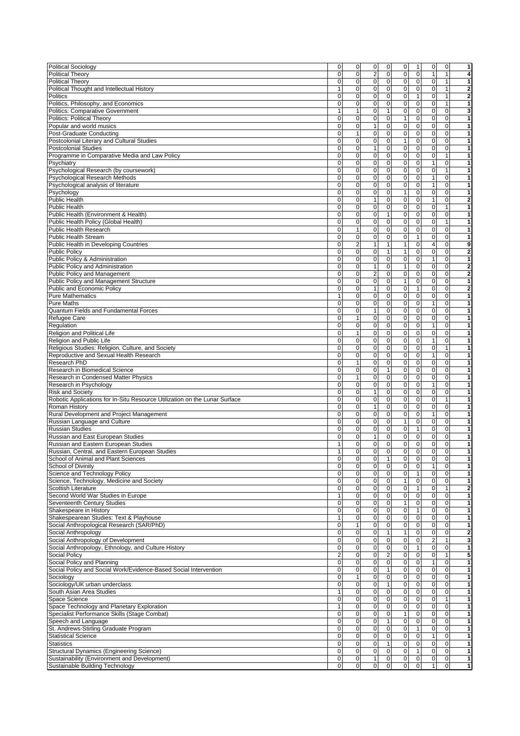| <b>Political Sociology</b>                                                                                                                                                                                                                                                                                                                                                                                                                                                                          | 0                             | 0              | 0                            | 0                        | 0            | 1                             | 0                       | 0                          | 1                       |
|-----------------------------------------------------------------------------------------------------------------------------------------------------------------------------------------------------------------------------------------------------------------------------------------------------------------------------------------------------------------------------------------------------------------------------------------------------------------------------------------------------|-------------------------------|----------------|------------------------------|--------------------------|--------------|-------------------------------|-------------------------|----------------------------|-------------------------|
| Political Theory                                                                                                                                                                                                                                                                                                                                                                                                                                                                                    | $\mathsf 0$                   | 0              | $\overline{2}$               | 0                        | $\pmb{0}$    | $\mathbf 0$                   | $\mathbf{1}$            | $\mathbf{1}$               | 4                       |
| Political Theory                                                                                                                                                                                                                                                                                                                                                                                                                                                                                    | 0                             | $\mathbf 0$    | $\mathbf 0$                  | 0                        | 0            | $\mathbf 0$                   | $\mathbf 0$             | 1                          | 1                       |
|                                                                                                                                                                                                                                                                                                                                                                                                                                                                                                     |                               |                |                              |                          |              |                               |                         |                            |                         |
| Political Thought and Intellectual History                                                                                                                                                                                                                                                                                                                                                                                                                                                          | 1                             | 0              | $\mathbf 0$                  | 0                        | 0            | $\mathbf 0$                   | $\mathbf 0$             | $\mathbf{1}$               | $\bf{2}$                |
| Politics                                                                                                                                                                                                                                                                                                                                                                                                                                                                                            | 0                             | $\mathbf 0$    | $\mathbf 0$                  | 0                        | $\mathbf 0$  | $\mathbf{1}$                  | $\mathbf 0$             | $\mathbf{1}$               | $\overline{\mathbf{2}}$ |
| Politics, Philosophy, and Economics                                                                                                                                                                                                                                                                                                                                                                                                                                                                 | $\mathsf 0$                   | $\pmb{0}$      | $\mathbf 0$                  | 0                        | $\mathbf 0$  | $\mathbf 0$                   | $\mathbf 0$             | $\mathbf{1}$               | 1                       |
| <b>Politics: Comparative Government</b>                                                                                                                                                                                                                                                                                                                                                                                                                                                             | 1                             | $\mathbf{1}$   | $\mathbf 0$                  | 1                        | $\mathbf 0$  | $\mathbf 0$                   | $\mathbf 0$             | $\mathbf 0$                | 3                       |
|                                                                                                                                                                                                                                                                                                                                                                                                                                                                                                     |                               |                |                              |                          |              |                               |                         |                            |                         |
| <b>Politics: Political Theory</b>                                                                                                                                                                                                                                                                                                                                                                                                                                                                   | 0                             | $\mathbf 0$    | $\mathbf 0$                  | 0                        | $\mathbf{1}$ | $\mathbf 0$                   | $\mathbf 0$             | $\mathbf 0$                | 1                       |
| Popular and world musics                                                                                                                                                                                                                                                                                                                                                                                                                                                                            | 0                             | $\mathbf 0$    | $\overline{1}$               | 0                        | $\mathbf 0$  | $\pmb{0}$                     | $\mathbf 0$             | 0                          | $\mathbf{1}$            |
| Post-Graduate Conducting                                                                                                                                                                                                                                                                                                                                                                                                                                                                            | 0                             | 1              | 0                            | 0                        | 0            | 0                             | $\mathbf 0$             | $\mathbf{O}$               | 1                       |
|                                                                                                                                                                                                                                                                                                                                                                                                                                                                                                     |                               |                |                              |                          |              |                               |                         |                            |                         |
| Postcolonial Literary and Cultural Studies                                                                                                                                                                                                                                                                                                                                                                                                                                                          | $\mathbf 0$                   | 0              | $\mathbf 0$                  | 0                        | $\mathbf{1}$ | $\mathbf 0$                   | $\mathbf 0$             | $\mathbf{0}$               | 1                       |
| <b>Postcolonial Studies</b>                                                                                                                                                                                                                                                                                                                                                                                                                                                                         | $\mathsf 0$                   | $\pmb{0}$      | $\mathbf{1}$                 | 0                        | $\pmb{0}$    | $\mathbf 0$                   | $\mathbf 0$             | $\mathbf 0$                | 1                       |
| Programme in Comparative Media and Law Policy                                                                                                                                                                                                                                                                                                                                                                                                                                                       | 0                             | 0              | $\mathbf 0$                  | 0                        | $\mathbf 0$  | $\mathbf 0$                   | $\mathbf 0$             | 1                          | 1                       |
|                                                                                                                                                                                                                                                                                                                                                                                                                                                                                                     | 0                             | $\mathbf 0$    | $\mathbf 0$                  | 0                        | $\mathbf 0$  | $\mathbf 0$                   | $\mathbf{1}$            | $\pmb{0}$                  | 1                       |
| Psychiatry                                                                                                                                                                                                                                                                                                                                                                                                                                                                                          |                               |                |                              |                          |              |                               |                         |                            |                         |
| Psychological Research (by coursework)                                                                                                                                                                                                                                                                                                                                                                                                                                                              | 0                             | 0              | $\mathbf 0$                  | 0                        | 0            | $\mathbf 0$                   | $\mathbf 0$             | $\mathbf{1}$               | 1                       |
| Psychological Research Methods                                                                                                                                                                                                                                                                                                                                                                                                                                                                      | $\mathbf 0$                   | $\mathbf 0$    | $\mathbf 0$                  | 0                        | $\mathbf 0$  | $\mathbf{O}$                  | $\mathbf{1}$            | $\mathbf 0$                | 1                       |
| Psychological analysis of literature                                                                                                                                                                                                                                                                                                                                                                                                                                                                | $\mathsf 0$                   | $\pmb{0}$      | $\pmb{0}$                    | 0                        | $\pmb{0}$    | $\mathbf 0$                   | $\mathbf{1}$            | $\mathbf 0$                | 1                       |
|                                                                                                                                                                                                                                                                                                                                                                                                                                                                                                     |                               |                |                              |                          |              |                               |                         |                            |                         |
| Psychology                                                                                                                                                                                                                                                                                                                                                                                                                                                                                          | 0                             | 0              | $\mathbf 0$                  | 0                        | $\mathbf{1}$ | $\mathbf 0$                   | $\mathbf 0$             | $\mathbf{O}$               | 1                       |
| <b>Public Health</b>                                                                                                                                                                                                                                                                                                                                                                                                                                                                                | 0                             | 0              | $\mathbf{1}$                 | 0                        | $\mathbf 0$  | $\mathbf 0$                   | $\mathbf{1}$            | $\mathbf 0$                | $\overline{\mathbf{2}}$ |
| <b>Public Health</b>                                                                                                                                                                                                                                                                                                                                                                                                                                                                                | 0                             | $\mathbf 0$    | $\mathbf 0$                  | 0                        | $\mathbf 0$  | $\pmb{0}$                     | $\mathbf 0$             | $\mathbf{1}$               | 1                       |
|                                                                                                                                                                                                                                                                                                                                                                                                                                                                                                     | 0                             | $\mathbf 0$    | $\mathbf 0$                  | $\mathbf{1}$             | 0            | $\mathbf 0$                   | $\mathbf 0$             | $\mathbf 0$                | 1                       |
| Public Health (Environment & Health)                                                                                                                                                                                                                                                                                                                                                                                                                                                                |                               |                |                              |                          |              |                               |                         |                            |                         |
| Public Health Policy (Global Health)                                                                                                                                                                                                                                                                                                                                                                                                                                                                | $\mathsf 0$                   | $\pmb{0}$      | $\mathbf 0$                  | 0                        | $\mathbf 0$  | $\mathbf 0$                   | $\mathbf 0$             | $\mathbf{1}$               | 1                       |
| <b>Public Health Research</b>                                                                                                                                                                                                                                                                                                                                                                                                                                                                       | $\pmb{0}$                     | $\mathbf{1}$   | $\mathbf 0$                  | 0                        | $\pmb{0}$    | $\mathbf 0$                   | $\mathbf 0$             | $\mathbf 0$                | 1                       |
| <b>Public Health Stream</b>                                                                                                                                                                                                                                                                                                                                                                                                                                                                         | 0                             | 0              | $\pmb{0}$                    | 0                        | $\pmb{0}$    | $\mathbf{1}$                  | $\mathbf 0$             | $\mathbf 0$                | 1                       |
|                                                                                                                                                                                                                                                                                                                                                                                                                                                                                                     |                               |                |                              |                          |              |                               |                         |                            |                         |
| Public Health in Developing Countries                                                                                                                                                                                                                                                                                                                                                                                                                                                               | 0                             | $\overline{c}$ | $\mathbf{1}$                 | 1                        | $\mathbf{1}$ | $\mathbf 0$                   | 4                       | $\mathbf 0$                | 9                       |
| <b>Public Policy</b>                                                                                                                                                                                                                                                                                                                                                                                                                                                                                | 0                             | $\mathbf 0$    | $\mathbf 0$                  | 1                        | $\mathbf{1}$ | $\pmb{0}$                     | $\mathbf 0$             | $\pmb{0}$                  | 2                       |
| Public Policy & Administration                                                                                                                                                                                                                                                                                                                                                                                                                                                                      | 0                             | $\mathbf 0$    | $\mathbf 0$                  | 0                        | $\mathbf 0$  | $\mathbf 0$                   | 1                       | $\mathbf{O}$               | 1                       |
|                                                                                                                                                                                                                                                                                                                                                                                                                                                                                                     |                               |                |                              |                          |              |                               |                         |                            |                         |
| Public Policy and Administration                                                                                                                                                                                                                                                                                                                                                                                                                                                                    | $\mathsf 0$                   | $\mathbf 0$    | $\mathbf{1}$                 | 0                        | $\mathbf{1}$ | $\mathbf 0$                   | $\mathbf 0$             | $\mathbf{O}$               | $\mathbf 2$             |
| Public Policy and Management                                                                                                                                                                                                                                                                                                                                                                                                                                                                        | $\mathsf 0$                   | 0              | $\overline{2}$               | $\overline{0}$           | $\pmb{0}$    | $\mathbf 0$                   | $\mathbf 0$             | $\mathbf 0$                | $\bf{2}$                |
| Public Policy and Management Structure                                                                                                                                                                                                                                                                                                                                                                                                                                                              | 0                             | 0              | $\mathbf 0$                  | 0                        | $\mathbf{1}$ | $\mathbf 0$                   | $\mathbf 0$             | $\mathbf 0$                | 1                       |
| Public and Economic Policy                                                                                                                                                                                                                                                                                                                                                                                                                                                                          | 0                             | $\mathbf 0$    | $\overline{1}$               | 0                        | $\mathbf 0$  | $\mathbf{1}$                  | $\mathbf 0$             | 0                          | $\bf{2}$                |
|                                                                                                                                                                                                                                                                                                                                                                                                                                                                                                     |                               |                |                              |                          |              |                               |                         |                            |                         |
| <b>Pure Mathematics</b>                                                                                                                                                                                                                                                                                                                                                                                                                                                                             | 1                             | $\mathbf 0$    | $\mathbf 0$                  | 0                        | 0            | $\mathbf 0$                   | $\mathbf 0$             | $\mathbf 0$                | 1                       |
| <b>Pure Maths</b>                                                                                                                                                                                                                                                                                                                                                                                                                                                                                   | $\mathsf 0$                   | $\mathbf 0$    | $\mathbf 0$                  | 0                        | $\pmb{0}$    | $\mathbf 0$                   | $\mathbf{1}$            | $\mathbf{0}$               | 1                       |
| Quantum Fields and Fundamental Forces                                                                                                                                                                                                                                                                                                                                                                                                                                                               | $\pmb{0}$                     | $\mathbf 0$    | $\mathbf{1}$                 | 0                        | $\pmb{0}$    | $\mathbf 0$                   | $\mathbf 0$             | $\mathbf 0$                | 1                       |
|                                                                                                                                                                                                                                                                                                                                                                                                                                                                                                     |                               |                |                              |                          |              |                               |                         |                            |                         |
| Refugee Care                                                                                                                                                                                                                                                                                                                                                                                                                                                                                        | $\mathsf 0$                   | $\mathbf{1}$   | $\mathbf 0$                  | 0                        | $\mathbf 0$  | $\mathbf{O}$                  | $\mathbf 0$             | $\mathbf{O}$               | 1                       |
| Regulation                                                                                                                                                                                                                                                                                                                                                                                                                                                                                          | $\mathsf 0$                   | $\pmb{0}$      | $\mathbf 0$                  | 0                        | 0            | $\mathbf 0$                   | $\mathbf{1}$            | $\mathbf 0$                | 1                       |
| Religion and Political Life                                                                                                                                                                                                                                                                                                                                                                                                                                                                         | 0                             | $\mathbf{1}$   | $\mathbf 0$                  | 0                        | $\mathbf 0$  | 0                             | $\mathbf 0$             | 0                          | 1                       |
|                                                                                                                                                                                                                                                                                                                                                                                                                                                                                                     |                               |                |                              |                          |              |                               |                         |                            |                         |
| Religion and Public Life                                                                                                                                                                                                                                                                                                                                                                                                                                                                            | $\mathsf 0$                   | $\mathbf 0$    | $\mathbf 0$                  | 0                        | $\mathbf 0$  | $\mathbf 0$                   | $\mathbf{1}$            | $\mathbf 0$                | 1                       |
| Religious Studies: Religion, Culture, and Society                                                                                                                                                                                                                                                                                                                                                                                                                                                   | $\mathsf 0$                   | 0              | $\mathbf 0$                  | 0                        | $\mathbf 0$  | $\mathbf 0$                   | $\pmb{0}$               | $\mathbf{1}$               | 1                       |
| Reproductive and Sexual Health Research                                                                                                                                                                                                                                                                                                                                                                                                                                                             | $\mathsf 0$                   | 0              | $\mathbf 0$                  | 0                        | $\mathbf 0$  | $\mathbf 0$                   | $\mathbf{1}$            | $\mathbf 0$                | 1                       |
| Research PhD                                                                                                                                                                                                                                                                                                                                                                                                                                                                                        | $\mathsf 0$                   | $\mathbf{1}$   | $\mathbf 0$                  | 0                        | $\mathbf 0$  | $\mathbf 0$                   | $\mathbf 0$             | $\mathbf 0$                | 1                       |
|                                                                                                                                                                                                                                                                                                                                                                                                                                                                                                     |                               |                |                              |                          |              |                               |                         |                            |                         |
| Research in Biomedical Science                                                                                                                                                                                                                                                                                                                                                                                                                                                                      | 0                             | $\mathbf 0$    | $\mathbf 0$                  | 1                        | 0            | $\mathbf 0$                   | 0                       | $\mathbf 0$                | 1                       |
| Research in Condensed Matter Physics                                                                                                                                                                                                                                                                                                                                                                                                                                                                | 0                             | $\mathbf{1}$   | $\mathbf 0$                  | 0                        | 0            | $\mathbf 0$                   | $\mathbf 0$             | $\mathbf 0$                | 1                       |
| Research in Psychology                                                                                                                                                                                                                                                                                                                                                                                                                                                                              | 0                             | $\mathbf 0$    | $\mathbf 0$                  | 0                        | $\mathbf 0$  | $\mathbf 0$                   | $\mathbf{1}$            | $\mathbf{O}$               | 1                       |
|                                                                                                                                                                                                                                                                                                                                                                                                                                                                                                     | $\mathsf 0$                   | $\pmb{0}$      | $\mathbf{1}$                 | 0                        | $\pmb{0}$    | $\mathbf 0$                   | $\mathbf 0$             | $\mathbf 0$                | 1                       |
| <b>Risk and Society</b>                                                                                                                                                                                                                                                                                                                                                                                                                                                                             |                               |                |                              |                          |              |                               |                         |                            |                         |
| Robotic Applications for In-Situ Resource Utilization on the Lunar Surface                                                                                                                                                                                                                                                                                                                                                                                                                          | $\mathsf 0$                   | 0              | $\pmb{0}$                    | 0                        | $\mathbf 0$  | $\mathbf 0$                   | $\mathbf 0$             | $\mathbf{1}$               | 1                       |
| Roman History                                                                                                                                                                                                                                                                                                                                                                                                                                                                                       | 0                             | 0              | $\mathbf{1}$                 | 0                        | 0            | $\mathbf 0$                   | 0                       | $\mathbf 0$                | 1                       |
| Rural Development and Project Management                                                                                                                                                                                                                                                                                                                                                                                                                                                            | 0                             | 0              | $\mathbf 0$                  | 0                        | $\mathbf 0$  | $\mathbf 0$                   | $\mathbf{1}$            | $\pmb{0}$                  | 1                       |
|                                                                                                                                                                                                                                                                                                                                                                                                                                                                                                     |                               |                |                              |                          |              |                               |                         |                            |                         |
| Russian Language and Culture                                                                                                                                                                                                                                                                                                                                                                                                                                                                        | 0                             | $\mathbf 0$    | $\mathbf 0$                  | 0                        | $\mathbf{1}$ | $\mathbf 0$                   | $\mathbf 0$             | $\mathbf 0$                | 1                       |
| <b>Russian Studies</b>                                                                                                                                                                                                                                                                                                                                                                                                                                                                              | $\mathbf 0$                   | 0              | $\mathbf 0$                  | 0                        | $\mathbf 0$  | $\mathbf{1}$                  | $\mathbf 0$             | 0                          | 1                       |
| Russian and East European Studies                                                                                                                                                                                                                                                                                                                                                                                                                                                                   | $\mathsf 0$                   | $\pmb{0}$      | $\mathbf{1}$                 | $\mathbf 0$              | $\pmb{0}$    | $\mathbf 0$                   | $\mathbf 0$             | $\mathbf 0$                | 1                       |
|                                                                                                                                                                                                                                                                                                                                                                                                                                                                                                     |                               |                |                              |                          |              |                               |                         |                            |                         |
| Russian and Eastern European Studies                                                                                                                                                                                                                                                                                                                                                                                                                                                                | 1                             | 0              | $\pmb{0}$                    | 0                        | 0            | $\mathbf 0$                   | 0                       | 0                          | 1                       |
| Russian, Central, and Eastern European Studies                                                                                                                                                                                                                                                                                                                                                                                                                                                      | 1                             | 0              |                              | $\pmb{0}$                | $\pmb{0}$    | $\mathbf 0$                   | 0                       | $\mathbf 0$                |                         |
| School of Animal and Plant Sciences                                                                                                                                                                                                                                                                                                                                                                                                                                                                 | 0                             | 0              | 0                            | 1                        | 0            | $\mathbf 0$                   | $\mathbf 0$             | $\mathbf 0$                | 1                       |
| <b>School of Divinity</b>                                                                                                                                                                                                                                                                                                                                                                                                                                                                           | $\mathsf 0$                   | $\mathbf 0$    | $\mathbf 0$                  | $\mathbf 0$              | $\pmb{0}$    | $\mathbf 0$                   | $\mathbf{1}$            | $\pmb{0}$                  | 1                       |
|                                                                                                                                                                                                                                                                                                                                                                                                                                                                                                     |                               |                |                              |                          |              |                               |                         |                            |                         |
| Science and Technology Policy                                                                                                                                                                                                                                                                                                                                                                                                                                                                       | $\pmb{0}$                     | 0              | 0                            | $\pmb{0}$                | $\pmb{0}$    | $\mathbf{1}$                  | $\pmb{0}$               | $\mathbf 0$                | 1                       |
| Science, Technology, Medicine and Society                                                                                                                                                                                                                                                                                                                                                                                                                                                           | $\pmb{0}$                     | 0              | $\pmb{0}$                    | 0                        | $\mathbf{1}$ | $\pmb{0}$                     | $\mathbf 0$             | $\mathbf 0$                | 1                       |
| Scottish Literature                                                                                                                                                                                                                                                                                                                                                                                                                                                                                 | $\pmb{0}$                     | $\pmb{0}$      | $\mathbf 0$                  | $\pmb{0}$                | $\pmb{0}$    | $\mathbf{1}$                  | $\mathbf 0$             | $\mathbf{1}$               | $\overline{\mathbf{2}}$ |
| Second World War Studies in Europe                                                                                                                                                                                                                                                                                                                                                                                                                                                                  | 1                             | $\pmb{0}$      | $\mathbf 0$                  | 0                        | $\pmb{0}$    | $\pmb{0}$                     | $\mathbf 0$             | 0                          | 1                       |
|                                                                                                                                                                                                                                                                                                                                                                                                                                                                                                     |                               |                |                              |                          |              |                               |                         |                            |                         |
| Seventeenth Century Studies                                                                                                                                                                                                                                                                                                                                                                                                                                                                         | 0                             | $\pmb{0}$      | $\mathbf 0$                  | 0                        | $\mathbf{1}$ | $\mathbf 0$                   | $\mathbf 0$             | $\mathsf 0$                | 1                       |
| Shakespeare in History                                                                                                                                                                                                                                                                                                                                                                                                                                                                              | 0                             | $\pmb{0}$      | 0                            | $\pmb{0}$                | $\pmb{0}$    | $\mathbf{1}$                  | $\pmb{0}$               | $\mathbf 0$                | 1                       |
| Shakespearean Studies: Text & Playhouse                                                                                                                                                                                                                                                                                                                                                                                                                                                             | 1                             | $\pmb{0}$      | $\mathsf 0$                  | 0                        | $\pmb{0}$    | $\pmb{0}$                     | $\pmb{0}$               | $\mathbf 0$                | 1                       |
| Social Anthropological Research (SAR/PhD)                                                                                                                                                                                                                                                                                                                                                                                                                                                           | $\pmb{0}$                     | 1              | 0                            | $\pmb{0}$                | $\pmb{0}$    | $\mathbf 0$                   | $\mathbf 0$             | $\mathbf 0$                | 1                       |
| Social Anthropology                                                                                                                                                                                                                                                                                                                                                                                                                                                                                 |                               |                |                              |                          |              |                               |                         |                            |                         |
|                                                                                                                                                                                                                                                                                                                                                                                                                                                                                                     |                               |                |                              |                          | $\mathbf{1}$ | $\mathbf 0$                   | 0                       | $\mathbf 0$                | $\mathbf 2$             |
|                                                                                                                                                                                                                                                                                                                                                                                                                                                                                                     | 0                             | $\pmb{0}$      | $\pmb{0}$                    | $\mathbf{1}$             | $\pmb{0}$    |                               |                         |                            | 3                       |
|                                                                                                                                                                                                                                                                                                                                                                                                                                                                                                     | 0                             | $\pmb{0}$      | $\mathbf 0$                  | 0                        |              | $\pmb{0}$                     | $\overline{\mathbf{c}}$ | $\mathbf{1}$               |                         |
|                                                                                                                                                                                                                                                                                                                                                                                                                                                                                                     |                               |                |                              |                          |              |                               |                         |                            |                         |
|                                                                                                                                                                                                                                                                                                                                                                                                                                                                                                     | 0                             | 0              | $\mathbf 0$                  | 0                        | $\pmb{0}$    | $\mathbf{1}$                  | $\mathbf 0$             | $\mathbf 0$                | 1                       |
|                                                                                                                                                                                                                                                                                                                                                                                                                                                                                                     | $\overline{\mathbf{c}}$       | $\pmb{0}$      | $\mathbf 0$                  | $\overline{\mathbf{c}}$  | $\pmb{0}$    | $\mathbf 0$                   | $\mathbf 0$             | $\mathbf{1}$               | 5                       |
|                                                                                                                                                                                                                                                                                                                                                                                                                                                                                                     | $\pmb{0}$                     | $\pmb{0}$      | 0                            | $\pmb{0}$                | $\pmb{0}$    | $\overline{0}$                | $\mathbf{1}$            | $\mathbf 0$                | 1                       |
|                                                                                                                                                                                                                                                                                                                                                                                                                                                                                                     | 0                             | 0              | $\mathsf 0$                  | 1                        | $\pmb{0}$    | $\mathbf 0$                   | 0                       | $\mathbf 0$                | 1                       |
|                                                                                                                                                                                                                                                                                                                                                                                                                                                                                                     |                               |                |                              |                          |              |                               |                         |                            |                         |
|                                                                                                                                                                                                                                                                                                                                                                                                                                                                                                     | 0                             | $\mathbf{1}$   | $\mathbf 0$                  | 0                        | $\pmb{0}$    | $\mathbf 0$                   | $\pmb{0}$               | $\mathbf 0$                | 1                       |
|                                                                                                                                                                                                                                                                                                                                                                                                                                                                                                     | 0                             | $\pmb{0}$      | $\mathbf 0$                  | 1                        | $\mathbf 0$  | $\pmb{0}$                     | $\mathbf 0$             | $\mathbf 0$                |                         |
|                                                                                                                                                                                                                                                                                                                                                                                                                                                                                                     | 1                             | $\pmb{0}$      | $\mathbf 0$                  | 0                        | $\pmb{0}$    | $\mathbf 0$                   | $\mathbf 0$             | $\mathsf 0$                | 1                       |
|                                                                                                                                                                                                                                                                                                                                                                                                                                                                                                     |                               |                |                              |                          |              |                               |                         |                            |                         |
|                                                                                                                                                                                                                                                                                                                                                                                                                                                                                                     | $\pmb{0}$                     | $\pmb{0}$      | $\pmb{0}$                    | $\mathbf 0$              | $\pmb{0}$    | $\overline{0}$                | $\pmb{0}$               | 1                          | 1                       |
|                                                                                                                                                                                                                                                                                                                                                                                                                                                                                                     | 1                             | 0              | $\pmb{0}$                    | 0                        | $\pmb{0}$    | $\pmb{0}$                     | 0                       | $\mathbf 0$                | 1                       |
|                                                                                                                                                                                                                                                                                                                                                                                                                                                                                                     | $\pmb{0}$                     | 0              | $\pmb{0}$                    | 0                        | $\mathbf{1}$ | $\overline{0}$                | $\pmb{0}$               | $\mathbf 0$                | 1                       |
|                                                                                                                                                                                                                                                                                                                                                                                                                                                                                                     |                               |                |                              |                          |              |                               |                         |                            | 1                       |
|                                                                                                                                                                                                                                                                                                                                                                                                                                                                                                     | 0                             | $\pmb{0}$      | $\mathbf 0$                  | $\mathbf{1}$             | $\pmb{0}$    | $\pmb{0}$                     | $\mathbf 0$             | $\mathbf 0$                |                         |
|                                                                                                                                                                                                                                                                                                                                                                                                                                                                                                     | 0                             | 0              | $\mathsf 0$                  | 0                        | $\pmb{0}$    | $\mathbf{1}$                  | $\mathbf 0$             | $\mathbf 0$                | 1                       |
| Social Anthropology of Development<br>Social Anthropology, Ethnology, and Culture History<br>Social Policy<br>Social Policy and Planning<br>Social Policy and Social Work/Evidence-Based Social Intervention<br>Sociology<br>Sociology/UK urban underclass<br>South Asian Area Studies<br>Space Science<br>Space Technology and Planetary Exploration<br>Specialist Performance Skills (Stage Combat)<br>Speech and Language<br>St. Andrews-Stirling Graduate Program<br><b>Statistical Science</b> | 0                             | $\pmb{0}$      | 0                            | $\pmb{0}$                | $\pmb{0}$    | $\mathbf 0$                   | $\mathbf{1}$            | $\mathbf 0$                | 1                       |
| <b>Statistics</b>                                                                                                                                                                                                                                                                                                                                                                                                                                                                                   | $\pmb{0}$                     | $\pmb{0}$      | $\pmb{0}$                    | $\mathbf{1}$             | 0            | $\mathbf 0$                   | $\pmb{0}$               | $\mathbf 0$                | 1                       |
|                                                                                                                                                                                                                                                                                                                                                                                                                                                                                                     |                               |                |                              |                          |              |                               |                         |                            |                         |
| <b>Structural Dynamics (Engineering Science)</b>                                                                                                                                                                                                                                                                                                                                                                                                                                                    | $\mathbf 0$                   | 0              | $\mathbf 0$                  | $\mathbf 0$              | $\pmb{0}$    | $\vert$                       | $\mathbf 0$             | $\mathbf 0$                | 1                       |
| Sustainability (Environment and Development)<br>Sustainable Building Technology                                                                                                                                                                                                                                                                                                                                                                                                                     | $\mathbf 0$<br>$\overline{0}$ | 0<br>0         | $\mathbf{1}$<br>$\mathbf{0}$ | $\pmb{0}$<br>$\mathbf 0$ | 0<br>0       | $\overline{0}$<br>$\mathbf 0$ | 0<br>$\mathbf{1}$       | $\mathbf 0$<br>$\mathbf 0$ | $\mathbf{1}$<br>1       |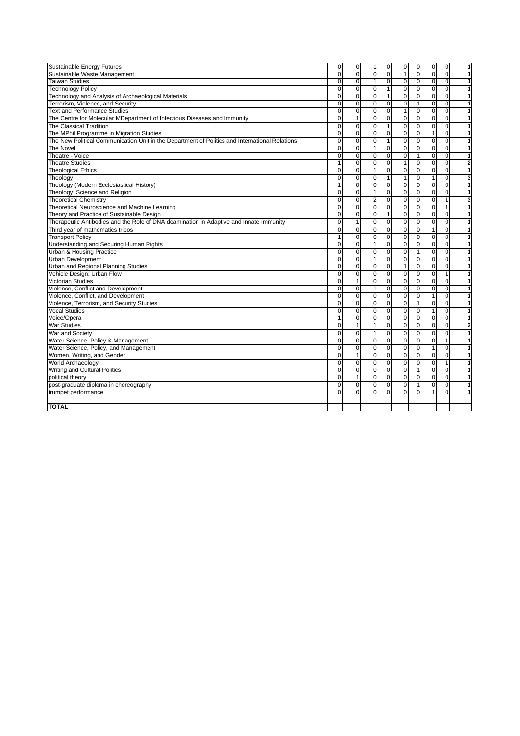| Sustainable Energy Futures                                                                     | 0            | $\mathsf 0$    | $\mathbf{1}$   | $\mathbf 0$    | 0              | $\overline{0}$ | 0              | $\mathbf 0$  | 1                       |
|------------------------------------------------------------------------------------------------|--------------|----------------|----------------|----------------|----------------|----------------|----------------|--------------|-------------------------|
| Sustainable Waste Management                                                                   | 0            | $\mathbf 0$    | $\mathbf{0}$   | $\mathbf{O}$   | $\mathbf{1}$   | $\mathbf{0}$   | $\mathbf 0$    | $\Omega$     | 1                       |
| <b>Taiwan Studies</b>                                                                          | 0            | $\mathbf 0$    | $\mathbf{1}$   | $\overline{0}$ | 0              | $\mathbf{0}$   | $\mathbf 0$    | $\Omega$     | 1                       |
| <b>Technology Policy</b>                                                                       | $\Omega$     | $\mathbf 0$    | $\Omega$       | $\mathbf{1}$   | $\overline{0}$ | $\Omega$       | $\overline{0}$ | $\Omega$     | 1                       |
| Technology and Analysis of Archaeological Materials                                            | $\Omega$     | $\mathbf 0$    | $\mathbf 0$    | $\mathbf{1}$   | 0              | $\mathbf 0$    | $\overline{0}$ | $\mathbf 0$  | 1                       |
| Terrorism, Violence, and Security                                                              | 0            | $\mathbf 0$    | $\overline{0}$ | $\overline{0}$ | $\pmb{0}$      | $\mathbf{1}$   | $\mathbf 0$    | $\mathbf 0$  | 1                       |
| <b>Text and Performance Studies</b>                                                            | $\Omega$     | $\mathbf 0$    | $\Omega$       | $\Omega$       | $\mathbf{1}$   | $\Omega$       | $\mathbf 0$    | $\Omega$     | $\mathbf{1}$            |
| The Centre for Molecular MDepartment of Infectious Diseases and Immunity                       | $\Omega$     | $\mathbf{1}$   | $\Omega$       | $\overline{0}$ | $\pmb{0}$      | $\Omega$       | $\mathbf 0$    | $\Omega$     | $\mathbf{1}$            |
| The Classical Tradition                                                                        | $\mathbf 0$  | $\mathbf 0$    | $\overline{0}$ | $\mathbf{1}$   | $\mathbf 0$    | $\mathbf 0$    | $\mathbf 0$    | $\mathbf 0$  | 1                       |
| The MPhil Programme in Migration Studies                                                       | 0            | $\mathbf 0$    | $\mathbf 0$    | $\mathbf 0$    | 0              | $\mathbf 0$    | $\overline{1}$ | $\mathbf 0$  | 1                       |
| The New Political Communication Unit in the Department of Politics and International Relations | 0            | $\mathbf 0$    | $\mathbf 0$    | $\mathbf{1}$   | $\pmb{0}$      | $\mathbf{0}$   | $\mathbf 0$    | $\mathbf 0$  | 1                       |
| The Novel                                                                                      | $\Omega$     | $\mathbf 0$    | $\overline{1}$ | $\mathbf{0}$   | 0              | $\mathbf 0$    | $\mathbf 0$    | $\mathbf 0$  | 1                       |
| Theatre - Voice                                                                                | $\Omega$     | $\mathbf 0$    | $\mathbf 0$    | $\mathbf{0}$   | $\pmb{0}$      | $\vert$ 1      | $\mathbf 0$    | $\Omega$     | $\mathbf{1}$            |
| <b>Theatre Studies</b>                                                                         | $\mathbf{1}$ | $\mathbf 0$    | $\mathbf 0$    | $\Omega$       | $\mathbf{1}$   | $\Omega$       | $\mathbf 0$    | $\mathbf 0$  | $\overline{\mathbf{2}}$ |
| <b>Theological Ethics</b>                                                                      | $\Omega$     | $\Omega$       | $\overline{1}$ | 0              | $\mathbf 0$    | $\mathbf 0$    | $\overline{0}$ | $\mathbf 0$  | 1                       |
| Theology                                                                                       | $\Omega$     | $\Omega$       | $\Omega$       | $\mathbf{1}$   | $\overline{1}$ | $\Omega$       | $\overline{1}$ | $\Omega$     | 3                       |
| Theology (Modern Ecclesiastical History)                                                       | 1            | $\overline{0}$ | $\overline{0}$ | $\overline{0}$ | $\overline{0}$ | $\overline{0}$ | $\overline{0}$ | $\mathbf 0$  | 1                       |
| Theology: Science and Religion                                                                 | 0            | $\mathbf 0$    | $\mathbf{1}$   | $\mathbf{0}$   | $\pmb{0}$      | $\mathbf 0$    | $\mathbf 0$    | $\mathbf 0$  | $\mathbf{1}$            |
| <b>Theoretical Chemistry</b>                                                                   | 0            | $\mathbf 0$    | $\overline{2}$ | $\overline{0}$ | 0              | $\mathbf 0$    | 0              | $\mathbf{1}$ | 3                       |
| Theoretical Neuroscience and Machine Learning                                                  | 0            | $\mathbf 0$    | $\mathbf 0$    | 0              | 0              | $\mathbf 0$    | $\mathbf 0$    | $\mathbf{1}$ | 1                       |
| Theory and Practice of Sustainable Design                                                      | $\Omega$     | $\mathbf 0$    | $\Omega$       | $\overline{1}$ | $\overline{0}$ | $\Omega$       | $\overline{0}$ | $\Omega$     | 1                       |
| Therapeutic Antibodies and the Role of DNA deamination in Adaptive and Innate Immunity         | $\Omega$     | $\mathbf{1}$   | $\mathbf 0$    | $\mathbf 0$    | 0              | $\mathbf{O}$   | $\mathbf 0$    | $\mathbf 0$  | $\mathbf{1}$            |
| Third year of mathematics tripos                                                               | $\Omega$     | $\mathbf 0$    | $\mathbf 0$    | $\overline{0}$ | $\overline{0}$ | $\mathbf 0$    | $\overline{1}$ | $\mathbf 0$  | $\mathbf{1}$            |
| <b>Transport Policy</b>                                                                        | $\mathbf{1}$ | $\Omega$       | $\Omega$       | $\Omega$       | $\mathbf 0$    | $\Omega$       | $\mathbf 0$    | $\Omega$     | 1                       |
| <b>Understanding and Securing Human Rights</b>                                                 | 0            | $\mathbf 0$    | $\overline{1}$ | $\overline{0}$ | $\mathbf 0$    | $\mathbf 0$    | $\mathbf 0$    | $\Omega$     | $\mathbf{1}$            |
| <b>Urban &amp; Housing Practice</b>                                                            | $\Omega$     | $\Omega$       | $\Omega$       | $\Omega$       | $\mathbf 0$    | $\mathbf{1}$   | $\Omega$       | $\Omega$     | 1                       |
| <b>Urban Development</b>                                                                       | $\Omega$     | $\mathbf 0$    | $\overline{1}$ | $\overline{0}$ | 0              | $\mathbf{O}$   | 0              | $\mathbf 0$  | 1                       |
| Urban and Regional Planning Studies                                                            | 0            | $\pmb{0}$      | $\mathbf 0$    | $\mathbf{0}$   | $\mathbf{1}$   | $\mathbf 0$    | $\mathbf 0$    | $\mathbf 0$  | 1                       |
| Vehicle Design: Urban Flow                                                                     | $\Omega$     | $\mathbf 0$    | $\mathbf 0$    | $\mathbf{0}$   | $\pmb{0}$      | $\mathbf 0$    | $\mathbf 0$    | $\mathbf{1}$ | 1                       |
| <b>Victorian Studies</b>                                                                       | 0            | $\mathbf{1}$   | $\mathbf 0$    | $\overline{0}$ | $\pmb{0}$      | $\mathbf 0$    | $\mathbf 0$    | $\mathbf 0$  | 1                       |
| Violence, Conflict and Development                                                             | 0            | $\mathbf 0$    | $\overline{1}$ | $\Omega$       | 0              | $\Omega$       | $\mathbf 0$    | $\Omega$     | $\mathbf{1}$            |
| Violence, Conflict, and Development                                                            | $\Omega$     | $\Omega$       | $\Omega$       | $\Omega$       | $\mathbf 0$    | $\Omega$       | $\overline{1}$ | $\Omega$     | 1                       |
| Violence, Terrorism, and Security Studies                                                      | $\Omega$     | $\overline{0}$ | $\Omega$       | $\overline{0}$ | $\overline{0}$ | $\mathbf{1}$   | $\overline{0}$ | $\Omega$     | $\mathbf{1}$            |
| <b>Vocal Studies</b>                                                                           | $\Omega$     | $\Omega$       | $\Omega$       | $\Omega$       | $\mathbf 0$    | $\mathbf 0$    | $\mathbf{1}$   | $\Omega$     | 1                       |
| Voice/Opera                                                                                    | $\mathbf{1}$ | $\mathbf 0$    | $\mathbf 0$    | $\mathbf{0}$   | $\pmb{0}$      | $\mathbf 0$    | $\mathbf 0$    | $\mathbf 0$  | $\mathbf{1}$            |
| <b>War Studies</b>                                                                             | 0            | $\mathbf{1}$   | $\overline{1}$ | $\overline{0}$ | $\pmb{0}$      | $\mathbf 0$    | $\pmb{0}$      | $\Omega$     | $\overline{\mathbf{2}}$ |
| War and Society                                                                                | 0            | $\mathbf 0$    | $\mathbf{1}$   | $\overline{0}$ | 0              | $\mathbf 0$    | $\mathbf 0$    | $\mathbf 0$  | 1                       |
| Water Science, Policy & Management                                                             | $\Omega$     | $\mathbf 0$    | $\Omega$       | $\Omega$       | $\pmb{0}$      | $\Omega$       | $\mathbf 0$    | $\mathbf{1}$ | 1                       |
| Water Science, Policy, and Management                                                          | 0            | $\mathbf 0$    | $\mathbf 0$    | $\mathbf 0$    | 0              | $\mathbf 0$    | 1              | $\mathbf 0$  | 1                       |
| Women, Writing, and Gender                                                                     | $\Omega$     | $\mathbf{1}$   | $\overline{0}$ | $\overline{0}$ | $\overline{0}$ | $\mathbf 0$    | $\overline{0}$ | $\Omega$     | $\overline{1}$          |
| World Archaeology                                                                              | $\Omega$     | $\Omega$       | $\mathbf 0$    | $\overline{0}$ | $\pmb{0}$      | $\Omega$       | $\mathbf 0$    | $\mathbf{1}$ | $\mathbf{1}$            |
| Writing and Cultural Politics                                                                  | $\Omega$     | $\Omega$       | $\Omega$       | $\overline{0}$ | $\mathbf 0$    | $\mathbf{1}$   | $\mathbf 0$    | $\mathbf 0$  | 1                       |
| political theory                                                                               | $\mathbf 0$  | $\mathbf{1}$   | $\Omega$       | $\mathbf{0}$   | $\mathbf 0$    | $\mathbf 0$    | $\mathbf 0$    | $\mathbf 0$  | 1                       |
| post-graduate diploma in choreography                                                          | 0            | $\mathbf 0$    | $\mathbf 0$    | $\mathbf 0$    | $\overline{0}$ | $\mathbf{1}$   | $\mathbf 0$    | $\mathbf 0$  | 1                       |
| trumpet performance                                                                            | $\Omega$     | $\mathbf 0$    | $\Omega$       | $\Omega$       | $\mathbf 0$    | $\Omega$       | $\mathbf{1}$   | $\Omega$     | 1                       |
|                                                                                                |              |                |                |                |                |                |                |              |                         |
| <b>TOTAL</b>                                                                                   |              |                |                |                |                |                |                |              |                         |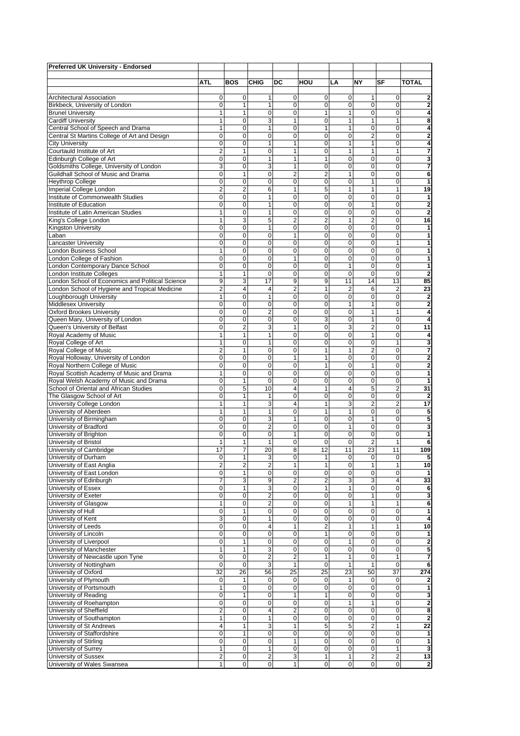| <b>Preferred UK University - Endorsed</b>                     |                         |                  |                              |                              |                         |                             |                              |                            |                              |
|---------------------------------------------------------------|-------------------------|------------------|------------------------------|------------------------------|-------------------------|-----------------------------|------------------------------|----------------------------|------------------------------|
|                                                               | ATL                     | <b>BOS</b>       | <b>CHIG</b>                  | DC                           | HOU                     | LA                          | NY                           | SF                         | <b>TOTAL</b>                 |
| Architectural Association                                     | 0                       | 0                | 1                            | 0                            | 0                       | 0                           | 1                            | 0                          | $\overline{\mathbf{2}}$      |
| Birkbeck, University of London                                | 0                       | 1                | 1                            | $\mathbf 0$                  | $\mathbf 0$             | 0                           | 0                            | $\mathbf 0$                | $\overline{2}$               |
| <b>Brunel University</b>                                      |                         | 1                | $\mathbf 0$                  | 0                            | 1                       | 1                           | $\mathbf 0$                  | $\Omega$                   | 4                            |
| <b>Cardiff University</b>                                     | 1                       | $\mathbf 0$      | 3                            | 1                            | $\mathbf 0$             | $\mathbf{1}$                | $\mathbf{1}$                 | $\mathbf{1}$               | 8                            |
| Central School of Speech and Drama                            | 1                       | 0                | $\mathbf{1}$                 | $\mathbf 0$                  | $\mathbf{1}$            | $\mathbf{1}$                | $\mathbf 0$                  | 0                          | 4                            |
| Central St Martins College of Art and Design                  | 0                       | 0                | 0                            | 0                            | 0                       | 0<br>1                      | $\overline{2}$               | 0                          | $\overline{2}$               |
| <b>City University</b><br>Courtauld Institute of Art          | 0<br>2                  | $\overline{0}$   | 1                            | $\mathbf{1}$<br>$\mathbf{1}$ | 0                       | 1                           | $\mathbf{1}$<br>$\mathbf{1}$ | $\Omega$<br>1              | 4                            |
| Edinburgh College of Art                                      | $\Omega$                | 1<br>$\mathbf 0$ | 0<br>1                       | $\mathbf{1}$                 | 0<br>$\mathbf{1}$       | 0                           | $\mathbf 0$                  | $\mathbf 0$                | 7<br>3                       |
| Goldsmiths College, University of London                      | 3                       | $\mathbf 0$      | 3                            | $\mathbf{1}$                 | 0                       | $\mathbf 0$                 | $\mathbf 0$                  | $\mathbf 0$                | 7                            |
| Guildhall School of Music and Drama                           | 0                       | 1                | $\mathbf 0$                  | $\overline{2}$               | $\overline{2}$          | 1                           | $\mathbf 0$                  | 0                          | 6                            |
| <b>Heythrop College</b>                                       | 0                       | 0                | $\mathbf 0$                  | $\mathbf 0$                  | 0                       | $\mathbf 0$                 | $\mathbf{1}$                 | 0                          | 1                            |
| Imperial College London                                       | $\overline{2}$          | $\overline{2}$   | 6                            | $\mathbf{1}$                 | 5                       | 1                           | $\mathbf{1}$                 | 1                          | 19                           |
| Institute of Commonwealth Studies                             | 0                       | $\mathbf 0$      | 1                            | $\mathbf 0$                  | $\mathbf 0$             | $\mathbf 0$                 | $\mathbf 0$                  | $\mathbf 0$                | 1                            |
| Institute of Education                                        | 0                       | $\mathbf 0$      | 1                            | $\mathbf 0$                  | $\mathbf 0$             | $\mathbf 0$                 | $\mathbf{1}$                 | $\mathbf 0$                | $\overline{2}$               |
| Institute of Latin American Studies                           | 1                       | $\mathbf 0$      | 1                            | $\mathbf 0$                  | $\mathbf 0$             | $\mathbf 0$                 | $\mathbf 0$                  | $\Omega$                   | $\overline{2}$               |
| King's College London                                         | 1                       | 3                | 5                            | 2                            | $\overline{2}$          | 1                           | $\overline{2}$               | 0                          | 16                           |
| <b>Kingston University</b>                                    | $\mathbf 0$             | $\mathbf 0$      | $\mathbf{1}$                 | $\mathbf 0$                  | $\mathbf 0$             | $\mathbf 0$                 | $\mathbf 0$                  | 0                          | 1                            |
| Laban                                                         | 0                       | 0                | 0                            | 1                            | 0                       | 0                           | 0                            | 0                          | 1                            |
| <b>Lancaster University</b>                                   | $\Omega$                | $\mathbf 0$      | 0                            | $\mathbf 0$                  | 0                       | 0                           | $\mathbf 0$                  | $\mathbf{1}$               | 1                            |
| <b>London Business School</b>                                 | 1                       | 0                | 0                            | $\mathbf 0$                  | 0                       | 0                           | $\mathbf 0$                  | $\mathbf 0$                | 1                            |
| London College of Fashion                                     | $\Omega$                | $\mathbf 0$      | 0                            | $\mathbf{1}$                 | $\mathbf 0$             | 0                           | $\mathbf 0$                  | $\mathbf 0$                | 1                            |
| London Contemporary Dance School                              | $\Omega$                | $\mathbf 0$      | $\mathbf 0$                  | $\mathbf 0$                  | $\mathbf 0$             | $\mathbf{1}$                | $\mathbf 0$                  | $\mathbf 0$                | 1                            |
| London Institute Colleges                                     | 1                       | 1                | $\mathbf 0$                  | $\mathbf 0$                  | 0                       | $\mathbf 0$                 | $\mathbf 0$                  | 0                          | $\overline{2}$               |
| London School of Economics and Political Science              | 9                       | 3                | 17                           | 9                            | 9                       | 11                          | 14                           | 13                         | 85                           |
| London School of Hygiene and Tropical Medicine                | $\overline{2}$          | 4                | $\overline{4}$               | $\overline{2}$               | 1                       | $\overline{2}$              | 6                            | $\overline{2}$             | 23                           |
| Loughborough University                                       | 1                       | $\mathbf 0$      | $\mathbf{1}$                 | $\mathbf 0$                  | $\mathbf 0$             | $\mathbf 0$                 | $\mathbf 0$                  | $\Omega$                   | $\overline{2}$               |
| <b>Middlesex University</b>                                   | 0                       | $\mathbf 0$      | 0                            | $\mathbf 0$                  | $\mathbf 0$             | 1                           | $\mathbf{1}$                 | 0                          | $\overline{2}$               |
| <b>Oxford Brookes University</b>                              | $\Omega$                | $\mathbf 0$      | $\overline{2}$               | $\mathbf 0$                  | $\mathbf 0$             | $\mathbf 0$                 | $\mathbf{1}$                 | $\mathbf{1}$               | 4                            |
| Queen Mary, University of London                              | 0                       | $\mathbf 0$      | $\mathbf 0$                  | 0                            | 3                       | $\mathbf 0$                 | 1                            | 0                          | 4                            |
| Queen's University of Belfast                                 | 0                       | $\overline{c}$   | 3                            | $\mathbf{1}$                 | $\mathbf 0$             | 3                           | $\overline{2}$               | $\Omega$                   | 11                           |
| Royal Academy of Music                                        | 1                       | 1                | 1                            | 0                            | 0                       | 0                           | $\mathbf{1}$                 | 0                          | 4                            |
| Royal College of Art                                          | 1                       | $\mathbf 0$      | $\mathbf{1}$                 | $\mathbf 0$                  | 0                       | 0                           | $\mathbf 0$                  | 1                          | 3                            |
| Royal College of Music                                        | $\overline{2}$          | 1                | 0                            | $\mathbf 0$                  | 1                       | 1                           | $\overline{2}$               | $\mathbf 0$                | 7                            |
| Royal Holloway, University of London                          | $\Omega$                | $\mathbf 0$      | $\mathbf 0$                  | $\mathbf{1}$                 | $\mathbf{1}$            | $\mathbf 0$                 | $\mathbf 0$                  | $\Omega$                   | $\overline{2}$               |
| Royal Northern College of Music                               | $\mathbf 0$             | $\mathbf 0$      | $\mathbf 0$                  | $\mathbf 0$                  | $\mathbf{1}$            | $\mathbf 0$                 | $\mathbf{1}$                 | 0                          | $\overline{2}$               |
| Royal Scottish Academy of Music and Drama                     | $\mathbf{1}$            | 0                | $\mathbf 0$                  | $\mathbf 0$                  | $\mathbf 0$             | $\mathbf 0$                 | $\mathbf 0$                  | $\mathbf 0$                | 1                            |
| Royal Welsh Academy of Music and Drama                        | $\mathbf 0$             | 1                | $\mathbf 0$                  | $\mathbf 0$                  | 0                       | $\mathbf 0$                 | $\mathbf 0$                  | 0                          | $\mathbf{1}$                 |
| School of Oriental and African Studies                        | $\mathbf 0$             | 5                | 10                           | 4                            | 1                       | 4                           | 5                            | $\overline{2}$             | 31                           |
| The Glasgow School of Art                                     | 0                       | 1                | $\mathbf{1}$                 | $\mathbf 0$                  | $\mathbf 0$             | $\mathbf 0$                 | $\mathbf 0$                  | $\mathbf 0$                | $\overline{2}$               |
| University College London                                     | 1                       | 1                | 3                            | 4                            | 1                       | 3                           | $\overline{2}$               | $\overline{2}$             | 17                           |
| University of Aberdeen                                        | 1                       | 1                | 1                            | $\mathbf 0$                  | $\mathbf{1}$            | 1                           | $\mathbf 0$                  | 0                          | 5                            |
| University of Birmingham                                      | 0                       | $\mathbf 0$      | 3                            | 1                            | 0                       | $\mathbf 0$                 | $\mathbf{1}$                 | 0                          | 5                            |
| University of Bradford                                        | 0                       | 0                | $\overline{2}$               | 0                            | $\mathbf 0$             | $\mathbf{1}$                | 0                            | 0                          | 3                            |
| University of Brighton                                        | 0                       | 0                | 0                            | 1                            | 0                       | 0                           | 0                            | 0                          | 1                            |
| University of Bristol                                         | 1                       | 1                | $\mathbf{1}$                 | 0                            | 0                       | 0                           | $\overline{2}$               | 1                          | 6                            |
| University of Cambridge                                       | 17                      | 7                | 20                           | 8                            | 12                      | 11                          | 23                           | 11                         | 109                          |
| University of Durham                                          | 0                       | 1                | 3                            | 0                            | 1                       | 0                           | 0                            | 0                          | 5                            |
| University of East Anglia                                     | $\overline{2}$          | $\overline{2}$   | $\overline{2}$               | $\mathbf{1}$                 | $\mathbf{1}$            | $\mathbf 0$                 | $\mathbf{1}$                 | $\mathbf{1}$               | 10                           |
| University of East London                                     | 0                       | 1                | 0                            | 0                            | 0                       | 0                           | 0                            | 0                          | 1                            |
| University of Edinburgh                                       | 7                       | 3                | 9                            | $\overline{2}$               | $\overline{\mathbf{c}}$ | 3                           | 3                            | $\overline{4}$             | 33                           |
| University of Essex                                           | $\mathbf 0$             | 1                | 3                            | 0                            | 1                       | 1                           | 0                            | 0                          | 6                            |
| University of Exeter                                          | 0                       | 0                | $\boldsymbol{2}$             | $\mathbf 0$                  | $\mathbf 0$             | $\pmb{0}$                   | $\mathbf{1}$                 | $\Omega$                   | 3                            |
| University of Glasgow                                         | 1                       | $\mathbf 0$      | $\overline{2}$               | $\mathbf 0$                  | 0                       | 1                           | 1                            | $\mathbf{1}$               | 6                            |
| University of Hull                                            | 0                       | 1                | 0                            | $\mathbf 0$                  | $\mathbf 0$             | 0                           | 0                            | 0                          | 1                            |
| University of Kent                                            | 3                       | $\mathbf 0$      | 1                            | 0                            | 0                       | 0                           | 0                            | 0                          | 4                            |
| University of Leeds                                           | 0                       | 0                | 4                            | $\mathbf{1}$                 | $\overline{\mathbf{c}}$ | 1                           | $\mathbf{1}$                 | $\mathbf{1}$               | 10                           |
| University of Lincoln                                         | 0                       | 0                | 0                            | 0                            | 1                       | 0<br>$\mathbf{1}$           | 0<br>$\mathbf 0$             | 0                          | 1                            |
| University of Liverpool                                       | 0<br>1                  | 1<br>1           | 0                            | $\mathbf 0$<br>$\mathbf 0$   | $\mathbf 0$             |                             | $\mathbf 0$                  | $\mathbf 0$<br>$\mathbf 0$ | $\overline{\mathbf{2}}$      |
| University of Manchester<br>University of Newcastle upon Tyne | $\mathbf 0$             | $\mathbf 0$      | 3<br>$\overline{\mathbf{c}}$ | $\overline{2}$               | $\mathbf 0$<br>1        | $\mathbf 0$<br>$\mathbf{1}$ | $\mathbf 0$                  | $\mathbf{1}$               | 5                            |
| University of Nottingham                                      | $\mathbf 0$             | $\mathbf 0$      | 3                            | $\mathbf{1}$                 | $\mathbf 0$             | $\mathbf{1}$                | $\mathbf{1}$                 | $\mathbf 0$                | 7<br>6                       |
|                                                               | 32                      |                  | 56                           | 25                           | 25                      |                             | 50                           | 37                         |                              |
| University of Oxford                                          | $\mathbf 0$             | 26<br>1          |                              | $\mathbf 0$                  |                         | 23<br>1                     | $\mathbf 0$                  | $\mathbf 0$                | 274                          |
| University of Plymouth<br>University of Portsmouth            | 1                       | $\mathbf 0$      | 0<br>0                       | 0                            | 0<br>0                  | 0                           | $\mathbf 0$                  | 0                          | $\overline{\mathbf{2}}$<br>1 |
| University of Reading                                         | 0                       | 1                | 0                            | 1                            | 1                       | 0                           | $\mathbf 0$                  | $\mathbf 0$                | 3                            |
| University of Roehampton                                      | $\mathbf 0$             | $\mathbf 0$      | 0                            | 0                            | $\mathbf 0$             | $\mathbf{1}$                | 1                            | $\mathbf 0$                | $\overline{2}$               |
| University of Sheffield                                       | $\overline{2}$          | $\mathbf 0$      | $\overline{4}$               | $\overline{2}$               | 0                       | 0                           | 0                            | 0                          | 8                            |
| University of Southampton                                     | 1                       | 0                | $\mathbf{1}$                 | 0                            | 0                       | 0                           | 0                            | 0                          | $\overline{\mathbf{2}}$      |
| University of St Andrews                                      | $\overline{\mathbf{4}}$ | 1                | 3                            | $\mathbf{1}$                 | 5                       | 5                           | $\overline{2}$               | $\mathbf{1}$               | 22                           |
| University of Staffordshire                                   | 0                       | 1                | 0                            | 0                            | 0                       | 0                           | 0                            | 0                          | 1                            |
| University of Stirling                                        | 0                       | 0                | $\mathbf 0$                  | $\mathbf{1}$                 | $\mathbf 0$             | 0                           | $\mathbf 0$                  | $\mathbf 0$                | 1                            |
| University of Surrey                                          | 1                       | $\mathbf 0$      | $\mathbf{1}$                 | $\mathbf 0$                  | $\mathbf 0$             | $\mathbf 0$                 | $\mathbf 0$                  | $\mathbf{1}$               | 3                            |
| University of Sussex                                          | $\overline{c}$          | 0                | $\overline{\mathbf{c}}$      | 3                            | 1                       | 1                           | $\overline{\mathbf{c}}$      | $\overline{\mathbf{c}}$    | 13                           |
| University of Wales Swansea                                   | $\mathbf{1}$            | $\mathbf 0$      | $\pmb{0}$                    | $\mathbf{1}$                 | 0                       | $\mathbf 0$                 | 0                            | $\mathbf 0$                | $\overline{\mathbf{2}}$      |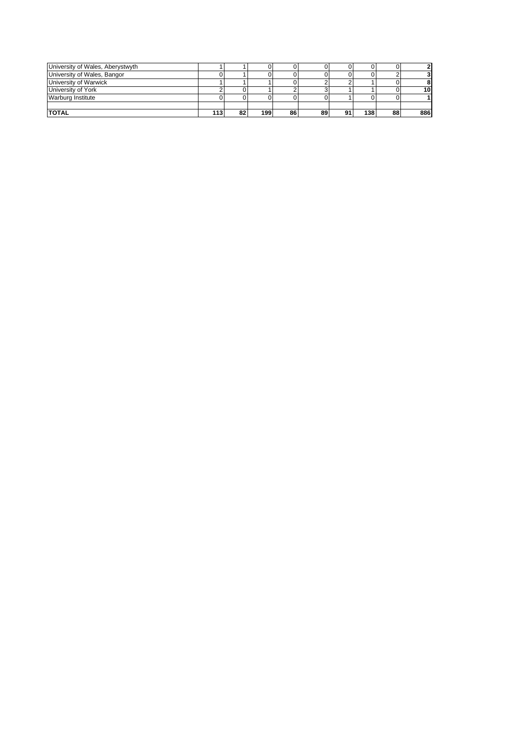| University of Wales, Aberystwyth |    |     |    |    |    |     |    |                 |
|----------------------------------|----|-----|----|----|----|-----|----|-----------------|
| University of Wales, Bangor      |    |     |    |    |    |     |    |                 |
| University of Warwick            |    |     |    |    |    |     |    |                 |
| University of York               |    |     |    |    |    |     |    | 10 <sup>1</sup> |
| Warburg Institute                |    |     |    |    |    |     |    |                 |
|                                  |    |     |    |    |    |     |    |                 |
| <b>TOTAL</b>                     | 82 | 199 | 86 | 89 | 91 | 138 | 88 | 886             |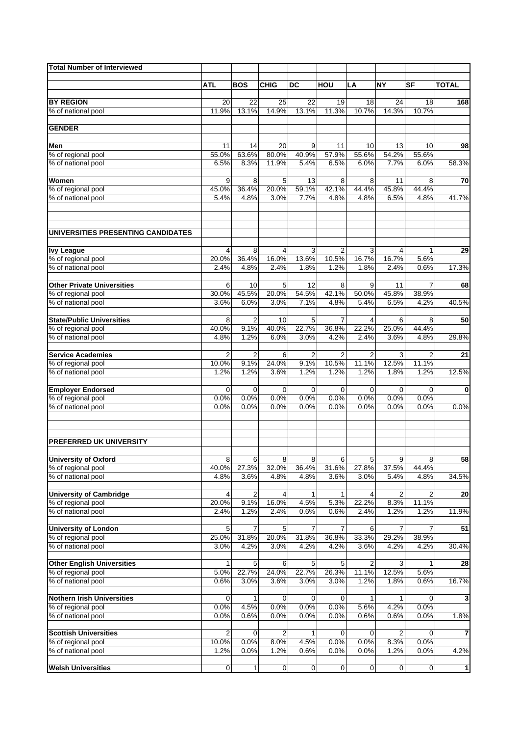| <b>Total Number of Interviewed</b>                      |               |                |               |                |                |               |                |                     |                         |
|---------------------------------------------------------|---------------|----------------|---------------|----------------|----------------|---------------|----------------|---------------------|-------------------------|
|                                                         | <b>ATL</b>    | <b>BOS</b>     | <b>CHIG</b>   | <b>DC</b>      | HOU            | LA            | <b>NY</b>      | SF                  | TOTAL                   |
|                                                         |               |                |               |                |                |               |                |                     |                         |
| <b>BY REGION</b>                                        | 20            | 22             | 25            | 22             | 19             | 18            | 24             | 18                  | 168                     |
| % of national pool                                      | 11.9%         | 13.1%          | 14.9%         | 13.1%          | 11.3%          | 10.7%         | 14.3%          | 10.7%               |                         |
|                                                         |               |                |               |                |                |               |                |                     |                         |
| <b>GENDER</b>                                           |               |                |               |                |                |               |                |                     |                         |
| Men                                                     | 11            | 14             | 20            | 9              | 11             | 10            | 13             | 10                  | 98                      |
| % of regional pool                                      | 55.0%         | 63.6%          | 80.0%         | 40.9%          | 57.9%          | 55.6%         | 54.2%          | 55.6%               |                         |
| % of national pool                                      | 6.5%          | 8.3%           | 11.9%         | 5.4%           | 6.5%           | 6.0%          | 7.7%           | 6.0%                | 58.3%                   |
| Women                                                   | 9             | 8              | 5             | 13             | 8              | 8             | 11             | 8                   | 70                      |
| % of regional pool                                      | 45.0%         | 36.4%          | 20.0%         | 59.1%          | 42.1%          | 44.4%         | 45.8%          | 44.4%               |                         |
| % of national pool                                      | 5.4%          | 4.8%           | 3.0%          | 7.7%           | 4.8%           | 4.8%          | 6.5%           | 4.8%                | 41.7%                   |
| UNIVERSITIES PRESENTING CANDIDATES                      |               |                |               |                |                |               |                |                     |                         |
| <b>Ivy League</b>                                       | 4             | 8              | 4             | 3              | $\overline{2}$ | 3             | 4              |                     | 29                      |
| % of regional pool                                      | 20.0%         | 36.4%          | 16.0%         | 13.6%          | 10.5%          | 16.7%         | 16.7%          | 5.6%                |                         |
| % of national pool                                      | 2.4%          | 4.8%           | 2.4%          | 1.8%           | 1.2%           | 1.8%          | 2.4%           | 0.6%                | 17.3%                   |
|                                                         |               |                |               |                |                |               |                |                     |                         |
| <b>Other Private Universities</b><br>% of regional pool | 6<br>30.0%    | 10<br>45.5%    | 5<br>20.0%    | 12<br>54.5%    | 8<br>42.1%     | 9<br>50.0%    | 11<br>45.8%    | 7<br>38.9%          | 68                      |
| % of national pool                                      | 3.6%          | 6.0%           | 3.0%          | 7.1%           | 4.8%           | 5.4%          | 6.5%           | 4.2%                | 40.5%                   |
|                                                         |               |                |               |                |                |               |                |                     |                         |
| <b>State/Public Universities</b>                        | 8             | $\overline{2}$ | 10            | 5              | 7              | 4             | 6              | 8                   | 50                      |
| % of regional pool                                      | 40.0%         | 9.1%           | 40.0%         | 22.7%          | 36.8%          | 22.2%         | 25.0%          | 44.4%               |                         |
| % of national pool                                      | 4.8%          | 1.2%           | 6.0%          | 3.0%           | 4.2%           | 2.4%          | 3.6%           | 4.8%                | 29.8%                   |
| <b>Service Academies</b>                                | 2             | $\overline{2}$ | 6             | $\overline{2}$ | $\overline{2}$ | 2             | 3              | 2                   | 21                      |
| % of regional pool                                      | 10.0%         | 9.1%           | 24.0%         | 9.1%           | 10.5%          | 11.1%         | 12.5%          | 11.1%               |                         |
| % of national pool                                      | 1.2%          | 1.2%           | 3.6%          | 1.2%           | 1.2%           | 1.2%          | 1.8%           | 1.2%                | 12.5%                   |
|                                                         |               |                |               |                |                |               |                |                     |                         |
| <b>Employer Endorsed</b>                                | 0             | 0              | 0             | 0              | 0              | 0             | 0              | 0                   | $\pmb{0}$               |
| % of regional pool                                      | 0.0%          | 0.0%           | 0.0%          | 0.0%           | 0.0%           | 0.0%          | 0.0%           | 0.0%                |                         |
| % of national pool                                      | 0.0%          | 0.0%           | 0.0%          | 0.0%           | 0.0%           | 0.0%          | 0.0%           | 0.0%                | 0.0%                    |
| <b>PREFERRED UK UNIVERSITY</b>                          |               |                |               |                |                |               |                |                     |                         |
| <b>University of Oxford</b>                             | 8             | 6              | 8             | 8              | 6              | 5             | 9              | 8                   | 58                      |
| % of regional pool                                      | 40.0%         | 27.3%          | 32.0%         | 36.4%          | 31.6%          | 27.8%         | 37.5%          | 44.4%               |                         |
| % of national pool                                      | 4.8%          | 3.6%           | 4.8%          | 4.8%           | 3.6%           | 3.0%          | 5.4%           | 4.8%                | 34.5%                   |
|                                                         |               |                |               |                |                |               |                |                     |                         |
| <b>University of Cambridge</b><br>% of regional pool    | 4             | $\overline{2}$ | 4             | 1<br>4.5%      | 1              | 4             | $\overline{2}$ | 2                   | ${\bf 20}$              |
| % of national pool                                      | 20.0%<br>2.4% | 9.1%<br>1.2%   | 16.0%<br>2.4% | 0.6%           | 5.3%<br>0.6%   | 22.2%<br>2.4% | 8.3%<br>1.2%   | 11.1%<br>1.2%       | 11.9%                   |
|                                                         |               |                |               |                |                |               |                |                     |                         |
| <b>University of London</b>                             | 5             | 7              | 5             | $\overline{7}$ | 7              | 6             | $\overline{7}$ |                     | $\overline{51}$         |
| % of regional pool                                      | 25.0%         | 31.8%          | 20.0%         | 31.8%          | 36.8%          | 33.3%         | 29.2%          | 38.9%               |                         |
| % of national pool                                      | 3.0%          | 4.2%           | 3.0%          | 4.2%           | 4.2%           | 3.6%          | 4.2%           | 4.2%                | 30.4%                   |
| <b>Other English Universities</b>                       | 1             | 5              | 6             | 5              | 5              | 2             | 3              |                     | 28                      |
| % of regional pool                                      | 5.0%          | 22.7%          | 24.0%         | 22.7%          | 26.3%          | 11.1%         | 12.5%          | 5.6%                |                         |
| % of national pool                                      | 0.6%          | 3.0%           | 3.6%          | 3.0%           | 3.0%           | 1.2%          | 1.8%           | 0.6%                | 16.7%                   |
|                                                         |               |                |               |                |                |               |                |                     |                         |
| <b>Nothern Irish Universities</b><br>% of regional pool | 0<br>0.0%     | 1<br>4.5%      | 0<br>0.0%     | 0<br>0.0%      | 0<br>0.0%      | 1<br>5.6%     | 1<br>4.2%      | $\mathbf 0$<br>0.0% | ω                       |
| % of national pool                                      | 0.0%          | 0.6%           | 0.0%          | 0.0%           | 0.0%           | 0.6%          | 0.6%           | 0.0%                | 1.8%                    |
|                                                         |               |                |               |                |                |               |                |                     |                         |
| <b>Scottish Universities</b>                            | 2             | 0              | 2             | 1              | 0              | 0             | 2              | 0                   | $\overline{\mathbf{7}}$ |
| % of regional pool                                      | 10.0%         | 0.0%           | 8.0%          | 4.5%           | 0.0%           | 0.0%          | 8.3%           | 0.0%                |                         |
| % of national pool                                      | 1.2%          | 0.0%           | 1.2%          | 0.6%           | 0.0%           | 0.0%          | 1.2%           | 0.0%                | 4.2%                    |
| <b>Welsh Universities</b>                               | 0             | $\mathbf{1}$   | 0             | $\mathbf 0$    | 0              | $\pmb{0}$     | 0              | 0                   | $\mathbf{1}$            |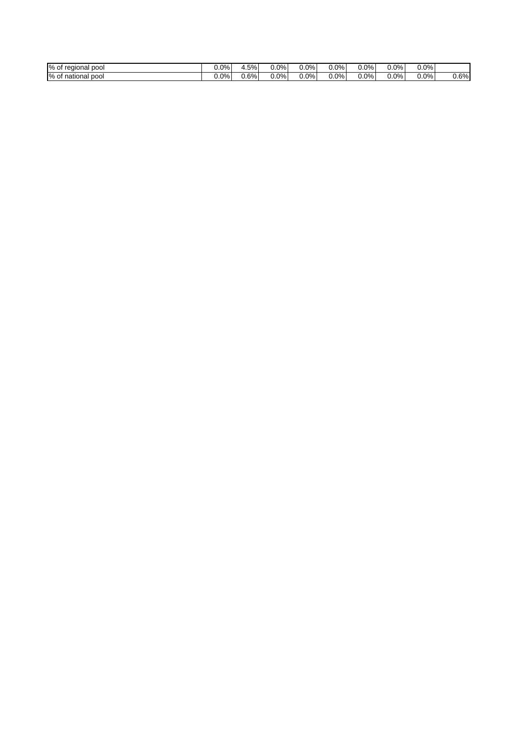| % of<br>pool<br>regional | $0.0\%$ | .5%  | 0.0% | $0.0\%$ | $0.0\%$ | $0.0\%$ | $0.0\%$ | 0.0%    |      |
|--------------------------|---------|------|------|---------|---------|---------|---------|---------|------|
| % of<br>pool<br>national | $0.0\%$ | 0.6% | 0.0% | $0.0\%$ | $0.0\%$ | $0.0\%$ | $0.0\%$ | $0.0\%$ | 0.6% |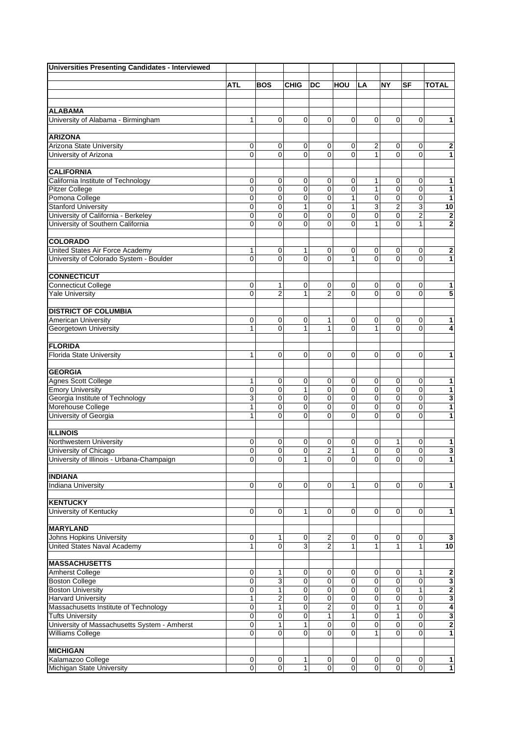| Universities Presenting Candidates - Interviewed |                     |                  |                     |                |                  |                            |                  |                            |                         |
|--------------------------------------------------|---------------------|------------------|---------------------|----------------|------------------|----------------------------|------------------|----------------------------|-------------------------|
|                                                  |                     |                  |                     |                |                  |                            |                  |                            |                         |
|                                                  | <b>ATL</b>          | <b>BOS</b>       | <b>CHIG</b>         | DC             | HOU              | LA                         | <b>NY</b>        | <b>SF</b>                  | <b>TOTAL</b>            |
|                                                  |                     |                  |                     |                |                  |                            |                  |                            |                         |
| <b>ALABAMA</b>                                   |                     |                  |                     |                |                  |                            |                  |                            |                         |
| University of Alabama - Birmingham               | 1                   | 0                | 0                   | $\Omega$       | 0                | $\mathbf 0$                | 0                | $\Omega$                   | 1                       |
|                                                  |                     |                  |                     |                |                  |                            |                  |                            |                         |
| <b>ARIZONA</b>                                   |                     |                  |                     |                |                  |                            |                  |                            |                         |
| Arizona State University                         | 0                   | 0                | 0                   | 0              | 0                | 2                          | 0                | 0                          | $\overline{\mathbf{c}}$ |
| University of Arizona                            | $\mathbf 0$         | $\Omega$         | $\mathbf 0$         | $\Omega$       | 0                | 1                          | 0                | $\Omega$                   | $\mathbf{1}$            |
|                                                  |                     |                  |                     |                |                  |                            |                  |                            |                         |
| <b>CALIFORNIA</b>                                |                     |                  |                     |                |                  |                            |                  |                            |                         |
| California Institute of Technology               | 0                   | 0                | 0<br>$\overline{0}$ | 0              | 0                | 1                          | 0                | 0                          | 1                       |
| <b>Pitzer College</b>                            | 0                   | 0<br>$\mathbf 0$ | 0                   | $\mathbf 0$    | $\mathbf 0$<br>1 | $\mathbf{1}$<br>0          | $\mathbf 0$<br>0 | $\mathbf 0$<br>$\mathbf 0$ | $\mathbf{1}$            |
| Pomona College<br><b>Stanford University</b>     | $\mathbf 0$<br>0    | $\mathbf 0$      | 1                   | 0<br>0         | 1                |                            | 2                |                            | $\mathbf{1}$            |
| University of California - Berkeley              | 0                   | 0                | $\mathbf 0$         | 0              | 0                | 3<br>$\pmb{0}$             | $\mathbf 0$      | 3<br>$\overline{2}$        | 10<br>$\bf{2}$          |
| University of Southern California                | $\mathbf 0$         | $\mathbf 0$      | $\overline{0}$      | $\Omega$       | 0                | $\mathbf{1}$               | $\mathbf 0$      | $\mathbf{1}$               | $\bf{2}$                |
|                                                  |                     |                  |                     |                |                  |                            |                  |                            |                         |
| <b>COLORADO</b>                                  |                     |                  |                     |                |                  |                            |                  |                            |                         |
| United States Air Force Academy                  | 1                   | 0                | 1                   | 0              | 0                | 0                          | 0                | 0                          | $\overline{\mathbf{2}}$ |
| University of Colorado System - Boulder          | $\Omega$            | $\mathbf{0}$     | $\Omega$            | $\Omega$       | 1                | 0                          | 0                | $\Omega$                   | $\mathbf{1}$            |
|                                                  |                     |                  |                     |                |                  |                            |                  |                            |                         |
| <b>CONNECTICUT</b>                               |                     |                  |                     |                |                  |                            |                  |                            |                         |
| <b>Connecticut College</b>                       | 0                   | 1                | 0                   | 0              | 0                | 0                          | 0                | 0                          | 1                       |
| <b>Yale University</b>                           | $\overline{0}$      | $\overline{2}$   | $\mathbf{1}$        | $\overline{2}$ | 0                | $\mathbf 0$                | $\mathbf 0$      | $\mathbf 0$                | 5                       |
|                                                  |                     |                  |                     |                |                  |                            |                  |                            |                         |
| <b>DISTRICT OF COLUMBIA</b>                      |                     |                  |                     |                |                  |                            |                  |                            |                         |
| <b>American University</b>                       | 0                   | 0                | $\mathbf 0$         | 1              | 0                | 0                          | 0                | 0                          | 1                       |
| Georgetown University                            | 1                   | $\Omega$         | 1                   | 1              | $\overline{0}$   | $\mathbf{1}$               | $\mathbf 0$      | $\Omega$                   | 4                       |
|                                                  |                     |                  |                     |                |                  |                            |                  |                            |                         |
| <b>FLORIDA</b>                                   |                     |                  |                     |                |                  |                            |                  |                            |                         |
| <b>Florida State University</b>                  | $\mathbf{1}$        | $\mathbf 0$      | $\mathbf 0$         | $\mathbf 0$    | 0                | $\mathbf 0$                | $\mathbf 0$      | $\mathbf 0$                | 1                       |
| <b>GEORGIA</b>                                   |                     |                  |                     |                |                  |                            |                  |                            |                         |
| <b>Agnes Scott College</b>                       | 1                   | $\mathbf 0$      | 0                   | 0              | 0                | 0                          | 0                | $\mathbf 0$                | 1                       |
| <b>Emory University</b>                          | 0                   | 0                | 1                   | 0              | 0                | $\mathbf 0$                | 0                | $\mathbf 0$                | 1                       |
| Georgia Institute of Technology                  | 3                   | 0                | $\mathbf 0$         | 0              | $\mathbf 0$      | $\mathbf 0$                | 0                | $\mathbf 0$                | $\overline{\mathbf{3}}$ |
| Morehouse College                                | 1                   | 0                | $\mathbf 0$         | $\mathbf 0$    | 0                | 0                          | 0                | $\mathbf 0$                | 1                       |
| University of Georgia                            | 1                   | 0                | $\Omega$            | 0              | 0                | $\mathbf 0$                | 0                | $\mathbf 0$                | 1                       |
|                                                  |                     |                  |                     |                |                  |                            |                  |                            |                         |
| <b>ILLINOIS</b>                                  |                     |                  |                     |                |                  |                            |                  |                            |                         |
| Northwestern University                          | 0                   | 0                | 0                   | 0              | 0                | 0                          | 1                | 0                          | 1                       |
| University of Chicago                            | $\overline{0}$      | $\mathbf 0$      | $\mathbf 0$         | $\overline{2}$ | 1                | $\mathbf 0$                | $\mathbf 0$      | $\mathbf 0$                | 3                       |
| University of Illinois - Urbana-Champaign        | $\mathbf 0$         | 0                | 1                   | 0              | $\mathbf 0$      | 0                          | 0                | 0                          | 1                       |
|                                                  |                     |                  |                     |                |                  |                            |                  |                            |                         |
| <b>INDIANA</b>                                   |                     |                  |                     |                |                  |                            |                  |                            |                         |
| <b>Indiana University</b>                        | 0                   | 0                | 0                   | 0              | 1                | $\mathbf 0$                | 0                | 0                          | 1                       |
|                                                  |                     |                  |                     |                |                  |                            |                  |                            |                         |
| <b>KENTUCKY</b>                                  |                     |                  |                     |                |                  |                            |                  |                            |                         |
| University of Kentucky                           | 0                   | 0                | 1                   | 0              | 0                | $\mathbf 0$                | 0                | $\mathbf 0$                | 1                       |
| <b>MARYLAND</b>                                  |                     |                  |                     |                |                  |                            |                  |                            |                         |
| <b>Johns Hopkins University</b>                  | 0                   | 1                | 0                   | 2              | 0                | 0                          | 0                | 0                          | $\mathbf 3$             |
| United States Naval Academy                      | 1                   | 0                | 3                   | 2              | 1                | $\mathbf{1}$               | 1                | 1                          | 10                      |
|                                                  |                     |                  |                     |                |                  |                            |                  |                            |                         |
| <b>MASSACHUSETTS</b>                             |                     |                  |                     |                |                  |                            |                  |                            |                         |
| <b>Amherst College</b>                           | 0                   | 1                | 0                   | 0              | 0                | 0                          | 0                | 1                          | 2                       |
| <b>Boston College</b>                            | $\mathbf 0$         | 3                | $\mathbf 0$         | $\mathbf 0$    | 0                | $\mathbf 0$                | $\mathbf 0$      | $\mathbf 0$                | $\overline{\mathbf{3}}$ |
| <b>Boston University</b>                         | 0                   | $\mathbf{1}$     | 0                   | 0              | 0                | 0                          | 0                | 1                          | $\mathbf 2$             |
| <b>Harvard University</b>                        | 1                   | 2                | $\mathbf 0$         | 0              | 0                | $\pmb{0}$                  | $\pmb{0}$        | $\pmb{0}$                  | $\overline{\mathbf{3}}$ |
| Massachusetts Institute of Technology            | $\mathbf 0$         | $\mathbf{1}$     | $\mathbf 0$         | $\overline{2}$ | 0                | $\mathbf 0$                | $\mathbf{1}$     | $\mathbf 0$                | 4                       |
| <b>Tufts University</b>                          | 0                   | 0                | 0                   | 1              | 1                | $\mathbf 0$                | 1                | $\mathbf 0$                | $\overline{\mathbf{3}}$ |
| University of Massachusetts System - Amherst     | 0                   | 1                | 1                   | 0              | $\pmb{0}$        | $\pmb{0}$                  | $\overline{0}$   | $\pmb{0}$                  | $\overline{\mathbf{c}}$ |
| <b>Williams College</b>                          | $\overline{0}$      | $\mathbf 0$      | $\Omega$            | $\mathbf 0$    | 0                | 1                          | 0                | $\mathbf 0$                | 1                       |
|                                                  |                     |                  |                     |                |                  |                            |                  |                            |                         |
| <b>MICHIGAN</b><br>Kalamazoo College             |                     |                  |                     |                |                  |                            |                  |                            |                         |
| Michigan State University                        | 0<br>$\overline{0}$ | 0<br>0           | 1<br>$\mathbf{1}$   | 0<br>0         | 0<br>$\mathbf 0$ | $\mathbf 0$<br>$\mathbf 0$ | 0<br>$\pmb{0}$   | 0<br>$\mathbf 0$           | 1<br>$\blacksquare$     |
|                                                  |                     |                  |                     |                |                  |                            |                  |                            |                         |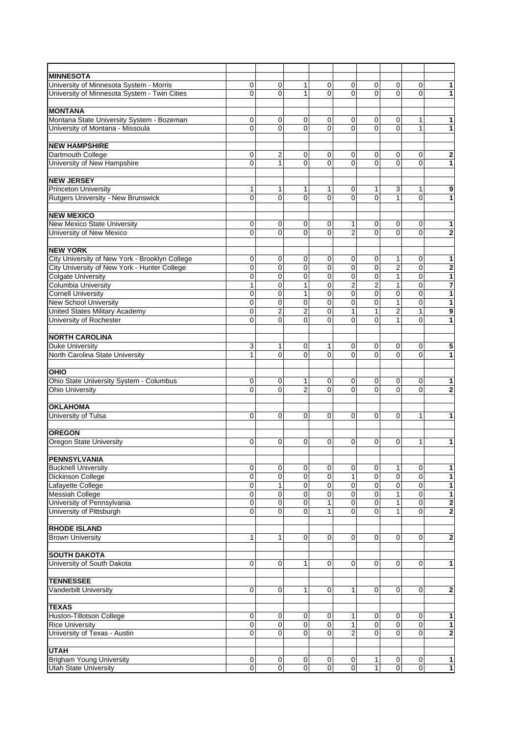| <b>MINNESOTA</b>                                       |             |                         |                     |               |                |                |                |                            |                         |
|--------------------------------------------------------|-------------|-------------------------|---------------------|---------------|----------------|----------------|----------------|----------------------------|-------------------------|
| University of Minnesota System - Morris                | 0           | 0                       | 1                   | 0             | 0              | 0              | 0              | 0                          | 1                       |
| University of Minnesota System - Twin Cities           | $\Omega$    | 0                       | 1                   | $\Omega$      | 0              | $\mathbf{0}$   | 0              | $\Omega$                   | 1                       |
|                                                        |             |                         |                     |               |                |                |                |                            |                         |
| <b>MONTANA</b>                                         |             |                         |                     |               |                |                |                |                            |                         |
| Montana State University System - Bozeman              | 0           | 0                       | 0                   | 0             | 0              | 0              | 0              | 1                          | 1                       |
| University of Montana - Missoula                       | $\Omega$    | $\Omega$                | $\Omega$            | $\Omega$      | 0              | $\mathbf 0$    | 0              | $\mathbf{1}$               | $\mathbf{1}$            |
|                                                        |             |                         |                     |               |                |                |                |                            |                         |
| <b>NEW HAMPSHIRE</b>                                   |             |                         |                     |               |                |                |                |                            |                         |
| Dartmouth College                                      | 0           | $\overline{2}$          | 0                   | 0             | 0              | 0              | 0              | $\mathbf 0$                | 2                       |
| University of New Hampshire                            | $\mathbf 0$ | 1                       | 0                   | $\Omega$      | 0              | 0              | 0              | $\mathbf 0$                | 1                       |
|                                                        |             |                         |                     |               |                |                |                |                            |                         |
| <b>NEW JERSEY</b>                                      |             |                         |                     |               |                |                |                |                            |                         |
|                                                        |             |                         |                     |               |                |                |                |                            |                         |
| <b>Princeton University</b>                            | 1           | 1                       | 1                   | 1             | 0              | 1              | 3              | 1                          | 9                       |
| Rutgers University - New Brunswick                     | $\Omega$    | $\mathbf 0$             | $\Omega$            | $\Omega$      | 0              | $\overline{0}$ | $\mathbf{1}$   | $\Omega$                   | 1                       |
|                                                        |             |                         |                     |               |                |                |                |                            |                         |
| <b>NEW MEXICO</b>                                      |             |                         |                     |               |                |                |                |                            |                         |
| New Mexico State University                            | 0           | 0                       | 0                   | 0             | 1              | 0              | 0              | 0                          | $\overline{\mathbf{1}}$ |
| University of New Mexico                               | $\Omega$    | 0                       | 0                   | $\Omega$      | $\overline{2}$ | 0              | 0              | $\mathbf 0$                | $\overline{\mathbf{2}}$ |
|                                                        |             |                         |                     |               |                |                |                |                            |                         |
| <b>NEW YORK</b>                                        |             |                         |                     |               |                |                |                |                            |                         |
| City University of New York - Brooklyn College         | 0           | 0                       | 0                   | 0             | 0              | 0              | 1              | 0                          | 1                       |
| City University of New York - Hunter College           | $\mathbf 0$ | 0                       | 0                   | $\mathbf 0$   | 0              | $\pmb{0}$      | $\overline{2}$ | $\mathbf 0$                | $\overline{2}$          |
| <b>Colgate University</b>                              | $\mathbf 0$ | $\mathbf 0$             | 0                   | $\mathbf 0$   | $\overline{0}$ | $\overline{0}$ | 1              | $\mathbf 0$                | $\overline{\mathbf{1}}$ |
| Columbia University                                    | 1           | $\mathbf 0$             | 1                   | $\mathbf 0$   | $\overline{2}$ | $\overline{2}$ | 1              | $\mathbf 0$                | 7                       |
| <b>Cornell University</b>                              | $\mathbf 0$ | 0                       | 1                   | $\mathbf 0$   | $\mathbf 0$    | $\mathbf 0$    | 0              | $\mathbf 0$                | 1                       |
| New School University                                  | $\mathbf 0$ | $\mathbf 0$             | $\mathbf 0$         | $\mathbf 0$   | $\overline{0}$ | $\overline{0}$ | 1              | $\mathbf 0$                | 1                       |
| <b>United States Military Academy</b>                  | $\mathbf 0$ | $\overline{\mathbf{c}}$ | $\overline{2}$      | 0             | $\mathbf{1}$   | 1              | 2              | 1                          | 9                       |
| University of Rochester                                | $\mathbf 0$ | 0                       | 0                   | $\mathbf 0$   | 0              | $\mathbf 0$    | $\mathbf{1}$   | $\mathbf 0$                | 1                       |
|                                                        |             |                         |                     |               |                |                |                |                            |                         |
| <b>NORTH CAROLINA</b>                                  |             |                         |                     |               |                |                |                |                            |                         |
| <b>Duke University</b>                                 | 3           | 1                       | 0                   | 1             | 0              | 0              | 0              | 0                          | $\overline{\mathbf{5}}$ |
| North Carolina State University                        | 1           | $\Omega$                | 0                   | $\Omega$      | $\overline{0}$ | 0              | 0              | $\mathbf 0$                | 1                       |
|                                                        |             |                         |                     |               |                |                |                |                            |                         |
| OHIO                                                   |             |                         |                     |               |                |                |                |                            |                         |
| Ohio State University System - Columbus                | 0           | 0                       | 1                   | 0             | 0              | 0              | 0              | 0                          | 1                       |
| <b>Ohio University</b>                                 | $\Omega$    | 0                       | $\overline{2}$      | $\Omega$      | 0              | 0              | 0              | $\mathbf 0$                | 2                       |
|                                                        |             |                         |                     |               |                |                |                |                            |                         |
| <b>OKLAHOMA</b>                                        |             |                         |                     |               |                |                |                |                            |                         |
| University of Tulsa                                    | $\Omega$    | $\mathbf 0$             | 0                   | $\mathbf 0$   | 0              | 0              | 0              | 1                          | 1                       |
|                                                        |             |                         |                     |               |                |                |                |                            |                         |
| <b>OREGON</b>                                          |             |                         |                     |               |                |                |                |                            |                         |
| Oregon State University                                | $\mathbf 0$ | 0                       | 0                   | 0             | 0              | 0              | 0              | 1                          | 1                       |
|                                                        |             |                         |                     |               |                |                |                |                            |                         |
| <b>PENNSYLVANIA</b>                                    |             |                         |                     |               |                |                |                |                            |                         |
| <b>Bucknell University</b>                             | 0           | 0                       | 0                   | $\mathbf 0$   | 0              | 0              | 1              | 0                          | 1                       |
| <b>Dickinson College</b>                               | $\mathbf 0$ | 0                       | 0                   | $\mathbf 0$   | $\mathbf{1}$   | $\mathbf 0$    | 0              | $\mathbf 0$                | 1                       |
| Lafayette College                                      | 0           | $\mathbf{1}$            | 0                   | 0             | 0              | 0              | 0              | $\mathbf 0$                | 1                       |
| <b>Messiah College</b>                                 | $\mathbf 0$ | 0                       | 0                   | $\mathbf 0$   | 0              | 0              | 1              | $\mathbf 0$                | 1                       |
|                                                        | $\mathbf 0$ | 0                       | $\mathbf 0$         | $\mathbf{1}$  | 0              | $\mathbf 0$    | $\mathbf{1}$   | $\mathbf 0$                | $\overline{\mathbf{c}}$ |
| University of Pennsylvania<br>University of Pittsburgh | $\Omega$    | 0                       | 0                   | 1             | 0              | $\mathbf 0$    | 1              | $\mathbf 0$                | 2                       |
|                                                        |             |                         |                     |               |                |                |                |                            |                         |
| <b>RHODE ISLAND</b>                                    |             |                         |                     |               |                |                |                |                            |                         |
| <b>Brown University</b>                                | 1           | 1                       | 0                   | $\mathbf 0$   | 0              | $\mathbf 0$    | 0              | $\mathbf 0$                | 2                       |
|                                                        |             |                         |                     |               |                |                |                |                            |                         |
| <b>SOUTH DAKOTA</b>                                    |             |                         |                     |               |                |                |                |                            |                         |
| University of South Dakota                             | $\mathbf 0$ | 0                       | 1                   | $\mathbf 0$   | 0              | $\mathbf 0$    | 0              | $\mathbf 0$                | 1                       |
|                                                        |             |                         |                     |               |                |                |                |                            |                         |
| <b>TENNESSEE</b>                                       |             |                         |                     |               |                |                |                |                            |                         |
| <b>Vanderbilt University</b>                           | $\mathbf 0$ | 0                       | 1                   | $\mathbf 0$   | 1              | $\mathbf 0$    | 0              | $\Omega$                   | 2                       |
|                                                        |             |                         |                     |               |                |                |                |                            |                         |
| <b>TEXAS</b>                                           |             |                         |                     |               |                |                |                |                            |                         |
| Huston-Tillotson College                               | 0           | 0                       | 0                   | 0             | $\mathbf{1}$   | $\mathbf 0$    | 0              | 0                          | 1                       |
| <b>Rice University</b>                                 | $\mathbf 0$ |                         |                     |               | $\mathbf{1}$   | $\mathbf 0$    | 0              |                            |                         |
| University of Texas - Austin                           | $\Omega$    | 0<br>0                  | 0<br>$\overline{0}$ | 0<br>$\Omega$ | $\overline{2}$ | $\overline{0}$ | 0              | $\mathbf 0$<br>$\mathbf 0$ | 1                       |
|                                                        |             |                         |                     |               |                |                |                |                            | 2                       |
|                                                        |             |                         |                     |               |                |                |                |                            |                         |
| <b>UTAH</b>                                            |             |                         |                     |               |                |                |                |                            |                         |
| <b>Brigham Young University</b>                        | $\mathbf 0$ | 0                       | 0                   | $\pmb{0}$     | 0              | 1              | $\mathbf 0$    | $\pmb{0}$                  | 1                       |
| <b>Utah State University</b>                           | $\mathbf 0$ | $\mathbf 0$             | $\pmb{0}$           | $\mathbf{0}$  | 0              | $\mathbf{1}$   | 0              | $\mathbf 0$                | $\blacksquare$          |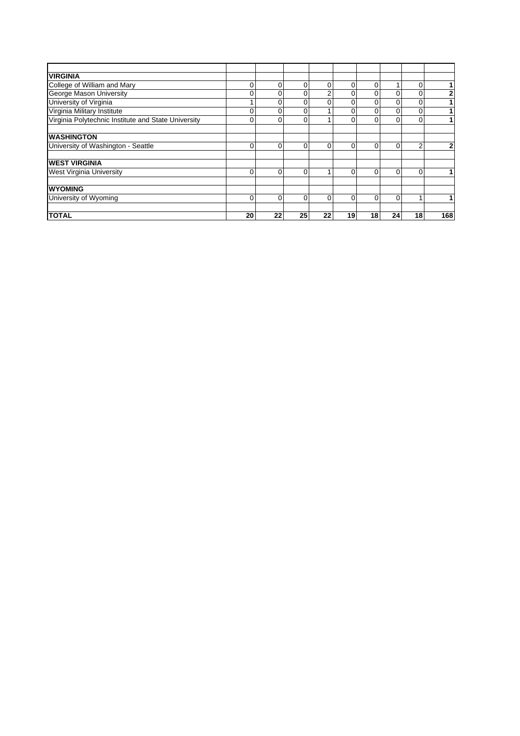| <b>VIRGINIA</b>                                     |          |          |          |          |    |    |          |          |     |
|-----------------------------------------------------|----------|----------|----------|----------|----|----|----------|----------|-----|
| College of William and Mary                         | 0        | $\Omega$ | 0        | $\Omega$ | 0  | 0  | 4        | 0        |     |
| George Mason University                             | 0        | 0        | 0        | 2        | 0  | 0  | $\Omega$ | $\Omega$ | 2   |
| University of Virginia                              |          | 0        | 0        | $\Omega$ | 0  | 0  | $\Omega$ | $\Omega$ |     |
| Virginia Military Institute                         | 0        | 0        | 0        |          | 0  | 0  | $\Omega$ | $\Omega$ |     |
| Virginia Polytechnic Institute and State University |          | 0        | 0        |          | 0  | 0  | $\Omega$ | $\Omega$ |     |
| <b>WASHINGTON</b>                                   |          |          |          |          |    |    |          |          |     |
| University of Washington - Seattle                  | 0        | 0        | 0        | $\Omega$ | 0  | 0  | $\Omega$ | 2        | 2   |
| <b>IWEST VIRGINIA</b>                               |          |          |          |          |    |    |          |          |     |
| <b>West Virginia University</b>                     | $\Omega$ | $\Omega$ | 0        |          | 0  | 0  | $\Omega$ | $\Omega$ |     |
| <b>WYOMING</b>                                      |          |          |          |          |    |    |          |          |     |
| University of Wyoming                               | $\Omega$ | $\Omega$ | $\Omega$ | $\Omega$ | 0  | 0  | $\Omega$ |          |     |
| <b>TOTAL</b>                                        | 20       | 22       | 25       | 22       | 19 | 18 | 24       | 18       | 168 |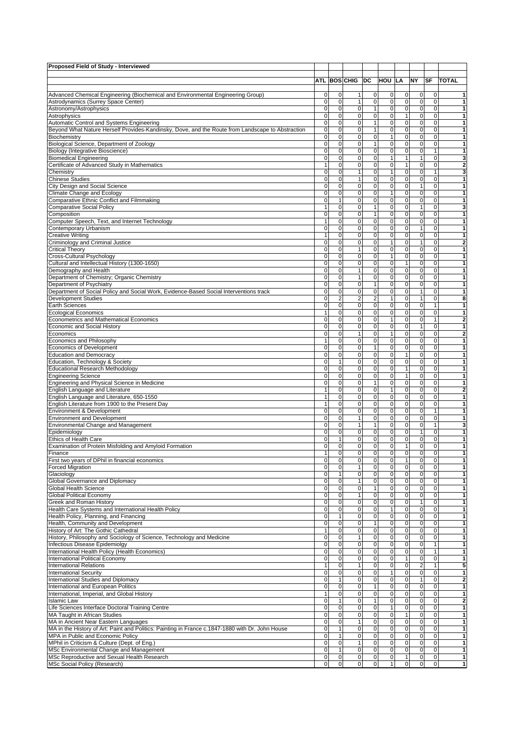| Proposed Field of Study - Interviewed                                                                              |                          |                                     |                                  |                                       |                              |                                            |                          |                                            |                                         |
|--------------------------------------------------------------------------------------------------------------------|--------------------------|-------------------------------------|----------------------------------|---------------------------------------|------------------------------|--------------------------------------------|--------------------------|--------------------------------------------|-----------------------------------------|
|                                                                                                                    |                          |                                     | <b>ATL BOS CHIG</b>              | DC                                    | HOU LA                       |                                            | NY                       | <b>SF</b>                                  | <b>TOTAL</b>                            |
|                                                                                                                    |                          |                                     |                                  |                                       |                              |                                            |                          |                                            |                                         |
| Advanced Chemical Engineering (Biochemical and Environmental Engineering Group)                                    | 0                        | $\mathbf 0$                         | 1                                | $\mathbf 0$                           | $\mathbf 0$                  | $\mathbf 0$                                | 0                        | $\pmb{0}$                                  | 1                                       |
| Astrodynamics (Surrey Space Center)                                                                                | $\mathbf 0$              | $\mathbf 0$                         | 1                                | $\mathbf 0$                           | $\mathbf{0}$                 | $\mathsf{O}\xspace$                        | 0                        | $\pmb{0}$                                  | 1                                       |
| Astronomy/Astrophysics<br>Astrophysics                                                                             | 0<br>0                   | $\mathbf 0$<br>$\mathbf 0$          | $\mathbf 0$<br>0                 | 1<br>$\mathbf 0$                      | $\mathbf{0}$<br>$\mathbf{0}$ | $\pmb{0}$<br>$\mathbf{1}$                  | $\pmb{0}$<br>0           | $\mathbf 0$<br>$\mathbf 0$                 | 1<br>$\mathbf{1}$                       |
| Automatic Control and Systems Engineering                                                                          | $\mathbf 0$              | $\mathbf 0$                         | 0                                | $\mathbf{1}$                          | $\mathbf{0}$                 | $\mathsf{O}\xspace$                        | 0                        | 0                                          | 1                                       |
| Beyond What Nature Herself Provides-Kandinsky, Dove, and the Route from Landscape to Abstraction                   | $\mathbf 0$              | $\mathbf 0$                         | 0                                | $\mathbf{1}$                          | $\mathbf 0$                  | $\pmb{0}$                                  | 0                        | $\mathbf 0$                                | $\mathbf{1}$                            |
| Biochemistry                                                                                                       | 0                        | $\mathbf 0$                         | 0                                | $\mathbf 0$                           | $\mathbf{1}$                 | $\mathsf{O}\xspace$                        | 0                        | $\mathbf 0$                                | $\mathbf{1}$                            |
| Biological Science, Department of Zoology                                                                          | $\mathbf 0$              | $\overline{0}$                      | 0                                | $\mathbf{1}$                          | $\mathbf{0}$                 | $\mathbf 0$                                | 0                        | 0                                          | 1                                       |
| <b>Biology (Integrative Bioscience)</b><br><b>Biomedical Engineering</b>                                           | 0<br>0                   | $\mathbf 0$<br>$\mathbf 0$          | 0<br>0                           | $\mathbf 0$<br>$\mathbf 0$            | $\mathbf 0$<br>$\mathbf{1}$  | $\mathsf{O}\xspace$<br>$\mathbf{1}$        | 0<br>$\mathbf{1}$        | $\mathbf{1}$<br>$\mathbf 0$                | 1<br>3                                  |
| Certificate of Advanced Study in Mathematics                                                                       | $\mathbf{1}$             | $\mathbf 0$                         | 0                                | $\mathbf 0$                           | $\mathbf 0$                  | $\mathbf{1}$                               | $\pmb{0}$                | 0                                          | $\overline{2}$                          |
| Chemistry                                                                                                          | 0                        | $\mathbf 0$                         | $\mathbf{1}$                     | $\mathbf 0$                           | $\mathbf{1}$                 | $\overline{0}$                             | $\pmb{0}$                | $\mathbf{1}$                               | 3                                       |
| <b>Chinese Studies</b>                                                                                             | $\mathbf 0$              | $\mathbf 0$                         | 1                                | $\mathbf 0$                           | $\mathbf 0$                  | $\mathbf 0$                                | $\pmb{0}$                | $\mathbf 0$                                | $\mathbf{1}$                            |
| City Design and Social Science                                                                                     | 0                        | $\mathbf 0$                         | 0                                | $\mathbf 0$                           | 0                            | $\mathsf{O}\xspace$                        | 1                        | 0                                          | 1                                       |
| Climate Change and Ecology<br>Comparative Ethnic Conflict and Filmmaking                                           | 0<br>0                   | $\mathbf 0$<br>$\mathbf{1}$         | 0<br>$\mathbf 0$                 | $\mathbf 0$<br>$\mathsf{O}\xspace$    | $\mathbf{1}$<br>$\mathbf{0}$ | $\mathsf{O}\xspace$<br>$\overline{0}$      | 0<br>$\pmb{0}$           | 0<br>$\pmb{0}$                             | 1<br>1                                  |
| <b>Comparative Social Policy</b>                                                                                   | 1                        | $\mathbf 0$                         | 0                                | $\mathbf{1}$                          | 0                            | $\mathsf{O}\xspace$                        | 1                        | 0                                          | 3                                       |
| Composition                                                                                                        | 0                        | $\mathbf 0$                         | 0                                | 1                                     | 0                            | $\mathsf{O}\xspace$                        | $\pmb{0}$                | 0                                          | 1                                       |
| Computer Speech, Text, and Internet Technology                                                                     | 1                        | $\mathbf 0$                         | $\mathbf 0$                      | $\mathsf{O}\xspace$                   | $\mathbf{0}$                 | $\overline{0}$                             | $\pmb{0}$                | $\pmb{0}$                                  | $\mathbf{1}$                            |
| Contemporary Urbanism                                                                                              | 0                        | $\mathbf 0$                         | 0                                | $\mathbf 0$                           | $\mathbf 0$                  | $\mathsf{O}\xspace$                        | 1                        | 0                                          | 1                                       |
| <b>Creative Writing</b>                                                                                            | 1                        | $\mathbf 0$                         | 0                                | $\mathbf 0$                           | $\mathbf{0}$                 | $\mathsf{O}\xspace$                        | 0                        | 0                                          | 1                                       |
| Criminology and Criminal Justice<br><b>Critical Theory</b>                                                         | $\mathbf 0$<br>0         | $\mathbf 0$<br>$\mathbf 0$          | 0<br>1                           | $\mathbf 0$<br>$\mathbf 0$            | $\mathbf{1}$<br>$\mathbf 0$  | $\pmb{0}$<br>$\mathsf{O}\xspace$           | $\mathbf{1}$<br>0        | 0<br>0                                     | $\bf{2}$<br>1                           |
| Cross-Cultural Psychology                                                                                          | 0                        | $\mathbf 0$                         | 0                                | $\mathbf 0$                           | $\mathbf{1}$                 | $\mathsf{O}\xspace$                        | $\mathbf 0$              | 0                                          | $\mathbf{1}$                            |
| Cultural and Intellectual History (1300-1650)                                                                      | 0                        | $\mathbf 0$                         | 0                                | $\mathbf 0$                           | $\pmb{0}$                    | $\mathbf{1}$                               | $\pmb{0}$                | 0                                          | $\mathbf{1}$                            |
| Demography and Health                                                                                              | 0                        | $\mathbf 0$                         | 1                                | $\mathbf 0$                           | $\mathbf 0$                  | $\mathsf{O}\xspace$                        | 0                        | 0                                          | 1                                       |
| Department of Chemistry; Organic Chemistry                                                                         | $\mathbf 0$              | $\mathbf 0$                         | $\mathbf{1}$                     | $\mathbf 0$                           | 0                            | $\pmb{0}$                                  | $\mathbf 0$              | 0                                          | $\mathbf{1}$                            |
| Department of Psychiatry<br>Department of Social Policy and Social Work, Evidence-Based Social Interventions track | 0<br>0                   | $\mathbf 0$<br>$\mathbf 0$          | 0<br>0                           | $\mathbf{1}$<br>$\mathbf 0$           | $\mathbf 0$<br>$\mathbf{0}$  | $\mathsf{O}\xspace$<br>$\mathsf{O}\xspace$ | $\pmb{0}$<br>1           | 0<br>$\mathbf 0$                           | $\mathbf{1}$<br>1                       |
| <b>Development Studies</b>                                                                                         | 0                        | $\overline{2}$                      | 2                                | $\overline{2}$                        | $\mathbf{1}$                 | $\pmb{0}$                                  | 1                        | 0                                          | 8                                       |
| <b>Earth Sciences</b>                                                                                              | 0                        | $\mathbf 0$                         | 0                                | $\mathbf 0$                           | $\mathbf 0$                  | $\mathsf{O}\xspace$                        | 0                        | $\mathbf{1}$                               | 1                                       |
| <b>Ecological Economics</b>                                                                                        | 1                        | $\mathbf 0$                         | 0                                | $\mathbf 0$                           | $\mathbf{0}$                 | $\mathsf{O}\xspace$                        | 0                        | $\mathbf 0$                                | 1                                       |
| <b>Econometrics and Mathematical Economics</b>                                                                     | 0                        | $\mathbf 0$                         | 0                                | $\mathbf 0$                           | $\mathbf{1}$                 | $\pmb{0}$                                  | 0                        | 1                                          | $\bf{2}$                                |
| <b>Economic and Social History</b>                                                                                 | 0                        | $\mathbf 0$                         | 0                                | $\mathbf 0$                           | $\mathbf 0$                  | $\overline{0}$                             | $\mathbf{1}$             | 0                                          | 1                                       |
| Economics<br>Economics and Philosophy                                                                              | 0<br>1                   | $\mathbf 0$<br>$\mathbf 0$          | 1<br>0                           | $\mathbf 0$<br>$\mathbf 0$            | $\mathbf{1}$<br>0            | $\mathsf{O}\xspace$<br>$\pmb{0}$           | 0<br>0                   | $\mathbf 0$<br>0                           | $\mathbf{2}$<br>$\mathbf{1}$            |
| <b>Economics of Development</b>                                                                                    | $\mathbf 0$              | $\mathbf 0$                         | 0                                | $\mathbf{1}$                          | $\mathbf 0$                  | $\mathbf 0$                                | 0                        | 0                                          | 1                                       |
| <b>Education and Democracy</b>                                                                                     | $\mathbf 0$              | $\mathbf 0$                         | 0                                | $\mathbf 0$                           | $\mathbf{0}$                 | $\mathbf{1}$                               | $\pmb{0}$                | $\mathbf 0$                                | $\mathbf 1$                             |
| Education, Technology & Society                                                                                    | 0                        | 1                                   | 0                                | $\mathbf 0$                           | 0                            | $\pmb{0}$                                  | 0                        | 0                                          | $\mathbf{1}$                            |
| <b>Educational Research Methodology</b>                                                                            | 0                        | $\mathbf 0$                         | 0                                | $\mathbf 0$                           | 0                            | $\mathbf{1}$                               | 0                        | 0                                          | 1                                       |
| <b>Engineering Science</b>                                                                                         | 0<br>0                   | $\mathbf 0$<br>$\mathbf 0$          | 0<br>0                           | $\mathbf 0$                           | $\mathbf{0}$                 | $\mathbf{1}$<br>$\mathbf 0$                | $\pmb{0}$<br>0           | 0<br>0                                     | 1<br>1                                  |
| Engineering and Physical Science in Medicine<br>English Language and Literature                                    | 1                        | $\mathbf 0$                         | 0                                | $\mathbf{1}$<br>$\mathbf 0$           | $\mathbf 0$<br>$\mathbf{1}$  | $\mathbf 0$                                | 0                        | 0                                          | $\mathbf{2}$                            |
| English Language and Literature, 650-1550                                                                          | 1                        | $\mathbf 0$                         | $\mathbf 0$                      | $\mathbf 0$                           | $\mathbf{0}$                 | $\overline{\mathbf{0}}$                    | $\pmb{0}$                | 0                                          | 1                                       |
| English Literature from 1900 to the Present Day                                                                    | 1                        | $\mathbf 0$                         | 0                                | $\mathbf 0$                           | 0                            | $\mathsf{O}\xspace$                        | 0                        | 0                                          | 1                                       |
| Environment & Development                                                                                          | 0                        | $\mathbf 0$                         | 0                                | $\mathbf 0$                           | $\mathbf 0$                  | $\mathbf 0$                                | 0                        | $\mathbf{1}$                               | 1                                       |
| <b>Environment and Development</b>                                                                                 | 0                        | $\mathbf 0$                         | $\mathbf{1}$                     | $\mathsf{O}\xspace$                   | $\mathbf{0}$                 | $\overline{\mathbf{0}}$                    | $\pmb{0}$                | $\mathbf 0$                                | 1                                       |
| Environmental Change and Management<br>Epidemiology                                                                | 0<br>0                   | $\mathbf 0$<br>$\mathbf 0$          | 1<br>0                           | 1<br>$\mathbf 0$                      | $\mathbf 0$<br>$\mathbf{0}$  | $\mathbf 0$<br>$\mathsf{O}\xspace$         | 0<br>$\mathbf{1}$        | $\mathbf{1}$<br>0                          | 3<br>$\mathbf{1}$                       |
| <b>Ethics of Health Care</b>                                                                                       | $\mathbf 0$              | $\mathbf{1}$                        | 0                                | $\mathbf 0$                           | $\mathbf{0}$                 | $\overline{0}$                             | 0                        | $\mathbf 0$                                | 1                                       |
| Examination of Protein Misfolding and Amyloid Formation                                                            | 0                        | $\mathbf 0$                         | 0                                | $\mathbf 0$                           | $\mathbf{0}$                 | $\mathbf{1}$                               | 0                        | $\mathbf 0$                                | 1                                       |
| Finance                                                                                                            | $\mathbf{1}$             | $\overline{0}$                      | 0                                | $\overline{0}$                        | $\Omega$                     | $\mathbf 0$                                | 0                        | $\overline{0}$                             | $\mathbf{1}$                            |
| First two years of DPhil in financial economics                                                                    | 0                        | $\overline{0}$                      | 0                                | $\mathbf 0$                           | $\mathbf 0$                  | $\mathbf{1}$                               | $\mathbf 0$              | $\pmb{0}$                                  | 1                                       |
| <b>Forced Migration</b><br>Glaciology                                                                              | $\mathsf 0$<br>$\pmb{0}$ | $\overline{0}$<br>$\mathbf{1}$      | $\mathbf{1}$<br>$\pmb{0}$        | $\mathbf 0$<br>$\mathbf 0$            | $\mathbf 0$<br>$\mathbf 0$   | $\pmb{0}$<br>$\pmb{0}$                     | $\pmb{0}$<br>$\pmb{0}$   | $\pmb{0}$<br>$\mathbf 0$                   | 1<br>$\mathbf{1}$                       |
| Global Governance and Diplomacy                                                                                    | $\mathsf 0$              | $\overline{0}$                      | $\mathbf{1}$                     | $\mathsf{O}\xspace$                   | $\mathbf 0$                  | $\overline{0}$                             | $\pmb{0}$                | $\overline{\mathbf{0}}$                    | 1                                       |
| <b>Global Health Science</b>                                                                                       | $\mathsf 0$              | $\overline{0}$                      | 0                                | $\mathbf{1}$                          | $\mathbf 0$                  | $\pmb{0}$                                  | $\pmb{0}$                | $\mathsf{O}\xspace$                        | 1                                       |
| <b>Global Political Economy</b>                                                                                    | $\pmb{0}$                | $\overline{\mathbf{o}}$             | $\mathbf{1}$                     | $\mathsf{O}\xspace$                   | $\mathbf 0$                  | $\pmb{0}$                                  | $\pmb{0}$                | $\overline{\mathbf{o}}$                    | $\mathbf{1}$                            |
| Greek and Roman History                                                                                            | $\mathsf 0$              | $\overline{0}$                      | $\mathbf 0$                      | $\mathbf 0$                           | $\mathbf 0$                  | $\bf 0$                                    | $\mathbf{1}$             | $\mathbf 0$                                | 1                                       |
| Health Care Systems and International Health Policy<br>Health Policy, Planning, and Financing                      | $\pmb{0}$<br>$\pmb{0}$   | $\mathsf{O}\xspace$<br>$\mathbf{1}$ | $\mathsf{O}\xspace$<br>0         | $\mathsf{O}\xspace$<br>$\pmb{0}$      | $\mathbf{1}$<br>$\mathbf 0$  | $\pmb{0}$<br>$\pmb{0}$                     | $\mathbf 0$<br>$\pmb{0}$ | $\mathsf{O}\xspace$<br>$\mathsf{O}\xspace$ | $\mathbf{1}$<br>1                       |
| Health, Community and Development                                                                                  | $\mathsf 0$              | $\overline{0}$                      | $\pmb{0}$                        | $\mathbf{1}$                          | $\mathbf{0}$                 | $\mathsf{O}\xspace$                        | $\pmb{0}$                | $\mathbf 0$                                | $\mathbf{1}$                            |
| History of Art: The Gothic Cathedral                                                                               | $\mathbf{1}$             | $\overline{0}$                      | $\pmb{0}$                        | $\pmb{0}$                             | $\mathbf 0$                  | $\pmb{0}$                                  | $\pmb{0}$                | $\mathsf{O}\xspace$                        | $\mathbf{1}$                            |
| History, Philosophy and Sociology of Science, Technology and Medicine                                              | 0                        | $\pmb{0}$                           | $\mathbf{1}$                     | $\pmb{0}$                             | $\mathbf 0$                  | $\pmb{0}$                                  | $\pmb{0}$                | $\mathbf 0$                                | 1                                       |
| Infectious Disease Epidemiolgy                                                                                     | 0                        | $\mathbf 0$                         | 0                                | $\mathbf 0$                           | $\mathbf{0}$                 | $\overline{\mathbf{0}}$                    | $\pmb{0}$                | $\mathbf{1}$                               | 1                                       |
| International Health Policy (Health Economics)                                                                     | $\pmb{0}$                | $\overline{0}$<br>$\mathbf 0$       | $\pmb{0}$                        | $\pmb{0}$<br>$\mathbf 0$              | $\mathbf 0$                  | $\pmb{0}$                                  | $\pmb{0}$                | $\mathbf{1}$<br>$\mathbf 0$                | $\mathbf{1}$                            |
| International Political Economy<br><b>International Relations</b>                                                  | 0<br>$\mathbf{1}$        | $\mathbf 0$                         | 0<br>$\mathbf{1}$                | $\mathbf 0$                           | $\mathbf 0$<br>$\mathbf 0$   | $\mathbf{1}$<br>$\pmb{0}$                  | 0<br>$\mathbf 2$         | $\mathbf{1}$                               | 1<br>5                                  |
| <b>International Security</b>                                                                                      | $\pmb{0}$                | $\mathsf{O}\xspace$                 | $\pmb{0}$                        | $\pmb{0}$                             | $\mathbf{1}$                 | $\pmb{0}$                                  | $\overline{0}$           | $\overline{\mathbf{o}}$                    | $\mathbf{1}$                            |
| International Studies and Diplomacy                                                                                | $\mathsf 0$              | $\mathbf{1}$                        | 0                                | $\mathsf{O}\xspace$                   | $\mathbf 0$                  | $\bf 0$                                    | $\mathbf{1}$             | $\mathbf 0$                                | $\overline{\mathbf{2}}$                 |
| International and European Politics                                                                                | $\pmb{0}$                | $\overline{0}$                      | $\pmb{0}$                        | $\mathbf{1}$                          | $\mathbf 0$                  | $\pmb{0}$                                  | $\pmb{0}$                | $\mathbf 0$                                | $\mathbf{1}$                            |
| International, Imperial, and Global History                                                                        | $\mathbf{1}$             | $\mathsf{O}\xspace$                 | $\pmb{0}$                        | $\mathsf{O}\xspace$                   | $\mathbf 0$                  | $\pmb{0}$                                  | $\pmb{0}$                | $\mathsf{O}\xspace$                        | $\mathbf{1}$                            |
| <b>Islamic Law</b><br>Life Sciences Interface Doctoral Training Centre                                             | $\mathsf 0$<br>$\pmb{0}$ | $\mathbf{1}$<br>$\overline{0}$      | $\mathbf 0$<br>$\pmb{0}$         | 1<br>$\mathsf{O}\xspace$              | $\mathbf 0$<br>1             | $\bf 0$<br>$\pmb{0}$                       | 0<br>$\pmb{0}$           | $\mathsf{O}\xspace$<br>$\mathbf 0$         | $\overline{\mathbf{2}}$<br>$\mathbf{1}$ |
| MA Taught in African Studies                                                                                       | $\pmb{0}$                | $\mathsf{O}\xspace$                 | $\pmb{0}$                        | $\pmb{0}$                             | $\mathbf 0$                  | $\mathbf{1}$                               | $\pmb{0}$                | $\mathsf{O}\xspace$                        | 1                                       |
| MA in Ancient Near Eastern Languages                                                                               | 0                        | $\overline{0}$                      | $\mathbf{1}$                     | $\mathbf 0$                           | $\mathbf 0$                  | $\bf 0$                                    | $\pmb{0}$                | $\mathsf{O}\xspace$                        | 1                                       |
| MA in the History of Art: Paint and Politics: Painting in France c.1847-1880 with Dr. John House                   | $\mathbf 0$              | $\mathbf{1}$                        | $\mathbf 0$                      | $\mathbf 0$                           | $\mathbf 0$                  | $\pmb{0}$                                  | $\pmb{0}$                | $\mathbf 0$                                | $\mathbf{1}$                            |
| MPA in Public and Economic Policy                                                                                  | $\mathbf 0$              | $\mathbf{1}$                        | $\pmb{0}$                        | $\mathsf{O}\xspace$                   | $\mathbf 0$                  | $\mathsf{O}\xspace$                        | $\pmb{0}$                | $\mathbf 0$                                | 1                                       |
| MPhil in Criticism & Culture (Dept. of Eng.)                                                                       | $\mathsf 0$              | $\overline{0}$<br>$\mathbf{1}$      | $\mathbf{1}$                     | $\overline{0}$<br>$\mathsf{O}\xspace$ | $\overline{0}$               | $\mathsf{O}\xspace$                        | $\pmb{0}$                | $\mathsf{O}\xspace$<br>$\mathsf 0$         | $\mathbf{1}$<br>$\mathbf{1}$            |
| MSc Environmental Change and Management<br>MSc Reproductive and Sexual Health Research                             | $\pmb{0}$<br>$\pmb{0}$   | $\overline{0}$                      | $\pmb{0}$<br>$\mathsf{O}\xspace$ | $\mathsf{O}\xspace$                   | $\mathbf 0$<br>$\mathbf 0$   | $\mathbf 0$<br>1                           | $\mathbf 0$<br>$\pmb{0}$ | $\mathsf{O}\xspace$                        | 1                                       |
| MSc Social Policy (Research)                                                                                       | 0                        | $\overline{0}$                      | $\pmb{0}$                        | $\mathsf{O}\xspace$                   | $\mathbf{1}$                 | 0                                          | $\pmb{0}$                | $\mathsf{O}\xspace$                        | $\mathbf{1}$                            |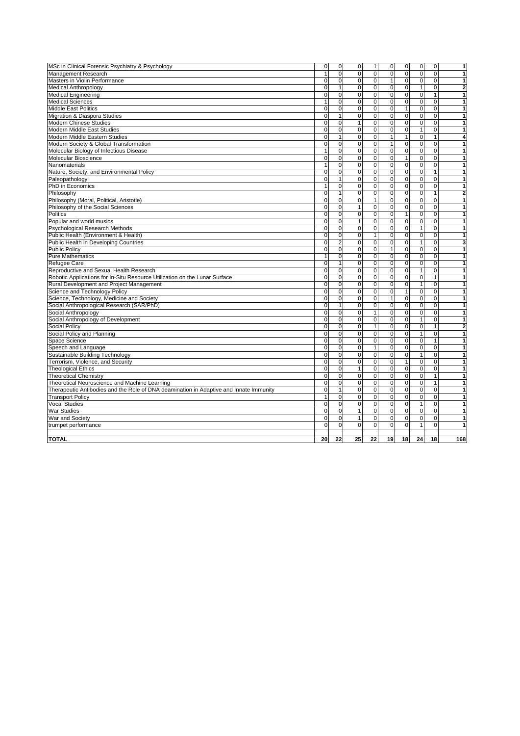|                                                                                        | $\mathbf 0$    | $\mathbf 0$             | $\mathbf 0$    | $\mathbf{1}$        | $\mathbf 0$  | $\mathsf{O}\xspace$     | $\mathbf 0$    | $\mathbf 0$    | $\overline{\mathbf{1}}$ |
|----------------------------------------------------------------------------------------|----------------|-------------------------|----------------|---------------------|--------------|-------------------------|----------------|----------------|-------------------------|
| MSc in Clinical Forensic Psychiatry & Psychology<br>Management Research                | $\mathbf{1}$   | 0                       | $\mathsf 0$    | $\mathbf 0$         | $\mathbf 0$  | $\mathbf 0$             | $\mathbf 0$    | 0              | 1                       |
| Masters in Violin Performance                                                          | $\Omega$       | $\mathbf 0$             | $\Omega$       | $\Omega$            | $\mathbf{1}$ | $\overline{0}$          | $\mathbf 0$    | $\mathbf 0$    | 1                       |
|                                                                                        | $\mathbf 0$    | $\mathbf{1}$            | $\pmb{0}$      | $\mathbf 0$         | $\mathbf 0$  | $\mathsf{O}\xspace$     | $\mathbf{1}$   | $\mathbf 0$    | $\overline{\mathbf{2}}$ |
| <b>Medical Anthropology</b>                                                            | $\overline{0}$ | $\overline{0}$          | $\overline{0}$ | $\overline{0}$      | $\mathbf 0$  | O                       | $\overline{0}$ | $\overline{1}$ | $\overline{\mathbf{1}}$ |
| <b>Medical Engineering</b><br><b>Medical Sciences</b>                                  | $\mathbf{1}$   | $\mathbf 0$             | $\mathbf 0$    | $\mathbf 0$         | $\mathbf 0$  |                         | $\mathbf 0$    | $\mathbf 0$    | 1                       |
|                                                                                        | $\mathbf 0$    | $\overline{0}$          | $\pmb{0}$      | $\mathbf 0$         | $\mathbf{0}$ | $\mathbf 0$<br>1        | $\mathbf 0$    | $\overline{0}$ | $\overline{\mathbf{1}}$ |
| <b>Middle East Politics</b>                                                            |                |                         |                |                     |              |                         |                |                |                         |
| Migration & Diaspora Studies                                                           | $\mathbf 0$    | $\mathbf{1}$            | $\mathbf 0$    | $\mathbf 0$         | $\mathbf 0$  | $\overline{0}$          | $\mathbf 0$    | $\mathbf 0$    | $\mathbf{1}$            |
| Modern Chinese Studies                                                                 | $\mathbf 0$    | $\mathbf 0$             | $\mathbf{1}$   | $\mathbf 0$         | $\mathbf 0$  | $\mathsf{O}\xspace$     | $\mathbf 0$    | $\mathbf 0$    | 1                       |
| Modern Middle East Studies                                                             | $\Omega$       | 0                       | $\Omega$       | $\Omega$            | $\Omega$     | $\overline{0}$          | $\mathbf{1}$   | 0              | 1                       |
| Modern Middle Eastern Studies                                                          | $\pmb{0}$      | $\overline{1}$          | $\pmb{0}$      | $\mathbf 0$         | $\mathbf{1}$ | $\mathbf{1}$            | $\mathbf 0$    | $\mathbf{1}$   | 4                       |
| Modern Society & Global Transformation                                                 | $\mathbf 0$    | $\mathbf 0$             | $\mathbf 0$    | $\mathbf 0$         | $\mathbf{1}$ | $\mathsf{O}\xspace$     | $\mathbf 0$    | $\mathbf 0$    | $\overline{1}$          |
| Molecular Biology of Infectious Disease                                                | $\mathbf{1}$   | $\mathbf 0$             | $\mathbf 0$    | $\mathbf 0$         | $\mathbf 0$  | $\mathbf 0$             | $\mathbf 0$    | $\mathbf 0$    | 1                       |
| Molecular Bioscience                                                                   | $\Omega$       | $\Omega$                | $\Omega$       | $\Omega$            | $\Omega$     | 1                       | $\Omega$       | $\Omega$       | $\overline{\mathbf{1}}$ |
| Nanomaterials                                                                          | $\mathbf{1}$   | 0                       | $\pmb{0}$      | $\mathsf{O}\xspace$ | $\mathbf 0$  | $\mathsf{O}\xspace$     | $\mathbf 0$    | $\mathbf 0$    | $\mathbf{1}$            |
| Nature, Society, and Environmental Policy                                              | $\overline{0}$ | $\overline{0}$          | $\overline{0}$ | $\overline{0}$      | $\mathbf{0}$ | $\overline{\mathbf{0}}$ | $\overline{0}$ | $\mathbf{1}$   | $\overline{\mathbf{1}}$ |
| Paleopathology                                                                         | $\mathbf 0$    | $\mathbf{1}$            | $\mathbf 0$    | $\mathbf 0$         | $\mathbf 0$  | $\mathsf{O}\xspace$     | $\mathbf 0$    | 0              | 1                       |
| PhD in Economics                                                                       | $\mathbf{1}$   | $\overline{0}$          | $\pmb{0}$      | $\mathsf{O}\xspace$ | $\mathbf 0$  | O                       | $\mathbf 0$    | $\overline{0}$ | $\overline{1}$          |
| Philosophy                                                                             | $\mathbf 0$    | $\mathbf{1}$            | $\mathbf 0$    | $\mathbf 0$         | $\mathbf 0$  | $\mathsf{O}\xspace$     | $\mathbf 0$    | $\mathbf{1}$   | 2                       |
| Philosophy (Moral, Political, Aristotle)                                               | $\mathbf 0$    | $\pmb{0}$               | $\mathsf 0$    | $\mathbf{1}$        | $\mathbf 0$  | $\mathbf 0$             | $\mathbf 0$    | $\mathbf 0$    | $\blacksquare$          |
| Philosophy of the Social Sciences                                                      | $\Omega$       | $\mathbf 0$             | $\mathbf{1}$   | $\mathbf 0$         | $\mathbf 0$  | $\mathbf 0$             | 0              | 0              | $\mathbf{1}$            |
| Politics                                                                               | $\pmb{0}$      | $\overline{0}$          | $\pmb{0}$      | $\mathbf 0$         | $\mathbf{0}$ | $\mathbf{1}$            | $\mathbf 0$    | $\overline{0}$ | $\overline{1}$          |
| Popular and world musics                                                               | $\Omega$       | 0                       | $\mathbf{1}$   | $\mathbf 0$         | $\mathbf 0$  | $\overline{0}$          | $\mathbf 0$    | 0              | 1                       |
| Psychological Research Methods                                                         | $\mathbf 0$    | $\overline{0}$          | $\mathbf 0$    | $\mathbf 0$         | $\mathbf 0$  | $\mathbf 0$             | $\overline{1}$ | $\mathbf 0$    | $\overline{1}$          |
| Public Health (Environment & Health)                                                   | $\Omega$       | $\pmb{0}$               | $\Omega$       | $\mathbf{1}$        | $\mathbf{0}$ | $\mathbf 0$             | $\mathbf 0$    | $\mathbf 0$    | $\overline{1}$          |
| Public Health in Developing Countries                                                  | $\mathbf 0$    | $\overline{\mathbf{c}}$ | $\mathbf 0$    | $\mathsf{O}\xspace$ | $\mathbf 0$  | $\mathsf{O}\xspace$     | $\mathbf{1}$   | $\mathbf 0$    | 3                       |
| <b>Public Policy</b>                                                                   | $\Omega$       | $\mathbf 0$             | $\mathbf 0$    | $\Omega$            | $\mathbf{1}$ | $\overline{0}$          | $\mathbf 0$    | $\mathbf 0$    | $\overline{1}$          |
| <b>Pure Mathematics</b>                                                                | $\mathbf{1}$   | $\mathbf 0$             | $\mathbf 0$    | $\mathbf 0$         | $\mathbf 0$  | $\mathbf 0$             | $\mathbf 0$    | $\mathbf 0$    | 1                       |
| Refugee Care                                                                           | $\mathbf 0$    | $\mathbf{1}$            | $\pmb{0}$      | $\mathsf{O}\xspace$ | $\mathbf 0$  | $\overline{\mathbf{0}}$ | $\overline{0}$ | $\overline{0}$ | $\blacksquare$          |
| Reproductive and Sexual Health Research                                                | $\mathbf 0$    | $\pmb{0}$               | $\pmb{0}$      | $\mathbf 0$         | $\mathbf{0}$ | $\mathsf{O}\xspace$     | $\mathbf{1}$   | $\mathbf 0$    | 1                       |
| Robotic Applications for In-Situ Resource Utilization on the Lunar Surface             | $\mathbf 0$    | $\pmb{0}$               | $\pmb{0}$      | $\mathsf{O}\xspace$ | $\mathbf 0$  | $\mathsf{O}\xspace$     | $\mathbf 0$    | $\mathbf{1}$   | $\mathbf{1}$            |
| Rural Development and Project Management                                               | $\Omega$       | $\mathbf 0$             | $\mathbf 0$    | $\Omega$            | $\Omega$     | $\mathbf 0$             | $\mathbf{1}$   | $\mathbf 0$    | 1                       |
| Science and Technology Policy                                                          | $\pmb{0}$      | $\overline{0}$          | $\pmb{0}$      | $\mathbf 0$         | $\mathbf 0$  | $\mathbf{1}$            | $\overline{0}$ | $\overline{0}$ | $\overline{1}$          |
| Science, Technology, Medicine and Society                                              | $\mathbf 0$    | $\mathbf 0$             | $\mathbf 0$    | $\mathbf 0$         | $\mathbf{1}$ | $\mathbf 0$             | $\mathbf 0$    | $\mathbf 0$    | $\mathbf{1}$            |
| Social Anthropological Research (SAR/PhD)                                              | $\mathbf 0$    | $\mathbf{1}$            | $\mathbf 0$    | $\mathbf 0$         | $\mathbf 0$  | $\mathbf 0$             | $\mathbf 0$    | $\mathbf 0$    | $\overline{1}$          |
|                                                                                        | $\mathbf 0$    | 0                       | $\mathbf 0$    | $\mathbf{1}$        | $\mathbf 0$  | $\mathbf 0$             | $\mathbf 0$    | $\mathbf 0$    | 1                       |
| Social Anthropology                                                                    |                |                         |                |                     |              |                         |                |                |                         |
| Social Anthropology of Development                                                     | $\mathbf 0$    | $\overline{0}$          | $\mathbf 0$    | $\mathbf 0$         | $\mathbf 0$  | $\mathbf 0$             | $\overline{1}$ | $\mathbf 0$    | 1                       |
| Social Policy                                                                          | $\mathbf 0$    | $\pmb{0}$               | $\mathbf 0$    | 1                   | $\mathbf 0$  | $\mathsf{O}\xspace$     | $\mathbf 0$    | $\mathbf{1}$   | $\overline{\mathbf{c}}$ |
| Social Policy and Planning                                                             | $\Omega$       | $\mathbf 0$             | $\Omega$       | $\mathbf 0$         | $\mathbf{0}$ | $\mathbf 0$             | $\mathbf{1}$   | $\mathbf 0$    | $\mathbf{1}$            |
| Space Science                                                                          | $\mathbf 0$    | $\overline{0}$          | $\mathbf 0$    | $\mathsf{O}\xspace$ | $\mathbf 0$  | O                       | $\mathbf 0$    | $\overline{1}$ | $\overline{\mathbf{1}}$ |
| Speech and Language                                                                    | $\mathbf 0$    | $\pmb{0}$               | $\mathbf 0$    | $\mathbf{1}$        | $\mathbf 0$  | $\mathsf{O}\xspace$     | $\mathbf 0$    | $\mathbf 0$    | 1                       |
| Sustainable Building Technology                                                        | $\mathbf 0$    | $\overline{0}$          | $\pmb{0}$      | $\mathbf 0$         | $\mathbf 0$  | $\mathsf{O}\xspace$     | $\mathbf{1}$   | $\overline{0}$ | $\blacksquare$          |
| Terrorism, Violence, and Security                                                      | $\mathbf 0$    | $\mathbf 0$             | $\mathbf 0$    | $\mathbf 0$         | $\mathbf 0$  | $\mathbf{1}$            | $\mathbf 0$    | $\mathbf 0$    | $\mathbf{1}$            |
| <b>Theological Ethics</b>                                                              | $\mathbf 0$    | $\overline{\mathbf{0}}$ | $\mathbf{1}$   | $\overline{0}$      | $\mathbf 0$  | $\overline{0}$          | $\overline{0}$ | $\overline{0}$ | $\blacksquare$          |
| <b>Theoretical Chemistry</b>                                                           | $\mathbf 0$    | $\mathbf 0$             | $\mathbf 0$    | $\Omega$            | $\mathbf 0$  | $\mathbf 0$             | $\mathbf 0$    | 1              | 1                       |
| Theoretical Neuroscience and Machine Learning                                          | $\mathbf 0$    | $\mathbf 0$             | $\mathbf 0$    | $\mathbf 0$         | $\mathbf{0}$ | $\mathbf 0$             | $\mathbf 0$    | 1              | $\mathbf{1}$            |
| Therapeutic Antibodies and the Role of DNA deamination in Adaptive and Innate Immunity | $\mathbf 0$    | $\mathbf{1}$            | $\mathbf 0$    | $\mathbf 0$         | $\mathbf{0}$ | $\pmb{0}$               | $\mathbf 0$    | $\mathbf 0$    | 1                       |
| <b>Transport Policy</b>                                                                | $\mathbf{1}$   | $\mathbf 0$             | $\mathbf 0$    | $\mathbf 0$         | $\mathbf 0$  | $\mathsf{O}\xspace$     | $\mathbf 0$    | $\mathbf 0$    | $\mathbf{1}$            |
| <b>Vocal Studies</b>                                                                   | $\Omega$       | 0                       | $\mathbf 0$    | $\Omega$            | $\Omega$     | $\overline{0}$          | 1              | $\mathbf 0$    | 1                       |
| <b>War Studies</b>                                                                     | $\mathbf 0$    | $\overline{0}$          | $\mathbf{1}$   | $\Omega$            | $\Omega$     | $\overline{0}$          | $\mathbf 0$    | $\mathbf 0$    | 1                       |
| War and Society                                                                        | $\mathbf 0$    | $\overline{0}$          | $\mathbf{1}$   | $\mathbf 0$         | $\mathbf 0$  | $\mathbf 0$             | $\mathbf 0$    | $\overline{0}$ | $\overline{1}$          |
| trumpet performance                                                                    | $\Omega$       | $\mathbf 0$             | $\mathbf 0$    | $\overline{0}$      | $\Omega$     | $\mathbf 0$             | $\mathbf{1}$   | 0              | 1                       |
| <b>TOTAL</b>                                                                           | 20             | 22                      | 25             | 22                  | 19           | 18                      | 24             | 18             | 168                     |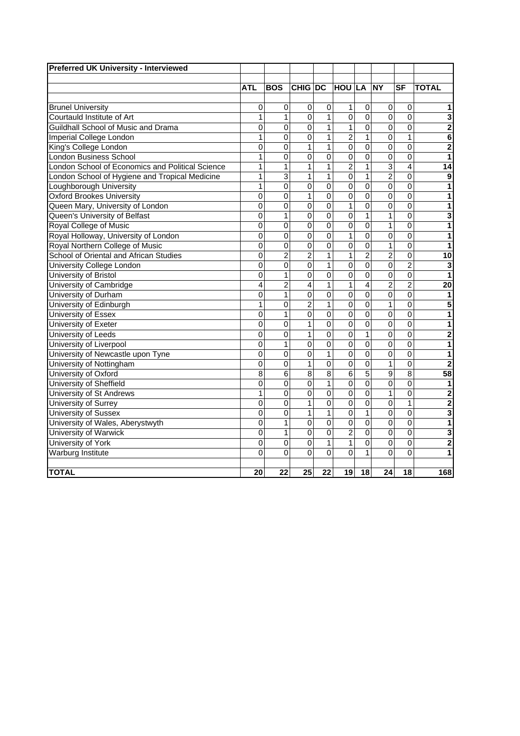|                                                  | <b>ATL</b>     | <b>BOS</b>     | <b>CHIG DC</b> |                         | HOU LA NY       |                |                | <b>SF</b>      | <b>TOTAL</b>    |
|--------------------------------------------------|----------------|----------------|----------------|-------------------------|-----------------|----------------|----------------|----------------|-----------------|
|                                                  |                |                |                |                         |                 |                |                |                |                 |
| <b>Brunel University</b>                         | 0              | $\mathbf 0$    | $\mathbf 0$    | $\pmb{0}$               | $\mathbf{1}$    | $\pmb{0}$      | 0              | 0              | 1               |
| Courtauld Institute of Art                       | 1              | $\mathbf{1}$   | $\overline{0}$ | $\overline{1}$          | 0               | $\mathbf 0$    | $\overline{0}$ | $\mathbf 0$    | 3               |
| Guildhall School of Music and Drama              | $\mathbf 0$    | 0              | $\mathbf 0$    | $\mathbf{1}$            | $\mathbf 1$     | $\mathbf 0$    | 0              | $\mathbf 0$    | $\overline{2}$  |
| Imperial College London                          | $\mathbf{1}$   | $\overline{0}$ | $\mathbf 0$    | $\overline{1}$          | $\overline{c}$  | $\mathbf{1}$   | $\overline{0}$ | $\mathbf{1}$   | 6               |
| King's College London                            | 0              | $\mathbf 0$    | $\overline{1}$ | $\mathbf{1}$            | $\mathsf 0$     | $\mathbf 0$    | 0              | $\mathbf 0$    | $\overline{2}$  |
| <b>London Business School</b>                    | $\mathbf{1}$   | 0              | $\overline{0}$ | $\overline{0}$          | $\overline{0}$  | $\overline{0}$ | $\overline{0}$ | $\mathbf 0$    | 1               |
| London School of Economics and Political Science | $\mathbf{1}$   | 1              | $\overline{1}$ | $\overline{1}$          | $\overline{2}$  | $\overline{1}$ | 3              | 4              | 14              |
| London School of Hygiene and Tropical Medicine   | 1              | $\overline{3}$ | $\mathbf{1}$   | $\overline{1}$          | $\overline{0}$  | $\overline{1}$ | $\overline{2}$ | $\mathbf 0$    | 9               |
| Loughborough University                          | $\overline{1}$ | $\overline{0}$ | $\overline{0}$ | $\overline{0}$          | $\overline{0}$  | $\overline{0}$ | $\overline{0}$ | $\overline{0}$ | 1               |
| <b>Oxford Brookes University</b>                 | $\overline{0}$ | 0              | $\overline{1}$ | $\overline{0}$          | $\overline{0}$  | $\overline{0}$ | $\overline{0}$ | $\mathbf 0$    | 1               |
| Queen Mary, University of London                 | 0              | 0              | $\mathbf 0$    | $\mathbf 0$             | $\mathbf{1}$    | $\overline{0}$ | 0              | $\Omega$       | 1               |
| Queen's University of Belfast                    | 0              | $\mathbf{1}$   | $\overline{0}$ | $\overline{\mathsf{o}}$ | $\overline{0}$  | $\mathbf{1}$   | $\overline{1}$ | $\Omega$       | 3               |
| Royal College of Music                           | 0              | $\overline{0}$ | $\overline{0}$ | $\overline{0}$          | $\overline{0}$  | $\overline{0}$ | $\overline{1}$ | $\overline{0}$ | 1               |
| Royal Holloway, University of London             | $\overline{0}$ | $\overline{0}$ | $\overline{0}$ | $\overline{0}$          | $\mathbf{1}$    | $\overline{0}$ | $\overline{0}$ | $\mathbf 0$    | 1               |
| Royal Northern College of Music                  | $\overline{0}$ | 0              | $\overline{0}$ | 0                       | $\overline{0}$  | $\overline{0}$ | $\overline{1}$ | $\mathbf 0$    | 1               |
| School of Oriental and African Studies           | $\mathbf 0$    | $\overline{2}$ | $\overline{2}$ | $\overline{1}$          | $\mathbf{1}$    | $\overline{2}$ | $\overline{2}$ | $\mathbf 0$    | 10              |
| University College London                        | $\overline{0}$ | $\overline{0}$ | $\overline{0}$ | $\overline{1}$          | $\overline{0}$  | $\overline{0}$ | $\overline{0}$ | $\overline{2}$ | 3               |
| University of Bristol                            | $\overline{0}$ | $\mathbf{1}$   | $\overline{0}$ | $\overline{0}$          | $\overline{0}$  | $\overline{0}$ | $\overline{0}$ | $\mathbf 0$    | 1               |
| University of Cambridge                          | $\overline{4}$ | $\overline{2}$ | $\overline{4}$ | $\overline{1}$          | $\overline{1}$  | $\overline{4}$ | $\overline{2}$ | $\overline{2}$ | 20              |
| University of Durham                             | $\overline{0}$ | $\overline{1}$ | $\overline{0}$ | $\overline{0}$          | $\overline{0}$  | $\overline{0}$ | $\overline{0}$ | $\overline{0}$ | 1               |
| University of Edinburgh                          | $\overline{1}$ | $\overline{0}$ | $\overline{2}$ | $\overline{1}$          | $\overline{0}$  | $\overline{0}$ | $\overline{1}$ | $\overline{0}$ | 5               |
| University of Essex                              | $\mathbf 0$    | $\mathbf{1}$   | $\mathbf 0$    | $\overline{\mathsf{o}}$ | $\overline{0}$  | $\mathbf 0$    | 0              | $\Omega$       | 1               |
| University of Exeter                             | $\overline{0}$ | $\overline{0}$ | $\overline{1}$ | 0                       | 0               | $\overline{0}$ | $\overline{0}$ | $\Omega$       | 1               |
| University of Leeds                              | $\mathsf 0$    | $\overline{0}$ | $\overline{1}$ | $\overline{\mathsf{o}}$ | $\overline{0}$  | $\mathbf{1}$   | $\overline{0}$ | $\mathbf 0$    | $\overline{2}$  |
| University of Liverpool                          | $\overline{0}$ | $\overline{1}$ | $\overline{0}$ | $\overline{0}$          | 0               | $\overline{0}$ | $\overline{0}$ | $\mathbf 0$    | 1               |
| University of Newcastle upon Tyne                | $\overline{0}$ | $\Omega$       | $\mathbf 0$    | $\overline{1}$          | $\overline{0}$  | $\overline{0}$ | $\overline{0}$ | $\Omega$       | 1               |
| University of Nottingham                         | $\overline{0}$ | $\Omega$       | $\overline{1}$ | $\overline{0}$          | 0               | $\mathbf 0$    | $\overline{1}$ | $\mathbf 0$    | 2               |
| University of Oxford                             | $\overline{8}$ | $\overline{6}$ | $\overline{8}$ | $\overline{8}$          | $6\overline{6}$ | $\overline{5}$ | $\overline{9}$ | 8              | $\overline{58}$ |
| University of Sheffield                          | $\overline{0}$ | $\overline{0}$ | $\overline{0}$ | $\overline{1}$          | $\overline{0}$  | $\overline{0}$ | $\overline{0}$ | $\Omega$       | 1               |
| <b>University of St Andrews</b>                  | $\overline{1}$ | 0              | $\overline{0}$ | $\overline{0}$          | $\overline{0}$  | $\overline{0}$ | $\overline{1}$ | $\Omega$       | $\overline{2}$  |
| University of Surrey                             | $\overline{0}$ | $\mathbf 0$    | $\overline{1}$ | $\overline{0}$          | $\overline{0}$  | $\overline{0}$ | $\overline{0}$ | $\mathbf{1}$   | $\overline{2}$  |
| <b>University of Sussex</b>                      | $\overline{0}$ | 0              | $\overline{1}$ | $\overline{1}$          | $\overline{0}$  | $\overline{1}$ | $\overline{0}$ | $\mathbf 0$    | 3               |
| University of Wales, Aberystwyth                 | $\overline{0}$ | $\overline{1}$ | $\overline{0}$ | $\overline{0}$          | $\overline{0}$  | $\overline{0}$ | $\overline{0}$ | $\mathbf 0$    | 1               |
| University of Warwick                            | $\overline{0}$ | $\mathbf{1}$   | $\mathbf 0$    | $\overline{\mathsf{o}}$ | $\overline{2}$  | $\overline{0}$ | $\overline{0}$ | $\Omega$       | 3               |
| University of York                               | $\overline{0}$ | $\overline{0}$ | $\mathbf 0$    | $\mathbf{1}$            | $\mathbf 1$     | $\mathbf 0$    | $\overline{0}$ | $\mathbf 0$    | $\overline{c}$  |
| <b>Warburg Institute</b>                         | 0              | $\overline{0}$ | $\overline{0}$ | $\overline{0}$          | $\overline{0}$  | $\overline{1}$ | $\overline{0}$ | $\overline{0}$ | 1               |
|                                                  |                |                |                |                         |                 |                |                |                |                 |
| <b>TOTAL</b>                                     | 20             | 22             | 25             | 22                      | 19 <sub>l</sub> | 18             | 24             | 18             | 168             |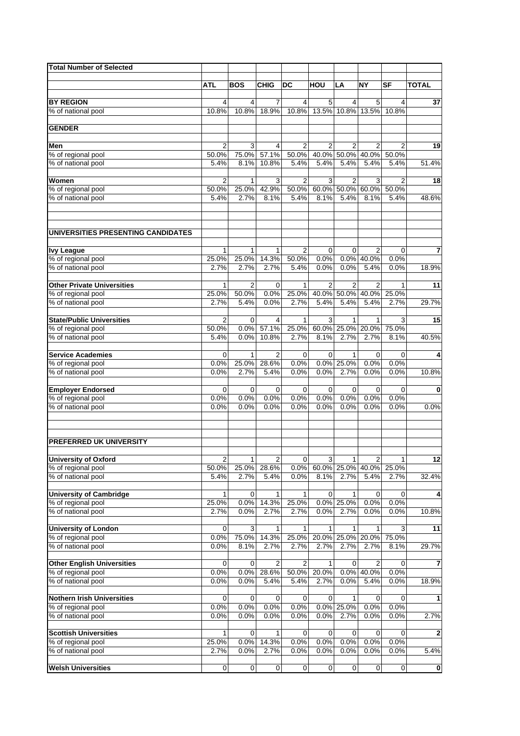| <b>Total Number of Selected</b>                         |                         |              |                         |                         |                |                  |                |               |                         |
|---------------------------------------------------------|-------------------------|--------------|-------------------------|-------------------------|----------------|------------------|----------------|---------------|-------------------------|
|                                                         |                         |              | <b>CHIG</b>             | <b>DC</b>               | HOU            |                  | <b>NY</b>      | <b>SF</b>     | <b>TOTAL</b>            |
|                                                         | ATL                     | <b>BOS</b>   |                         |                         |                | LA               |                |               |                         |
| <b>BY REGION</b>                                        | 4                       | 4            | 7                       | 4                       | 5              | 4                | 5              | 4             | 37                      |
| % of national pool                                      | 10.8%                   | 10.8%        | 18.9%                   | 10.8%                   | 13.5%          | 10.8%            | 13.5%          | 10.8%         |                         |
|                                                         |                         |              |                         |                         |                |                  |                |               |                         |
| <b>GENDER</b>                                           |                         |              |                         |                         |                |                  |                |               |                         |
| Men                                                     | 2                       | 3            | 4                       | 2                       | 2              | 2                | 2              | 2             | 19                      |
| % of regional pool                                      | 50.0%                   | 75.0%        | 57.1%                   | 50.0%                   | 40.0%          | 50.0%            | 40.0%          | 50.0%         |                         |
| % of national pool                                      | 5.4%                    | 8.1%         | 10.8%                   | 5.4%                    | 5.4%           | 5.4%             | 5.4%           | 5.4%          | 51.4%                   |
| Women                                                   |                         |              |                         |                         |                |                  |                |               |                         |
| % of regional pool                                      | $\overline{2}$<br>50.0% | 1<br>25.0%   | 3<br>42.9%              | $\overline{2}$<br>50.0% | 3              | 2<br>60.0% 50.0% | 3<br>60.0%     | 2<br>50.0%    | 18                      |
| % of national pool                                      | 5.4%                    | 2.7%         | 8.1%                    | 5.4%                    | 8.1%           | 5.4%             | 8.1%           | 5.4%          | 48.6%                   |
|                                                         |                         |              |                         |                         |                |                  |                |               |                         |
| UNIVERSITIES PRESENTING CANDIDATES                      |                         |              |                         |                         |                |                  |                |               |                         |
|                                                         |                         |              |                         |                         |                |                  |                |               |                         |
| <b>Ivy League</b>                                       | 1                       | 1            | 1                       | 2                       | $\mathbf 0$    | 0                | 2              | 0             | $\overline{7}$          |
| % of regional pool                                      | 25.0%                   | 25.0%        | 14.3%                   | 50.0%                   | 0.0%           | 0.0%             | 40.0%          | 0.0%          |                         |
| % of national pool                                      | 2.7%                    | 2.7%         | 2.7%                    | 5.4%                    | 0.0%           | 0.0%             | 5.4%           | 0.0%          | 18.9%                   |
| <b>Other Private Universities</b>                       | 1                       | 2            | $\mathbf 0$             | $\mathbf{1}$            | $\overline{2}$ | 2                | $\overline{2}$ | 1             | 11                      |
| % of regional pool                                      | 25.0%                   | 50.0%        | 0.0%                    | 25.0%                   | 40.0%          | 50.0%            | 40.0%          | 25.0%         |                         |
| % of national pool                                      | 2.7%                    | 5.4%         | 0.0%                    | 2.7%                    | 5.4%           | 5.4%             | 5.4%           | 2.7%          | 29.7%                   |
|                                                         |                         |              |                         |                         |                |                  |                |               |                         |
| <b>State/Public Universities</b>                        | $\overline{2}$          | $\mathbf 0$  | $\overline{\mathbf{4}}$ | $\mathbf{1}$            | 3              | 1                | 1              | 3             | 15                      |
| % of regional pool<br>% of national pool                | 50.0%<br>5.4%           | 0.0%<br>0.0% | 57.1%<br>10.8%          | 25.0%<br>2.7%           | 60.0%<br>8.1%  | 25.0%<br>2.7%    | 20.0%<br>2.7%  | 75.0%<br>8.1% | 40.5%                   |
|                                                         |                         |              |                         |                         |                |                  |                |               |                         |
| <b>Service Academies</b>                                | $\mathbf 0$             | $\mathbf{1}$ | $\overline{2}$          | 0                       | $\mathbf 0$    | 1                | $\mathbf 0$    | 0             | 4                       |
| % of regional pool                                      | 0.0%                    | 25.0%        | 28.6%                   | 0.0%                    | 0.0%           | 25.0%            | 0.0%           | 0.0%          |                         |
| % of national pool                                      | 0.0%                    | 2.7%         | 5.4%                    | 0.0%                    | 0.0%           | 2.7%             | 0.0%           | 0.0%          | 10.8%                   |
|                                                         |                         |              |                         |                         |                |                  |                |               |                         |
| <b>Employer Endorsed</b><br>% of regional pool          | 0<br>0.0%               | 0<br>0.0%    | 0<br>$0.0\%$            | 0<br>0.0%               | 0<br>0.0%      | 0<br>0.0%        | 0<br>0.0%      | 0<br>0.0%     | $\pmb{0}$               |
| % of national pool                                      | 0.0%                    | 0.0%         | 0.0%                    | 0.0%                    | 0.0%           | 0.0%             | 0.0%           | 0.0%          | 0.0%                    |
|                                                         |                         |              |                         |                         |                |                  |                |               |                         |
| <b>PREFERRED UK UNIVERSITY</b>                          |                         |              |                         |                         |                |                  |                |               |                         |
| <b>University of Oxford</b>                             | $\overline{2}$          | 1            | $\overline{2}$          | 0                       | 3              | 1 <sup>1</sup>   | $\overline{2}$ | 1             | $\overline{12}$         |
| % of regional pool                                      | 50.0%                   | 25.0%        | 28.6%                   | 0.0%                    |                | 60.0% 25.0%      | 40.0%          | 25.0%         |                         |
| % of national pool                                      | 5.4%                    | 2.7%         | 5.4%                    | 0.0%                    | 8.1%           | 2.7%             | 5.4%           | 2.7%          | 32.4%                   |
| <b>University of Cambridge</b>                          |                         | 0            |                         | 1                       | $\mathbf 0$    |                  |                |               | $\pmb{4}$               |
| % of regional pool                                      | 1<br>25.0%              | 0.0%         | $\mathbf 1$<br>14.3%    | 25.0%                   |                | 1<br>0.0% 25.0%  | 0<br>0.0%      | 0<br>0.0%     |                         |
| % of national pool                                      | 2.7%                    | 0.0%         | 2.7%                    | 2.7%                    | 0.0%           | 2.7%             | 0.0%           | 0.0%          | 10.8%                   |
|                                                         |                         |              |                         |                         |                |                  |                |               |                         |
| <b>University of London</b>                             | $\mathbf 0$             | 3            | 1                       | 1                       | 1              | 1                | 1              | 3             | 11                      |
| % of regional pool                                      | 0.0%                    | 75.0%        | 14.3%                   | 25.0%                   | 2.7%           | 20.0% 25.0%      | 20.0%<br>2.7%  | 75.0%         |                         |
| % of national pool                                      | 0.0%                    | 8.1%         | 2.7%                    | 2.7%                    |                | 2.7%             |                | 8.1%          | 29.7%                   |
| <b>Other English Universities</b>                       | 0                       | 0            | $\overline{2}$          | 2                       | 1              | 0                | 2              | 0             | $\bf 7$                 |
| % of regional pool                                      | 0.0%                    | 0.0%         | 28.6%                   | 50.0%                   | 20.0%          | 0.0%             | 40.0%          | 0.0%          |                         |
| % of national pool                                      | 0.0%                    | 0.0%         | 5.4%                    | 5.4%                    | 2.7%           | 0.0%             | 5.4%           | 0.0%          | 18.9%                   |
|                                                         |                         |              |                         |                         |                |                  |                |               |                         |
| <b>Nothern Irish Universities</b><br>% of regional pool | 0<br>0.0%               | 0<br>0.0%    | 0<br>0.0%               | 0<br>0.0%               | 0              | 1<br>0.0% 25.0%  | 0<br>0.0%      | 0<br>0.0%     | $\mathbf{1}$            |
| % of national pool                                      | 0.0%                    | 0.0%         | 0.0%                    | 0.0%                    | 0.0%           | 2.7%             | 0.0%           | 0.0%          | 2.7%                    |
|                                                         |                         |              |                         |                         |                |                  |                |               |                         |
| <b>Scottish Universities</b>                            | 1                       | 0            | 1                       | 0                       | $\mathbf 0$    | 0                | 0              | 0             | $\overline{\mathbf{2}}$ |
| % of regional pool                                      | 25.0%                   | 0.0%         | 14.3%                   | 0.0%                    | 0.0%           | 0.0%             | 0.0%           | 0.0%          |                         |
| % of national pool                                      | 2.7%                    | 0.0%         | 2.7%                    | 0.0%                    | 0.0%           | 0.0%             | 0.0%           | 0.0%          | 5.4%                    |
| <b>Welsh Universities</b>                               | $\mathbf 0$             | $\mathbf 0$  | $\pmb{0}$               | $\mathbf 0$             | $\pmb{0}$      | 0                | $\mathbf 0$    | $\pmb{0}$     | $\pmb{0}$               |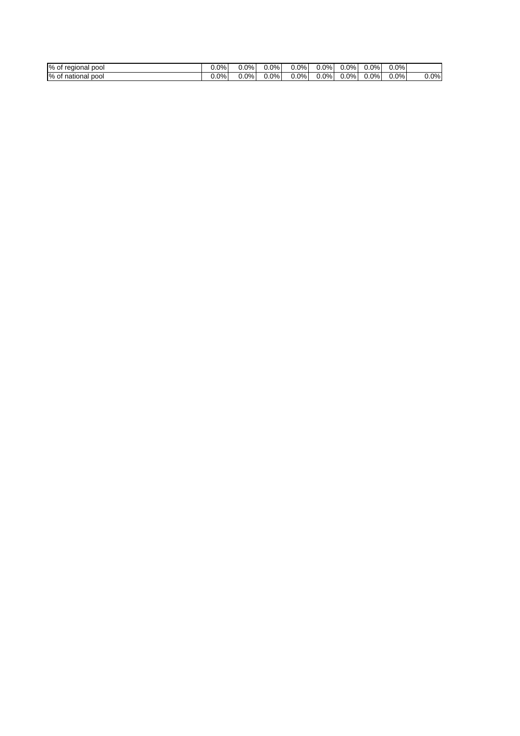| %<br>pool<br>regional<br>0t | 0.0% | $0.0\%$ | $0.0\%$ | $0.0\%$ | $0.0\%$ | $0.0\%$ | $0.0\%$ | 0.0% |         |
|-----------------------------|------|---------|---------|---------|---------|---------|---------|------|---------|
| %<br>pool<br>national<br>0t | 0.0% | $0.0\%$ | $0.0\%$ | $0.0\%$ | $0.0\%$ | $0.0\%$ | $0.0\%$ | 0.0% | $0.0\%$ |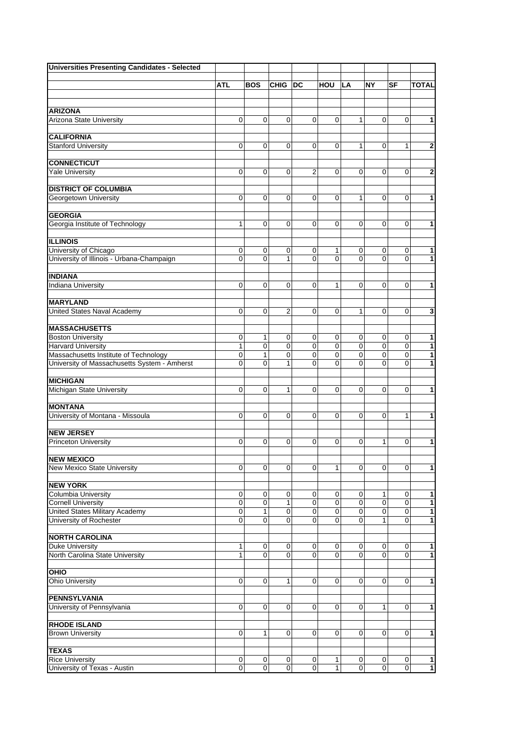| <b>Universities Presenting Candidates - Selected</b>               |                  |                  |                   |                            |              |                  |                            |                            |                              |
|--------------------------------------------------------------------|------------------|------------------|-------------------|----------------------------|--------------|------------------|----------------------------|----------------------------|------------------------------|
|                                                                    |                  |                  |                   |                            |              |                  |                            |                            |                              |
|                                                                    | ATL              | <b>BOS</b>       | <b>CHIG</b>       | DC                         | HOU          | <b>LA</b>        | <b>NY</b>                  | SF                         | <b>TOTAL</b>                 |
|                                                                    |                  |                  |                   |                            |              |                  |                            |                            |                              |
| <b>ARIZONA</b>                                                     |                  |                  |                   |                            |              |                  |                            |                            |                              |
| <b>Arizona State University</b>                                    | 0                | $\Omega$         | $\mathbf 0$       | $\Omega$                   | $\Omega$     | 1                | $\Omega$                   | $\mathbf 0$                | $\mathbf{1}$                 |
| <b>CALIFORNIA</b>                                                  |                  |                  |                   |                            |              |                  |                            |                            |                              |
| <b>Stanford University</b>                                         | 0                | $\mathbf 0$      | $\mathbf 0$       | $\mathbf 0$                | $\Omega$     | 1                | $\Omega$                   | $\mathbf{1}$               | $\mathbf{2}$                 |
|                                                                    |                  |                  |                   |                            |              |                  |                            |                            |                              |
| <b>CONNECTICUT</b>                                                 |                  |                  |                   |                            |              |                  |                            |                            |                              |
| <b>Yale University</b>                                             | 0                | $\mathbf 0$      | $\mathbf 0$       | $\overline{2}$             | 0            | 0                | $\Omega$                   | $\mathbf 0$                | $\mathbf{2}$                 |
|                                                                    |                  |                  |                   |                            |              |                  |                            |                            |                              |
| <b>DISTRICT OF COLUMBIA</b>                                        |                  |                  |                   |                            |              |                  |                            |                            |                              |
| Georgetown University                                              | 0                | $\mathbf 0$      | $\mathbf 0$       | $\mathbf 0$                | 0            | 1                | 0                          | 0                          | 1                            |
| <b>GEORGIA</b>                                                     |                  |                  |                   |                            |              |                  |                            |                            |                              |
| Georgia Institute of Technology                                    | 1                | $\mathbf 0$      | 0                 | 0                          | 0            | 0                | 0                          | 0                          | 1                            |
|                                                                    |                  |                  |                   |                            |              |                  |                            |                            |                              |
| <b>ILLINOIS</b>                                                    |                  |                  |                   |                            |              |                  |                            |                            |                              |
| University of Chicago                                              | 0                | 0                | 0                 | $\mathbf 0$                | 1            | 0                | 0                          | 0                          | 1                            |
| University of Illinois - Urbana-Champaign                          | 0                | 0                | $\mathbf{1}$      | $\Omega$                   | $\Omega$     | 0                | $\Omega$                   | $\Omega$                   | 1                            |
| <b>INDIANA</b>                                                     |                  |                  |                   |                            |              |                  |                            |                            |                              |
| <b>Indiana University</b>                                          | 0                | 0                | 0                 | 0                          | 1            | 0                | 0                          | $\mathbf 0$                | 1                            |
|                                                                    |                  |                  |                   |                            |              |                  |                            |                            |                              |
| <b>MARYLAND</b>                                                    |                  |                  |                   |                            |              |                  |                            |                            |                              |
| <b>United States Naval Academy</b>                                 | 0                | $\mathbf 0$      | $\overline{2}$    | $\mathbf 0$                | $\Omega$     | 1                | $\Omega$                   | $\mathbf 0$                | $\overline{\mathbf{3}}$      |
|                                                                    |                  |                  |                   |                            |              |                  |                            |                            |                              |
| <b>MASSACHUSETTS</b>                                               |                  |                  |                   |                            |              |                  |                            |                            |                              |
| <b>Boston University</b>                                           | 0                | 1                | 0                 | 0                          | 0            | 0                | $\mathbf 0$                | 0                          | 1                            |
| <b>Harvard University</b><br>Massachusetts Institute of Technology | 1<br>$\mathbf 0$ | $\mathbf 0$<br>1 | $\mathbf 0$<br>0  | $\mathbf 0$<br>$\mathbf 0$ | 0<br>0       | 0<br>0           | $\mathbf 0$<br>$\mathbf 0$ | $\mathbf 0$<br>$\mathbf 0$ | $\mathbf{1}$<br>$\mathbf{1}$ |
| University of Massachusetts System - Amherst                       | $\Omega$         | 0                | 1                 | $\Omega$                   | $\Omega$     | 0                | $\Omega$                   | $\Omega$                   | 1                            |
|                                                                    |                  |                  |                   |                            |              |                  |                            |                            |                              |
| <b>MICHIGAN</b>                                                    |                  |                  |                   |                            |              |                  |                            |                            |                              |
| <b>Michigan State University</b>                                   | 0                | 0                | 1                 | 0                          | 0            | 0                | 0                          | 0                          | 1                            |
|                                                                    |                  |                  |                   |                            |              |                  |                            |                            |                              |
| <b>MONTANA</b>                                                     |                  |                  |                   |                            |              |                  |                            |                            |                              |
| University of Montana - Missoula                                   | 0                | 0                | 0                 | 0                          | 0            | 0                | 0                          | 1                          | 1                            |
| <b>NEW JERSEY</b>                                                  |                  |                  |                   |                            |              |                  |                            |                            |                              |
| <b>Princeton University</b>                                        | 0                | 0                | 0                 | 0                          | 0            | 0                | 1                          | 0                          | 1                            |
|                                                                    |                  |                  |                   |                            |              |                  |                            |                            |                              |
| <b>NEW MEXICO</b>                                                  |                  |                  |                   |                            |              |                  |                            |                            |                              |
| New Mexico State University                                        | 0                | 0                | $\mathbf 0$       | 0                          | 1            | 0                | $\Omega$                   | $\mathbf 0$                | 1                            |
|                                                                    |                  |                  |                   |                            |              |                  |                            |                            |                              |
| <b>NEW YORK</b>                                                    |                  |                  |                   |                            |              |                  |                            |                            |                              |
| Columbia University<br><b>Cornell University</b>                   | 0<br>0           | 0<br>$\pmb{0}$   | 0<br>$\mathbf{1}$ | 0<br>$\mathbf 0$           | 0<br>0       | 0<br>$\mathbf 0$ | $\mathbf{1}$<br>$\pmb{0}$  | 0<br>$\mathbf 0$           | 1<br>$\mathbf{1}$            |
| <b>United States Military Academy</b>                              | 0                | 1                | 0                 | 0                          | 0            | $\overline{0}$   | $\mathbf 0$                | 0                          | $\mathbf{1}$                 |
| University of Rochester                                            | 0                | 0                | $\mathbf 0$       | $\Omega$                   | 0            | $\mathbf 0$      | 1                          | $\mathbf 0$                | 1                            |
|                                                                    |                  |                  |                   |                            |              |                  |                            |                            |                              |
| <b>NORTH CAROLINA</b>                                              |                  |                  |                   |                            |              |                  |                            |                            |                              |
| <b>Duke University</b>                                             | 1                | 0                | 0                 | 0                          | 0            | 0                | 0                          | 0                          | $\mathbf{1}$                 |
| North Carolina State University                                    | $\mathbf{1}$     | $\Omega$         | $\mathbf 0$       | $\Omega$                   | $\Omega$     | 0                | $\Omega$                   | $\Omega$                   | $\mathbf{1}$                 |
| OHIO                                                               |                  |                  |                   |                            |              |                  |                            |                            |                              |
| <b>Ohio University</b>                                             | 0                | 0                | $\mathbf{1}$      | 0                          | $\Omega$     | 0                | $\Omega$                   | $\mathbf 0$                | 1                            |
|                                                                    |                  |                  |                   |                            |              |                  |                            |                            |                              |
| <b>PENNSYLVANIA</b>                                                |                  |                  |                   |                            |              |                  |                            |                            |                              |
| University of Pennsylvania                                         | 0                | $\Omega$         | 0                 | 0                          | $\Omega$     | 0                | 1                          | 0                          | 1                            |
|                                                                    |                  |                  |                   |                            |              |                  |                            |                            |                              |
| <b>RHODE ISLAND</b>                                                |                  |                  |                   |                            |              |                  |                            |                            |                              |
| <b>Brown University</b>                                            | 0                | 1                | $\mathbf 0$       | $\mathbf 0$                | 0            | 0                | 0                          | $\mathbf 0$                | 1                            |
| <b>TEXAS</b>                                                       |                  |                  |                   |                            |              |                  |                            |                            |                              |
| <b>Rice University</b>                                             | $\pmb{0}$        | 0                | $\mathbf 0$       | 0                          | 1            | $\mathbf 0$      | 0                          | 0                          | 1                            |
| University of Texas - Austin                                       | 0                | $\pmb{0}$        | $\pmb{0}$         | $\mathbf 0$                | $\mathbf{1}$ | $\pmb{0}$        | $\mathbf 0$                | $\mathbf 0$                | $\mathbf{1}$                 |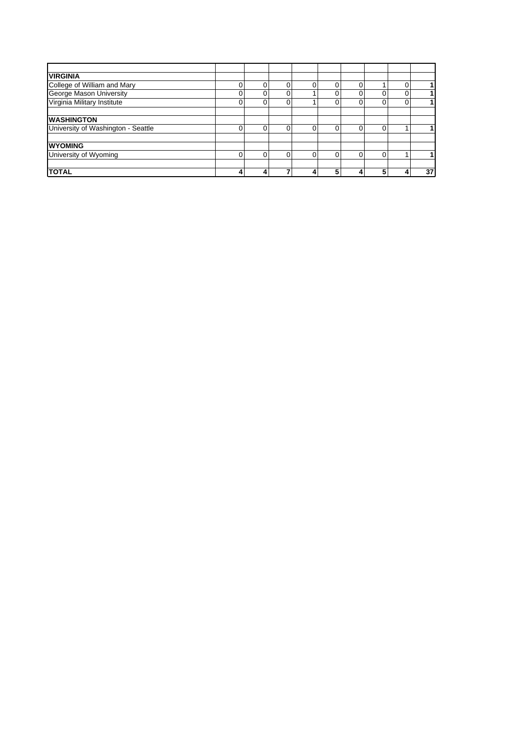| <b>VIRGINIA</b>                    |   |             |   |   |   |    |
|------------------------------------|---|-------------|---|---|---|----|
| College of William and Mary        |   | $\Omega$    |   |   |   |    |
| George Mason University            | 0 | 0           |   | 0 |   |    |
| Virginia Military Institute        | ი | 0           |   | 0 |   |    |
| <b>WASHINGTON</b>                  |   |             |   |   |   |    |
| University of Washington - Seattle |   | $\mathbf 0$ |   | 0 |   |    |
| <b>WYOMING</b>                     |   |             |   |   |   |    |
| University of Wyoming              | U | $\Omega$    | 0 | 0 |   |    |
| <b>TOTAL</b>                       |   |             | 5 |   | 5 | 37 |
|                                    |   |             |   |   |   |    |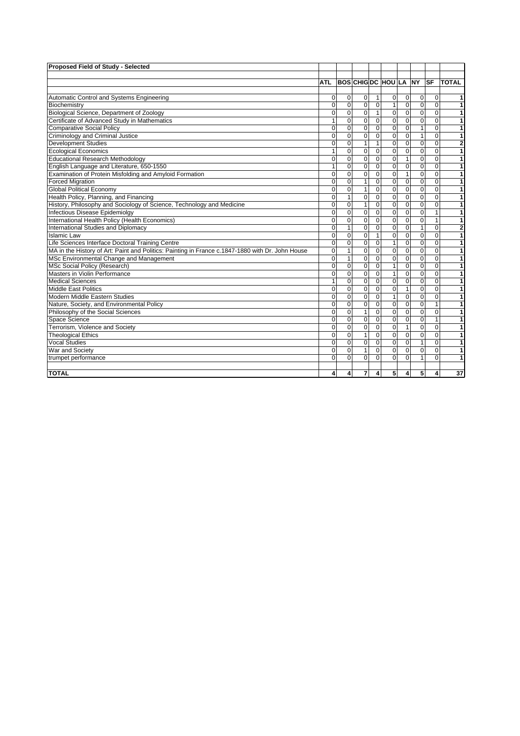| Proposed Field of Study - Selected                                                               |                |                |                |                |                              |                |                |              |                |
|--------------------------------------------------------------------------------------------------|----------------|----------------|----------------|----------------|------------------------------|----------------|----------------|--------------|----------------|
|                                                                                                  |                |                |                |                |                              |                |                |              |                |
|                                                                                                  | <b>ATL</b>     |                |                |                | <b>BOS CHIG DC HOU LA NY</b> |                |                | <b>SF</b>    | <b>TOTAL</b>   |
|                                                                                                  |                |                |                |                |                              |                |                |              |                |
| Automatic Control and Systems Engineering                                                        | 0              | 0              | $\mathbf 0$    | $\mathbf{1}$   | 0                            | 0              | 0              | $\Omega$     | 1              |
| Biochemistry                                                                                     | $\mathbf 0$    | $\mathbf 0$    | $\mathbf 0$    | $\mathbf 0$    | $\mathbf{1}$                 | $\mathbf 0$    | $\overline{0}$ | $\Omega$     | 1              |
| Biological Science, Department of Zoology                                                        | $\Omega$       | $\Omega$       | $\overline{0}$ | $\mathbf{1}$   | $\overline{0}$               | $\Omega$       | 0              | $\Omega$     | $\overline{1}$ |
| Certificate of Advanced Study in Mathematics                                                     | 1              | $\Omega$       | $\mathbf 0$    | $\Omega$       | $\Omega$                     | $\Omega$       | $\Omega$       | $\Omega$     | 1              |
| <b>Comparative Social Policy</b>                                                                 | $\Omega$       | $\Omega$       | $\mathbf 0$    | $\Omega$       | $\mathbf 0$                  | $\Omega$       | $\mathbf{1}$   | $\Omega$     | 1              |
| Criminology and Criminal Justice                                                                 | $\mathbf 0$    | $\mathbf 0$    | $\overline{0}$ | 0              | $\mathbf 0$                  | $\mathbf 0$    | 1              | $\mathbf 0$  | 1              |
| <b>Development Studies</b>                                                                       | $\Omega$       | $\mathbf 0$    | $\mathbf{1}$   | $\mathbf{1}$   | $\mathbf 0$                  | $\mathbf 0$    | 0              | $\mathbf 0$  | $\bf{2}$       |
| <b>Ecological Economics</b>                                                                      | 1              | $\mathbf 0$    | $\mathbf 0$    | 0              | $\mathbf 0$                  | $\mathbf 0$    | $\overline{0}$ | $\Omega$     | $\overline{1}$ |
| <b>Educational Research Methodology</b>                                                          | $\Omega$       | $\overline{0}$ | $\overline{0}$ | $\overline{0}$ | $\overline{0}$               | $\mathbf{1}$   | $\overline{0}$ | $\Omega$     | $\overline{1}$ |
| English Language and Literature, 650-1550                                                        | 1              | $\Omega$       | $\mathbf 0$    | $\Omega$       | $\mathbf 0$                  | $\mathbf 0$    | $\Omega$       | $\Omega$     | 1              |
| Examination of Protein Misfolding and Amyloid Formation                                          | $\Omega$       | $\Omega$       | $\overline{0}$ | 0              | $\mathbf 0$                  | $\mathbf{1}$   | $\Omega$       | $\Omega$     | 1              |
| <b>Forced Migration</b>                                                                          | $\mathbf 0$    | $\mathbf 0$    | $\mathbf{1}$   | 0              | $\mathbf 0$                  | $\mathbf 0$    | 0              | $\mathbf 0$  | 1              |
| <b>Global Political Economy</b>                                                                  | $\Omega$       | $\Omega$       | 1              | $\Omega$       | $\mathbf 0$                  | $\Omega$       | $\Omega$       | $\Omega$     | 1              |
| Health Policy, Planning, and Financing                                                           | $\mathbf 0$    | $\mathbf{1}$   | $\overline{0}$ | 0              | $\mathbf 0$                  | $\mathbf 0$    | 0              | $\mathbf 0$  | 1              |
| History, Philosophy and Sociology of Science, Technology and Medicine                            | $\mathbf 0$    | $\mathbf 0$    | $\mathbf{1}$   | $\mathbf 0$    | $\mathbf 0$                  | $\mathbf 0$    | 0              | $\mathbf 0$  | 1              |
| Infectious Disease Epidemiolgy                                                                   | $\Omega$       | $\mathbf 0$    | $\mathbf 0$    | 0              | $\mathbf 0$                  | $\Omega$       | 0              | $\mathbf{1}$ | 1              |
| International Health Policy (Health Economics)                                                   | $\Omega$       | $\Omega$       | $\overline{0}$ | 0              | 0                            | $\mathbf 0$    | 0              | $\mathbf{1}$ | 1              |
| International Studies and Diplomacy                                                              | $\mathbf 0$    | 1              | 0              | 0              | $\mathbf 0$                  | $\Omega$       | 1              | 0            | 2              |
| <b>Islamic Law</b>                                                                               | $\Omega$       | $\mathbf 0$    | $\mathbf 0$    | $\mathbf{1}$   | $\mathbf 0$                  | $\Omega$       | 0              | $\Omega$     | $\overline{1}$ |
| Life Sciences Interface Doctoral Training Centre                                                 | $\overline{0}$ | $\mathbf 0$    | $\overline{0}$ | 0              | $\overline{1}$               | $\mathbf 0$    | $\overline{0}$ | $\mathbf 0$  | $\overline{1}$ |
| MA in the History of Art: Paint and Politics: Painting in France c.1847-1880 with Dr. John House | $\Omega$       | 1              | $\overline{0}$ | $\Omega$       | 0                            | $\Omega$       | 0              | $\Omega$     | 1              |
| MSc Environmental Change and Management                                                          | $\mathbf 0$    | 1              | $\mathbf 0$    | 0              | $\mathbf 0$                  | $\mathbf 0$    | 0              | $\Omega$     | 1              |
| <b>MSc Social Policy (Research)</b>                                                              | $\overline{0}$ | $\overline{0}$ | $\mathbf 0$    | 0              | $\mathbf{1}$                 | $\Omega$       | 0              | $\mathbf 0$  | 1              |
| Masters in Violin Performance                                                                    | $\Omega$       | $\mathbf 0$    | $\overline{0}$ | 0              | $\mathbf{1}$                 | $\Omega$       | 0              | $\Omega$     | 1              |
| <b>Medical Sciences</b>                                                                          | 1              | $\overline{0}$ | $\overline{0}$ | $\overline{0}$ | $\overline{0}$               | $\overline{0}$ | $\overline{0}$ | $\mathbf 0$  | $\overline{1}$ |
| Middle East Politics                                                                             | $\Omega$       | $\mathbf 0$    | $\mathbf 0$    | $\mathbf 0$    | 0                            | $\mathbf{1}$   | 0              | $\mathbf 0$  | $\overline{1}$ |
| Modern Middle Eastern Studies                                                                    | $\Omega$       | $\Omega$       | $\mathbf 0$    | $\Omega$       | $\mathbf{1}$                 | $\Omega$       | $\Omega$       | $\Omega$     | $\mathbf{1}$   |
| Nature, Society, and Environmental Policy                                                        | $\overline{0}$ | $\mathbf 0$    | $\mathbf 0$    | 0              | $\mathbf 0$                  | $\mathbf 0$    | 0              | $\mathbf{1}$ | 1              |
| Philosophy of the Social Sciences                                                                | $\Omega$       | $\Omega$       | 1              | 0              | $\mathbf 0$                  | $\Omega$       | $\Omega$       | $\Omega$     | 1              |
| Space Science                                                                                    | $\Omega$       | $\mathbf 0$    | $\mathbf 0$    | 0              | $\mathbf 0$                  | $\mathbf 0$    | 0              | $\mathbf{1}$ | 1              |
| Terrorism, Violence and Society                                                                  | $\mathbf 0$    | $\mathbf 0$    | $\mathbf 0$    | 0              | 0                            | $\mathbf{1}$   | 0              | $\Omega$     | 1              |
| <b>Theological Ethics</b>                                                                        | $\mathbf 0$    | $\mathbf 0$    | $\mathbf{1}$   | $\mathbf 0$    | $\mathbf 0$                  | $\mathbf 0$    | $\mathbf 0$    | $\mathbf 0$  | $\overline{1}$ |
| <b>Vocal Studies</b>                                                                             | $\Omega$       | $\Omega$       | $\overline{0}$ | $\Omega$       | $\mathbf 0$                  | $\Omega$       | $\mathbf{1}$   | $\Omega$     | 1              |
| War and Society                                                                                  | $\Omega$       | $\mathbf 0$    | $\mathbf{1}$   | 0              | $\mathbf 0$                  | $\mathbf 0$    | $\Omega$       | $\Omega$     | 1              |
| trumpet performance                                                                              | $\Omega$       | $\Omega$       | $\Omega$       | $\Omega$       | $\mathbf 0$                  | $\Omega$       | 1              | $\Omega$     | 1              |
|                                                                                                  |                |                |                |                |                              |                |                |              |                |
| <b>TOTAL</b>                                                                                     | $\overline{4}$ | 4              | 7              | 4              | 5 <sup>1</sup>               | 4              | 5              | 4            | 37             |